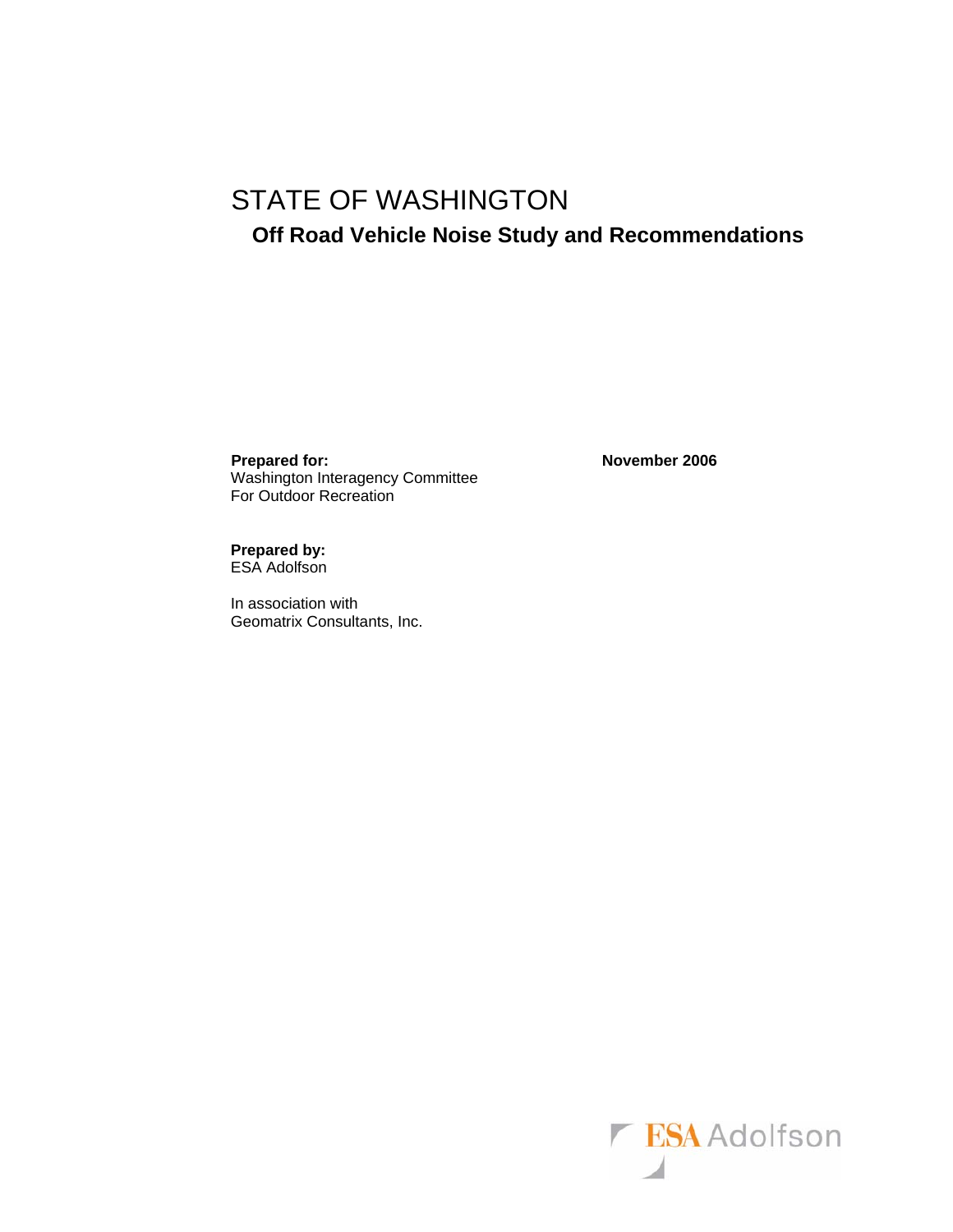# STATE OF WASHINGTON

# **Off Road Vehicle Noise Study and Recommendations**

**Prepared for:** November 2006 Washington Interagency Committee For Outdoor Recreation

**Prepared by:**  ESA Adolfson

In association with Geomatrix Consultants, Inc.

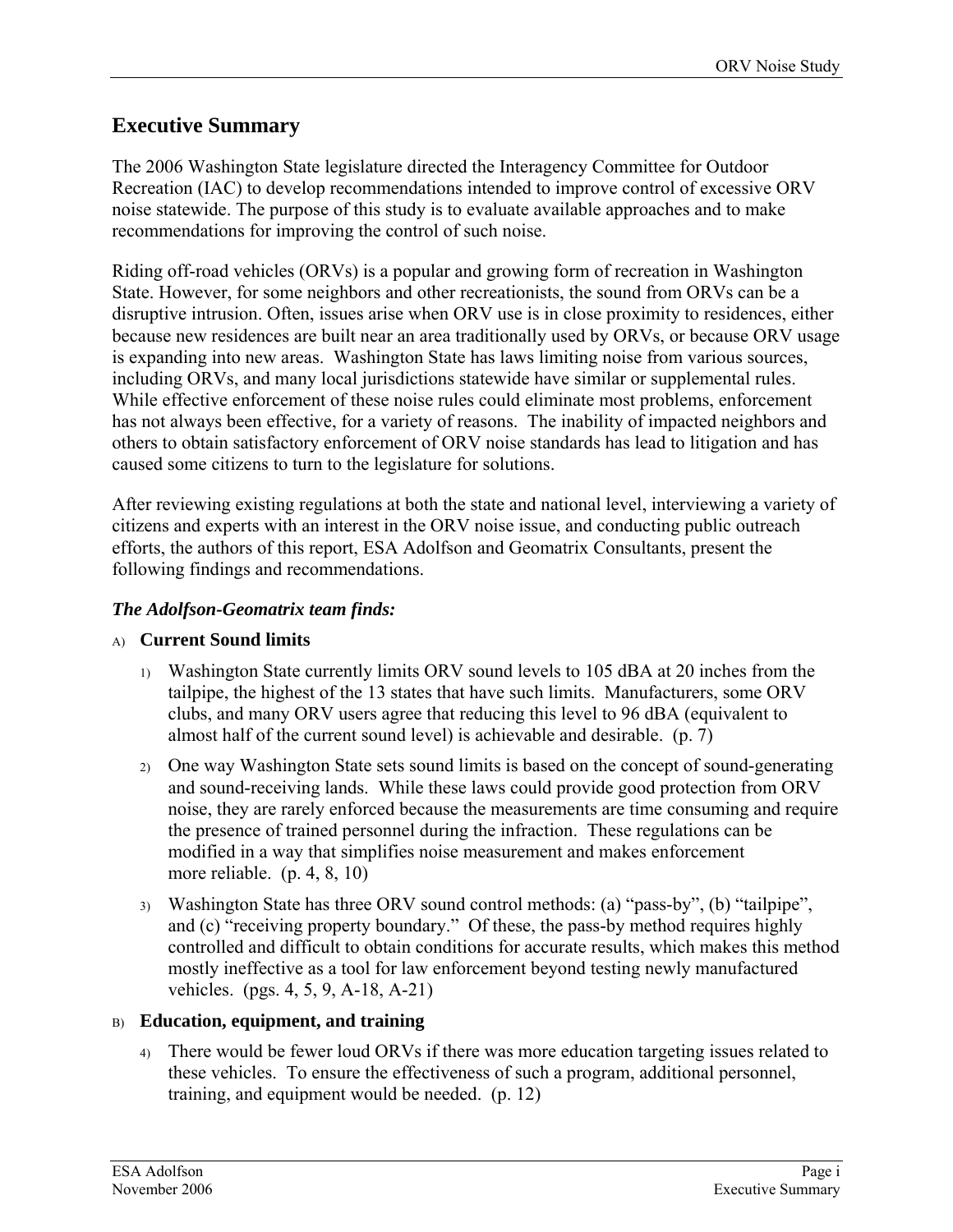### **Executive Summary**

The 2006 Washington State legislature directed the Interagency Committee for Outdoor Recreation (IAC) to develop recommendations intended to improve control of excessive ORV noise statewide. The purpose of this study is to evaluate available approaches and to make recommendations for improving the control of such noise.

Riding off-road vehicles (ORVs) is a popular and growing form of recreation in Washington State. However, for some neighbors and other recreationists, the sound from ORVs can be a disruptive intrusion. Often, issues arise when ORV use is in close proximity to residences, either because new residences are built near an area traditionally used by ORVs, or because ORV usage is expanding into new areas. Washington State has laws limiting noise from various sources, including ORVs, and many local jurisdictions statewide have similar or supplemental rules. While effective enforcement of these noise rules could eliminate most problems, enforcement has not always been effective, for a variety of reasons. The inability of impacted neighbors and others to obtain satisfactory enforcement of ORV noise standards has lead to litigation and has caused some citizens to turn to the legislature for solutions.

After reviewing existing regulations at both the state and national level, interviewing a variety of citizens and experts with an interest in the ORV noise issue, and conducting public outreach efforts, the authors of this report, ESA Adolfson and Geomatrix Consultants, present the following findings and recommendations.

### *The Adolfson-Geomatrix team finds:*

### A) **Current Sound limits**

- 1) Washington State currently limits ORV sound levels to 105 dBA at 20 inches from the tailpipe, the highest of the 13 states that have such limits. Manufacturers, some ORV clubs, and many ORV users agree that reducing this level to 96 dBA (equivalent to almost half of the current sound level) is achievable and desirable. (p. [7](#page-12-0))
- 2) One way Washington State sets sound limits is based on the concept of sound-generating and sound-receiving lands. While these laws could provide good protection from ORV noise, they are rarely enforced because the measurements are time consuming and require the presence of trained personnel during the infraction. These regulations can be modified in a way that simplifies noise measurement and makes enforcement more reliable. (p. [4,](#page-9-0) [8,](#page-13-0) [10\)](#page-15-0)
- 3) Washington State has three ORV sound control methods: (a) "pass-by", (b) "tailpipe", and (c) "receiving property boundary." Of these, the pass-by method requires highly controlled and difficult to obtain conditions for accurate results, which makes this method mostly ineffective as a tool for law enforcement beyond testing newly manufactured vehicles. (pgs. [4](#page-9-1), [5](#page-10-0), [9](#page-14-0), A-[18,](#page-23-0) A[-21](#page-26-0))

### B) **Education, equipment, and training**

4) There would be fewer loud ORVs if there was more education targeting issues related to these vehicles. To ensure the effectiveness of such a program, additional personnel, training, and equipment would be needed. (p. [12\)](#page-17-0)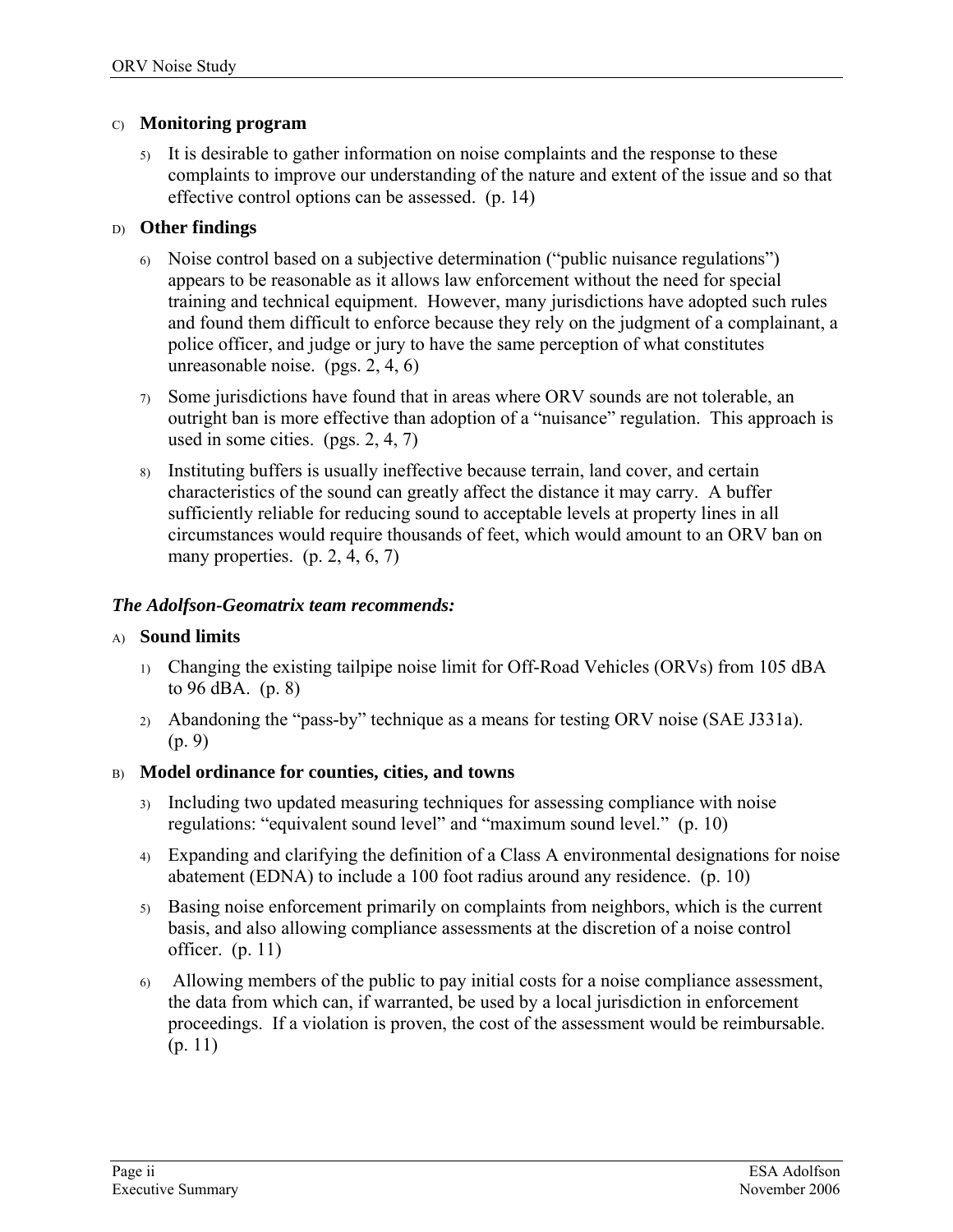#### C) **Monitoring program**

5) It is desirable to gather information on noise complaints and the response to these complaints to improve our understanding of the nature and extent of the issue and so that effective control options can be assessed. (p. [14\)](#page-19-0)

#### D) **Other findings**

- 6) Noise control based on a subjective determination ("public nuisance regulations") appears to be reasonable as it allows law enforcement without the need for special training and technical equipment. However, many jurisdictions have adopted such rules and found them difficult to enforce because they rely on the judgment of a complainant, a police officer, and judge or jury to have the same perception of what constitutes unreasonable noise. (pgs. [2](#page-7-0), [4](#page-9-2), [6](#page-11-0))
- 7) Some jurisdictions have found that in areas where ORV sounds are not tolerable, an outright ban is more effective than adoption of a "nuisance" regulation. This approach is used in some cities. (pgs. [2,](#page-7-1) [4,](#page-9-3) [7\)](#page-12-1)
- 8) Instituting buffers is usually ineffective because terrain, land cover, and certain characteristics of the sound can greatly affect the distance it may carry. A buffer sufficiently reliable for reducing sound to acceptable levels at property lines in all circumstances would require thousands of feet, which would amount to an ORV ban on many properties.  $(p, 2, 4, 6, 7)$  $(p, 2, 4, 6, 7)$  $(p, 2, 4, 6, 7)$  $(p, 2, 4, 6, 7)$  $(p, 2, 4, 6, 7)$  $(p, 2, 4, 6, 7)$  $(p, 2, 4, 6, 7)$  $(p, 2, 4, 6, 7)$

#### *The Adolfson-Geomatrix team recommends:*

#### A) **Sound limits**

- 1) Changing the existing tailpipe noise limit for Off-Road Vehicles (ORVs) from 105 dBA to 96 dBA. (p. 8)
- 2) Abandoning the "pass-by" technique as a means for testing ORV noise (SAE J331a). (p. 9)

### B) **Model ordinance for counties, cities, and towns**

- 3) Including two updated measuring techniques for assessing compliance with noise regulations: "equivalent sound level" and "maximum sound level." (p. 10)
- 4) Expanding and clarifying the definition of a Class A environmental designations for noise abatement (EDNA) to include a 100 foot radius around any residence. (p. 10)
- 5) Basing noise enforcement primarily on complaints from neighbors, which is the current basis, and also allowing compliance assessments at the discretion of a noise control officer. (p. 11)
- 6) Allowing members of the public to pay initial costs for a noise compliance assessment, the data from which can, if warranted, be used by a local jurisdiction in enforcement proceedings. If a violation is proven, the cost of the assessment would be reimbursable. (p. 11)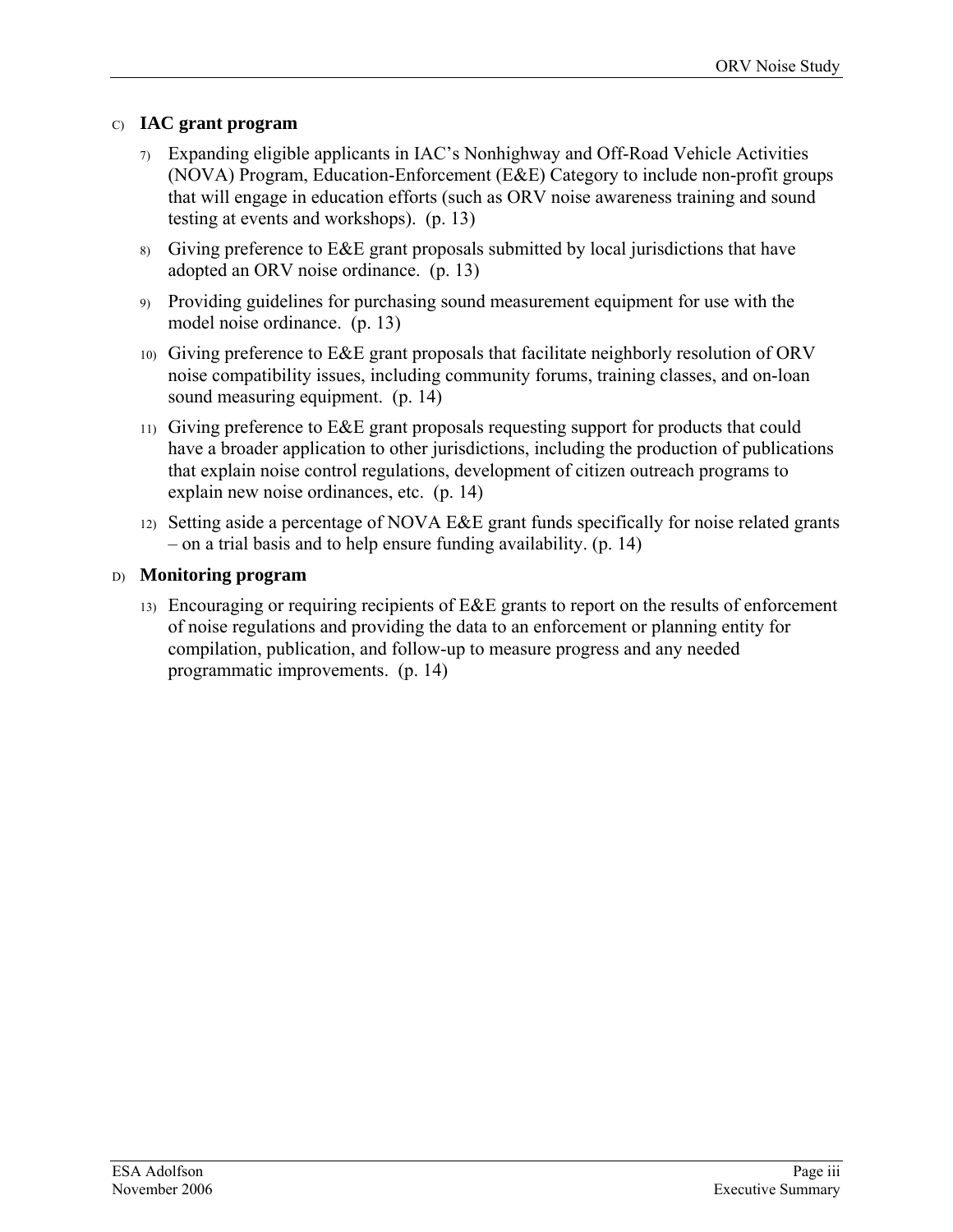### C) **IAC grant program**

- 7) Expanding eligible applicants in IAC's Nonhighway and Off-Road Vehicle Activities (NOVA) Program, Education-Enforcement (E&E) Category to include non-profit groups that will engage in education efforts (such as ORV noise awareness training and sound testing at events and workshops). (p. 13)
- 8) Giving preference to  $E\&E$  grant proposals submitted by local jurisdictions that have adopted an ORV noise ordinance. (p. 13)
- 9) Providing guidelines for purchasing sound measurement equipment for use with the model noise ordinance. (p. 13)
- 10) Giving preference to E&E grant proposals that facilitate neighborly resolution of ORV noise compatibility issues, including community forums, training classes, and on-loan sound measuring equipment. (p. 14)
- 11) Giving preference to E&E grant proposals requesting support for products that could have a broader application to other jurisdictions, including the production of publications that explain noise control regulations, development of citizen outreach programs to explain new noise ordinances, etc. (p. 14)
- 12) Setting aside a percentage of NOVA E&E grant funds specifically for noise related grants – on a trial basis and to help ensure funding availability. (p. 14)

### D) **Monitoring program**

13) Encouraging or requiring recipients of E&E grants to report on the results of enforcement of noise regulations and providing the data to an enforcement or planning entity for compilation, publication, and follow-up to measure progress and any needed programmatic improvements. (p. 14)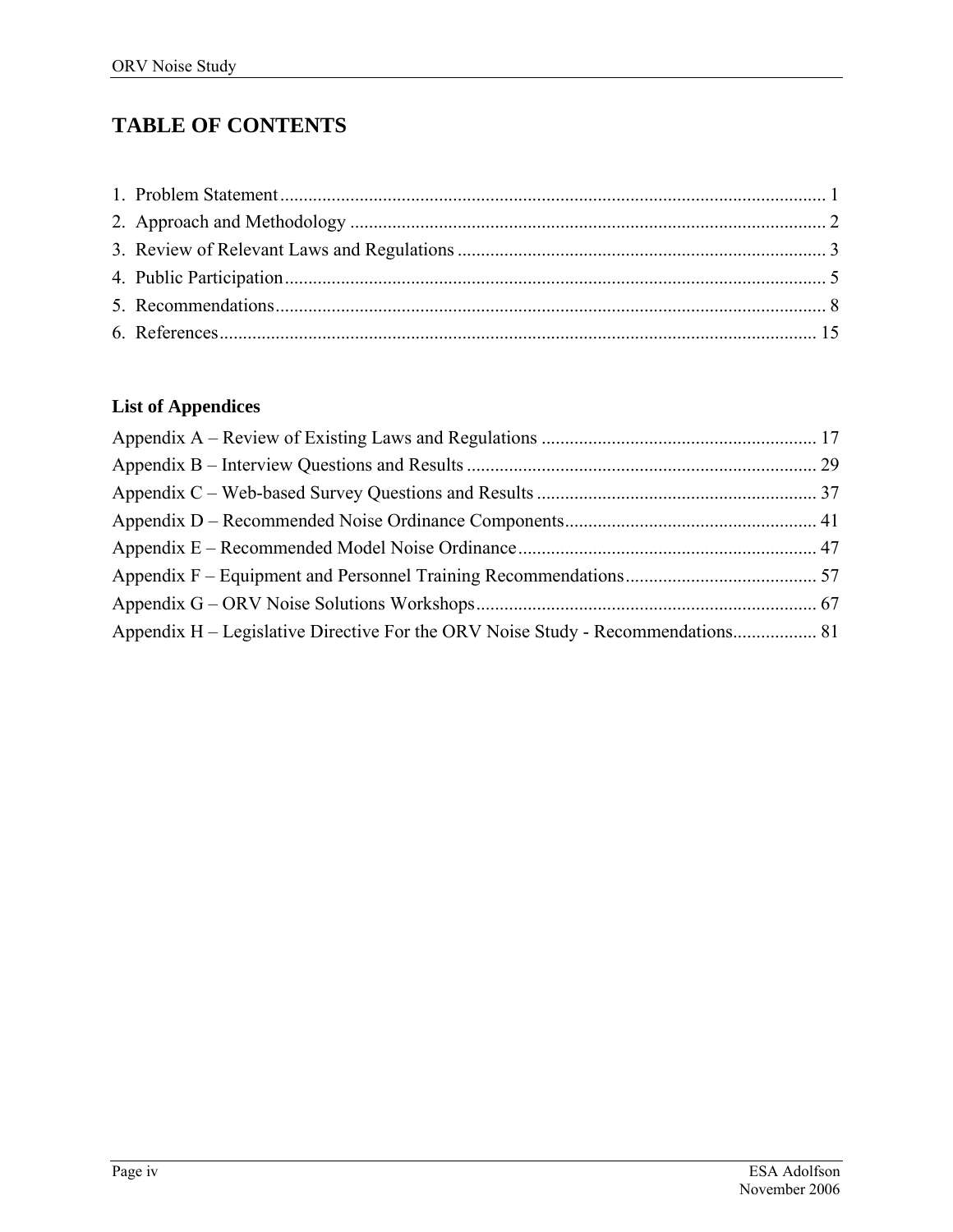# **TABLE OF CONTENTS**

## **List of Appendices**

| Appendix H – Legislative Directive For the ORV Noise Study - Recommendations 81 |  |
|---------------------------------------------------------------------------------|--|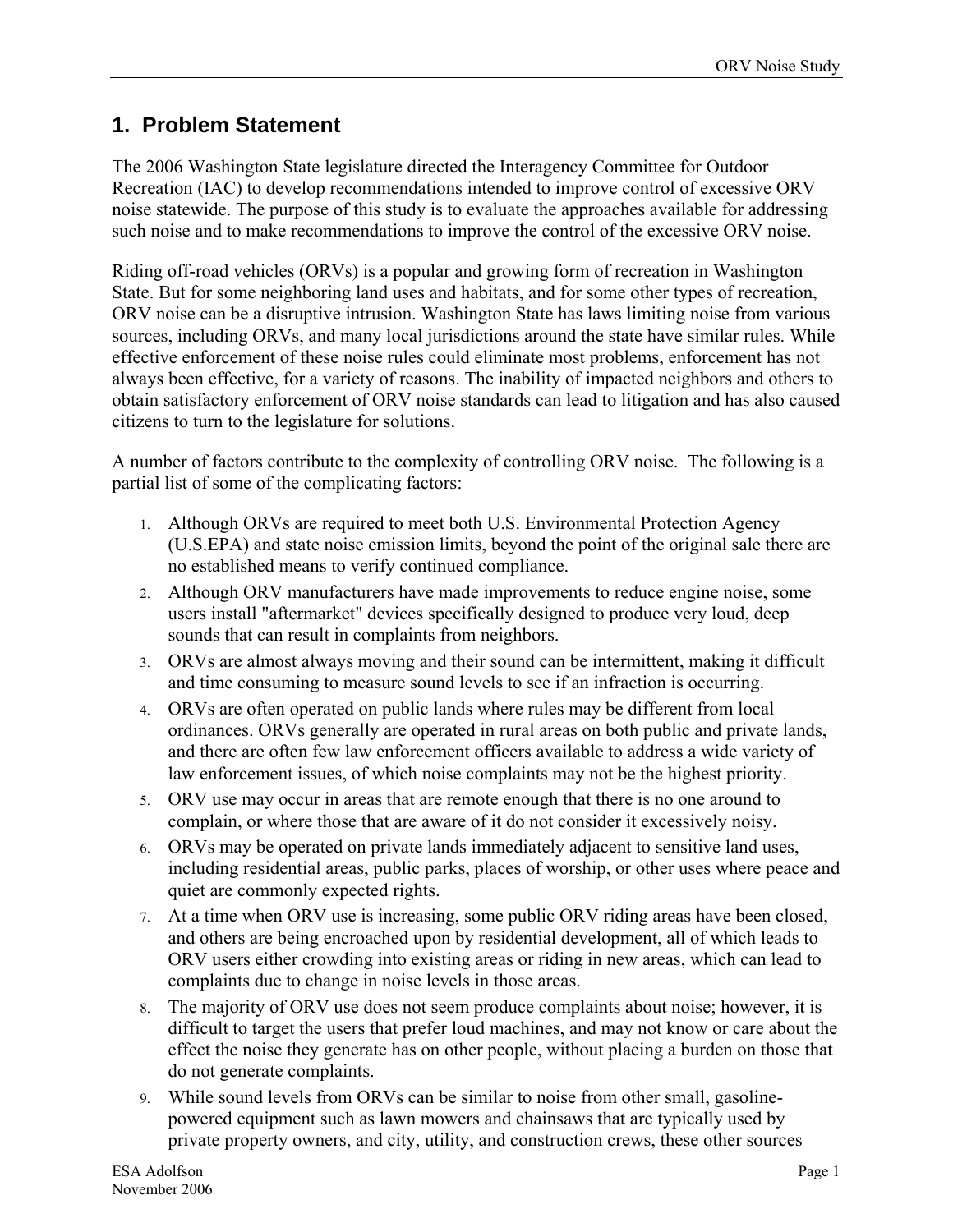### <span id="page-6-0"></span>**1. Problem Statement**

The 2006 Washington State legislature directed the Interagency Committee for Outdoor Recreation (IAC) to develop recommendations intended to improve control of excessive ORV noise statewide. The purpose of this study is to evaluate the approaches available for addressing such noise and to make recommendations to improve the control of the excessive ORV noise.

Riding off-road vehicles (ORVs) is a popular and growing form of recreation in Washington State. But for some neighboring land uses and habitats, and for some other types of recreation, ORV noise can be a disruptive intrusion. Washington State has laws limiting noise from various sources, including ORVs, and many local jurisdictions around the state have similar rules. While effective enforcement of these noise rules could eliminate most problems, enforcement has not always been effective, for a variety of reasons. The inability of impacted neighbors and others to obtain satisfactory enforcement of ORV noise standards can lead to litigation and has also caused citizens to turn to the legislature for solutions.

A number of factors contribute to the complexity of controlling ORV noise. The following is a partial list of some of the complicating factors:

- 1. Although ORVs are required to meet both U.S. Environmental Protection Agency (U.S.EPA) and state noise emission limits, beyond the point of the original sale there are no established means to verify continued compliance.
- 2. Although ORV manufacturers have made improvements to reduce engine noise, some users install "aftermarket" devices specifically designed to produce very loud, deep sounds that can result in complaints from neighbors.
- 3. ORVs are almost always moving and their sound can be intermittent, making it difficult and time consuming to measure sound levels to see if an infraction is occurring.
- 4. ORVs are often operated on public lands where rules may be different from local ordinances. ORVs generally are operated in rural areas on both public and private lands, and there are often few law enforcement officers available to address a wide variety of law enforcement issues, of which noise complaints may not be the highest priority.
- 5. ORV use may occur in areas that are remote enough that there is no one around to complain, or where those that are aware of it do not consider it excessively noisy.
- 6. ORVs may be operated on private lands immediately adjacent to sensitive land uses, including residential areas, public parks, places of worship, or other uses where peace and quiet are commonly expected rights.
- 7. At a time when ORV use is increasing, some public ORV riding areas have been closed, and others are being encroached upon by residential development, all of which leads to ORV users either crowding into existing areas or riding in new areas, which can lead to complaints due to change in noise levels in those areas.
- 8. The majority of ORV use does not seem produce complaints about noise; however, it is difficult to target the users that prefer loud machines, and may not know or care about the effect the noise they generate has on other people, without placing a burden on those that do not generate complaints.
- 9. While sound levels from ORVs can be similar to noise from other small, gasolinepowered equipment such as lawn mowers and chainsaws that are typically used by private property owners, and city, utility, and construction crews, these other sources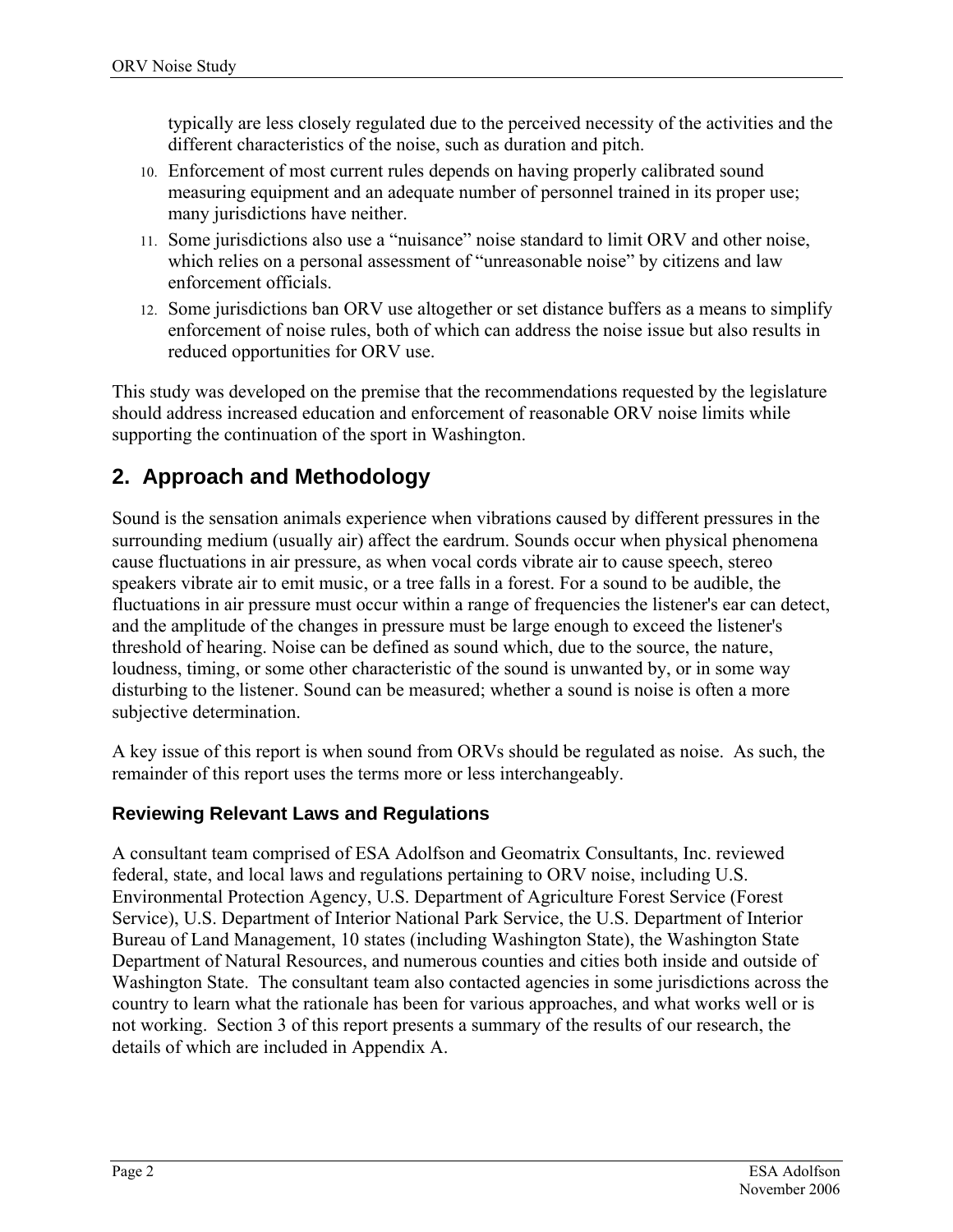<span id="page-7-2"></span>typically are less closely regulated due to the perceived necessity of the activities and the different characteristics of the noise, such as duration and pitch.

- 10. Enforcement of most current rules depends on having properly calibrated sound measuring equipment and an adequate number of personnel trained in its proper use; many jurisdictions have neither.
- <span id="page-7-0"></span>11. Some jurisdictions also use a "nuisance" noise standard to limit ORV and other noise, which relies on a personal assessment of "unreasonable noise" by citizens and law enforcement officials.
- 12. Some jurisdictions ban ORV use altogether or set distance buffers as a means to simplify enforcement of noise rules, both of which can address the noise issue but also results in reduced opportunities for ORV use.

<span id="page-7-1"></span>This study was developed on the premise that the recommendations requested by the legislature should address increased education and enforcement of reasonable ORV noise limits while supporting the continuation of the sport in Washington.

## **2. Approach and Methodology**

Sound is the sensation animals experience when vibrations caused by different pressures in the surrounding medium (usually air) affect the eardrum. Sounds occur when physical phenomena cause fluctuations in air pressure, as when vocal cords vibrate air to cause speech, stereo speakers vibrate air to emit music, or a tree falls in a forest. For a sound to be audible, the fluctuations in air pressure must occur within a range of frequencies the listener's ear can detect, and the amplitude of the changes in pressure must be large enough to exceed the listener's threshold of hearing. Noise can be defined as sound which, due to the source, the nature, loudness, timing, or some other characteristic of the sound is unwanted by, or in some way disturbing to the listener. Sound can be measured; whether a sound is noise is often a more subjective determination.

A key issue of this report is when sound from ORVs should be regulated as noise. As such, the remainder of this report uses the terms more or less interchangeably.

### **Reviewing Relevant Laws and Regulations**

A consultant team comprised of ESA Adolfson and Geomatrix Consultants, Inc. reviewed federal, state, and local laws and regulations pertaining to ORV noise, including U.S. Environmental Protection Agency, U.S. Department of Agriculture Forest Service (Forest Service), U.S. Department of Interior National Park Service, the U.S. Department of Interior Bureau of Land Management, 10 states (including Washington State), the Washington State Department of Natural Resources, and numerous counties and cities both inside and outside of Washington State. The consultant team also contacted agencies in some jurisdictions across the country to learn what the rationale has been for various approaches, and what works well or is not working. Section 3 of this report presents a summary of the results of our research, the details of which are included in Appendix A.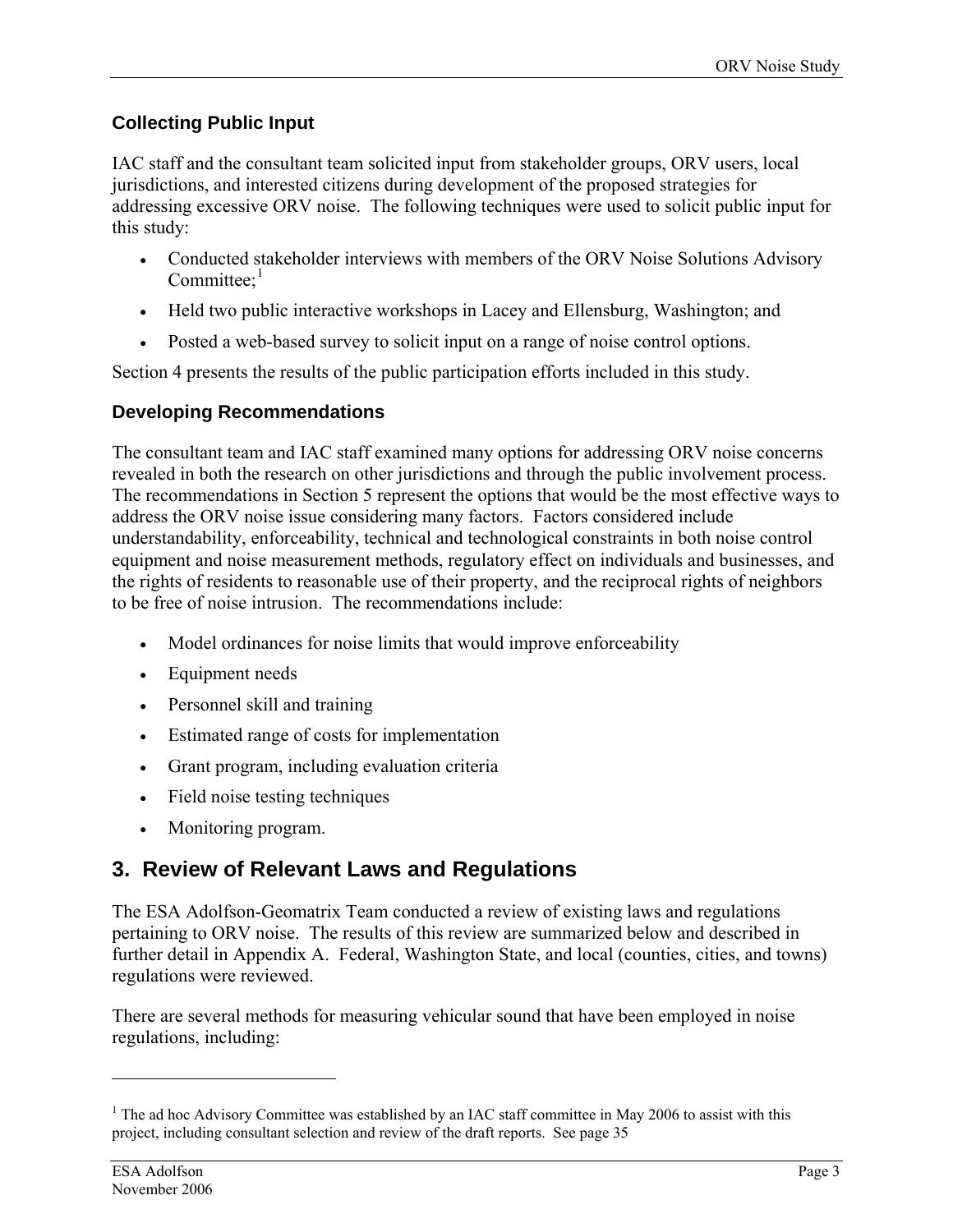### <span id="page-8-0"></span>**Collecting Public Input**

IAC staff and the consultant team solicited input from stakeholder groups, ORV users, local jurisdictions, and interested citizens during development of the proposed strategies for addressing excessive ORV noise. The following techniques were used to solicit public input for this study:

- Conducted stakeholder interviews with members of the ORV Noise Solutions Advisory Committee: $<sup>1</sup>$  $<sup>1</sup>$  $<sup>1</sup>$ </sup>
- Held two public interactive workshops in Lacey and Ellensburg, Washington; and
- Posted a web-based survey to solicit input on a range of noise control options.

Section 4 presents the results of the public participation efforts included in this study.

### **Developing Recommendations**

The consultant team and IAC staff examined many options for addressing ORV noise concerns revealed in both the research on other jurisdictions and through the public involvement process. The recommendations in Section 5 represent the options that would be the most effective ways to address the ORV noise issue considering many factors. Factors considered include understandability, enforceability, technical and technological constraints in both noise control equipment and noise measurement methods, regulatory effect on individuals and businesses, and the rights of residents to reasonable use of their property, and the reciprocal rights of neighbors to be free of noise intrusion. The recommendations include:

- Model ordinances for noise limits that would improve enforceability
- Equipment needs
- Personnel skill and training
- Estimated range of costs for implementation
- Grant program, including evaluation criteria
- Field noise testing techniques
- Monitoring program.

## **3. Review of Relevant Laws and Regulations**

The ESA Adolfson-Geomatrix Team conducted a review of existing laws and regulations pertaining to ORV noise. The results of this review are summarized below and described in further detail in Appendix A. Federal, Washington State, and local (counties, cities, and towns) regulations were reviewed.

There are several methods for measuring vehicular sound that have been employed in noise regulations, including:

 $\overline{a}$ 

<span id="page-8-1"></span><sup>&</sup>lt;sup>1</sup> The ad hoc Advisory Committee was established by an IAC staff committee in May 2006 to assist with this project, including consultant selection and review of the draft reports. See page 35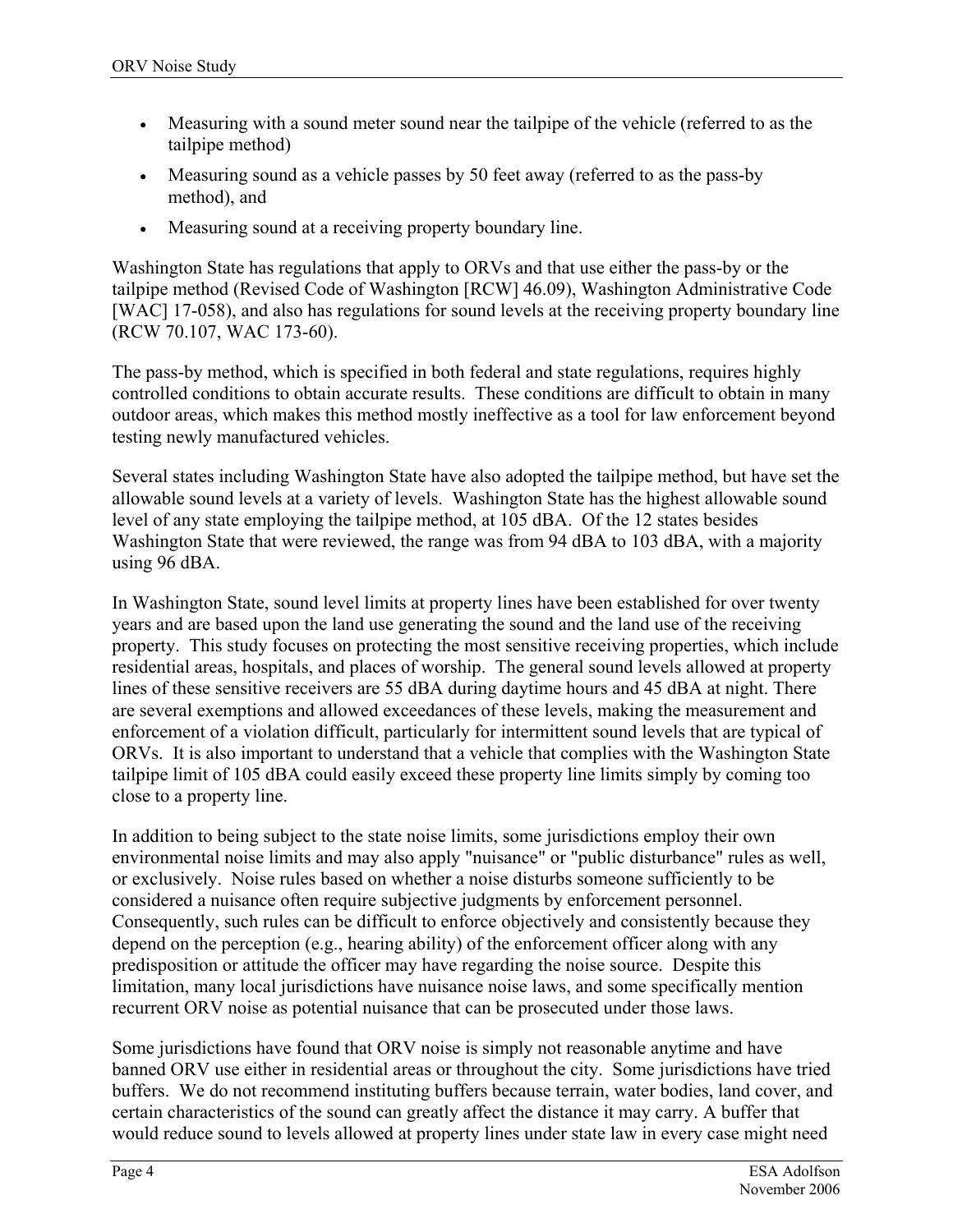- Measuring with a sound meter sound near the tailpipe of the vehicle (referred to as the tailpipe method)
- Measuring sound as a vehicle passes by 50 feet away (referred to as the pass-by method), and
- Measuring sound at a receiving property boundary line.

<span id="page-9-1"></span><span id="page-9-0"></span>Washington State has regulations that apply to ORVs and that use either the pass-by or the tailpipe method (Revised Code of Washington [RCW] 46.09), Washington Administrative Code [WAC] 17-058), and also has regulations for sound levels at the receiving property boundary line (RCW 70.107, WAC 173-60).

The pass-by method, which is specified in both federal and state regulations, requires highly controlled conditions to obtain accurate results. These conditions are difficult to obtain in many outdoor areas, which makes this method mostly ineffective as a tool for law enforcement beyond testing newly manufactured vehicles.

Several states including Washington State have also adopted the tailpipe method, but have set the allowable sound levels at a variety of levels. Washington State has the highest allowable sound level of any state employing the tailpipe method, at 105 dBA. Of the 12 states besides Washington State that were reviewed, the range was from 94 dBA to 103 dBA, with a majority using 96 dBA.

In Washington State, sound level limits at property lines have been established for over twenty years and are based upon the land use generating the sound and the land use of the receiving property. This study focuses on protecting the most sensitive receiving properties, which include residential areas, hospitals, and places of worship. The general sound levels allowed at property lines of these sensitive receivers are 55 dBA during daytime hours and 45 dBA at night. There are several exemptions and allowed exceedances of these levels, making the measurement and enforcement of a violation difficult, particularly for intermittent sound levels that are typical of ORVs. It is also important to understand that a vehicle that complies with the Washington State tailpipe limit of 105 dBA could easily exceed these property line limits simply by coming too close to a property line.

<span id="page-9-2"></span>In addition to being subject to the state noise limits, some jurisdictions employ their own environmental noise limits and may also apply "nuisance" or "public disturbance" rules as well, or exclusively. Noise rules based on whether a noise disturbs someone sufficiently to be considered a nuisance often require subjective judgments by enforcement personnel. Consequently, such rules can be difficult to enforce objectively and consistently because they depend on the perception (e.g., hearing ability) of the enforcement officer along with any predisposition or attitude the officer may have regarding the noise source. Despite this limitation, many local jurisdictions have nuisance noise laws, and some specifically mention recurrent ORV noise as potential nuisance that can be prosecuted under those laws.

<span id="page-9-4"></span><span id="page-9-3"></span>Some jurisdictions have found that ORV noise is simply not reasonable anytime and have banned ORV use either in residential areas or throughout the city. Some jurisdictions have tried buffers. We do not recommend instituting buffers because terrain, water bodies, land cover, and certain characteristics of the sound can greatly affect the distance it may carry. A buffer that would reduce sound to levels allowed at property lines under state law in every case might need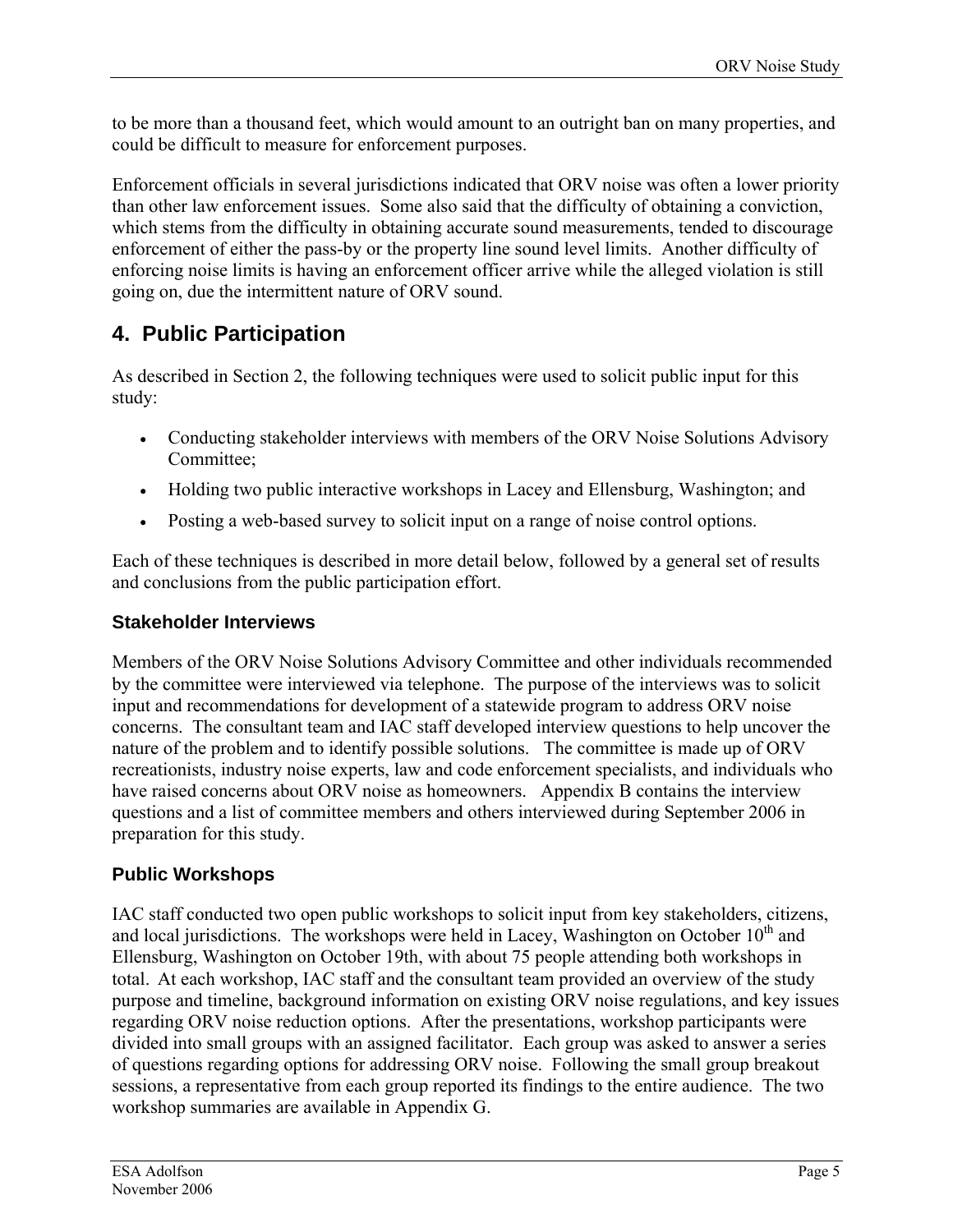<span id="page-10-1"></span>to be more than a thousand feet, which would amount to an outright ban on many properties, and could be difficult to measure for enforcement purposes.

<span id="page-10-0"></span>Enforcement officials in several jurisdictions indicated that ORV noise was often a lower priority than other law enforcement issues. Some also said that the difficulty of obtaining a conviction, which stems from the difficulty in obtaining accurate sound measurements, tended to discourage enforcement of either the pass-by or the property line sound level limits. Another difficulty of enforcing noise limits is having an enforcement officer arrive while the alleged violation is still going on, due the intermittent nature of ORV sound.

### **4. Public Participation**

As described in Section 2, the following techniques were used to solicit public input for this study:

- Conducting stakeholder interviews with members of the ORV Noise Solutions Advisory Committee;
- Holding two public interactive workshops in Lacey and Ellensburg, Washington; and
- Posting a web-based survey to solicit input on a range of noise control options.

Each of these techniques is described in more detail below, followed by a general set of results and conclusions from the public participation effort.

### **Stakeholder Interviews**

Members of the ORV Noise Solutions Advisory Committee and other individuals recommended by the committee were interviewed via telephone. The purpose of the interviews was to solicit input and recommendations for development of a statewide program to address ORV noise concerns. The consultant team and IAC staff developed interview questions to help uncover the nature of the problem and to identify possible solutions. The committee is made up of ORV recreationists, industry noise experts, law and code enforcement specialists, and individuals who have raised concerns about ORV noise as homeowners. Appendix B contains the interview questions and a list of committee members and others interviewed during September 2006 in preparation for this study.

### **Public Workshops**

IAC staff conducted two open public workshops to solicit input from key stakeholders, citizens, and local jurisdictions. The workshops were held in Lacey, Washington on October  $10<sup>th</sup>$  and Ellensburg, Washington on October 19th, with about 75 people attending both workshops in total. At each workshop, IAC staff and the consultant team provided an overview of the study purpose and timeline, background information on existing ORV noise regulations, and key issues regarding ORV noise reduction options. After the presentations, workshop participants were divided into small groups with an assigned facilitator. Each group was asked to answer a series of questions regarding options for addressing ORV noise. Following the small group breakout sessions, a representative from each group reported its findings to the entire audience. The two workshop summaries are available in Appendix G.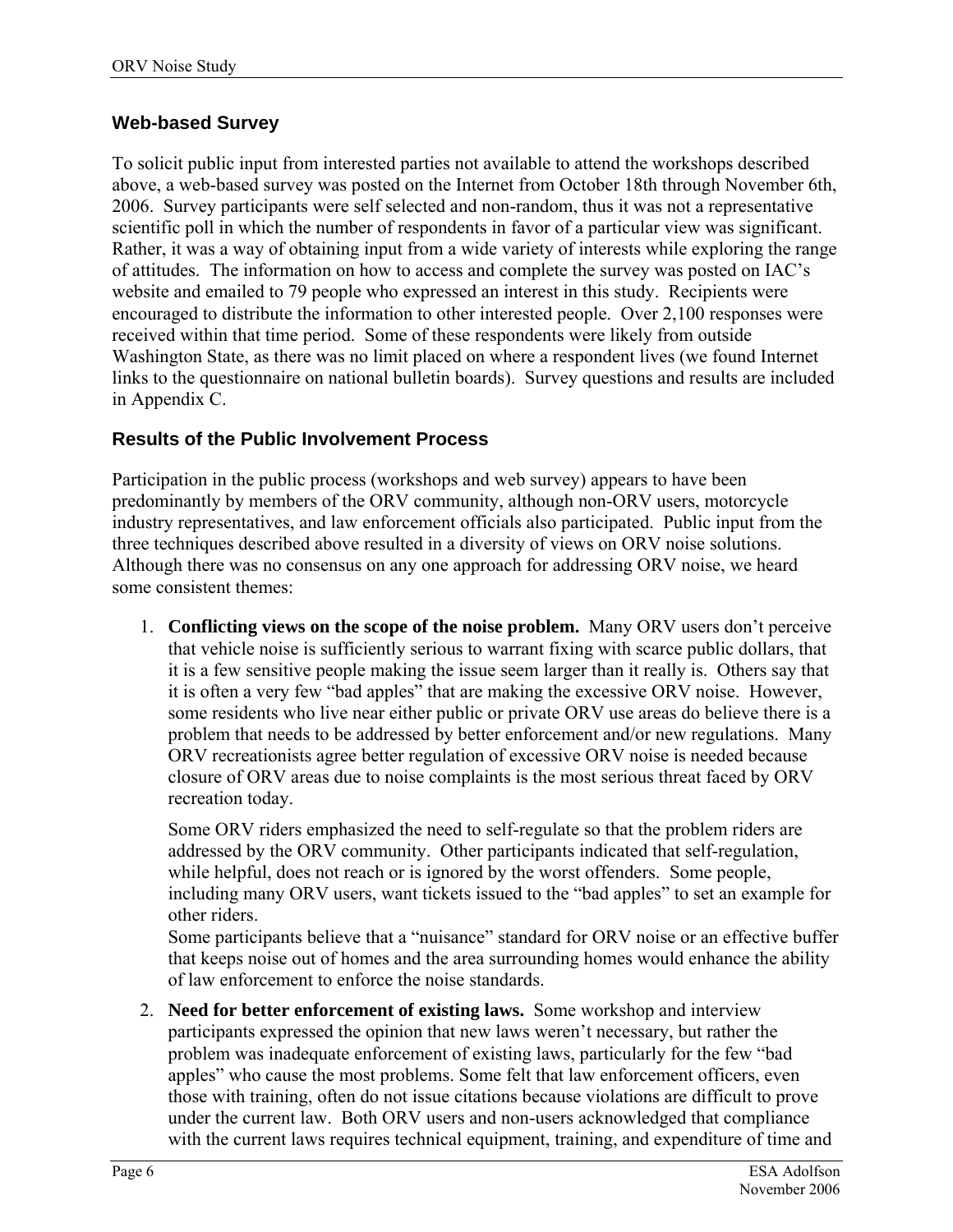### **Web-based Survey**

To solicit public input from interested parties not available to attend the workshops described above, a web-based survey was posted on the Internet from October 18th through November 6th, 2006. Survey participants were self selected and non-random, thus it was not a representative scientific poll in which the number of respondents in favor of a particular view was significant. Rather, it was a way of obtaining input from a wide variety of interests while exploring the range of attitudes. The information on how to access and complete the survey was posted on IAC's website and emailed to 79 people who expressed an interest in this study. Recipients were encouraged to distribute the information to other interested people. Over 2,100 responses were received within that time period. Some of these respondents were likely from outside Washington State, as there was no limit placed on where a respondent lives (we found Internet links to the questionnaire on national bulletin boards). Survey questions and results are included in Appendix C.

### **Results of the Public Involvement Process**

Participation in the public process (workshops and web survey) appears to have been predominantly by members of the ORV community, although non-ORV users, motorcycle industry representatives, and law enforcement officials also participated. Public input from the three techniques described above resulted in a diversity of views on ORV noise solutions. Although there was no consensus on any one approach for addressing ORV noise, we heard some consistent themes:

1. **Conflicting views on the scope of the noise problem.** Many ORV users don't perceive that vehicle noise is sufficiently serious to warrant fixing with scarce public dollars, that it is a few sensitive people making the issue seem larger than it really is. Others say that it is often a very few "bad apples" that are making the excessive ORV noise. However, some residents who live near either public or private ORV use areas do believe there is a problem that needs to be addressed by better enforcement and/or new regulations. Many ORV recreationists agree better regulation of excessive ORV noise is needed because closure of ORV areas due to noise complaints is the most serious threat faced by ORV recreation today.

Some ORV riders emphasized the need to self-regulate so that the problem riders are addressed by the ORV community. Other participants indicated that self-regulation, while helpful, does not reach or is ignored by the worst offenders. Some people, including many ORV users, want tickets issued to the "bad apples" to set an example for other riders.

Some participants believe that a "nuisance" standard for ORV noise or an effective buffer that keeps noise out of homes and the area surrounding homes would enhance the ability of law enforcement to enforce the noise standards.

<span id="page-11-0"></span>2. **Need for better enforcement of existing laws.** Some workshop and interview participants expressed the opinion that new laws weren't necessary, but rather the problem was inadequate enforcement of existing laws, particularly for the few "bad apples" who cause the most problems. Some felt that law enforcement officers, even those with training, often do not issue citations because violations are difficult to prove under the current law. Both ORV users and non-users acknowledged that compliance with the current laws requires technical equipment, training, and expenditure of time and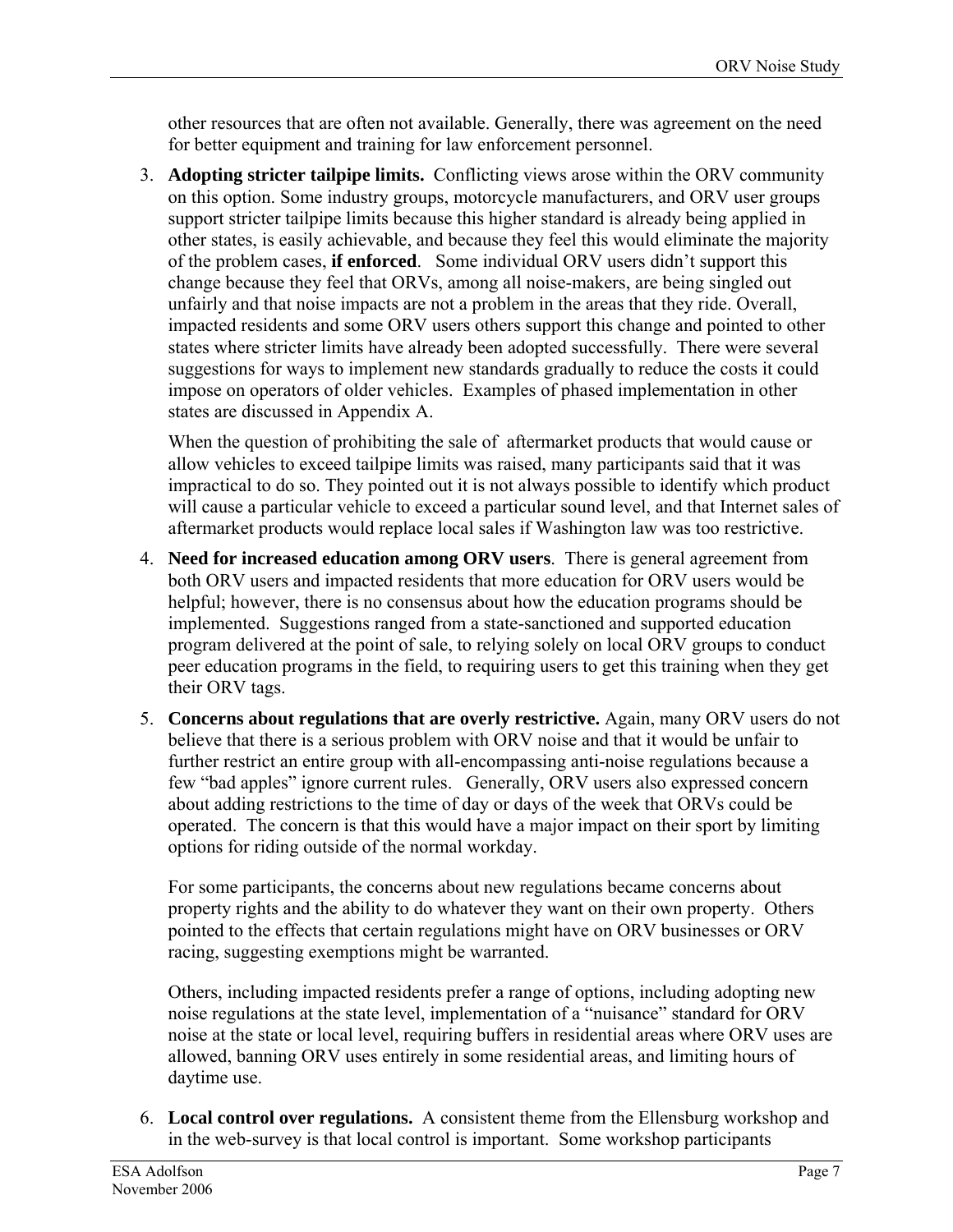other resources that are often not available. Generally, there was agreement on the need for better equipment and training for law enforcement personnel.

<span id="page-12-0"></span>3. **Adopting stricter tailpipe limits.** Conflicting views arose within the ORV community on this option. Some industry groups, motorcycle manufacturers, and ORV user groups support stricter tailpipe limits because this higher standard is already being applied in other states, is easily achievable, and because they feel this would eliminate the majority of the problem cases, **if enforced**. Some individual ORV users didn't support this change because they feel that ORVs, among all noise-makers, are being singled out unfairly and that noise impacts are not a problem in the areas that they ride. Overall, impacted residents and some ORV users others support this change and pointed to other states where stricter limits have already been adopted successfully. There were several suggestions for ways to implement new standards gradually to reduce the costs it could impose on operators of older vehicles. Examples of phased implementation in other states are discussed in Appendix A.

When the question of prohibiting the sale of aftermarket products that would cause or allow vehicles to exceed tailpipe limits was raised, many participants said that it was impractical to do so. They pointed out it is not always possible to identify which product will cause a particular vehicle to exceed a particular sound level, and that Internet sales of aftermarket products would replace local sales if Washington law was too restrictive.

- 4. **Need for increased education among ORV users**. There is general agreement from both ORV users and impacted residents that more education for ORV users would be helpful; however, there is no consensus about how the education programs should be implemented. Suggestions ranged from a state-sanctioned and supported education program delivered at the point of sale, to relying solely on local ORV groups to conduct peer education programs in the field, to requiring users to get this training when they get their ORV tags.
- 5. **Concerns about regulations that are overly restrictive.** Again, many ORV users do not believe that there is a serious problem with ORV noise and that it would be unfair to further restrict an entire group with all-encompassing anti-noise regulations because a few "bad apples" ignore current rules. Generally, ORV users also expressed concern about adding restrictions to the time of day or days of the week that ORVs could be operated. The concern is that this would have a major impact on their sport by limiting options for riding outside of the normal workday.

For some participants, the concerns about new regulations became concerns about property rights and the ability to do whatever they want on their own property. Others pointed to the effects that certain regulations might have on ORV businesses or ORV racing, suggesting exemptions might be warranted.

Others, including impacted residents prefer a range of options, including adopting new noise regulations at the state level, implementation of a "nuisance" standard for ORV noise at the state or local level, requiring buffers in residential areas where ORV uses are allowed, banning ORV uses entirely in some residential areas, and limiting hours of daytime use.

<span id="page-12-2"></span><span id="page-12-1"></span>6. **Local control over regulations.** A consistent theme from the Ellensburg workshop and in the web-survey is that local control is important. Some workshop participants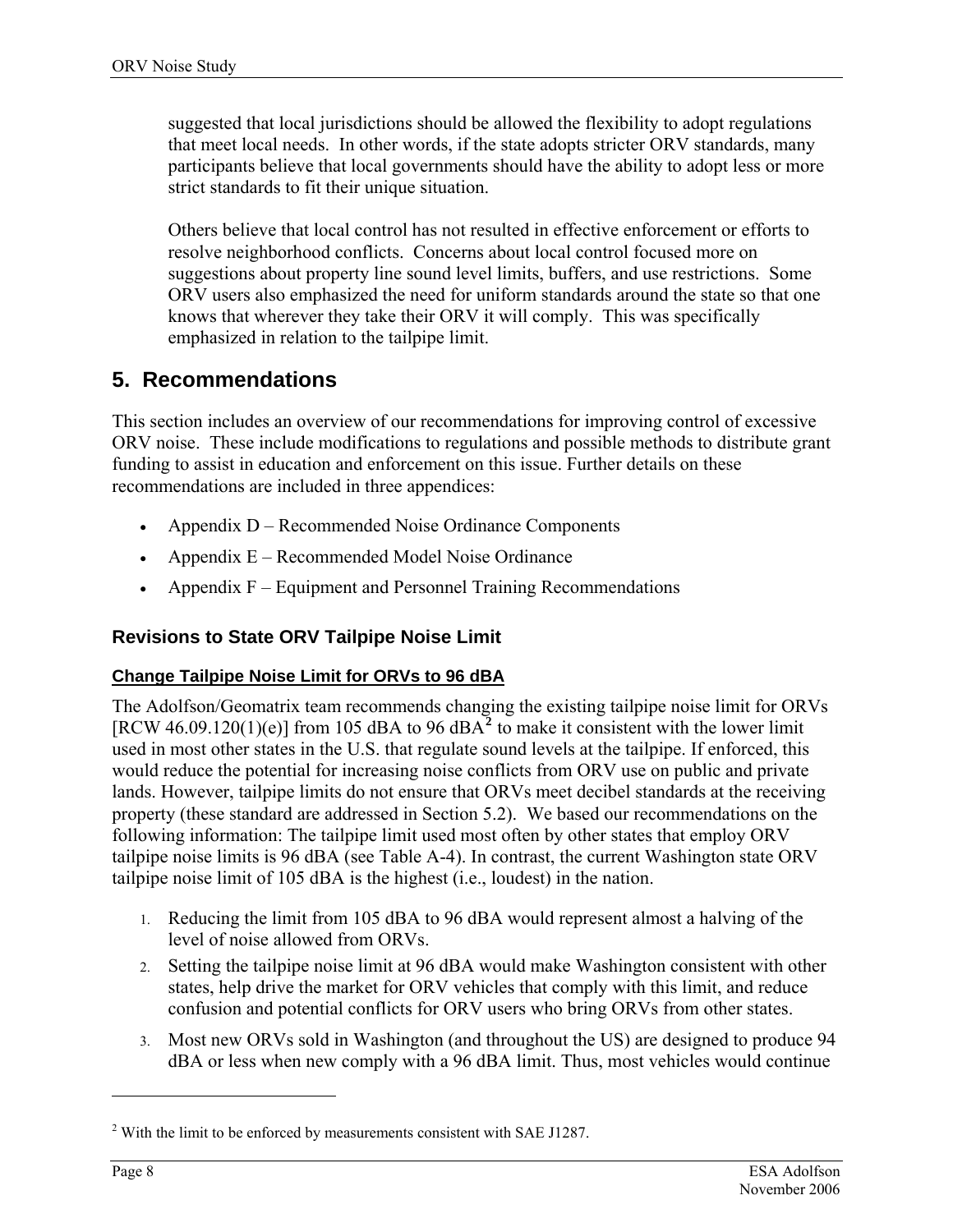<span id="page-13-1"></span>suggested that local jurisdictions should be allowed the flexibility to adopt regulations that meet local needs. In other words, if the state adopts stricter ORV standards, many participants believe that local governments should have the ability to adopt less or more strict standards to fit their unique situation.

Others believe that local control has not resulted in effective enforcement or efforts to resolve neighborhood conflicts. Concerns about local control focused more on suggestions about property line sound level limits, buffers, and use restrictions. Some ORV users also emphasized the need for uniform standards around the state so that one knows that wherever they take their ORV it will comply. This was specifically emphasized in relation to the tailpipe limit.

### **5. Recommendations**

This section includes an overview of our recommendations for improving control of excessive ORV noise. These include modifications to regulations and possible methods to distribute grant funding to assist in education and enforcement on this issue. Further details on these recommendations are included in three appendices:

- Appendix D Recommended Noise Ordinance Components
- Appendix E Recommended Model Noise Ordinance
- Appendix F Equipment and Personnel Training Recommendations

### **Revisions to State ORV Tailpipe Noise Limit**

### **Change Tailpipe Noise Limit for ORVs to 96 dBA**

<span id="page-13-0"></span>The Adolfson/Geomatrix team recommends changing the existing tailpipe noise limit for ORVs [RCW 46.09.1[2](#page-13-2)0(1)(e)] from 105 dBA to 96 dBA<sup>2</sup> to make it consistent with the lower limit used in most other states in the U.S. that regulate sound levels at the tailpipe. If enforced, this would reduce the potential for increasing noise conflicts from ORV use on public and private lands. However, tailpipe limits do not ensure that ORVs meet decibel standards at the receiving property (these standard are addressed in Section 5.2). We based our recommendations on the following information: The tailpipe limit used most often by other states that employ ORV tailpipe noise limits is 96 dBA (see Table A-4). In contrast, the current Washington state ORV tailpipe noise limit of 105 dBA is the highest (i.e., loudest) in the nation.

- 1. Reducing the limit from 105 dBA to 96 dBA would represent almost a halving of the level of noise allowed from ORVs.
- 2. Setting the tailpipe noise limit at 96 dBA would make Washington consistent with other states, help drive the market for ORV vehicles that comply with this limit, and reduce confusion and potential conflicts for ORV users who bring ORVs from other states.
- 3. Most new ORVs sold in Washington (and throughout the US) are designed to produce 94 dBA or less when new comply with a 96 dBA limit. Thus, most vehicles would continue

 $\overline{a}$ 

<span id="page-13-2"></span> $2$ <sup>2</sup> With the limit to be enforced by measurements consistent with SAE J1287.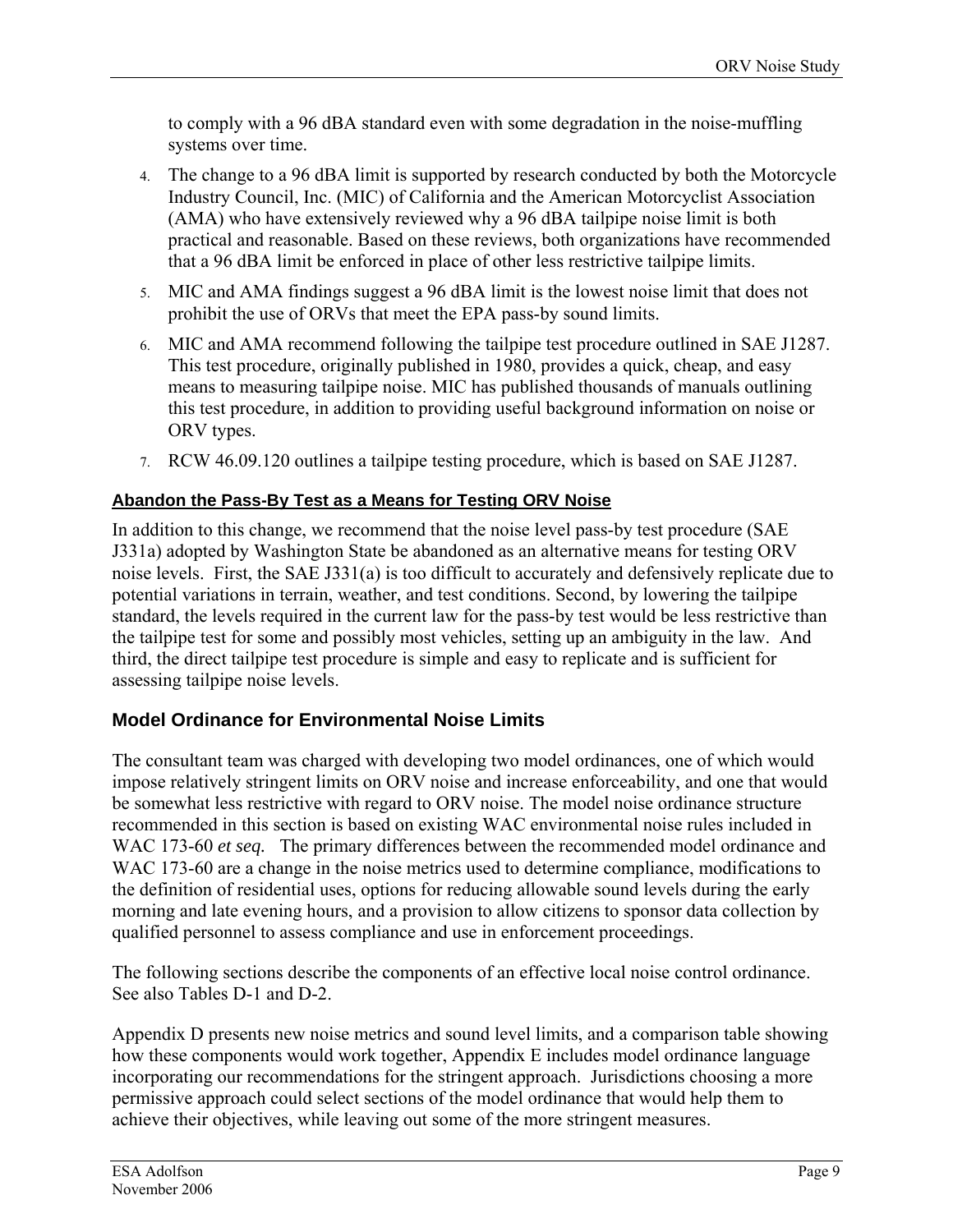to comply with a 96 dBA standard even with some degradation in the noise-muffling systems over time.

- 4. The change to a 96 dBA limit is supported by research conducted by both the Motorcycle Industry Council, Inc. (MIC) of California and the American Motorcyclist Association (AMA) who have extensively reviewed why a 96 dBA tailpipe noise limit is both practical and reasonable. Based on these reviews, both organizations have recommended that a 96 dBA limit be enforced in place of other less restrictive tailpipe limits.
- <span id="page-14-0"></span>5. MIC and AMA findings suggest a 96 dBA limit is the lowest noise limit that does not prohibit the use of ORVs that meet the EPA pass-by sound limits.
- 6. MIC and AMA recommend following the tailpipe test procedure outlined in SAE J1287. This test procedure, originally published in 1980, provides a quick, cheap, and easy means to measuring tailpipe noise. MIC has published thousands of manuals outlining this test procedure, in addition to providing useful background information on noise or ORV types.
- 7. RCW 46.09.120 outlines a tailpipe testing procedure, which is based on SAE J1287.

### **Abandon the Pass-By Test as a Means for Testing ORV Noise**

In addition to this change, we recommend that the noise level pass-by test procedure (SAE J331a) adopted by Washington State be abandoned as an alternative means for testing ORV noise levels. First, the SAE J331(a) is too difficult to accurately and defensively replicate due to potential variations in terrain, weather, and test conditions. Second, by lowering the tailpipe standard, the levels required in the current law for the pass-by test would be less restrictive than the tailpipe test for some and possibly most vehicles, setting up an ambiguity in the law. And third, the direct tailpipe test procedure is simple and easy to replicate and is sufficient for assessing tailpipe noise levels.

### **Model Ordinance for Environmental Noise Limits**

The consultant team was charged with developing two model ordinances, one of which would impose relatively stringent limits on ORV noise and increase enforceability, and one that would be somewhat less restrictive with regard to ORV noise. The model noise ordinance structure recommended in this section is based on existing WAC environmental noise rules included in WAC 173-60 *et seq.* The primary differences between the recommended model ordinance and WAC 173-60 are a change in the noise metrics used to determine compliance, modifications to the definition of residential uses, options for reducing allowable sound levels during the early morning and late evening hours, and a provision to allow citizens to sponsor data collection by qualified personnel to assess compliance and use in enforcement proceedings.

The following sections describe the components of an effective local noise control ordinance. See also Tables D-1 and D-2.

Appendix D presents new noise metrics and sound level limits, and a comparison table showing how these components would work together, Appendix E includes model ordinance language incorporating our recommendations for the stringent approach. Jurisdictions choosing a more permissive approach could select sections of the model ordinance that would help them to achieve their objectives, while leaving out some of the more stringent measures.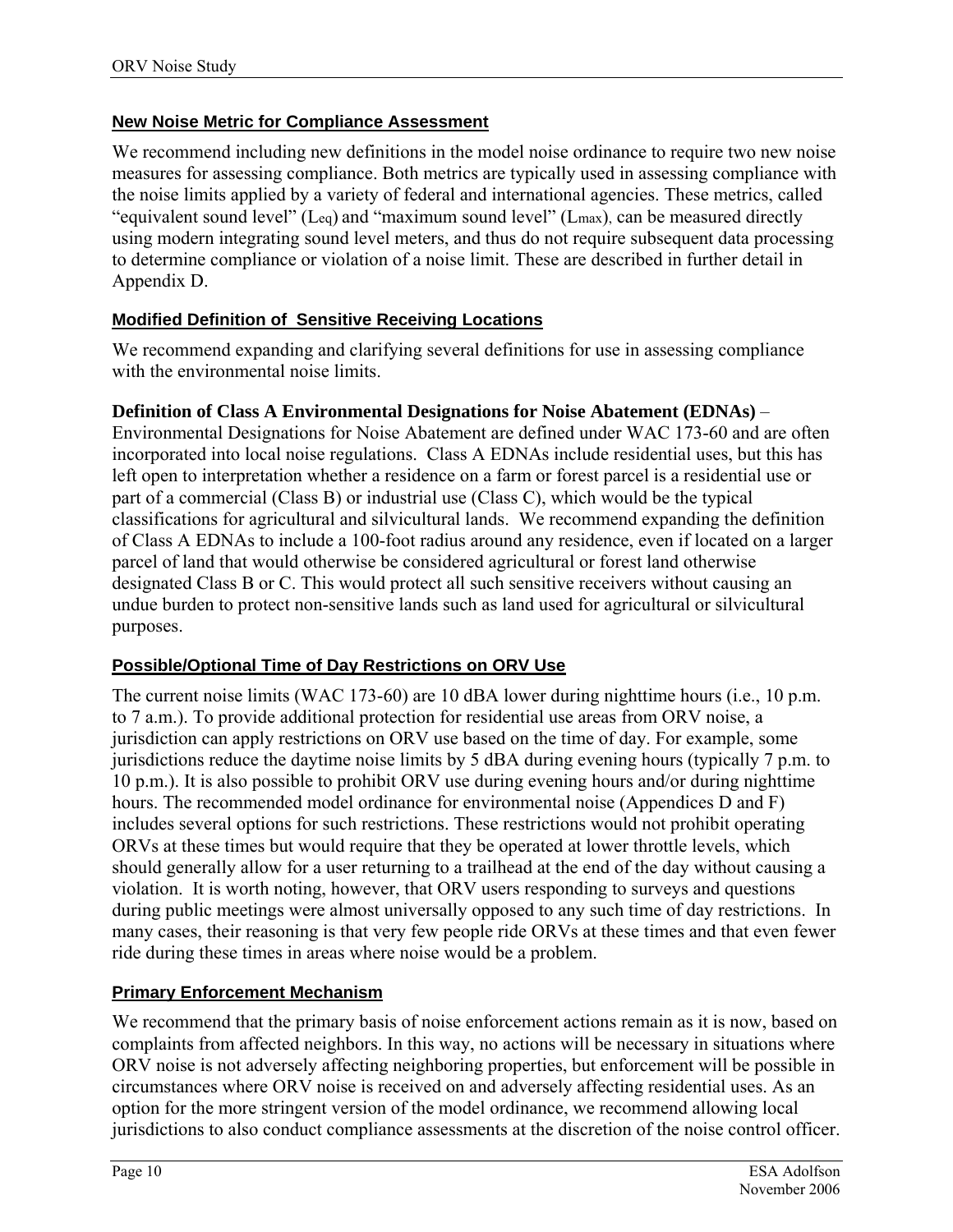### **New Noise Metric for Compliance Assessment**

We recommend including new definitions in the model noise ordinance to require two new noise measures for assessing compliance. Both metrics are typically used in assessing compliance with the noise limits applied by a variety of federal and international agencies. These metrics, called "equivalent sound level" (Leq) and "maximum sound level" (Lmax), can be measured directly using modern integrating sound level meters, and thus do not require subsequent data processing to determine compliance or violation of a noise limit. These are described in further detail in Appendix D.

### <span id="page-15-0"></span>**Modified Definition of Sensitive Receiving Locations**

We recommend expanding and clarifying several definitions for use in assessing compliance with the environmental noise limits.

### **Definition of Class A Environmental Designations for Noise Abatement (EDNAs)** –

Environmental Designations for Noise Abatement are defined under WAC 173-60 and are often incorporated into local noise regulations. Class A EDNAs include residential uses, but this has left open to interpretation whether a residence on a farm or forest parcel is a residential use or part of a commercial (Class B) or industrial use (Class C), which would be the typical classifications for agricultural and silvicultural lands. We recommend expanding the definition of Class A EDNAs to include a 100-foot radius around any residence, even if located on a larger parcel of land that would otherwise be considered agricultural or forest land otherwise designated Class B or C. This would protect all such sensitive receivers without causing an undue burden to protect non-sensitive lands such as land used for agricultural or silvicultural purposes.

### **Possible/Optional Time of Day Restrictions on ORV Use**

The current noise limits (WAC 173-60) are 10 dBA lower during nighttime hours (i.e., 10 p.m. to 7 a.m.). To provide additional protection for residential use areas from ORV noise, a jurisdiction can apply restrictions on ORV use based on the time of day. For example, some jurisdictions reduce the daytime noise limits by 5 dBA during evening hours (typically 7 p.m. to 10 p.m.). It is also possible to prohibit ORV use during evening hours and/or during nighttime hours. The recommended model ordinance for environmental noise (Appendices D and F) includes several options for such restrictions. These restrictions would not prohibit operating ORVs at these times but would require that they be operated at lower throttle levels, which should generally allow for a user returning to a trailhead at the end of the day without causing a violation. It is worth noting, however, that ORV users responding to surveys and questions during public meetings were almost universally opposed to any such time of day restrictions. In many cases, their reasoning is that very few people ride ORVs at these times and that even fewer ride during these times in areas where noise would be a problem.

### **Primary Enforcement Mechanism**

We recommend that the primary basis of noise enforcement actions remain as it is now, based on complaints from affected neighbors. In this way, no actions will be necessary in situations where ORV noise is not adversely affecting neighboring properties, but enforcement will be possible in circumstances where ORV noise is received on and adversely affecting residential uses. As an option for the more stringent version of the model ordinance, we recommend allowing local jurisdictions to also conduct compliance assessments at the discretion of the noise control officer.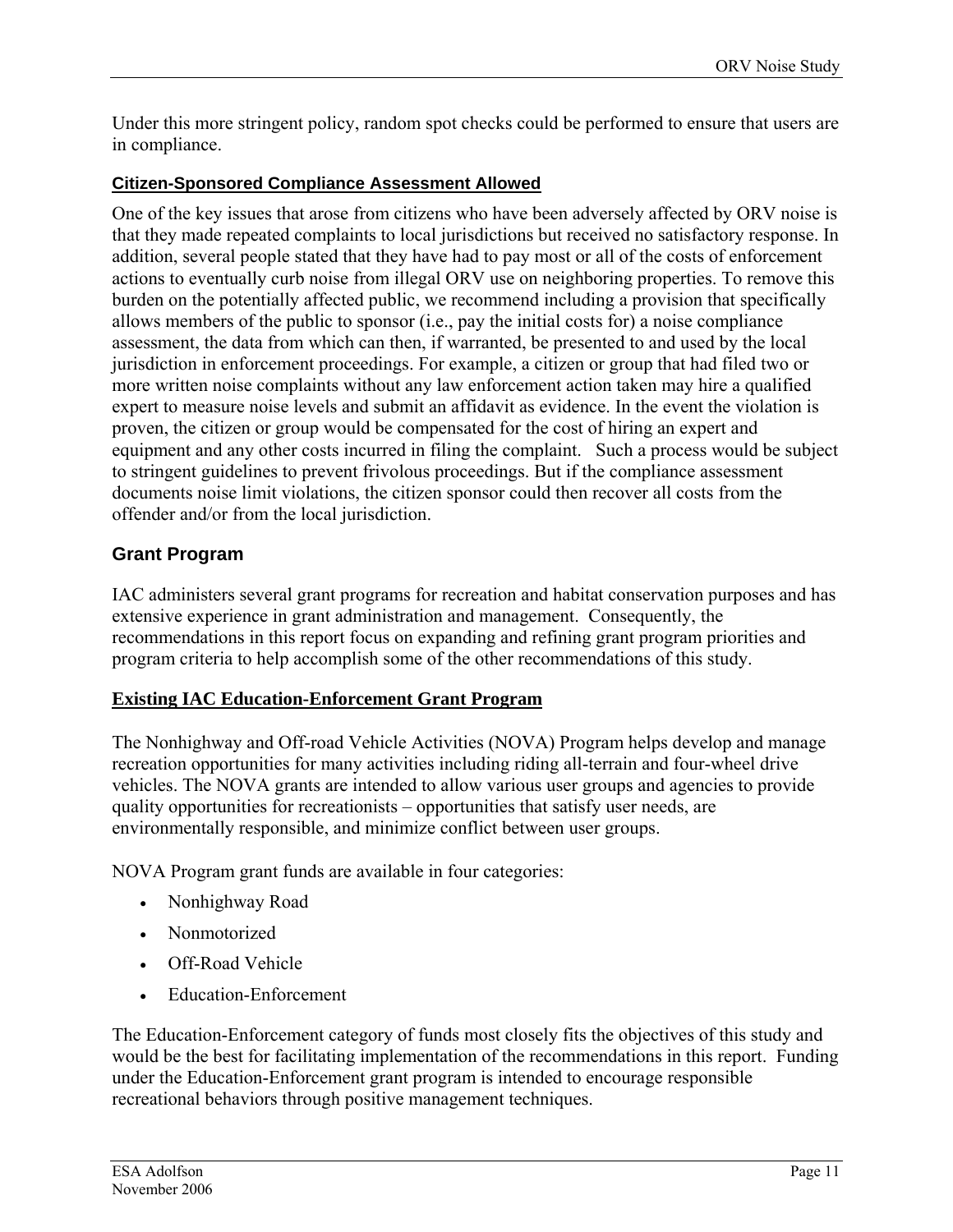Under this more stringent policy, random spot checks could be performed to ensure that users are in compliance.

### **Citizen-Sponsored Compliance Assessment Allowed**

One of the key issues that arose from citizens who have been adversely affected by ORV noise is that they made repeated complaints to local jurisdictions but received no satisfactory response. In addition, several people stated that they have had to pay most or all of the costs of enforcement actions to eventually curb noise from illegal ORV use on neighboring properties. To remove this burden on the potentially affected public, we recommend including a provision that specifically allows members of the public to sponsor (i.e., pay the initial costs for) a noise compliance assessment, the data from which can then, if warranted, be presented to and used by the local jurisdiction in enforcement proceedings. For example, a citizen or group that had filed two or more written noise complaints without any law enforcement action taken may hire a qualified expert to measure noise levels and submit an affidavit as evidence. In the event the violation is proven, the citizen or group would be compensated for the cost of hiring an expert and equipment and any other costs incurred in filing the complaint. Such a process would be subject to stringent guidelines to prevent frivolous proceedings. But if the compliance assessment documents noise limit violations, the citizen sponsor could then recover all costs from the offender and/or from the local jurisdiction.

### **Grant Program**

IAC administers several grant programs for recreation and habitat conservation purposes and has extensive experience in grant administration and management. Consequently, the recommendations in this report focus on expanding and refining grant program priorities and program criteria to help accomplish some of the other recommendations of this study.

### **Existing IAC Education-Enforcement Grant Program**

The Nonhighway and Off-road Vehicle Activities (NOVA) Program helps develop and manage recreation opportunities for many activities including riding all-terrain and four-wheel drive vehicles. The NOVA grants are intended to allow various user groups and agencies to provide quality opportunities for recreationists – opportunities that satisfy user needs, are environmentally responsible, and minimize conflict between user groups.

NOVA Program grant funds are available in four categories:

- Nonhighway Road
- Nonmotorized
- Off-Road Vehicle
- Education-Enforcement

The Education-Enforcement category of funds most closely fits the objectives of this study and would be the best for facilitating implementation of the recommendations in this report. Funding under the Education-Enforcement grant program is intended to encourage responsible recreational behaviors through positive management techniques.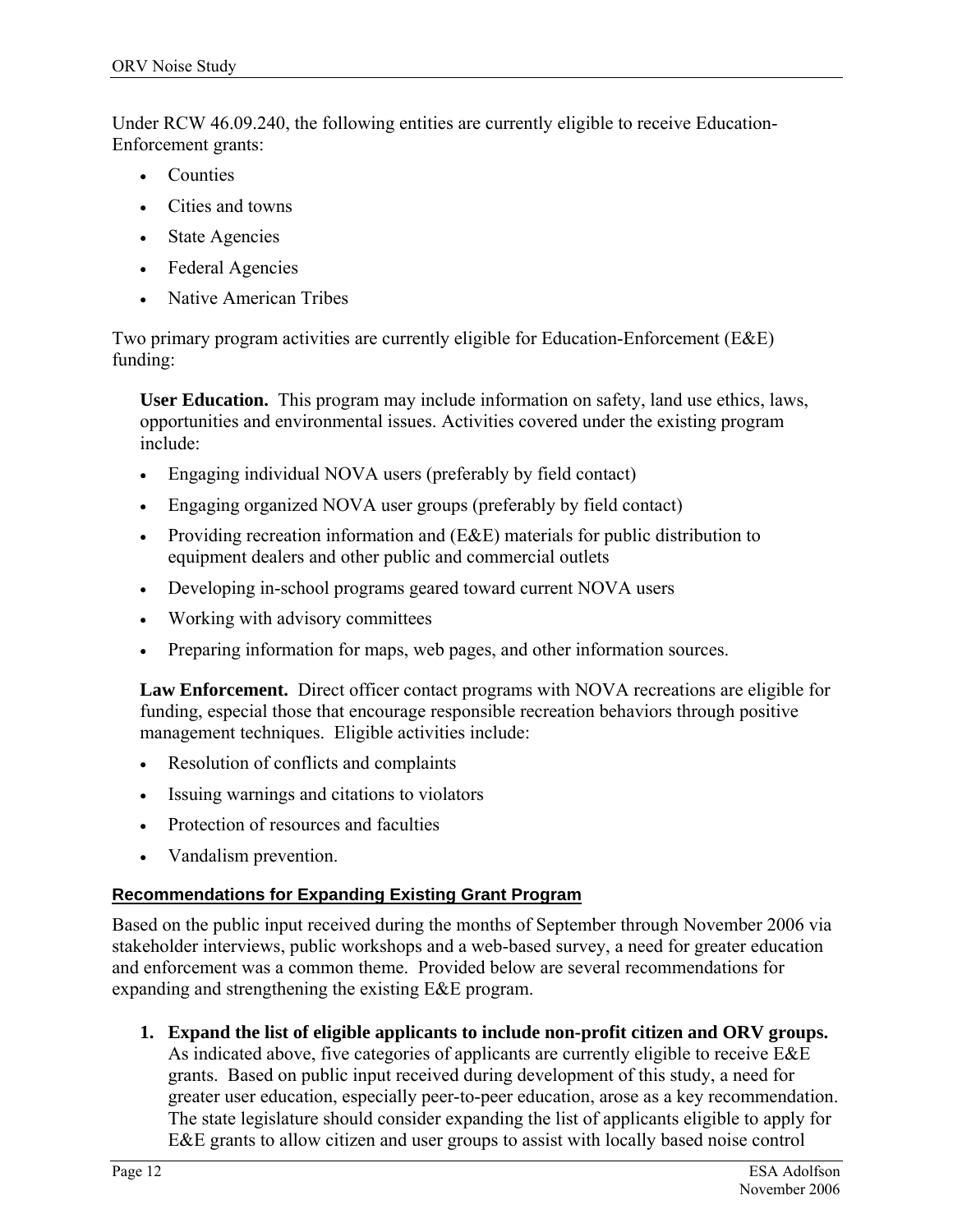Under RCW 46.09.240, the following entities are currently eligible to receive Education-Enforcement grants:

- **Counties**
- Cities and towns
- State Agencies
- Federal Agencies
- Native American Tribes

Two primary program activities are currently eligible for Education-Enforcement (E&E) funding:

**User Education.** This program may include information on safety, land use ethics, laws, opportunities and environmental issues. Activities covered under the existing program include:

- Engaging individual NOVA users (preferably by field contact)
- Engaging organized NOVA user groups (preferably by field contact)
- Providing recreation information and (E&E) materials for public distribution to equipment dealers and other public and commercial outlets
- Developing in-school programs geared toward current NOVA users
- Working with advisory committees
- Preparing information for maps, web pages, and other information sources.

**Law Enforcement.** Direct officer contact programs with NOVA recreations are eligible for funding, especial those that encourage responsible recreation behaviors through positive management techniques. Eligible activities include:

- Resolution of conflicts and complaints
- Issuing warnings and citations to violators
- Protection of resources and faculties
- Vandalism prevention.

### **Recommendations for Expanding Existing Grant Program**

Based on the public input received during the months of September through November 2006 via stakeholder interviews, public workshops and a web-based survey, a need for greater education and enforcement was a common theme. Provided below are several recommendations for expanding and strengthening the existing E&E program.

<span id="page-17-0"></span>**1. Expand the list of eligible applicants to include non-profit citizen and ORV groups.** As indicated above, five categories of applicants are currently eligible to receive E&E grants. Based on public input received during development of this study, a need for greater user education, especially peer-to-peer education, arose as a key recommendation. The state legislature should consider expanding the list of applicants eligible to apply for E&E grants to allow citizen and user groups to assist with locally based noise control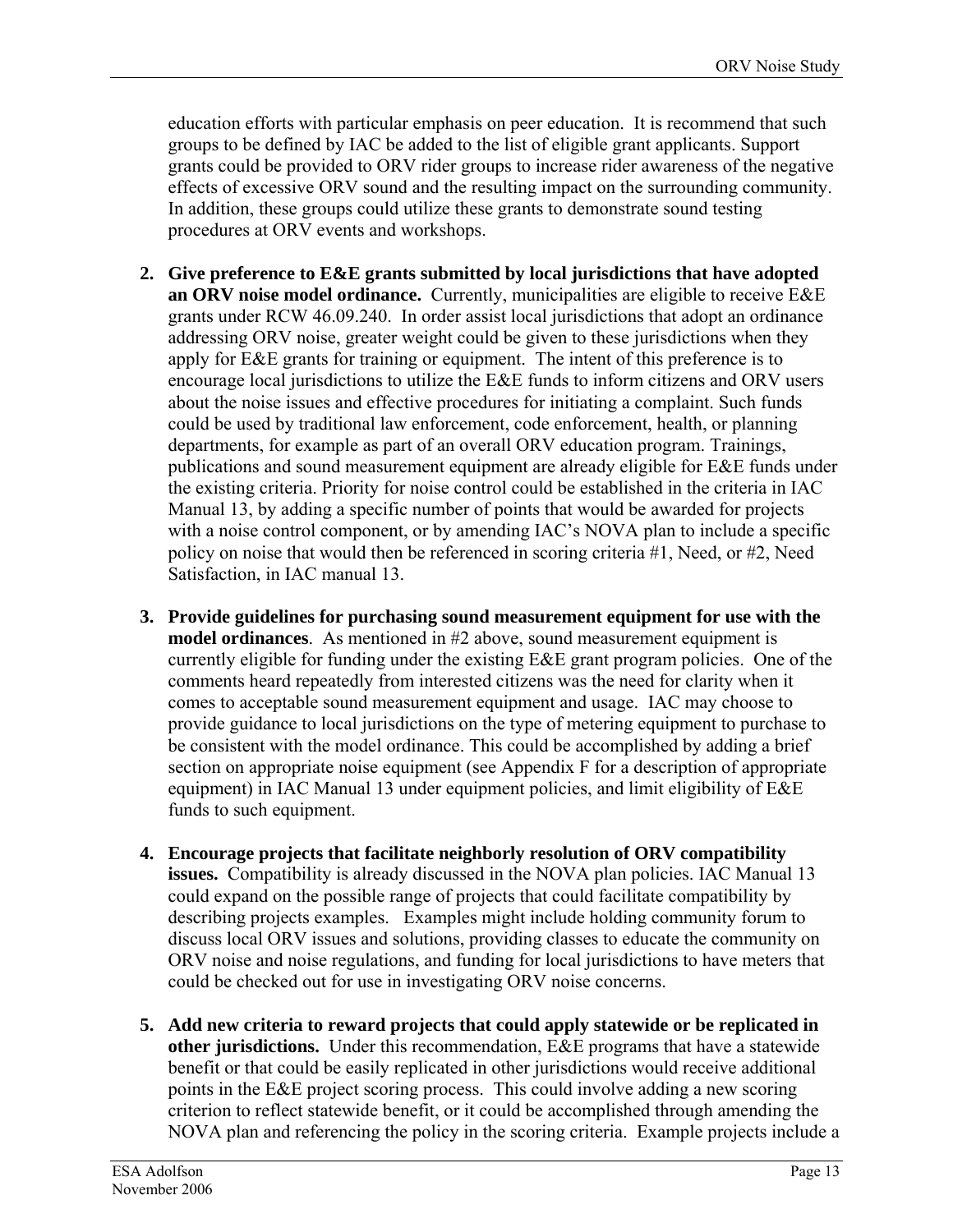education efforts with particular emphasis on peer education. It is recommend that such groups to be defined by IAC be added to the list of eligible grant applicants. Support grants could be provided to ORV rider groups to increase rider awareness of the negative effects of excessive ORV sound and the resulting impact on the surrounding community. In addition, these groups could utilize these grants to demonstrate sound testing procedures at ORV events and workshops.

- **2. Give preference to E&E grants submitted by local jurisdictions that have adopted an ORV noise model ordinance.** Currently, municipalities are eligible to receive E&E grants under RCW 46.09.240. In order assist local jurisdictions that adopt an ordinance addressing ORV noise, greater weight could be given to these jurisdictions when they apply for E&E grants for training or equipment. The intent of this preference is to encourage local jurisdictions to utilize the E&E funds to inform citizens and ORV users about the noise issues and effective procedures for initiating a complaint. Such funds could be used by traditional law enforcement, code enforcement, health, or planning departments, for example as part of an overall ORV education program. Trainings, publications and sound measurement equipment are already eligible for E&E funds under the existing criteria. Priority for noise control could be established in the criteria in IAC Manual 13, by adding a specific number of points that would be awarded for projects with a noise control component, or by amending IAC's NOVA plan to include a specific policy on noise that would then be referenced in scoring criteria #1, Need, or #2, Need Satisfaction, in IAC manual 13.
- **3. Provide guidelines for purchasing sound measurement equipment for use with the model ordinances**. As mentioned in #2 above, sound measurement equipment is currently eligible for funding under the existing E&E grant program policies. One of the comments heard repeatedly from interested citizens was the need for clarity when it comes to acceptable sound measurement equipment and usage. IAC may choose to provide guidance to local jurisdictions on the type of metering equipment to purchase to be consistent with the model ordinance. This could be accomplished by adding a brief section on appropriate noise equipment (see Appendix F for a description of appropriate equipment) in IAC Manual 13 under equipment policies, and limit eligibility of E&E funds to such equipment.
- **4. Encourage projects that facilitate neighborly resolution of ORV compatibility issues.** Compatibility is already discussed in the NOVA plan policies. IAC Manual 13 could expand on the possible range of projects that could facilitate compatibility by describing projects examples. Examples might include holding community forum to discuss local ORV issues and solutions, providing classes to educate the community on ORV noise and noise regulations, and funding for local jurisdictions to have meters that could be checked out for use in investigating ORV noise concerns.
- **5. Add new criteria to reward projects that could apply statewide or be replicated in other jurisdictions.** Under this recommendation, E&E programs that have a statewide benefit or that could be easily replicated in other jurisdictions would receive additional points in the E&E project scoring process. This could involve adding a new scoring criterion to reflect statewide benefit, or it could be accomplished through amending the NOVA plan and referencing the policy in the scoring criteria. Example projects include a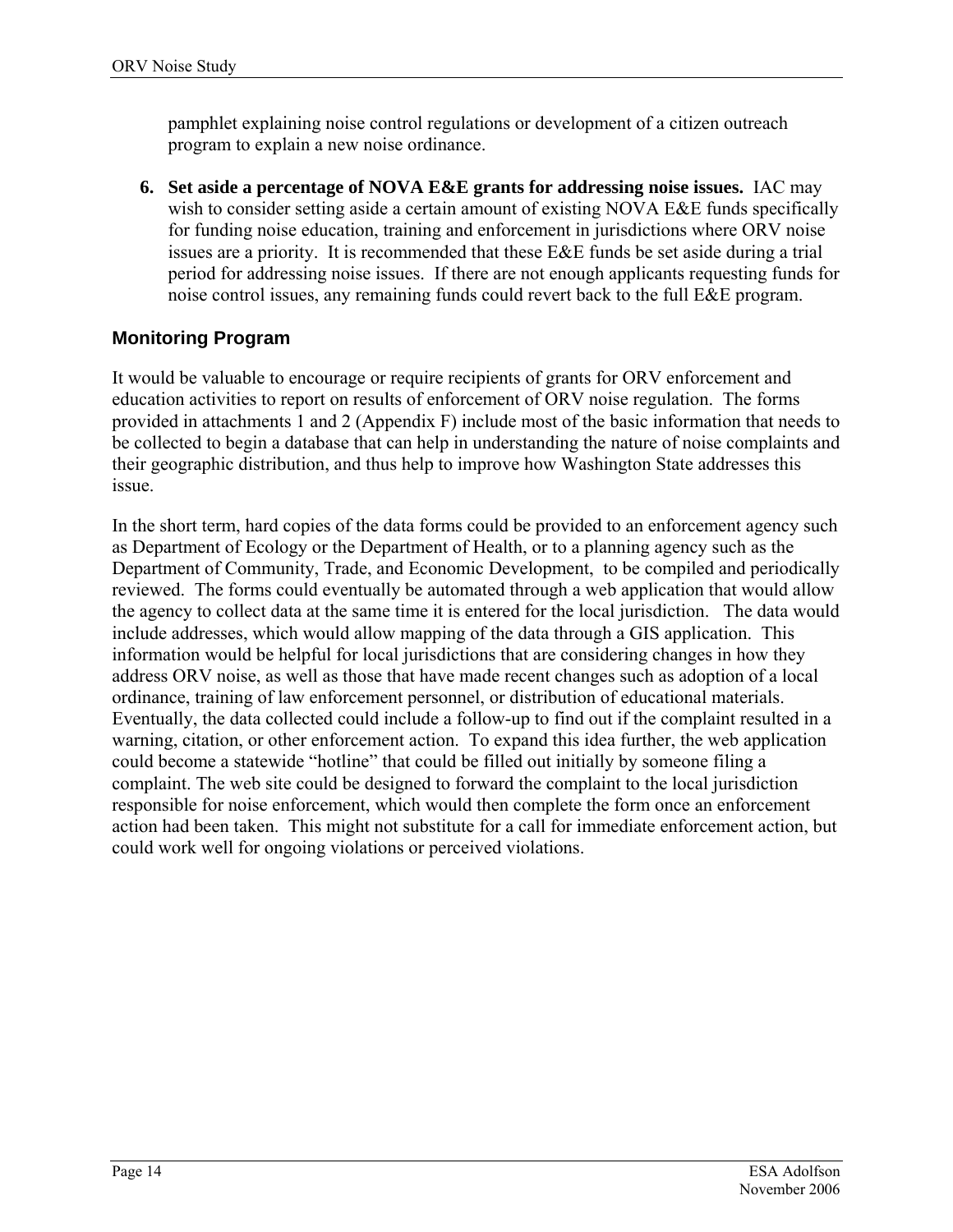pamphlet explaining noise control regulations or development of a citizen outreach program to explain a new noise ordinance.

**6. Set aside a percentage of NOVA E&E grants for addressing noise issues.** IAC may wish to consider setting aside a certain amount of existing NOVA E&E funds specifically for funding noise education, training and enforcement in jurisdictions where ORV noise issues are a priority. It is recommended that these E&E funds be set aside during a trial period for addressing noise issues. If there are not enough applicants requesting funds for noise control issues, any remaining funds could revert back to the full E&E program.

### **Monitoring Program**

<span id="page-19-0"></span>It would be valuable to encourage or require recipients of grants for ORV enforcement and education activities to report on results of enforcement of ORV noise regulation. The forms provided in attachments 1 and 2 (Appendix F) include most of the basic information that needs to be collected to begin a database that can help in understanding the nature of noise complaints and their geographic distribution, and thus help to improve how Washington State addresses this issue.

In the short term, hard copies of the data forms could be provided to an enforcement agency such as Department of Ecology or the Department of Health, or to a planning agency such as the Department of Community, Trade, and Economic Development, to be compiled and periodically reviewed. The forms could eventually be automated through a web application that would allow the agency to collect data at the same time it is entered for the local jurisdiction. The data would include addresses, which would allow mapping of the data through a GIS application. This information would be helpful for local jurisdictions that are considering changes in how they address ORV noise, as well as those that have made recent changes such as adoption of a local ordinance, training of law enforcement personnel, or distribution of educational materials. Eventually, the data collected could include a follow-up to find out if the complaint resulted in a warning, citation, or other enforcement action. To expand this idea further, the web application could become a statewide "hotline" that could be filled out initially by someone filing a complaint. The web site could be designed to forward the complaint to the local jurisdiction responsible for noise enforcement, which would then complete the form once an enforcement action had been taken. This might not substitute for a call for immediate enforcement action, but could work well for ongoing violations or perceived violations.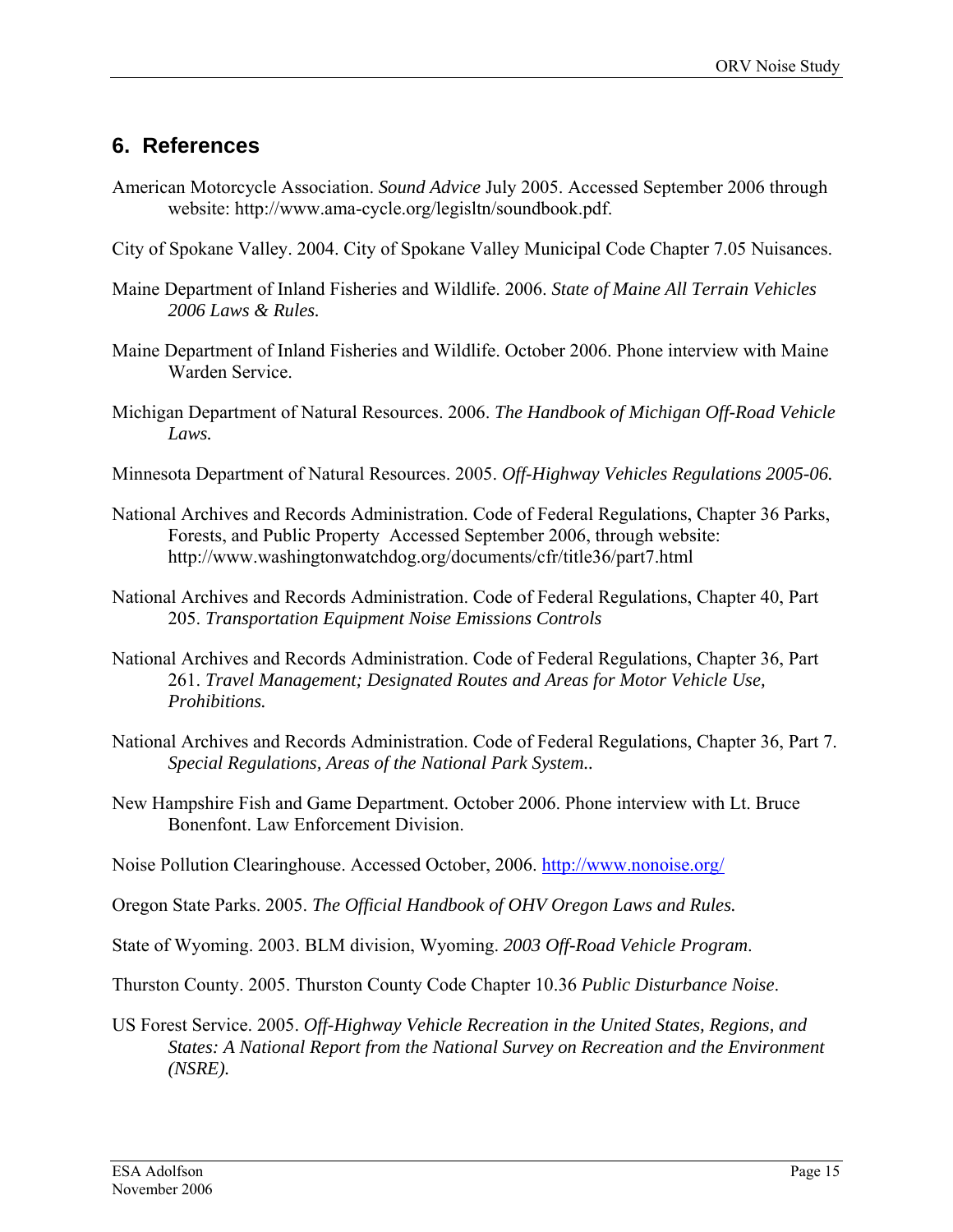### <span id="page-20-0"></span>**6. References**

- American Motorcycle Association. *Sound Advice* July 2005. Accessed September 2006 through website: http://www.ama-cycle.org/legisltn/soundbook.pdf.
- City of Spokane Valley. 2004. City of Spokane Valley Municipal Code Chapter 7.05 Nuisances.
- Maine Department of Inland Fisheries and Wildlife. 2006. *State of Maine All Terrain Vehicles 2006 Laws & Rules.*
- Maine Department of Inland Fisheries and Wildlife. October 2006. Phone interview with Maine Warden Service.
- Michigan Department of Natural Resources. 2006. *The Handbook of Michigan Off-Road Vehicle Laws.*
- Minnesota Department of Natural Resources. 2005. *Off-Highway Vehicles Regulations 2005-06.*
- National Archives and Records Administration. Code of Federal Regulations, Chapter 36 Parks, Forests, and Public Property Accessed September 2006, through website: http://www.washingtonwatchdog.org/documents/cfr/title36/part7.html
- National Archives and Records Administration. Code of Federal Regulations, Chapter 40, Part 205. *Transportation Equipment Noise Emissions Controls*
- National Archives and Records Administration. Code of Federal Regulations, Chapter 36, Part 261. *Travel Management; Designated Routes and Areas for Motor Vehicle Use, Prohibitions.*
- National Archives and Records Administration. Code of Federal Regulations, Chapter 36, Part 7. *Special Regulations, Areas of the National Park System..*
- New Hampshire Fish and Game Department. October 2006. Phone interview with Lt. Bruce Bonenfont. Law Enforcement Division.
- Noise Pollution Clearinghouse. Accessed October, 2006.<http://www.nonoise.org/>

Oregon State Parks. 2005. *The Official Handbook of OHV Oregon Laws and Rules.* 

State of Wyoming. 2003. BLM division, Wyoming. *2003 Off-Road Vehicle Program*.

Thurston County. 2005. Thurston County Code Chapter 10.36 *Public Disturbance Noise*.

US Forest Service. 2005. *Off-Highway Vehicle Recreation in the United States, Regions, and States: A National Report from the National Survey on Recreation and the Environment (NSRE).*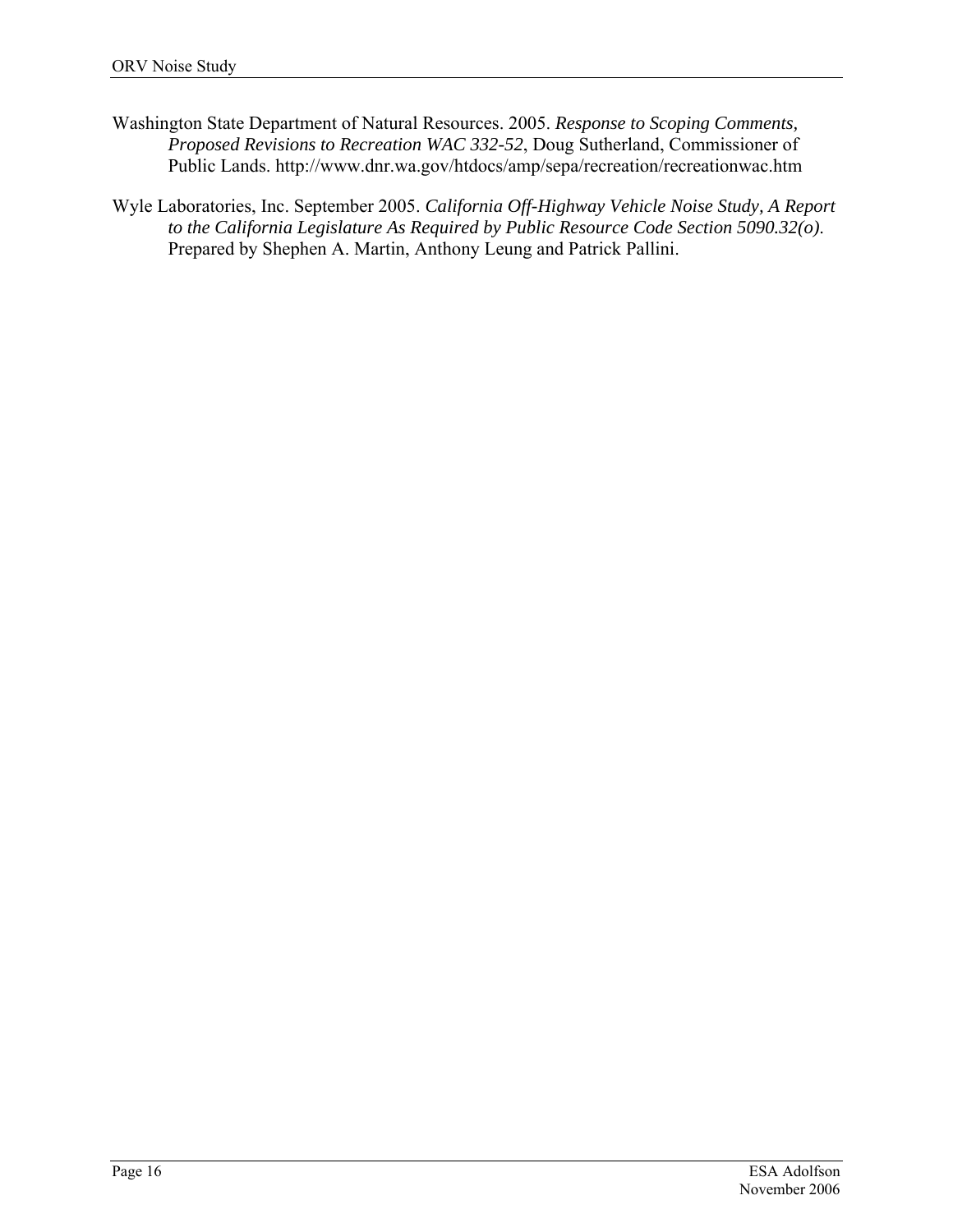- Washington State Department of Natural Resources. 2005. *Response to Scoping Comments, Proposed Revisions to Recreation WAC 332-52*, Doug Sutherland, Commissioner of Public Lands. http://www.dnr.wa.gov/htdocs/amp/sepa/recreation/recreationwac.htm
- Wyle Laboratories, Inc. September 2005. *California Off-Highway Vehicle Noise Study, A Report to the California Legislature As Required by Public Resource Code Section 5090.32(o)*. Prepared by Shephen A. Martin, Anthony Leung and Patrick Pallini.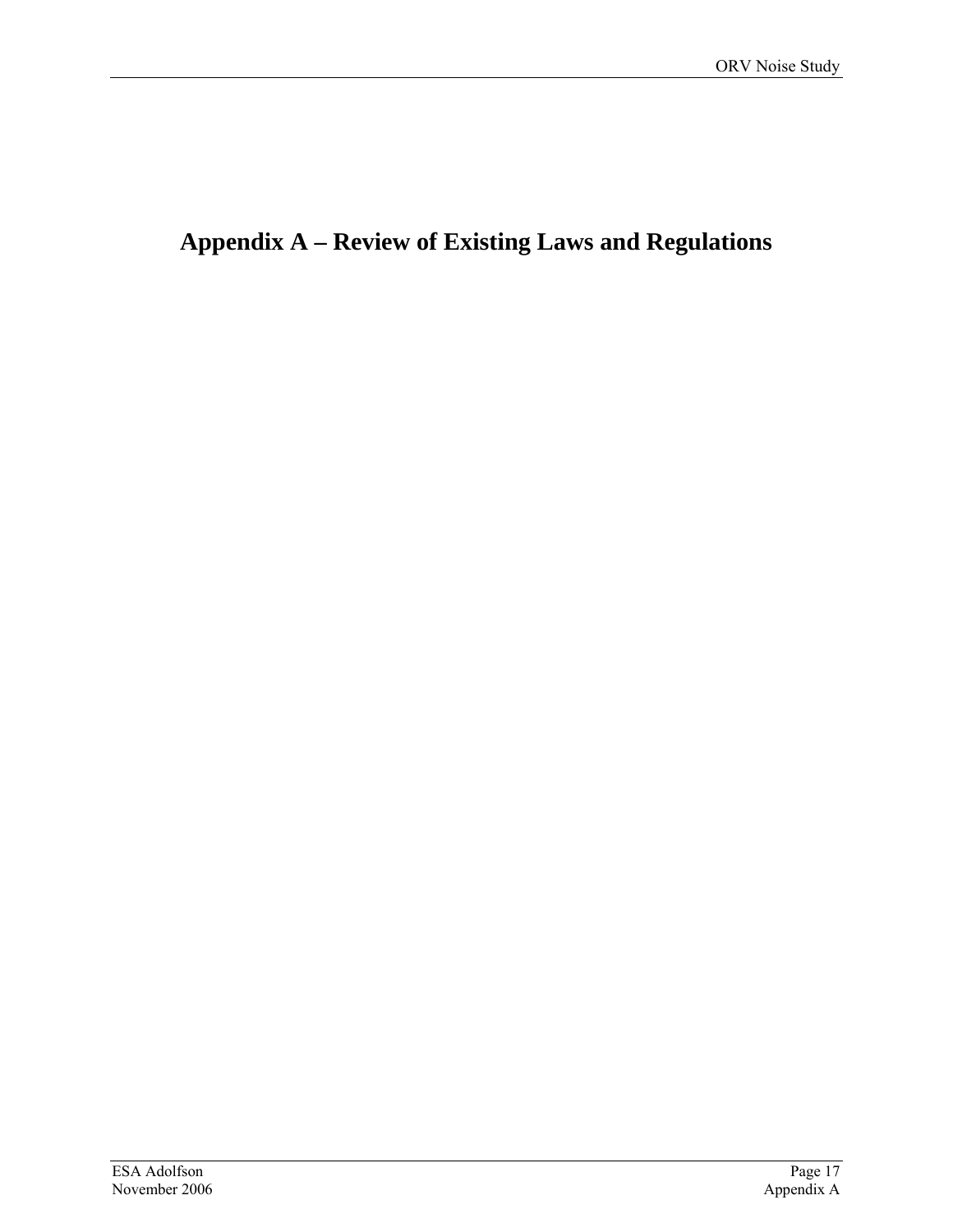# <span id="page-22-0"></span>**Appendix A – Review of Existing Laws and Regulations**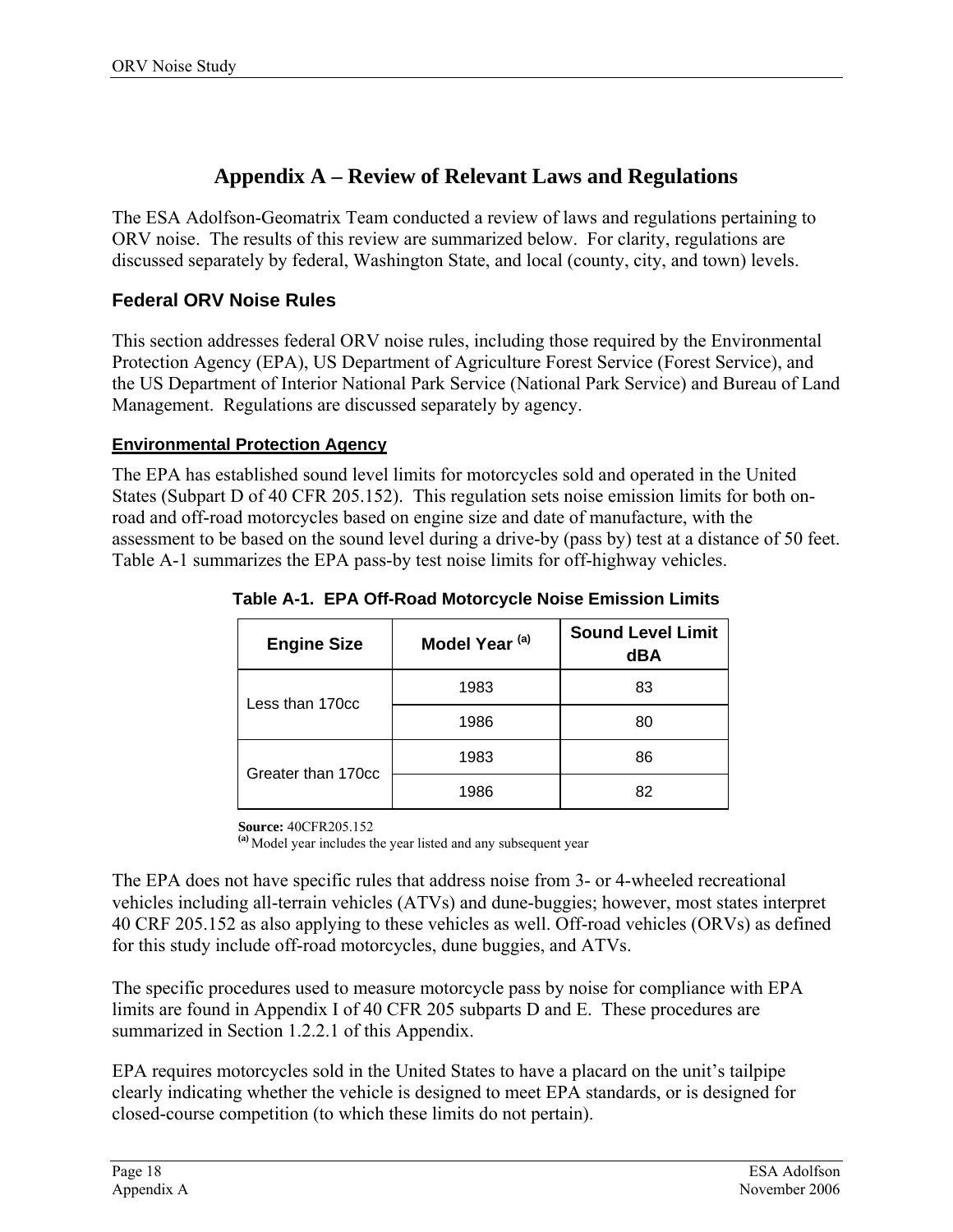### **Appendix A – Review of Relevant Laws and Regulations**

The ESA Adolfson-Geomatrix Team conducted a review of laws and regulations pertaining to ORV noise. The results of this review are summarized below. For clarity, regulations are discussed separately by federal, Washington State, and local (county, city, and town) levels.

### **Federal ORV Noise Rules**

This section addresses federal ORV noise rules, including those required by the Environmental Protection Agency (EPA), US Department of Agriculture Forest Service (Forest Service), and the US Department of Interior National Park Service (National Park Service) and Bureau of Land Management. Regulations are discussed separately by agency.

#### **Environmental Protection Agency**

<span id="page-23-0"></span>The EPA has established sound level limits for motorcycles sold and operated in the United States (Subpart D of 40 CFR 205.152). This regulation sets noise emission limits for both onroad and off-road motorcycles based on engine size and date of manufacture, with the assessment to be based on the sound level during a drive-by (pass by) test at a distance of 50 feet. Table A-1 summarizes the EPA pass-by test noise limits for off-highway vehicles.

| <b>Engine Size</b> | Model Year <sup>(a)</sup> | <b>Sound Level Limit</b><br>dBA |
|--------------------|---------------------------|---------------------------------|
| Less than 170cc    | 1983                      | 83                              |
|                    | 1986                      | 80                              |
| Greater than 170cc | 1983                      | 86                              |
|                    | 1986                      | 82                              |

**Table A-1. EPA Off-Road Motorcycle Noise Emission Limits** 

**Source:** 40CFR205.152

**(a)** Model year includes the year listed and any subsequent year

The EPA does not have specific rules that address noise from 3- or 4-wheeled recreational vehicles including all-terrain vehicles (ATVs) and dune-buggies; however, most states interpret 40 CRF 205.152 as also applying to these vehicles as well. Off-road vehicles (ORVs) as defined for this study include off-road motorcycles, dune buggies, and ATVs.

The specific procedures used to measure motorcycle pass by noise for compliance with EPA limits are found in Appendix I of 40 CFR 205 subparts D and E. These procedures are summarized in Section 1.2.2.1 of this Appendix.

EPA requires motorcycles sold in the United States to have a placard on the unit's tailpipe clearly indicating whether the vehicle is designed to meet EPA standards, or is designed for closed-course competition (to which these limits do not pertain).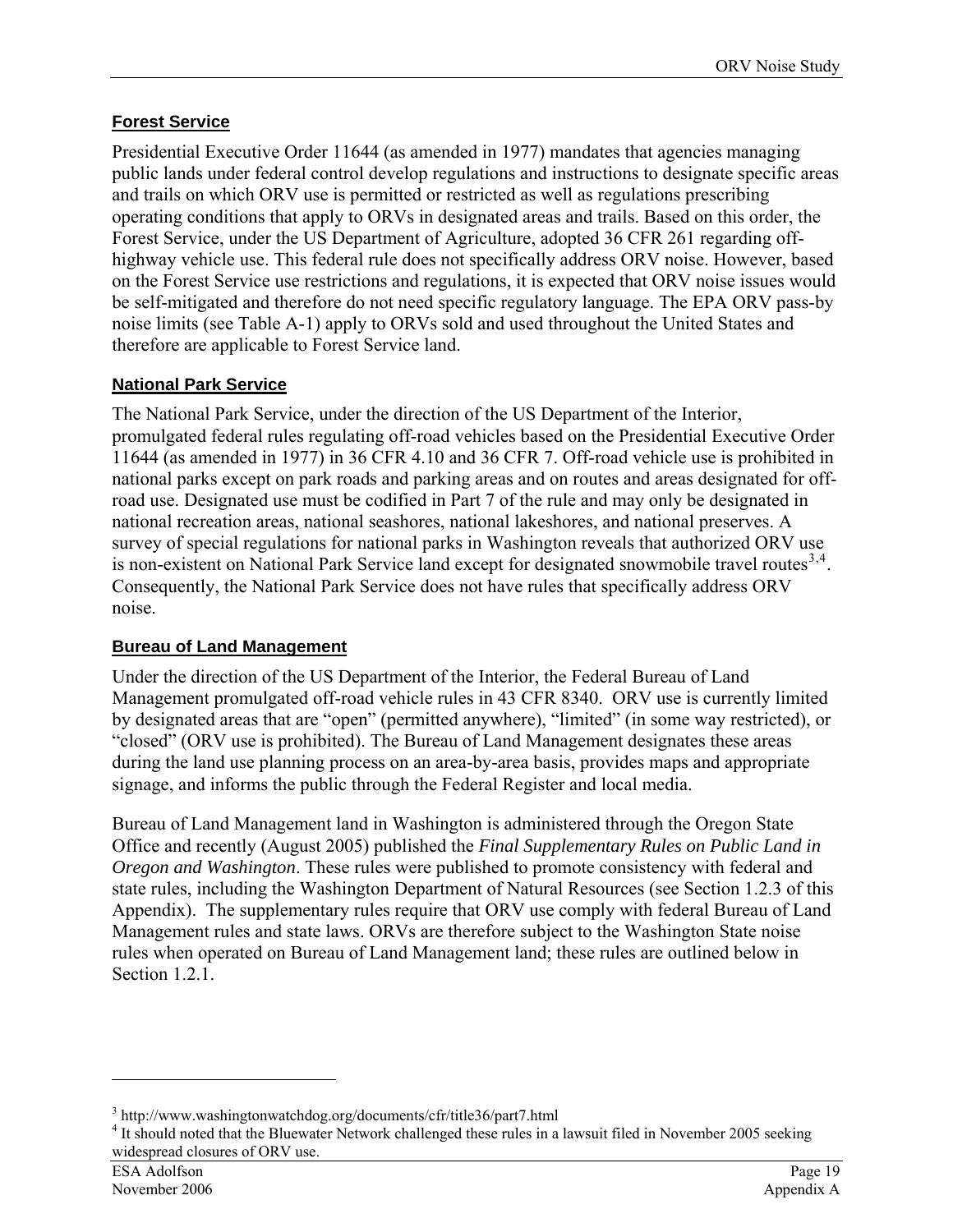### **Forest Service**

Presidential Executive Order 11644 (as amended in 1977) mandates that agencies managing public lands under federal control develop regulations and instructions to designate specific areas and trails on which ORV use is permitted or restricted as well as regulations prescribing operating conditions that apply to ORVs in designated areas and trails. Based on this order, the Forest Service, under the US Department of Agriculture, adopted 36 CFR 261 regarding offhighway vehicle use. This federal rule does not specifically address ORV noise. However, based on the Forest Service use restrictions and regulations, it is expected that ORV noise issues would be self-mitigated and therefore do not need specific regulatory language. The EPA ORV pass-by noise limits (see Table A-1) apply to ORVs sold and used throughout the United States and therefore are applicable to Forest Service land.

### **National Park Service**

The National Park Service, under the direction of the US Department of the Interior, promulgated federal rules regulating off-road vehicles based on the Presidential Executive Order 11644 (as amended in 1977) in 36 CFR 4.10 and 36 CFR 7. Off-road vehicle use is prohibited in national parks except on park roads and parking areas and on routes and areas designated for offroad use. Designated use must be codified in Part 7 of the rule and may only be designated in national recreation areas, national seashores, national lakeshores, and national preserves. A survey of special regulations for national parks in Washington reveals that authorized ORV use is non-existent on National Park Service land except for designated snowmobile travel routes $^{3,4}$  $^{3,4}$  $^{3,4}$  $^{3,4}$  $^{3,4}$ . Consequently, the National Park Service does not have rules that specifically address ORV noise.

### **Bureau of Land Management**

Under the direction of the US Department of the Interior, the Federal Bureau of Land Management promulgated off-road vehicle rules in 43 CFR 8340. ORV use is currently limited by designated areas that are "open" (permitted anywhere), "limited" (in some way restricted), or "closed" (ORV use is prohibited). The Bureau of Land Management designates these areas during the land use planning process on an area-by-area basis, provides maps and appropriate signage, and informs the public through the Federal Register and local media.

Bureau of Land Management land in Washington is administered through the Oregon State Office and recently (August 2005) published the *Final Supplementary Rules on Public Land in Oregon and Washington*. These rules were published to promote consistency with federal and state rules, including the Washington Department of Natural Resources (see Section 1.2.3 of this Appendix). The supplementary rules require that ORV use comply with federal Bureau of Land Management rules and state laws. ORVs are therefore subject to the Washington State noise rules when operated on Bureau of Land Management land; these rules are outlined below in Section 1.2.1.

 $\overline{a}$ 

<span id="page-24-0"></span> $3 \text{ http://www.washingtonwatchdog.org/documents/cfr/title}36\text{/part7.html}$ <br> $4 \text{ It should noted that the Pluouster Network abellenced these rules in a.}$ 

<span id="page-24-1"></span><sup>&</sup>lt;sup>4</sup> It should noted that the Bluewater Network challenged these rules in a lawsuit filed in November 2005 seeking widespread closures of ORV use.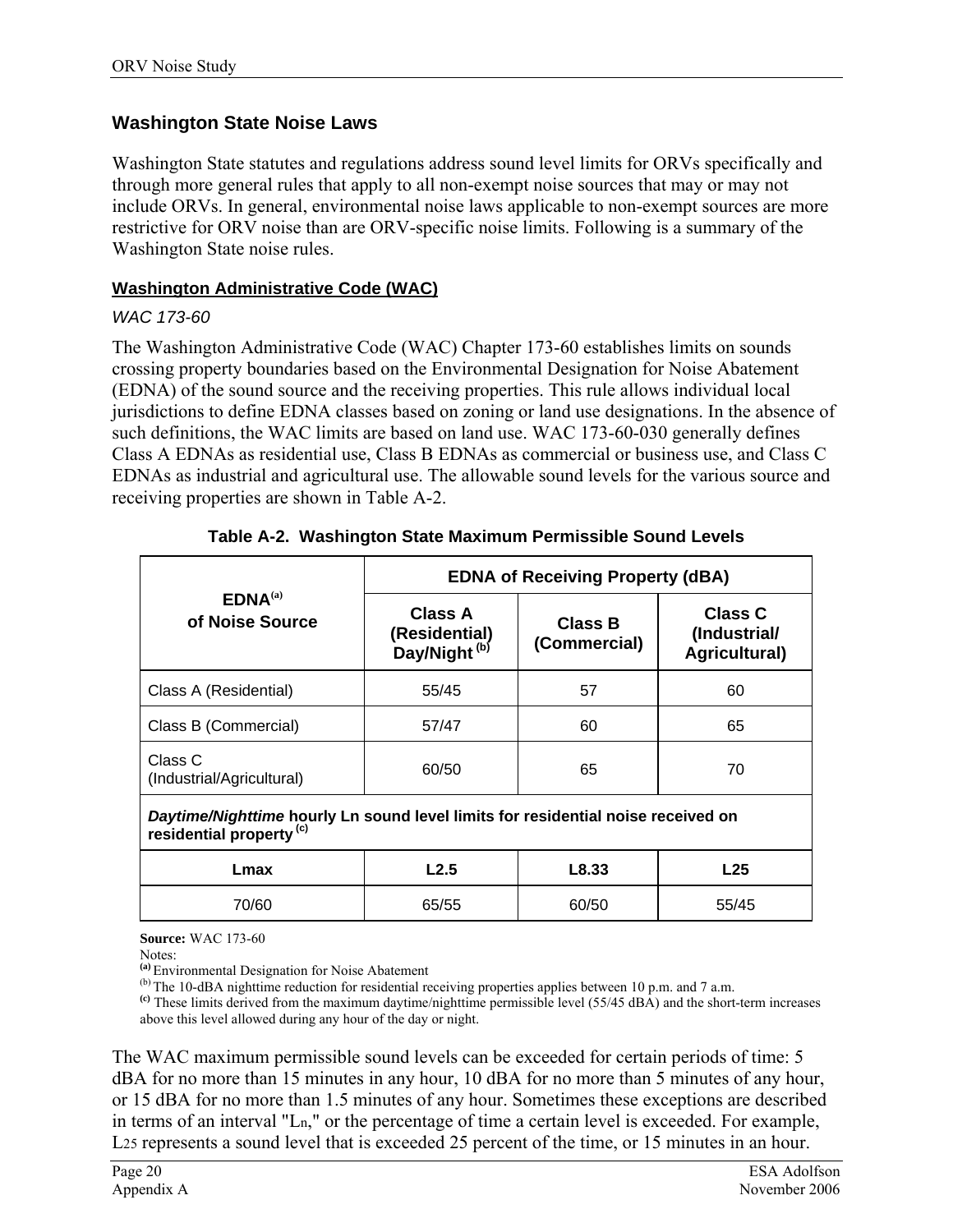### **Washington State Noise Laws**

Washington State statutes and regulations address sound level limits for ORVs specifically and through more general rules that apply to all non-exempt noise sources that may or may not include ORVs. In general, environmental noise laws applicable to non-exempt sources are more restrictive for ORV noise than are ORV-specific noise limits. Following is a summary of the Washington State noise rules.

#### **Washington Administrative Code (WAC)**

#### *WAC 173-60*

The Washington Administrative Code (WAC) Chapter 173-60 establishes limits on sounds crossing property boundaries based on the Environmental Designation for Noise Abatement (EDNA) of the sound source and the receiving properties. This rule allows individual local jurisdictions to define EDNA classes based on zoning or land use designations. In the absence of such definitions, the WAC limits are based on land use. WAC 173-60-030 generally defines Class A EDNAs as residential use, Class B EDNAs as commercial or business use, and Class C EDNAs as industrial and agricultural use. The allowable sound levels for the various source and receiving properties are shown in Table A-2.

|                                        | <b>EDNA of Receiving Property (dBA)</b>              |                                |                                          |  |
|----------------------------------------|------------------------------------------------------|--------------------------------|------------------------------------------|--|
| EDNA <sup>(a)</sup><br>of Noise Source | Class A<br>(Residential)<br>Day/Night <sup>(b)</sup> | <b>Class B</b><br>(Commercial) | Class C<br>(Industrial/<br>Agricultural) |  |
| Class A (Residential)                  | 55/45                                                | 57                             | 60                                       |  |
| Class B (Commercial)                   | 57/47                                                | 60                             | 65                                       |  |
| Class C<br>(Industrial/Agricultural)   | 60/50                                                | 65                             | 70                                       |  |
|                                        |                                                      |                                |                                          |  |

### **Table A-2. Washington State Maximum Permissible Sound Levels**

*Daytime/Nighttime* **hourly Ln sound level limits for residential noise received on residential property (c)**

| Lmax  | L2.5  | L8.33 | L25   |
|-------|-------|-------|-------|
| 70/60 | 65/55 | 60/50 | 55/45 |

**Source:** WAC 173-60

Notes:

**(a)** Environmental Designation for Noise Abatement

 $^{(b)}$  The 10-dBA nighttime reduction for residential receiving properties applies between 10 p.m. and 7 a.m.

**(c)** These limits derived from the maximum daytime/nighttime permissible level (55/45 dBA) and the short-term increases above this level allowed during any hour of the day or night.

The WAC maximum permissible sound levels can be exceeded for certain periods of time: 5 dBA for no more than 15 minutes in any hour, 10 dBA for no more than 5 minutes of any hour, or 15 dBA for no more than 1.5 minutes of any hour. Sometimes these exceptions are described in terms of an interval "Ln," or the percentage of time a certain level is exceeded. For example, L25 represents a sound level that is exceeded 25 percent of the time, or 15 minutes in an hour.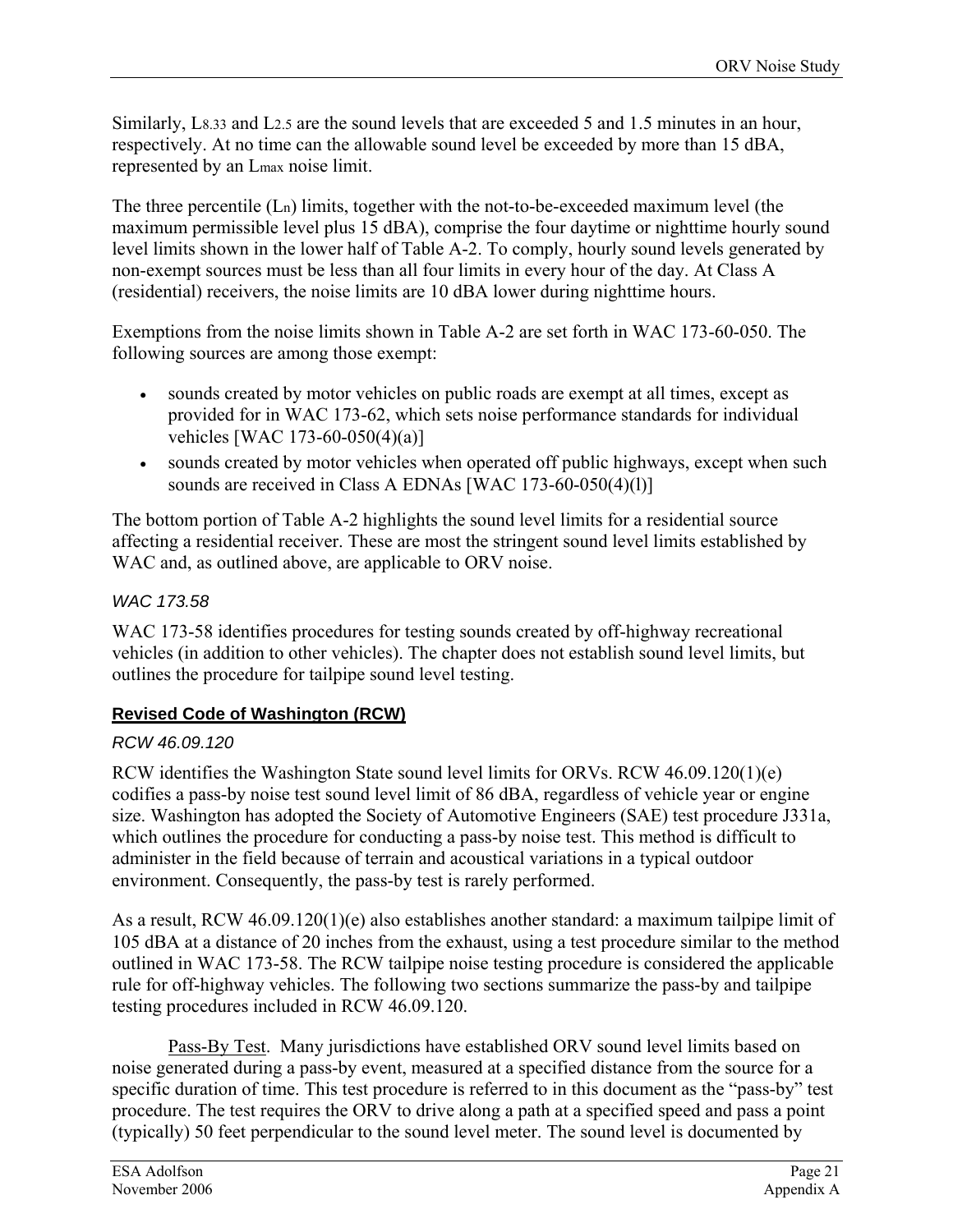Similarly, L8.33 and L2.5 are the sound levels that are exceeded 5 and 1.5 minutes in an hour, respectively. At no time can the allowable sound level be exceeded by more than 15 dBA, represented by an Lmax noise limit.

The three percentile (Ln) limits, together with the not-to-be-exceeded maximum level (the maximum permissible level plus 15 dBA), comprise the four daytime or nighttime hourly sound level limits shown in the lower half of Table A-2. To comply, hourly sound levels generated by non-exempt sources must be less than all four limits in every hour of the day. At Class A (residential) receivers, the noise limits are 10 dBA lower during nighttime hours.

Exemptions from the noise limits shown in Table A-2 are set forth in WAC 173-60-050. The following sources are among those exempt:

- sounds created by motor vehicles on public roads are exempt at all times, except as provided for in WAC 173-62, which sets noise performance standards for individual vehicles [WAC 173-60-050(4)(a)]
- sounds created by motor vehicles when operated off public highways, except when such sounds are received in Class A EDNAs [WAC 173-60-050(4)(1)]

The bottom portion of Table A-2 highlights the sound level limits for a residential source affecting a residential receiver. These are most the stringent sound level limits established by WAC and, as outlined above, are applicable to ORV noise.

### *WAC 173.58*

WAC 173-58 identifies procedures for testing sounds created by off-highway recreational vehicles (in addition to other vehicles). The chapter does not establish sound level limits, but outlines the procedure for tailpipe sound level testing.

### **Revised Code of Washington (RCW)**

### *RCW 46.09.120*

<span id="page-26-0"></span>RCW identifies the Washington State sound level limits for ORVs. RCW 46.09.120(1)(e) codifies a pass-by noise test sound level limit of 86 dBA, regardless of vehicle year or engine size. Washington has adopted the Society of Automotive Engineers (SAE) test procedure J331a, which outlines the procedure for conducting a pass-by noise test. This method is difficult to administer in the field because of terrain and acoustical variations in a typical outdoor environment. Consequently, the pass-by test is rarely performed.

As a result, RCW 46.09.120(1)(e) also establishes another standard: a maximum tailpipe limit of 105 dBA at a distance of 20 inches from the exhaust, using a test procedure similar to the method outlined in WAC 173-58. The RCW tailpipe noise testing procedure is considered the applicable rule for off-highway vehicles. The following two sections summarize the pass-by and tailpipe testing procedures included in RCW 46.09.120.

Pass-By Test. Many jurisdictions have established ORV sound level limits based on noise generated during a pass-by event, measured at a specified distance from the source for a specific duration of time. This test procedure is referred to in this document as the "pass-by" test procedure. The test requires the ORV to drive along a path at a specified speed and pass a point (typically) 50 feet perpendicular to the sound level meter. The sound level is documented by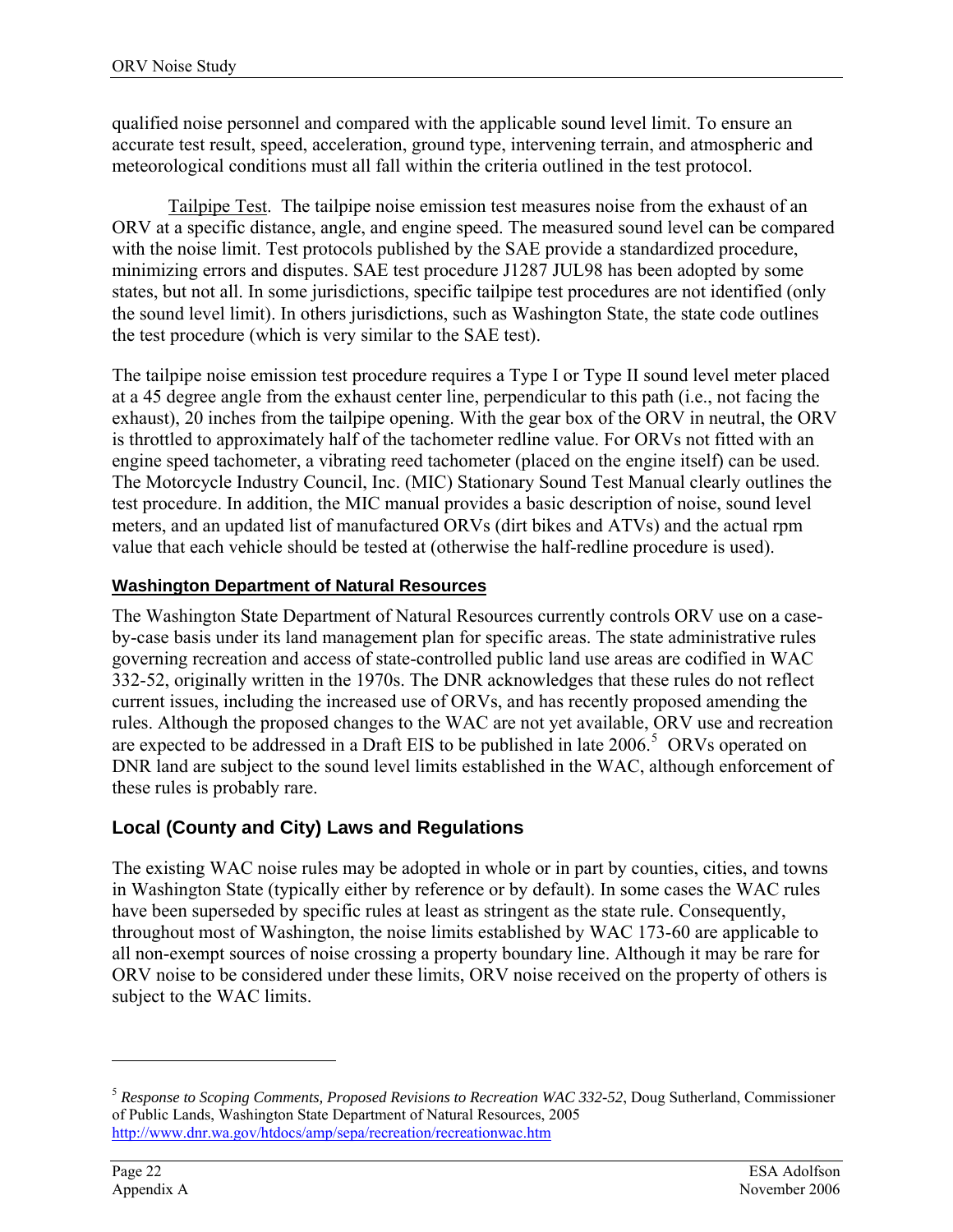qualified noise personnel and compared with the applicable sound level limit. To ensure an accurate test result, speed, acceleration, ground type, intervening terrain, and atmospheric and meteorological conditions must all fall within the criteria outlined in the test protocol.

Tailpipe Test. The tailpipe noise emission test measures noise from the exhaust of an ORV at a specific distance, angle, and engine speed. The measured sound level can be compared with the noise limit. Test protocols published by the SAE provide a standardized procedure, minimizing errors and disputes. SAE test procedure J1287 JUL98 has been adopted by some states, but not all. In some jurisdictions, specific tailpipe test procedures are not identified (only the sound level limit). In others jurisdictions, such as Washington State, the state code outlines the test procedure (which is very similar to the SAE test).

The tailpipe noise emission test procedure requires a Type I or Type II sound level meter placed at a 45 degree angle from the exhaust center line, perpendicular to this path (i.e., not facing the exhaust), 20 inches from the tailpipe opening. With the gear box of the ORV in neutral, the ORV is throttled to approximately half of the tachometer redline value. For ORVs not fitted with an engine speed tachometer, a vibrating reed tachometer (placed on the engine itself) can be used. The Motorcycle Industry Council, Inc. (MIC) Stationary Sound Test Manual clearly outlines the test procedure. In addition, the MIC manual provides a basic description of noise, sound level meters, and an updated list of manufactured ORVs (dirt bikes and ATVs) and the actual rpm value that each vehicle should be tested at (otherwise the half-redline procedure is used).

### **Washington Department of Natural Resources**

The Washington State Department of Natural Resources currently controls ORV use on a caseby-case basis under its land management plan for specific areas. The state administrative rules governing recreation and access of state-controlled public land use areas are codified in WAC 332-52, originally written in the 1970s. The DNR acknowledges that these rules do not reflect current issues, including the increased use of ORVs, and has recently proposed amending the rules. Although the proposed changes to the WAC are not yet available, ORV use and recreation are expected to be addressed in a Draft EIS to be published in late  $2006$ <sup>[5](#page-27-0)</sup> ORVs operated on DNR land are subject to the sound level limits established in the WAC, although enforcement of these rules is probably rare.

### **Local (County and City) Laws and Regulations**

The existing WAC noise rules may be adopted in whole or in part by counties, cities, and towns in Washington State (typically either by reference or by default). In some cases the WAC rules have been superseded by specific rules at least as stringent as the state rule. Consequently, throughout most of Washington, the noise limits established by WAC 173-60 are applicable to all non-exempt sources of noise crossing a property boundary line. Although it may be rare for ORV noise to be considered under these limits, ORV noise received on the property of others is subject to the WAC limits.

 $\overline{a}$ 

<span id="page-27-0"></span><sup>5</sup> *Response to Scoping Comments, Proposed Revisions to Recreation WAC 332-52*, Doug Sutherland, Commissioner of Public Lands, Washington State Department of Natural Resources, 2005 <http://www.dnr.wa.gov/htdocs/amp/sepa/recreation/recreationwac.htm>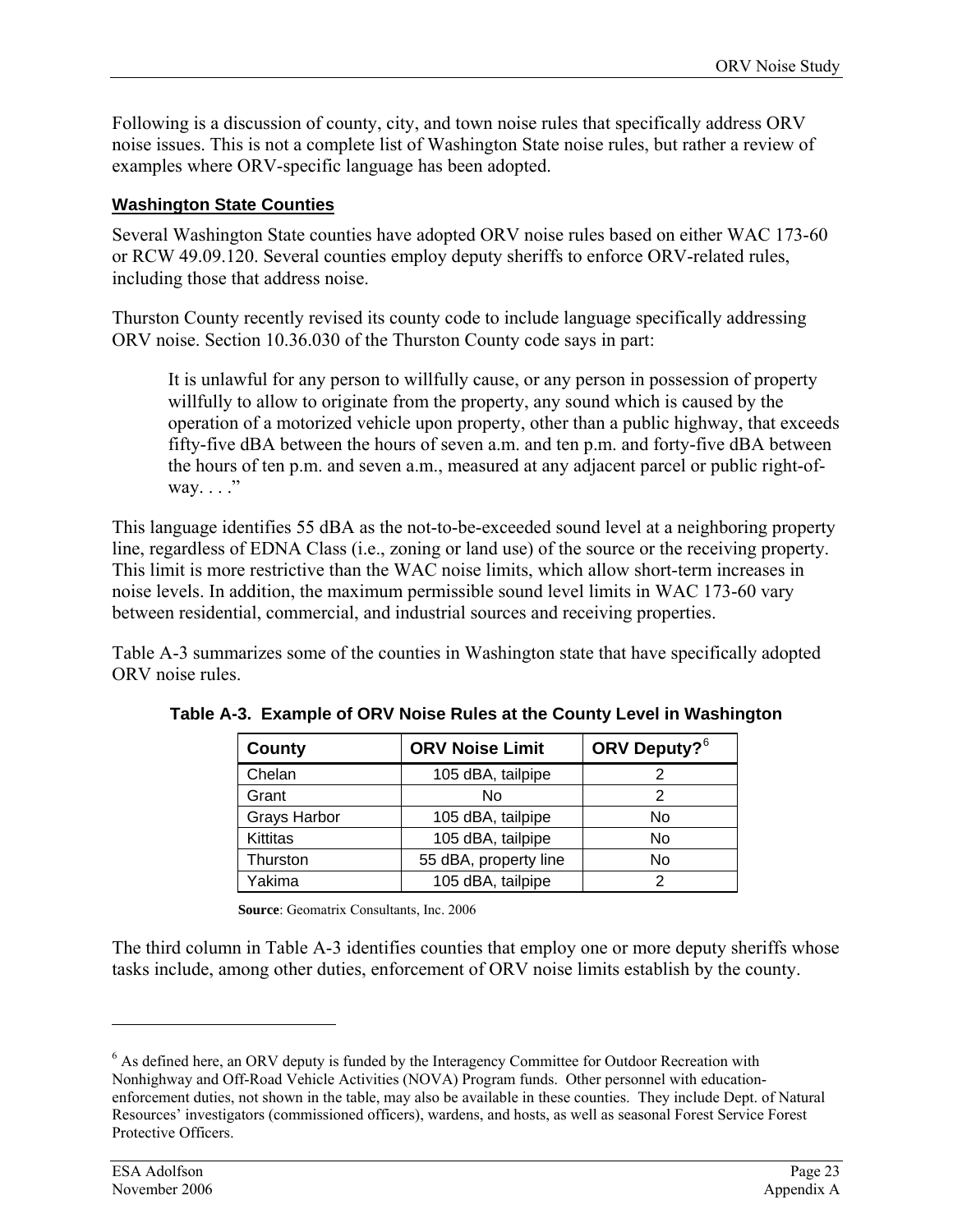Following is a discussion of county, city, and town noise rules that specifically address ORV noise issues. This is not a complete list of Washington State noise rules, but rather a review of examples where ORV-specific language has been adopted.

#### **Washington State Counties**

Several Washington State counties have adopted ORV noise rules based on either WAC 173-60 or RCW 49.09.120. Several counties employ deputy sheriffs to enforce ORV-related rules, including those that address noise.

Thurston County recently revised its county code to include language specifically addressing ORV noise. Section 10.36.030 of the Thurston County code says in part:

It is unlawful for any person to willfully cause, or any person in possession of property willfully to allow to originate from the property, any sound which is caused by the operation of a motorized vehicle upon property, other than a public highway, that exceeds fifty-five dBA between the hours of seven a.m. and ten p.m. and forty-five dBA between the hours of ten p.m. and seven a.m., measured at any adjacent parcel or public right-ofway.  $\ldots$ ."

This language identifies 55 dBA as the not-to-be-exceeded sound level at a neighboring property line, regardless of EDNA Class (i.e., zoning or land use) of the source or the receiving property. This limit is more restrictive than the WAC noise limits, which allow short-term increases in noise levels. In addition, the maximum permissible sound level limits in WAC 173-60 vary between residential, commercial, and industrial sources and receiving properties.

Table A-3 summarizes some of the counties in Washington state that have specifically adopted ORV noise rules.

| County              | <b>ORV Noise Limit</b> | ORV Deputy? <sup>6</sup> |  |
|---------------------|------------------------|--------------------------|--|
| Chelan              | 105 dBA, tailpipe      | 2                        |  |
| Grant               | No                     | 2                        |  |
| <b>Grays Harbor</b> | 105 dBA, tailpipe      | No                       |  |
| Kittitas            | 105 dBA, tailpipe      | N <sub>o</sub>           |  |
| Thurston            | 55 dBA, property line  | No                       |  |
| Yakima              | 105 dBA, tailpipe      | っ                        |  |

**Table A-3. Example of ORV Noise Rules at the County Level in Washington** 

**Source**: Geomatrix Consultants, Inc. 2006

The third column in Table A-3 identifies counties that employ one or more deputy sheriffs whose tasks include, among other duties, enforcement of ORV noise limits establish by the county.

 $\overline{a}$ 

<span id="page-28-0"></span><sup>&</sup>lt;sup>6</sup> As defined here, an ORV deputy is funded by the Interagency Committee for Outdoor Recreation with Nonhighway and Off-Road Vehicle Activities (NOVA) Program funds. Other personnel with educationenforcement duties, not shown in the table, may also be available in these counties. They include Dept. of Natural Resources' investigators (commissioned officers), wardens, and hosts, as well as seasonal Forest Service Forest Protective Officers.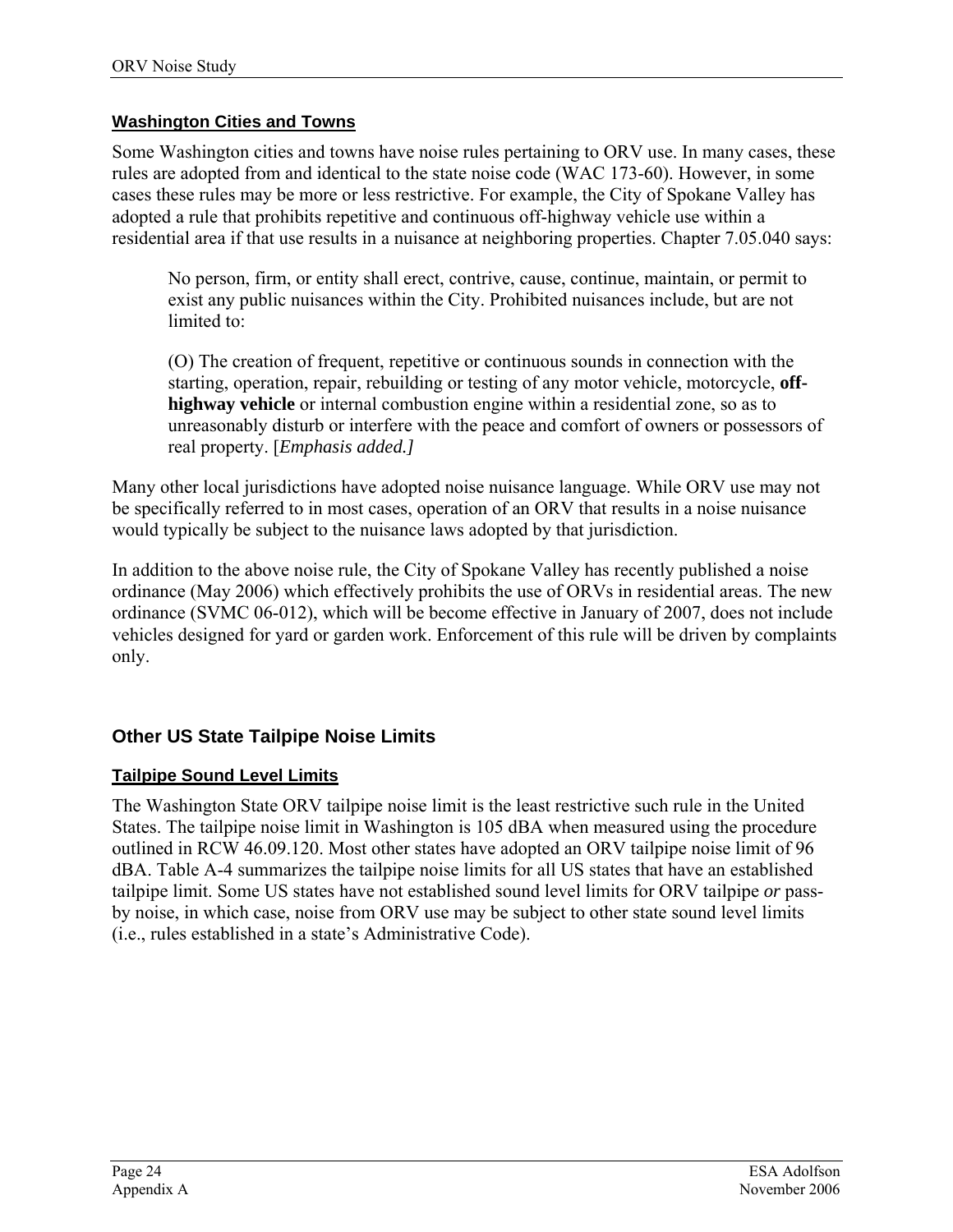### **Washington Cities and Towns**

Some Washington cities and towns have noise rules pertaining to ORV use. In many cases, these rules are adopted from and identical to the state noise code (WAC 173-60). However, in some cases these rules may be more or less restrictive. For example, the City of Spokane Valley has adopted a rule that prohibits repetitive and continuous off-highway vehicle use within a residential area if that use results in a nuisance at neighboring properties. Chapter 7.05.040 says:

No person, firm, or entity shall erect, contrive, cause, continue, maintain, or permit to exist any public nuisances within the City. Prohibited nuisances include, but are not limited to:

(O) The creation of frequent, repetitive or continuous sounds in connection with the starting, operation, repair, rebuilding or testing of any motor vehicle, motorcycle, **offhighway vehicle** or internal combustion engine within a residential zone, so as to unreasonably disturb or interfere with the peace and comfort of owners or possessors of real property. [*Emphasis added.]* 

Many other local jurisdictions have adopted noise nuisance language. While ORV use may not be specifically referred to in most cases, operation of an ORV that results in a noise nuisance would typically be subject to the nuisance laws adopted by that jurisdiction.

In addition to the above noise rule, the City of Spokane Valley has recently published a noise ordinance (May 2006) which effectively prohibits the use of ORVs in residential areas. The new ordinance (SVMC 06-012), which will be become effective in January of 2007, does not include vehicles designed for yard or garden work. Enforcement of this rule will be driven by complaints only.

### **Other US State Tailpipe Noise Limits**

### **Tailpipe Sound Level Limits**

The Washington State ORV tailpipe noise limit is the least restrictive such rule in the United States. The tailpipe noise limit in Washington is 105 dBA when measured using the procedure outlined in RCW 46.09.120. Most other states have adopted an ORV tailpipe noise limit of 96 dBA. Table A-4 summarizes the tailpipe noise limits for all US states that have an established tailpipe limit. Some US states have not established sound level limits for ORV tailpipe *or* passby noise, in which case, noise from ORV use may be subject to other state sound level limits (i.e., rules established in a state's Administrative Code).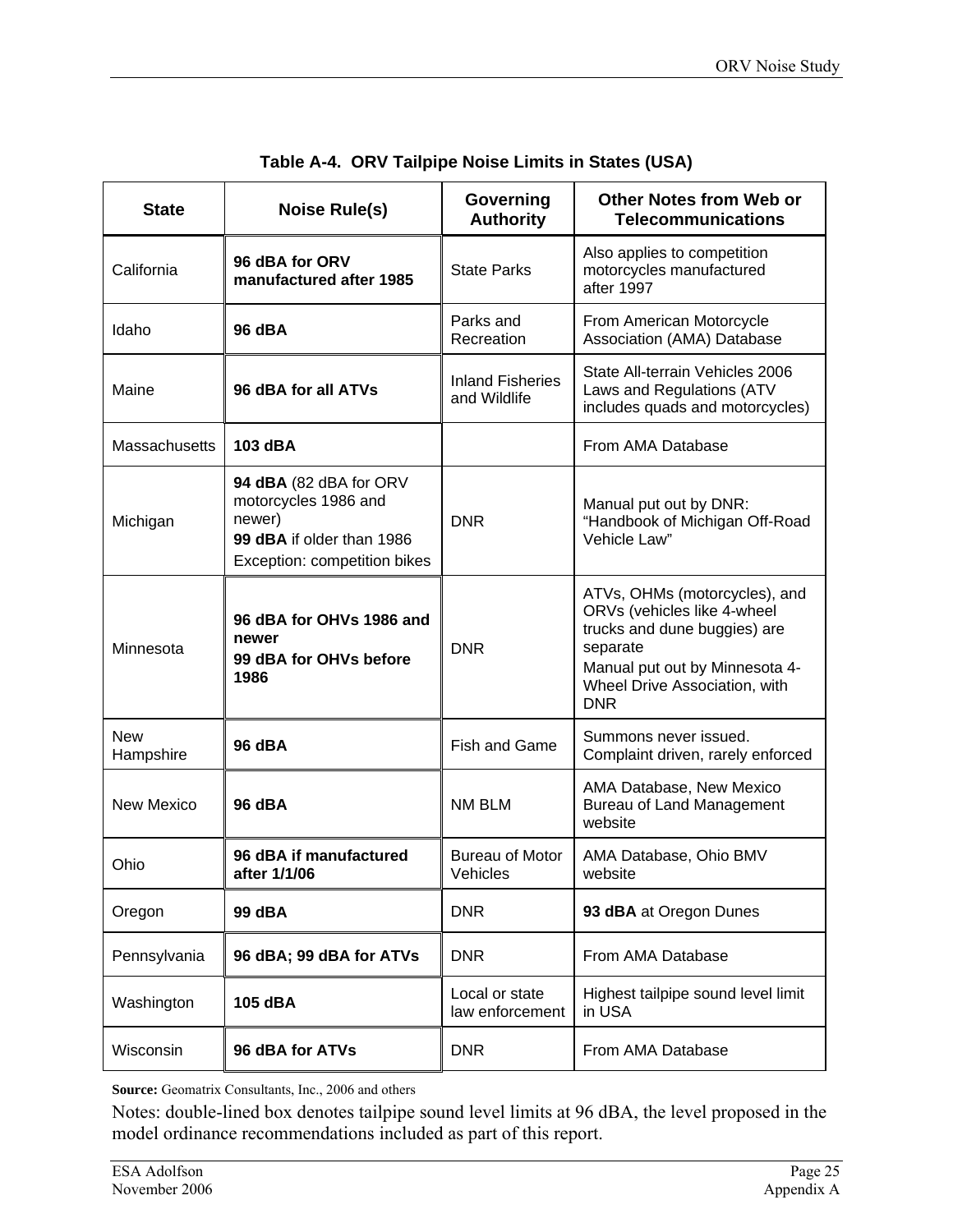| <b>State</b>            | <b>Noise Rule(s)</b>                                                                                                  | Governing<br><b>Authority</b>           | <b>Other Notes from Web or</b><br><b>Telecommunications</b>                                                                                                                               |
|-------------------------|-----------------------------------------------------------------------------------------------------------------------|-----------------------------------------|-------------------------------------------------------------------------------------------------------------------------------------------------------------------------------------------|
| California              | 96 dBA for ORV<br>manufactured after 1985                                                                             | <b>State Parks</b>                      | Also applies to competition<br>motorcycles manufactured<br>after 1997                                                                                                                     |
| Idaho                   | 96 dBA                                                                                                                | Parks and<br>Recreation                 | From American Motorcycle<br>Association (AMA) Database                                                                                                                                    |
| Maine                   | 96 dBA for all ATVs                                                                                                   | <b>Inland Fisheries</b><br>and Wildlife | State All-terrain Vehicles 2006<br>Laws and Regulations (ATV<br>includes quads and motorcycles)                                                                                           |
| Massachusetts           | 103 dBA                                                                                                               |                                         | From AMA Database                                                                                                                                                                         |
| Michigan                | 94 dBA (82 dBA for ORV<br>motorcycles 1986 and<br>newer)<br>99 dBA if older than 1986<br>Exception: competition bikes | <b>DNR</b>                              | Manual put out by DNR:<br>"Handbook of Michigan Off-Road<br>Vehicle Law"                                                                                                                  |
| Minnesota               | 96 dBA for OHVs 1986 and<br>newer<br>99 dBA for OHVs before<br>1986                                                   | <b>DNR</b>                              | ATVs, OHMs (motorcycles), and<br>ORVs (vehicles like 4-wheel<br>trucks and dune buggies) are<br>separate<br>Manual put out by Minnesota 4-<br>Wheel Drive Association, with<br><b>DNR</b> |
| <b>New</b><br>Hampshire | <b>96 dBA</b>                                                                                                         | Fish and Game                           | Summons never issued.<br>Complaint driven, rarely enforced                                                                                                                                |
| <b>New Mexico</b>       | <b>96 dBA</b>                                                                                                         | NM BLM                                  | AMA Database, New Mexico<br>Bureau of Land Management<br>website                                                                                                                          |
| Ohio                    | 96 dBA if manufactured<br>after 1/1/06                                                                                | <b>Bureau of Motor</b><br>Vehicles      | AMA Database, Ohio BMV<br>website                                                                                                                                                         |
| Oregon                  | 99 dBA                                                                                                                | <b>DNR</b>                              | 93 dBA at Oregon Dunes                                                                                                                                                                    |
| Pennsylvania            | 96 dBA; 99 dBA for ATVs                                                                                               | <b>DNR</b>                              | From AMA Database                                                                                                                                                                         |
| Washington              | 105 dBA                                                                                                               | Local or state<br>law enforcement       | Highest tailpipe sound level limit<br>in USA                                                                                                                                              |
| Wisconsin               | 96 dBA for ATVs                                                                                                       | <b>DNR</b>                              | From AMA Database                                                                                                                                                                         |

|  | Table A-4. ORV Tailpipe Noise Limits in States (USA) |  |  |  |
|--|------------------------------------------------------|--|--|--|
|--|------------------------------------------------------|--|--|--|

Source: Geomatrix Consultants, Inc., 2006 and others

Notes: double-lined box denotes tailpipe sound level limits at 96 dBA, the level proposed in the model ordinance recommendations included as part of this report.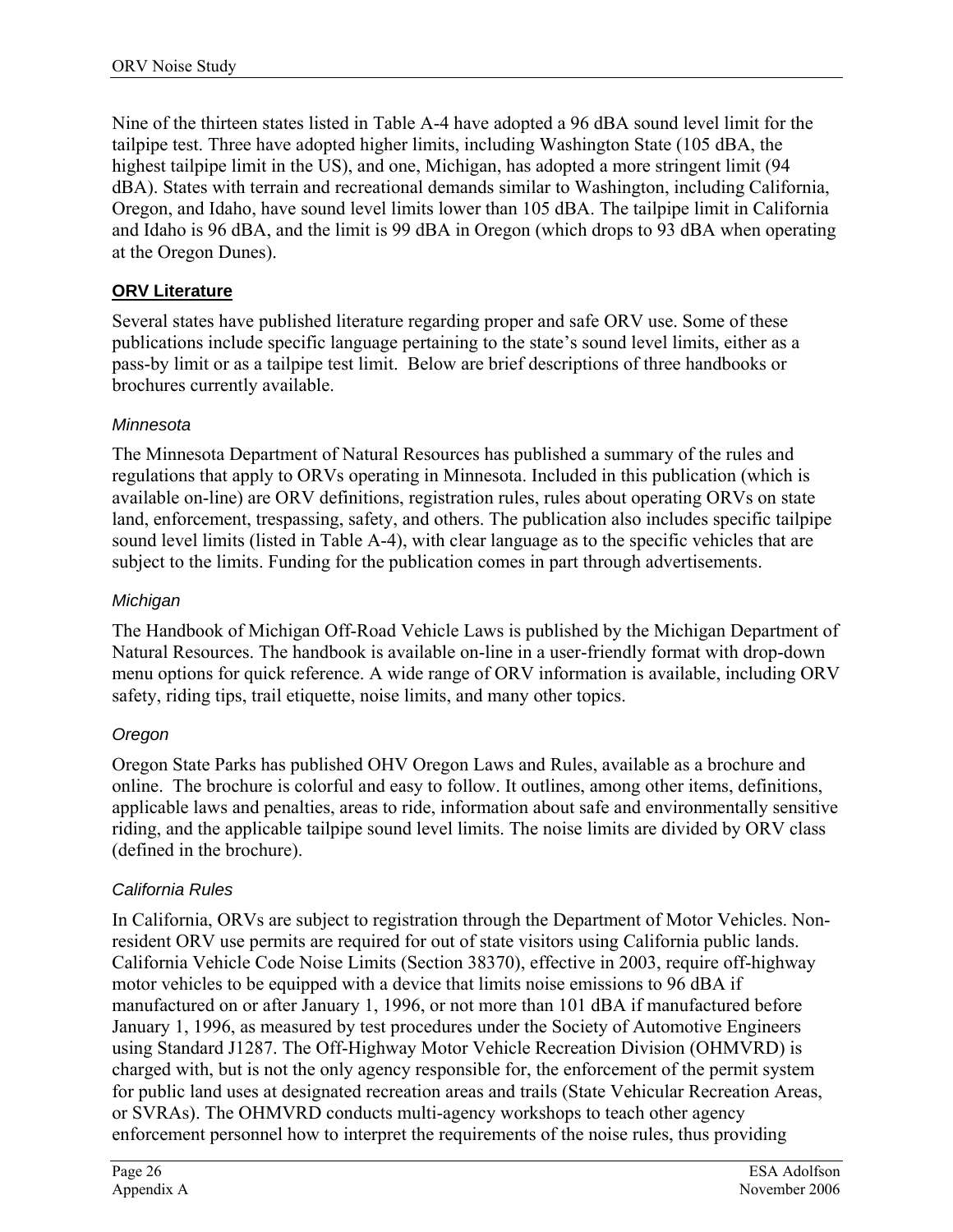Nine of the thirteen states listed in Table A-4 have adopted a 96 dBA sound level limit for the tailpipe test. Three have adopted higher limits, including Washington State (105 dBA, the highest tailpipe limit in the US), and one, Michigan, has adopted a more stringent limit (94 dBA). States with terrain and recreational demands similar to Washington, including California, Oregon, and Idaho, have sound level limits lower than 105 dBA. The tailpipe limit in California and Idaho is 96 dBA, and the limit is 99 dBA in Oregon (which drops to 93 dBA when operating at the Oregon Dunes).

### **ORV Literature**

Several states have published literature regarding proper and safe ORV use. Some of these publications include specific language pertaining to the state's sound level limits, either as a pass-by limit or as a tailpipe test limit. Below are brief descriptions of three handbooks or brochures currently available.

### *Minnesota*

The Minnesota Department of Natural Resources has published a summary of the rules and regulations that apply to ORVs operating in Minnesota. Included in this publication (which is available on-line) are ORV definitions, registration rules, rules about operating ORVs on state land, enforcement, trespassing, safety, and others. The publication also includes specific tailpipe sound level limits (listed in Table A-4), with clear language as to the specific vehicles that are subject to the limits. Funding for the publication comes in part through advertisements.

### *Michigan*

The Handbook of Michigan Off-Road Vehicle Laws is published by the Michigan Department of Natural Resources. The handbook is available on-line in a user-friendly format with drop-down menu options for quick reference. A wide range of ORV information is available, including ORV safety, riding tips, trail etiquette, noise limits, and many other topics.

### *Oregon*

Oregon State Parks has published OHV Oregon Laws and Rules, available as a brochure and online. The brochure is colorful and easy to follow. It outlines, among other items, definitions, applicable laws and penalties, areas to ride, information about safe and environmentally sensitive riding, and the applicable tailpipe sound level limits. The noise limits are divided by ORV class (defined in the brochure).

### *California Rules*

In California, ORVs are subject to registration through the Department of Motor Vehicles. Nonresident ORV use permits are required for out of state visitors using California public lands. California Vehicle Code Noise Limits (Section 38370), effective in 2003, require off-highway motor vehicles to be equipped with a device that limits noise emissions to 96 dBA if manufactured on or after January 1, 1996, or not more than 101 dBA if manufactured before January 1, 1996, as measured by test procedures under the Society of Automotive Engineers using Standard J1287. The Off-Highway Motor Vehicle Recreation Division (OHMVRD) is charged with, but is not the only agency responsible for, the enforcement of the permit system for public land uses at designated recreation areas and trails (State Vehicular Recreation Areas, or SVRAs). The OHMVRD conducts multi-agency workshops to teach other agency enforcement personnel how to interpret the requirements of the noise rules, thus providing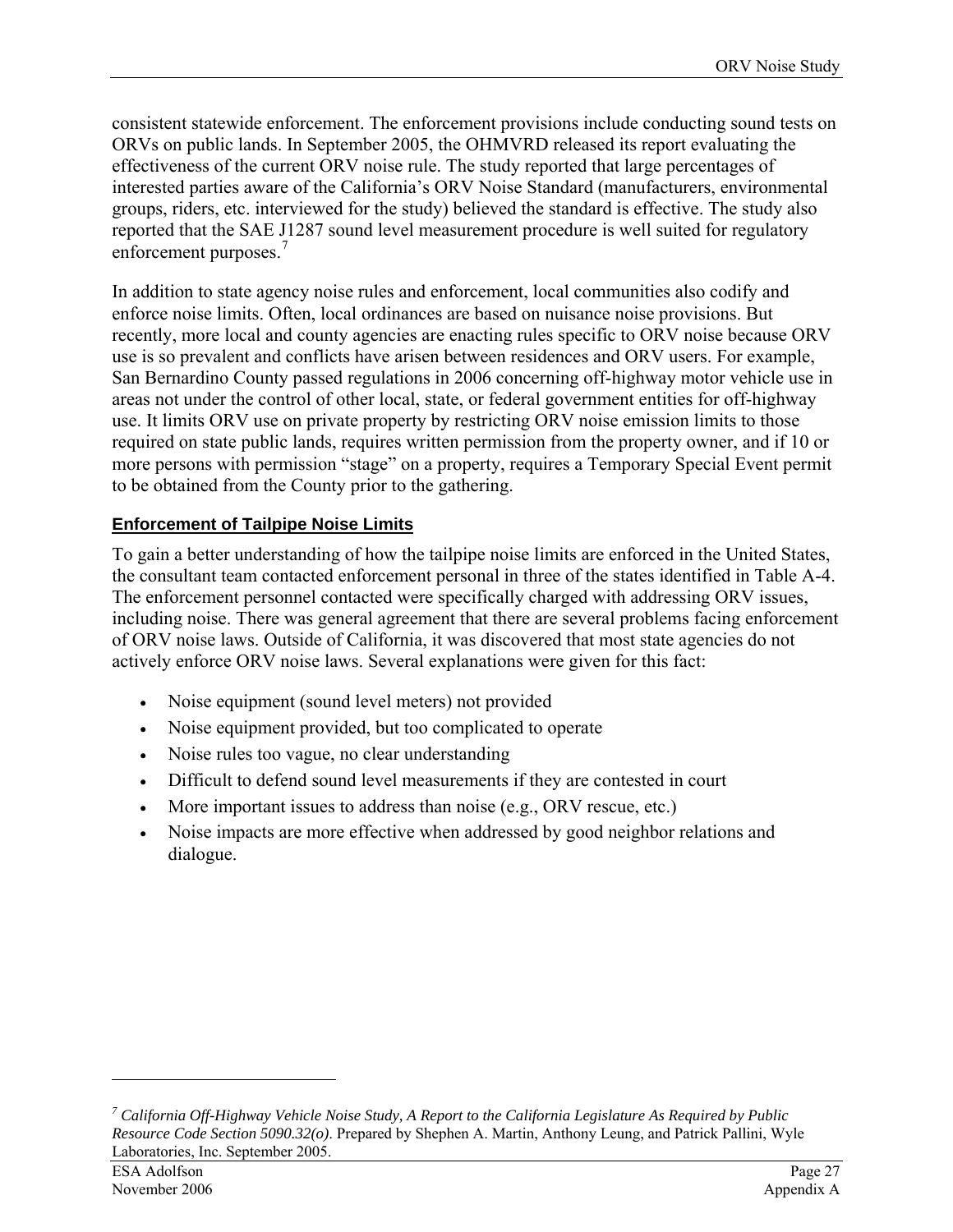consistent statewide enforcement. The enforcement provisions include conducting sound tests on ORVs on public lands. In September 2005, the OHMVRD released its report evaluating the effectiveness of the current ORV noise rule. The study reported that large percentages of interested parties aware of the California's ORV Noise Standard (manufacturers, environmental groups, riders, etc. interviewed for the study) believed the standard is effective. The study also reported that the SAE J1287 sound level measurement procedure is well suited for regulatory enforcement purposes.<sup>[7](#page-32-0)</sup>

In addition to state agency noise rules and enforcement, local communities also codify and enforce noise limits. Often, local ordinances are based on nuisance noise provisions. But recently, more local and county agencies are enacting rules specific to ORV noise because ORV use is so prevalent and conflicts have arisen between residences and ORV users. For example, San Bernardino County passed regulations in 2006 concerning off-highway motor vehicle use in areas not under the control of other local, state, or federal government entities for off-highway use. It limits ORV use on private property by restricting ORV noise emission limits to those required on state public lands, requires written permission from the property owner, and if 10 or more persons with permission "stage" on a property, requires a Temporary Special Event permit to be obtained from the County prior to the gathering.

### **Enforcement of Tailpipe Noise Limits**

To gain a better understanding of how the tailpipe noise limits are enforced in the United States, the consultant team contacted enforcement personal in three of the states identified in Table A-4. The enforcement personnel contacted were specifically charged with addressing ORV issues, including noise. There was general agreement that there are several problems facing enforcement of ORV noise laws. Outside of California, it was discovered that most state agencies do not actively enforce ORV noise laws. Several explanations were given for this fact:

- Noise equipment (sound level meters) not provided
- Noise equipment provided, but too complicated to operate
- Noise rules too vague, no clear understanding
- Difficult to defend sound level measurements if they are contested in court
- More important issues to address than noise (e.g., ORV rescue, etc.)
- Noise impacts are more effective when addressed by good neighbor relations and dialogue.

 $\overline{a}$ 

<span id="page-32-0"></span>*<sup>7</sup> California Off-Highway Vehicle Noise Study, A Report to the California Legislature As Required by Public Resource Code Section 5090.32(o)*. Prepared by Shephen A. Martin, Anthony Leung, and Patrick Pallini, Wyle Laboratories, Inc. September 2005.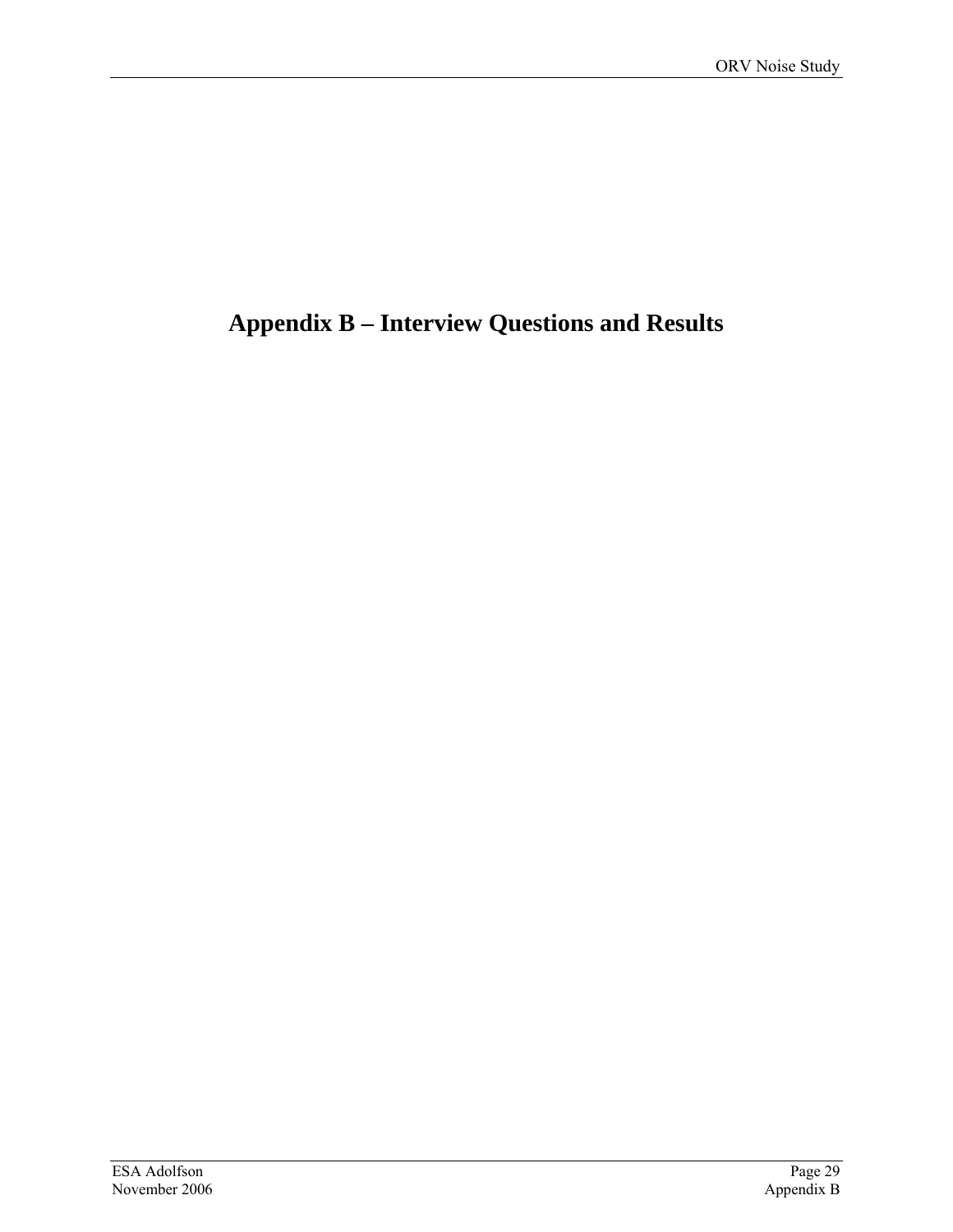# <span id="page-34-0"></span>**Appendix B – Interview Questions and Results**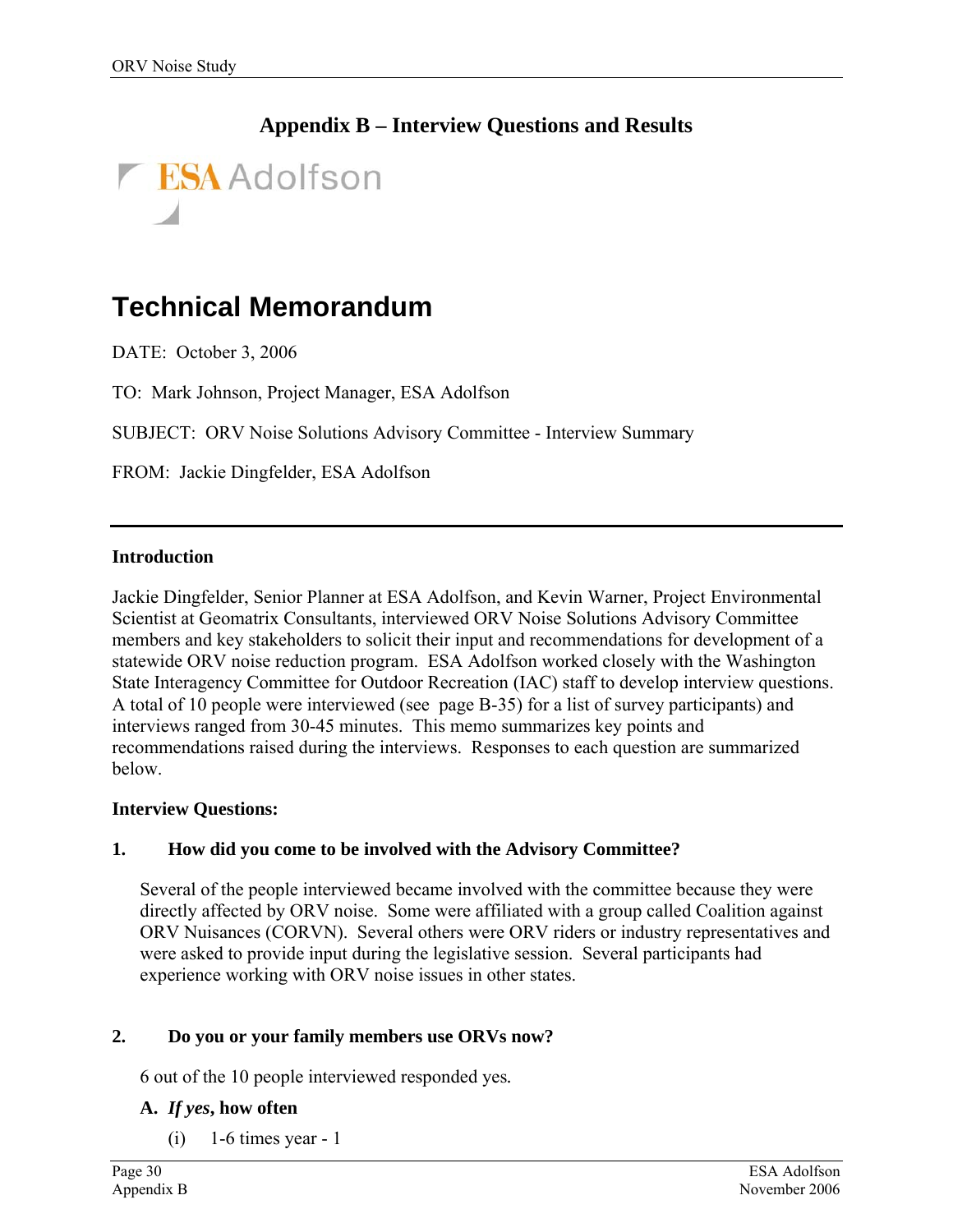### **Appendix B – Interview Questions and Results**



# **Technical Memorandum**

DATE: October 3, 2006

TO: Mark Johnson, Project Manager, ESA Adolfson

SUBJECT: ORV Noise Solutions Advisory Committee - Interview Summary

FROM: Jackie Dingfelder, ESA Adolfson

#### **Introduction**

Jackie Dingfelder, Senior Planner at ESA Adolfson, and Kevin Warner, Project Environmental Scientist at Geomatrix Consultants, interviewed ORV Noise Solutions Advisory Committee members and key stakeholders to solicit their input and recommendations for development of a statewide ORV noise reduction program. ESA Adolfson worked closely with the Washington State Interagency Committee for Outdoor Recreation (IAC) staff to develop interview questions. A total of 10 people were interviewed (see page B-[35\)](#page-40-0) for a list of survey participants) and interviews ranged from 30-45 minutes. This memo summarizes key points and recommendations raised during the interviews. Responses to each question are summarized below.

#### **Interview Questions:**

#### **1. How did you come to be involved with the Advisory Committee?**

Several of the people interviewed became involved with the committee because they were directly affected by ORV noise. Some were affiliated with a group called Coalition against ORV Nuisances (CORVN). Several others were ORV riders or industry representatives and were asked to provide input during the legislative session. Several participants had experience working with ORV noise issues in other states.

#### **2. Do you or your family members use ORVs now?**

6 out of the 10 people interviewed responded yes*.* 

#### **A.** *If yes***, how often**

 $(i)$  1-6 times year - 1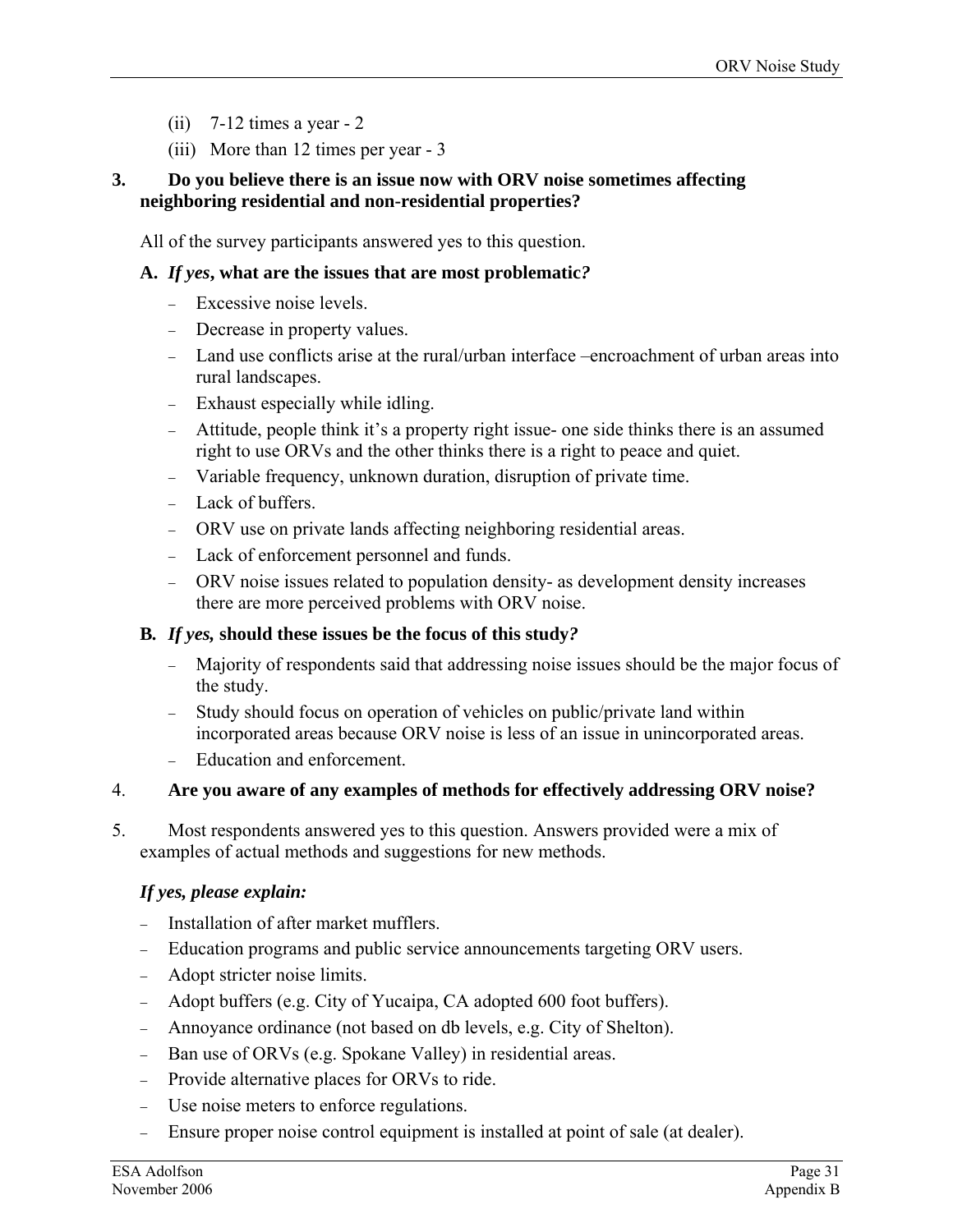- $(ii)$  7-12 times a year 2
- (iii) More than 12 times per year 3

#### **3. Do you believe there is an issue now with ORV noise sometimes affecting neighboring residential and non-residential properties?**

All of the survey participants answered yes to this question.

#### **A.** *If yes***, what are the issues that are most problematic***?*

- − Excessive noise levels.
- − Decrease in property values.
- − Land use conflicts arise at the rural/urban interface –encroachment of urban areas into rural landscapes.
- − Exhaust especially while idling.
- − Attitude, people think it's a property right issue- one side thinks there is an assumed right to use ORVs and the other thinks there is a right to peace and quiet.
- − Variable frequency, unknown duration, disruption of private time.
- − Lack of buffers.
- − ORV use on private lands affecting neighboring residential areas.
- − Lack of enforcement personnel and funds.
- − ORV noise issues related to population density- as development density increases there are more perceived problems with ORV noise.

#### **B***. If yes,* **should these issues be the focus of this study***?*

- − Majority of respondents said that addressing noise issues should be the major focus of the study.
- − Study should focus on operation of vehicles on public/private land within incorporated areas because ORV noise is less of an issue in unincorporated areas.
- − Education and enforcement.

#### 4. **s for effectively addressing ORV noise? Are you aware of any examples of method**

5. Most respondents answered yes to this question. Answers provided were a mix of exa mples of actual methods and suggestions for new methods.

#### *If yes, please explain:*

- − Installation of after market mufflers.
- − Education programs and public service announcements targeting ORV users.
- − Adopt stricter noise limits.
- − Adopt buffers (e.g. City of Yucaipa, CA adopted 600 foot buffers).
- − Annoyance ordinance (not based on db levels, e.g. City of Shelton).
- − Ban use of ORVs (e.g. Spokane Valley) in residential areas.
- − Provide alternative places for ORVs to ride.
- − Use noise meters to enforce regulations.
- − Ensure proper noise control equipment is installed at point of sale (at dealer).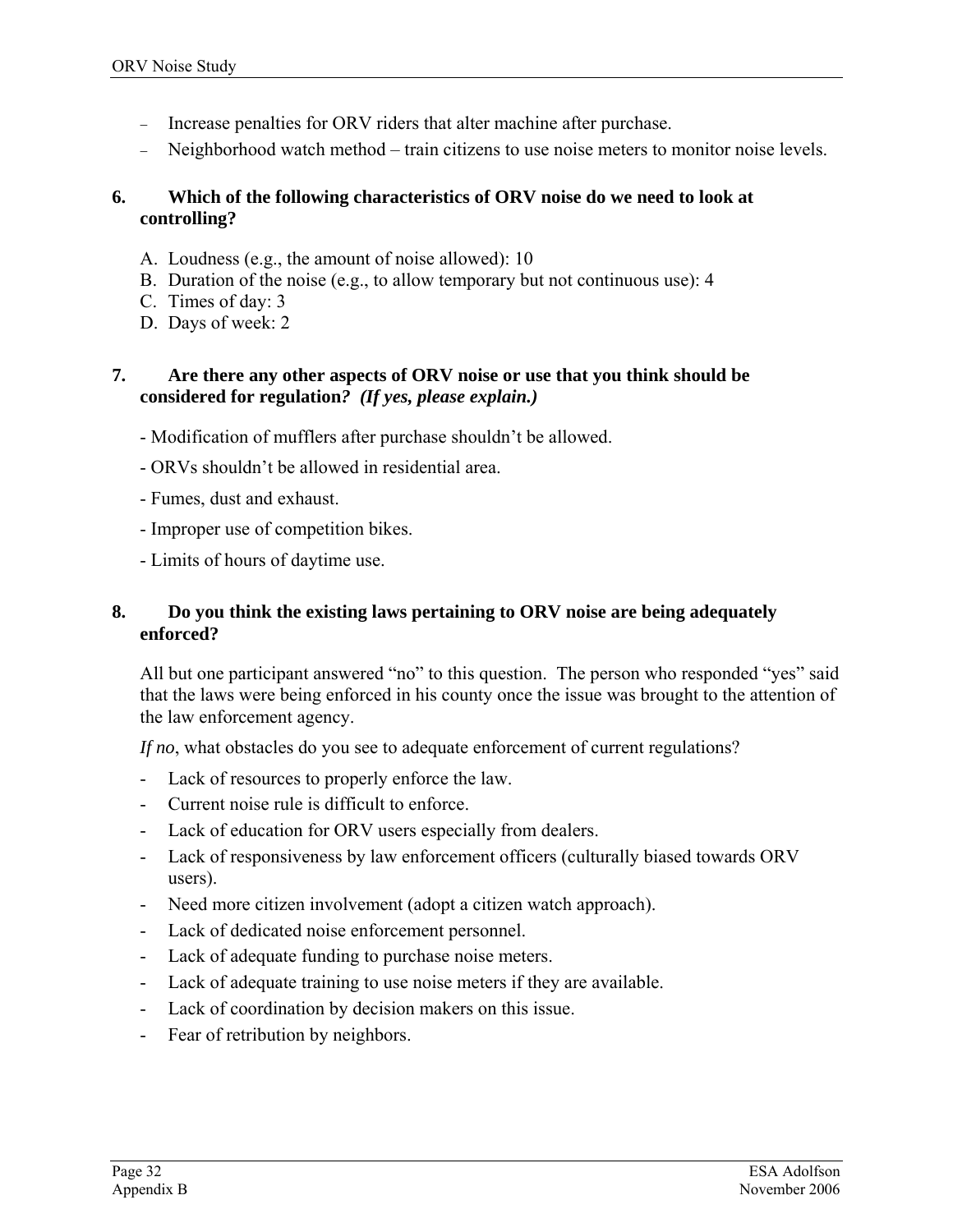- − Increase penalties for ORV riders that alter machine after purchase.
- − Neighborhood watch method train citizens to use noise meters to monitor noise levels.

#### **. Which of the following characteristics of ORV noise do we need to look at con trolling? 6**

- A. Loudness (e.g., the amount of noise allowed): 10
- B. Duration of the noise (e.g., to allow temporary but not continuous use): 4
- C. Times of day: 3
- D. Days of week: 2

#### *7.* **Are there any other aspects of ORV noise or use that you think should be con sidered for regulation***? (If yes, please explain.)*

- Modification of mufflers after purchase shouldn't be allowed.
- ORVs shouldn't be allowed in residential area.
- Fumes, dust and exhaust.
- Improper use of competition bikes.
- Limits of hours of daytime use.

#### **8. Do you think the existing laws pertaining to ORV noise are being adequately enf orced?**

All but one participant answered "no" to this question. The person who responded "yes" said that the laws were being enforced in his county once the issue was brought to the attention of the law enforcement agency.

If no, what obstacles do you see to adequate enforcement of current regulations?

- Lack of resources to properly enforce the law.
- Current noise rule is difficult to enforce.
- Lack of education for ORV users especially from dealers.
- Lack of responsiveness by law enforcement officers (culturally biased towards ORV users).
- Need more citizen involvement (adopt a citizen watch approach).
- Lack of dedicated noise enforcement personnel.
- Lack of adequate funding to purchase noise meters.
- Lack of adequate training to use noise meters if they are available.
- Lack of coordination by decision makers on this issue.
- Fear of retribution by neighbors.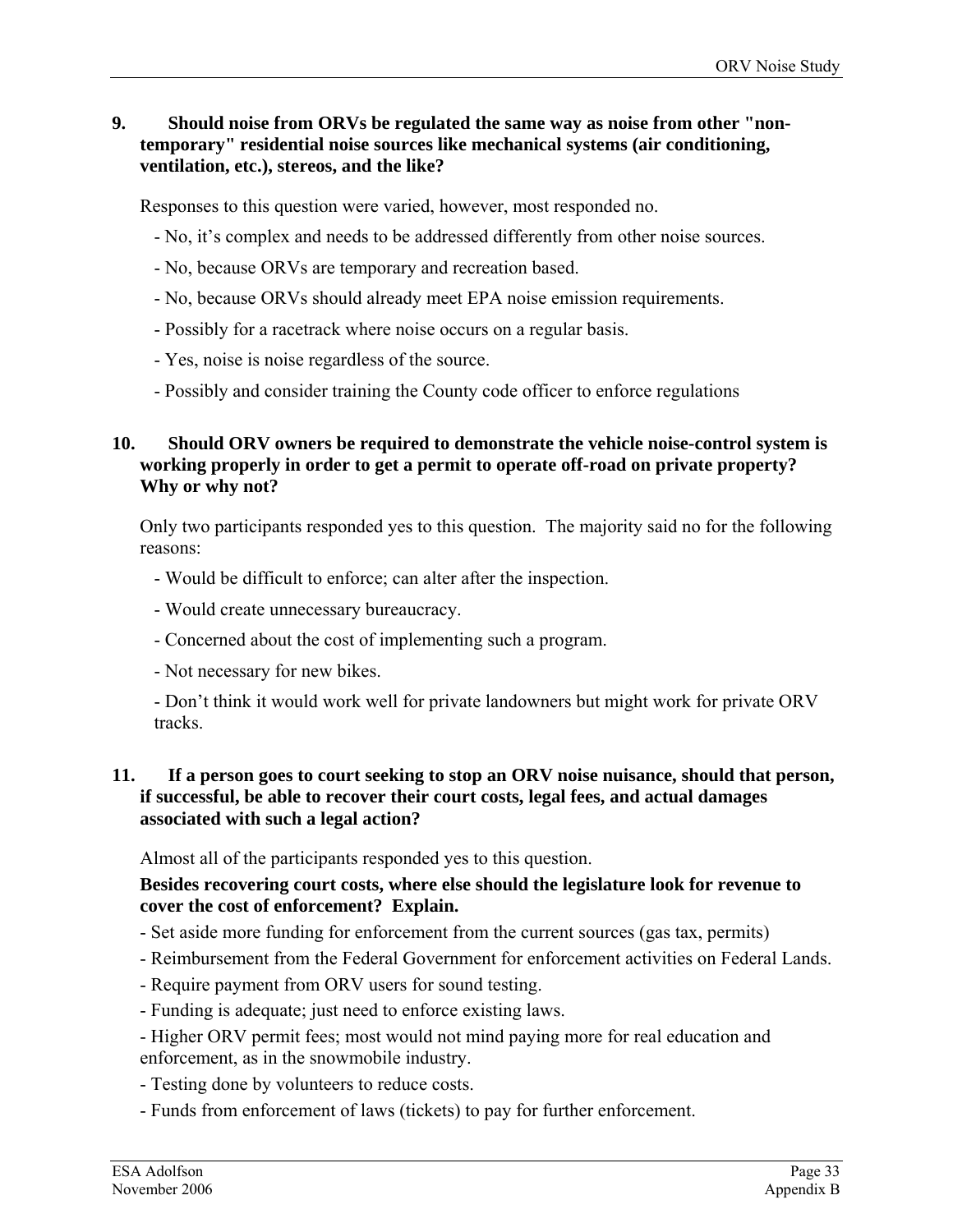#### **9. Should noise from ORVs be regulated the same way as noise from other "nontemporary" residential noise sources like mechanical systems (air conditioning, ventilation, etc.), stereos, and the like?**

Responses to this question were varied, however, most responded no.

- No, it's complex and needs to be addressed differently from other noise sources.
- No, because ORVs are temporary and recreation based.
- No, because ORVs should already meet EPA noise emission requirements.
- Possibly for a racetrack where noise occurs on a regular basis.
- Yes, noise is noise regardless of the source.
- Possibly and consider training the County code officer to enforce regulations

#### **10. Should ORV owners be required to demonstrate the vehicle noise-control system is working properly in order to get a permit to operate off-road on private property? Why or why not?**

Only two participants responded yes to this question. The majority said no for the following reasons:

- Would be difficult to enforce; can alter after the inspection.
- Would create unnecessary bureaucracy.
- Concerned about the cost of implementing such a program.
- Not necessary for new bikes.

- Don't think it would work well for private landowners but might work for private ORV tracks.

#### **11. If a person goes to court seeking to stop an ORV noise nuisance, should that person, if successful, be able to recover their court costs, legal fees, and actual damages associated with such a legal action?**

Almost all of the participants responded yes to this question.

#### **Besides recovering court costs, where else should the legislature look for revenue to cover the cost of enforcement? Explain.**

- Set aside more funding for enforcement from the current sources (gas tax, permits)
- Reimbursement from the Federal Government for enforcement activities on Federal Lands.
- Require payment from ORV users for sound testing.
- Funding is adequate; just need to enforce existing laws.
- Higher ORV permit fees; most would not mind paying more for real education and enforcement, as in the snowmobile industry.
- Testing done by volunteers to reduce costs.
- Funds from enforcement of laws (tickets) to pay for further enforcement.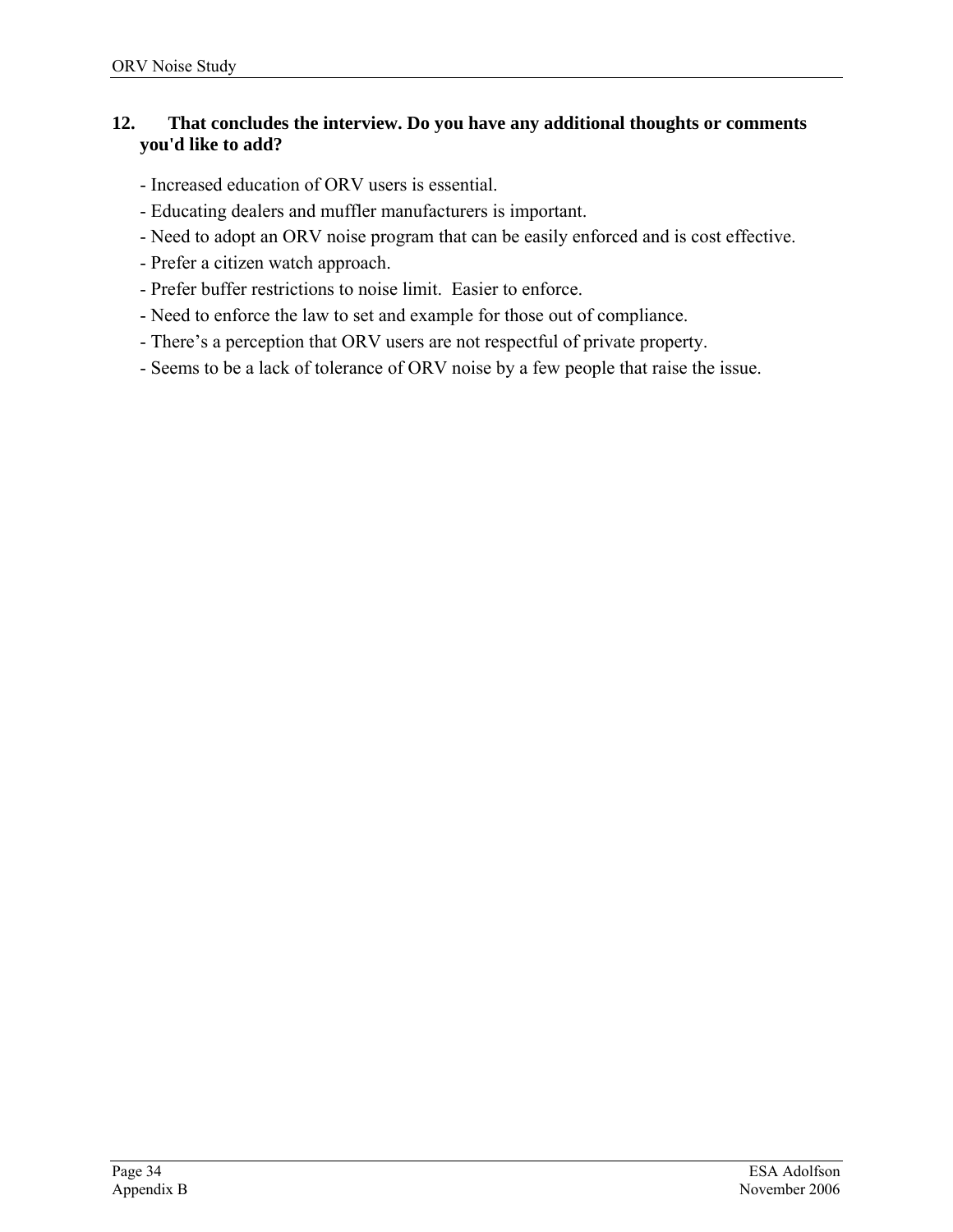#### **12. That concludes the interview. Do you have any additional thoughts or comments you'd like to add?**

- Increased education of ORV users is essential.
- Educating dealers and muffler manufacturers is important.
- Need to adopt an ORV noise program that can be easily enforced and is cost effective.
- Prefer a citizen watch approach.
- Prefer buffer restrictions to noise limit. Easier to enforce.
- Need to enforce the law to set and example for those out of compliance.
- There's a perception that ORV users are not respectful of private property.
- Seems to be a lack of tolerance of ORV noise by a few people that raise the issue.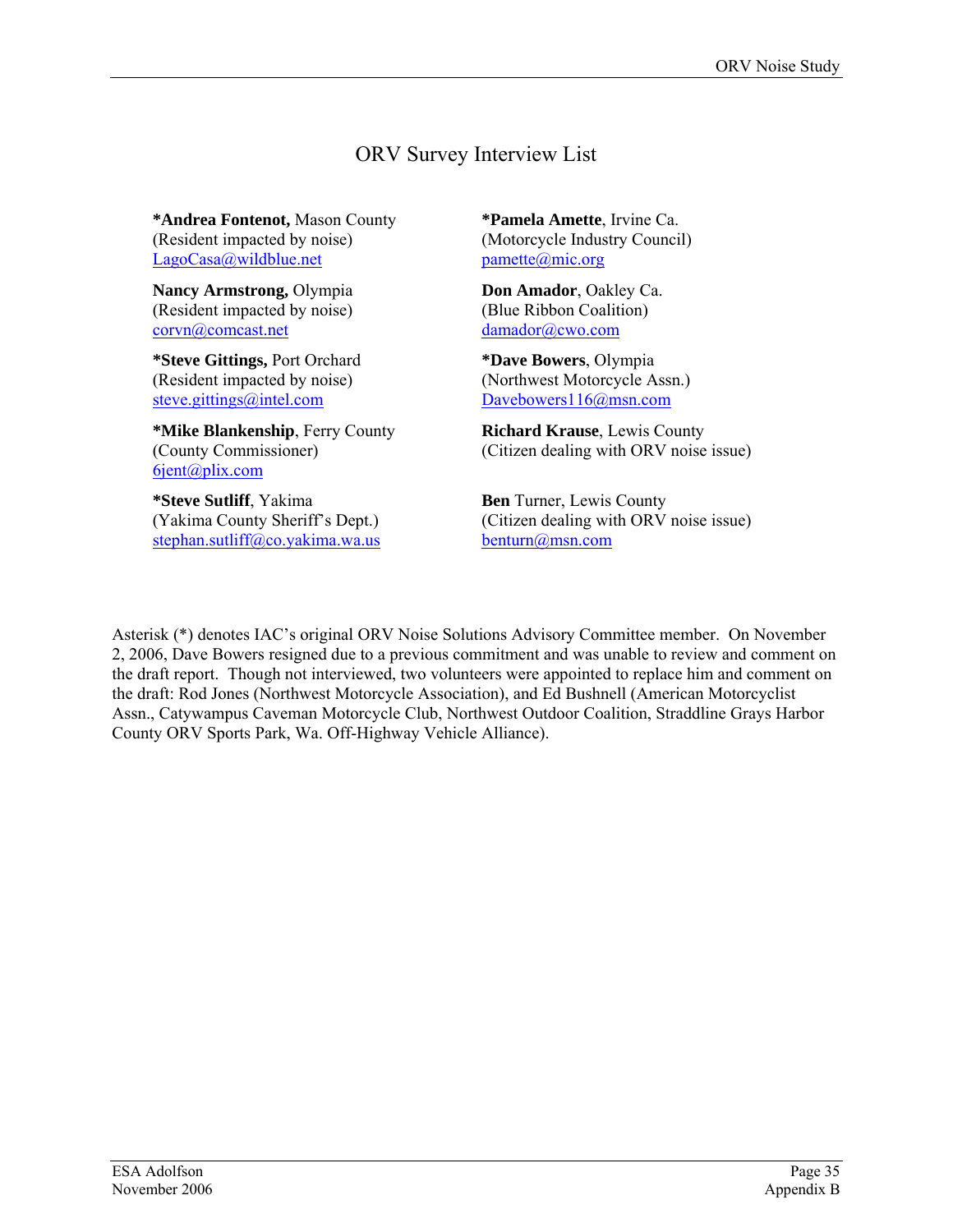# ORV Survey Interview List

**\*Andrea Fontenot,** Mason County (Resident impacted by noise) [LagoCasa@wildblue.net](mailto:LagoCasa@wildblue.net)

**Nancy Armstrong,** Olympia (Resident impacted by noise) [corvn@comcast.net](mailto:corvn@comcast.net)

**\*Steve Gittings,** Port Orchard (Resident impacted by noise) [steve.gittings@intel.com](mailto:steve.gittings@intel.com)

**\*Mike Blankenship**, Ferry County (County Commissioner) [6jent@plix.com](mailto:6jent@plix.com)

**\*Steve Sutliff**, Yakima (Yakima County Sheriff's Dept.) [stephan.sutliff@co.yakima.wa.us](mailto:stephan.sutliff@co.yakima.wa.us)

**\*Pamela Amette**, Irvine Ca. (Motorcycle Industry Council) [pamette@mic.org](mailto:pamette@mic.org)

**Don Amador**, Oakley Ca. (Blue Ribbon Coalition) [damador@cwo.com](mailto:damador@cwo.com)

**\*Dave Bowers**, Olympia (Northwest Motorcycle Assn.) [Davebowers116@msn.com](mailto:Davebowers116@msn.com)

**Richard Krause**, Lewis County (Citizen dealing with ORV noise issue)

**Ben** Turner, Lewis County (Citizen dealing with ORV noise issue) [benturn@msn.com](mailto:benturn@msn.com)

Asterisk (\*) denotes IAC's original ORV Noise Solutions Advisory Committee member. On November 2, 2006, Dave Bowers resigned due to a previous commitment and was unable to review and comment on the draft report. Though not interviewed, two volunteers were appointed to replace him and comment on the draft: Rod Jones (Northwest Motorcycle Association), and Ed Bushnell (American Motorcyclist Assn., Catywampus Caveman Motorcycle Club, Northwest Outdoor Coalition, Straddline Grays Harbor County ORV Sports Park, Wa. Off-Highway Vehicle Alliance).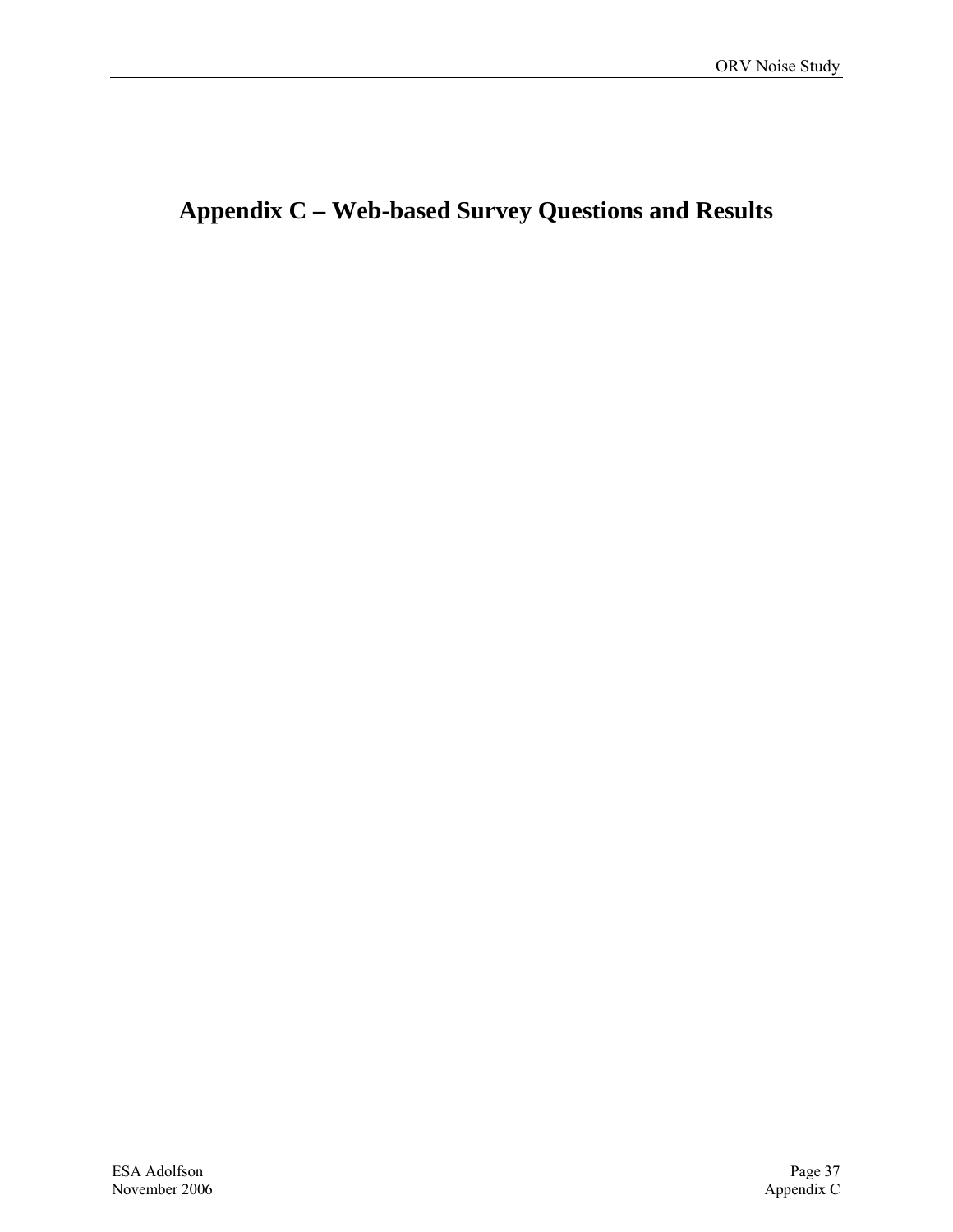# **Appendix C – Web-based Survey Questions and Results**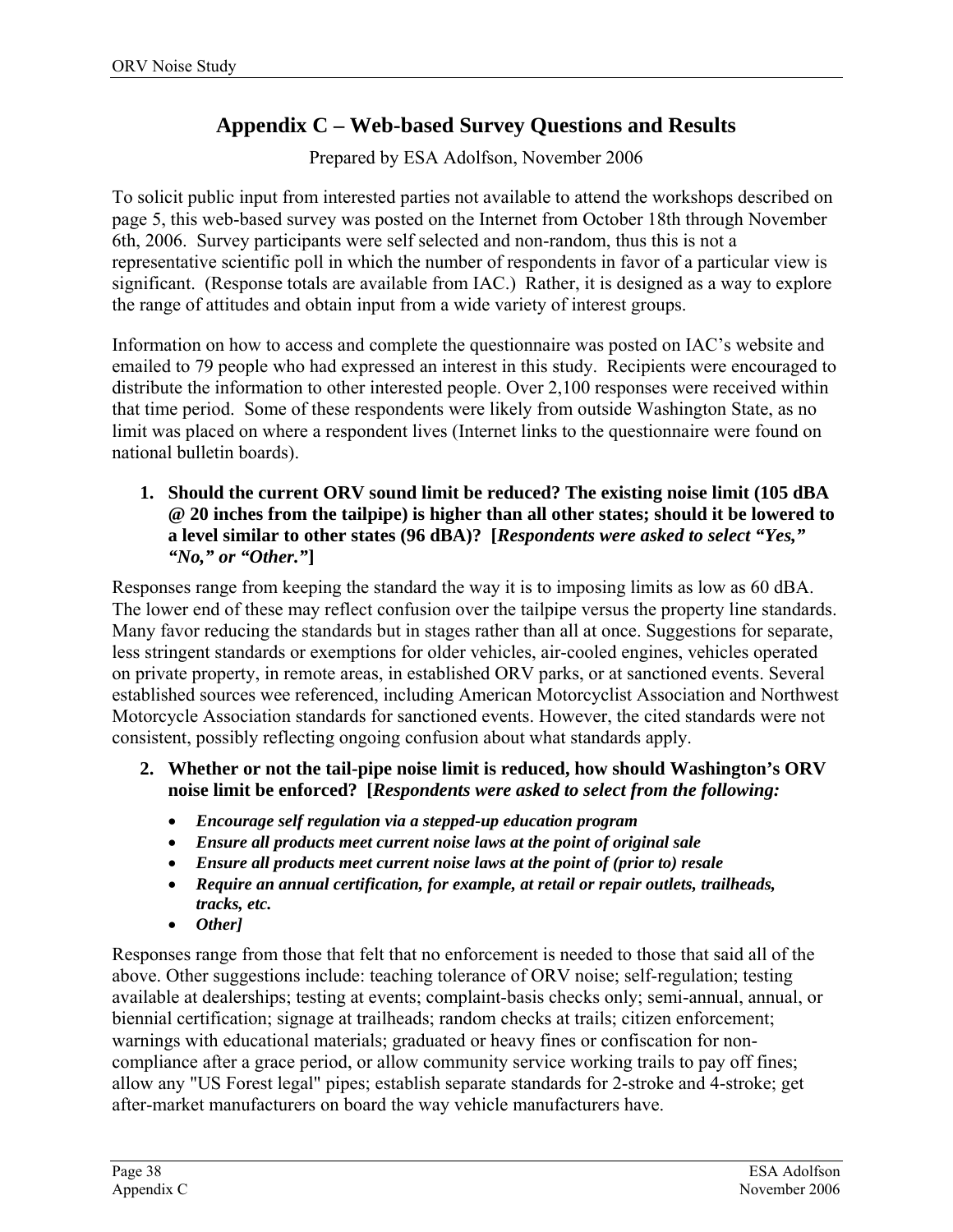# **Appendix C – Web-based Survey Questions and Results**

Prepared by ESA Adolfson, November 2006

To solicit public input from interested parties not available to attend the workshops described on page [5,](#page-10-0) this web-based survey was posted on the Internet from October 18th through November 6th, 2006. Survey participants were self selected and non-random, thus this is not a representative scientific poll in which the number of respondents in favor of a particular view is significant. (Response totals are available from IAC.) Rather, it is designed as a way to explore the range of attitudes and obtain input from a wide variety of interest groups.

Information on how to access and complete the questionnaire was posted on IAC's website and emailed to 79 people who had expressed an interest in this study. Recipients were encouraged to distribute the information to other interested people. Over 2,100 responses were received within that time period. Some of these respondents were likely from outside Washington State, as no limit was placed on where a respondent lives (Internet links to the questionnaire were found on national bulletin boards).

#### **1. Should the current ORV sound limit be reduced? The existing noise limit (105 dBA @ 20 inches from the tailpipe) is higher than all other states; should it be lowered to a level similar to other states (96 dBA)? [***Respondents were asked to select "Yes," "No," or "Other."***]**

Responses range from keeping the standard the way it is to imposing limits as low as 60 dBA. The lower end of these may reflect confusion over the tailpipe versus the property line standards. Many favor reducing the standards but in stages rather than all at once. Suggestions for separate, less stringent standards or exemptions for older vehicles, air-cooled engines, vehicles operated on private property, in remote areas, in established ORV parks, or at sanctioned events. Several established sources wee referenced, including American Motorcyclist Association and Northwest Motorcycle Association standards for sanctioned events. However, the cited standards were not consistent, possibly reflecting ongoing confusion about what standards apply.

- **2. Whether or not the tail-pipe noise limit is reduced, how should Washington's ORV noise limit be enforced? [***Respondents were asked to select from the following:*
	- *Encourage self regulation via a stepped-up education program*
	- *Ensure all products meet current noise laws at the point of original sale*
	- *Ensure all products meet current noise laws at the point of (prior to) resale*
	- *Require an annual certification, for example, at retail or repair outlets, trailheads, tracks, etc.*
	- *Other]*

Responses range from those that felt that no enforcement is needed to those that said all of the above. Other suggestions include: teaching tolerance of ORV noise; self-regulation; testing available at dealerships; testing at events; complaint-basis checks only; semi-annual, annual, or biennial certification; signage at trailheads; random checks at trails; citizen enforcement; warnings with educational materials; graduated or heavy fines or confiscation for noncompliance after a grace period, or allow community service working trails to pay off fines; allow any "US Forest legal" pipes; establish separate standards for 2-stroke and 4-stroke; get after-market manufacturers on board the way vehicle manufacturers have.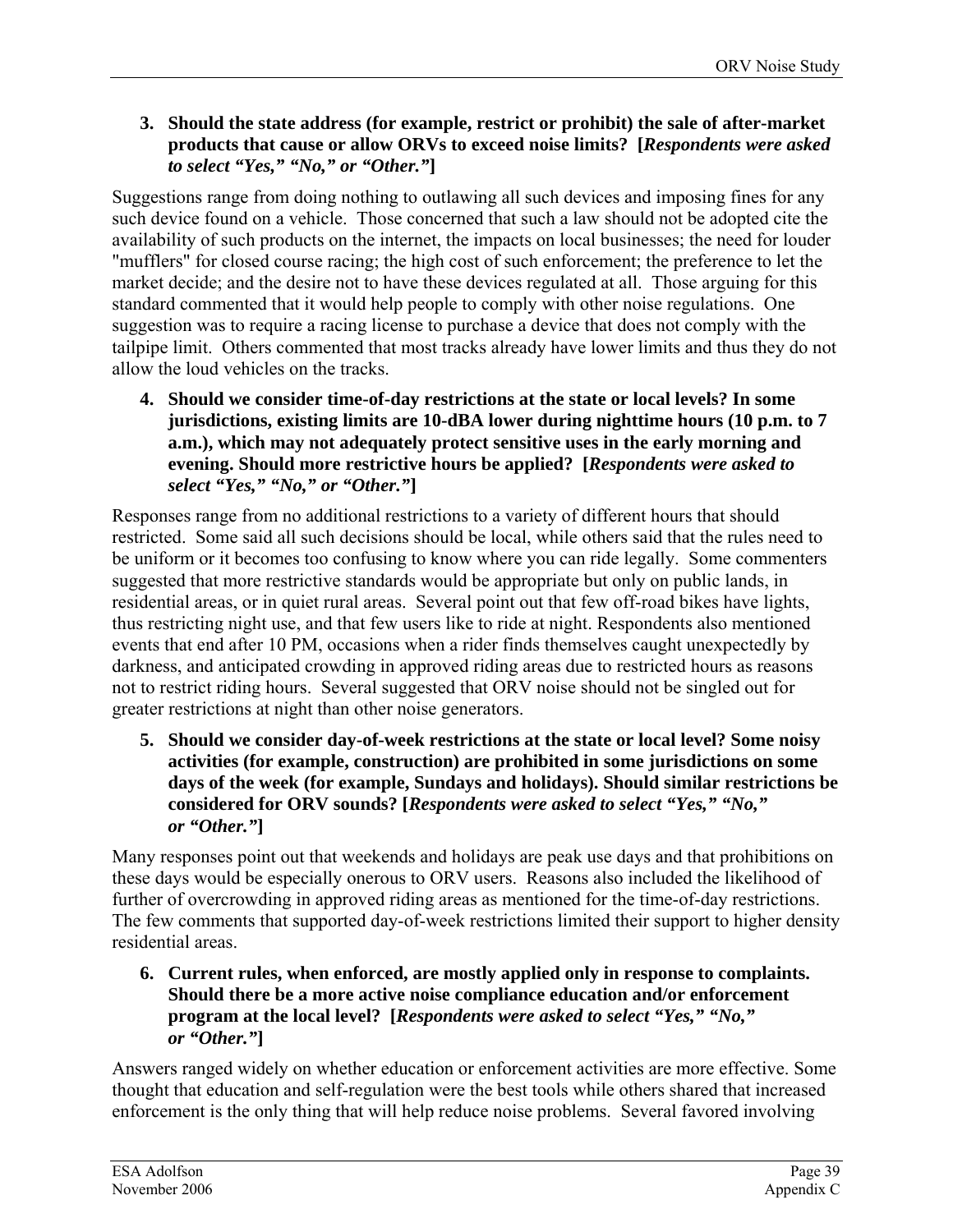#### **3. Should the state address (for example, restrict or prohibit) the sale of after-market products that cause or allow ORVs to exceed noise limits? [***Respondents were asked to select "Yes," "No," or "Other."***]**

Suggestions range from doing nothing to outlawing all such devices and imposing fines for any such device found on a vehicle. Those concerned that such a law should not be adopted cite the availability of such products on the internet, the impacts on local businesses; the need for louder "mufflers" for closed course racing; the high cost of such enforcement; the preference to let the market decide; and the desire not to have these devices regulated at all. Those arguing for this standard commented that it would help people to comply with other noise regulations. One suggestion was to require a racing license to purchase a device that does not comply with the tailpipe limit. Others commented that most tracks already have lower limits and thus they do not allow the loud vehicles on the tracks.

**4. Should we consider time-of-day restrictions at the state or local levels? In some jurisdictions, existing limits are 10-dBA lower during nighttime hours (10 p.m. to 7 a.m.), which may not adequately protect sensitive uses in the early morning and evening. Should more restrictive hours be applied? [***Respondents were asked to select "Yes," "No," or "Other."***]** 

Responses range from no additional restrictions to a variety of different hours that should restricted. Some said all such decisions should be local, while others said that the rules need to be uniform or it becomes too confusing to know where you can ride legally. Some commenters suggested that more restrictive standards would be appropriate but only on public lands, in residential areas, or in quiet rural areas. Several point out that few off-road bikes have lights, thus restricting night use, and that few users like to ride at night. Respondents also mentioned events that end after 10 PM, occasions when a rider finds themselves caught unexpectedly by darkness, and anticipated crowding in approved riding areas due to restricted hours as reasons not to restrict riding hours. Several suggested that ORV noise should not be singled out for greater restrictions at night than other noise generators.

**5. Should we consider day-of-week restrictions at the state or local level? Some noisy activities (for example, construction) are prohibited in some jurisdictions on some days of the week (for example, Sundays and holidays). Should similar restrictions be considered for ORV sounds? [***Respondents were asked to select "Yes," "No," or "Other."***]** 

Many responses point out that weekends and holidays are peak use days and that prohibitions on these days would be especially onerous to ORV users. Reasons also included the likelihood of further of overcrowding in approved riding areas as mentioned for the time-of-day restrictions. The few comments that supported day-of-week restrictions limited their support to higher density residential areas.

**6. Current rules, when enforced, are mostly applied only in response to complaints. Should there be a more active noise compliance education and/or enforcement program at the local level? [***Respondents were asked to select "Yes," "No," or "Other."***]** 

Answers ranged widely on whether education or enforcement activities are more effective. Some thought that education and self-regulation were the best tools while others shared that increased enforcement is the only thing that will help reduce noise problems. Several favored involving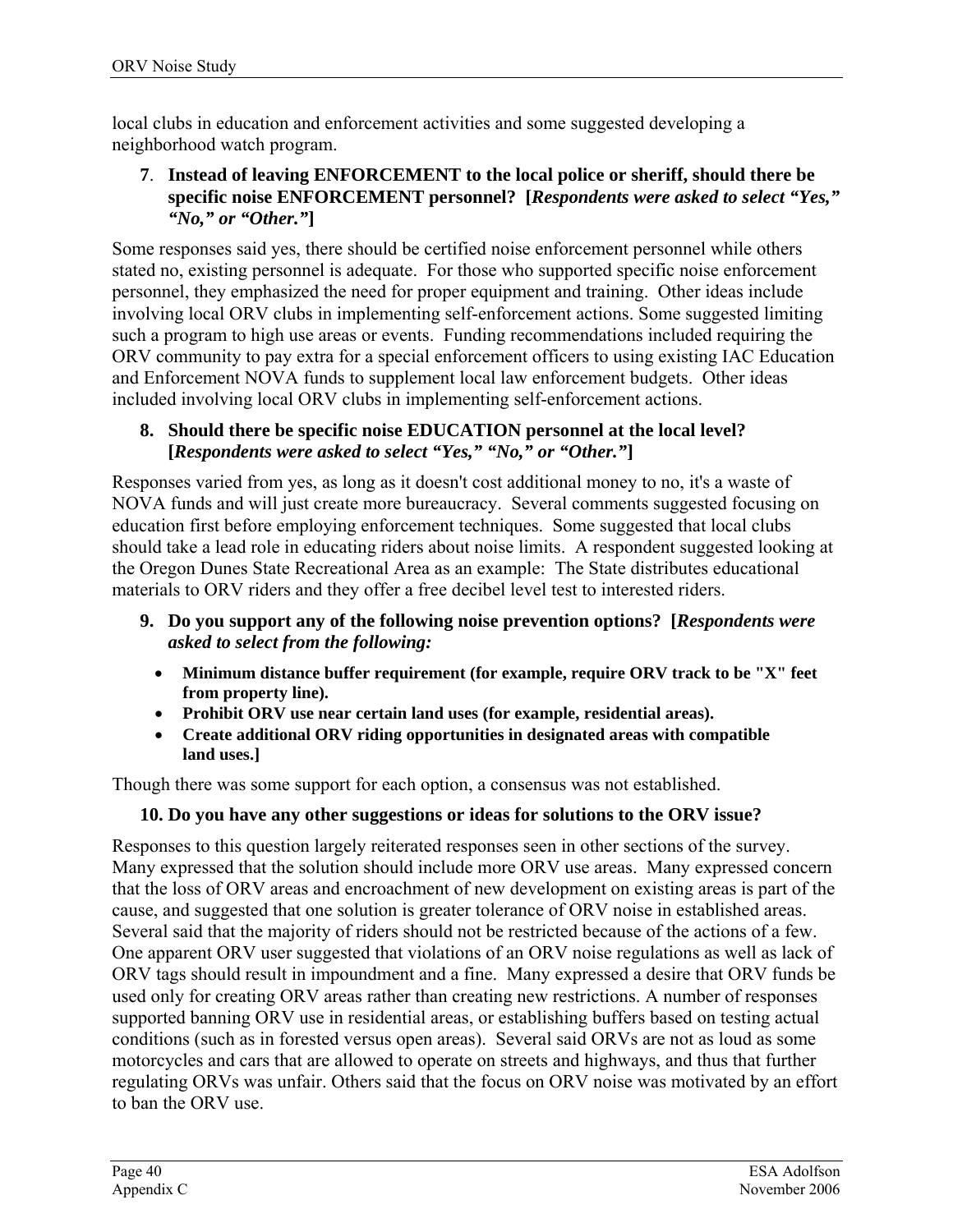local clubs in education and enforcement activities and some suggested developing a neighborhood watch program.

#### **7**. **Instead of leaving ENFORCEMENT to the local police or sheriff, should there be specific noise ENFORCEMENT personnel? [***Respondents were asked to select "Yes," "No," or "Other."***]**

Some responses said yes, there should be certified noise enforcement personnel while others stated no, existing personnel is adequate. For those who supported specific noise enforcement personnel, they emphasized the need for proper equipment and training. Other ideas include involving local ORV clubs in implementing self-enforcement actions. Some suggested limiting such a program to high use areas or events. Funding recommendations included requiring the ORV community to pay extra for a special enforcement officers to using existing IAC Education and Enforcement NOVA funds to supplement local law enforcement budgets. Other ideas included involving local ORV clubs in implementing self-enforcement actions.

#### **8. Should there be specific noise EDUCATION personnel at the local level? [***Respondents were asked to select "Yes," "No," or "Other."***]**

Responses varied from yes, as long as it doesn't cost additional money to no, it's a waste of NOVA funds and will just create more bureaucracy. Several comments suggested focusing on education first before employing enforcement techniques. Some suggested that local clubs should take a lead role in educating riders about noise limits. A respondent suggested looking at the Oregon Dunes State Recreational Area as an example: The State distributes educational materials to ORV riders and they offer a free decibel level test to interested riders.

- **9. Do you support any of the following noise prevention options? [***Respondents were asked to select from the following:* 
	- **Minimum distance buffer requirement (for example, require ORV track to be "X" feet from property line).**
	- **Prohibit ORV use near certain land uses (for example, residential areas).**
	- **Create additional ORV riding opportunities in designated areas with compatible land uses.]**

Though there was some support for each option, a consensus was not established.

## **10. Do you have any other suggestions or ideas for solutions to the ORV issue?**

Responses to this question largely reiterated responses seen in other sections of the survey. Many expressed that the solution should include more ORV use areas. Many expressed concern that the loss of ORV areas and encroachment of new development on existing areas is part of the cause, and suggested that one solution is greater tolerance of ORV noise in established areas. Several said that the majority of riders should not be restricted because of the actions of a few. One apparent ORV user suggested that violations of an ORV noise regulations as well as lack of ORV tags should result in impoundment and a fine. Many expressed a desire that ORV funds be used only for creating ORV areas rather than creating new restrictions. A number of responses supported banning ORV use in residential areas, or establishing buffers based on testing actual conditions (such as in forested versus open areas). Several said ORVs are not as loud as some motorcycles and cars that are allowed to operate on streets and highways, and thus that further regulating ORVs was unfair. Others said that the focus on ORV noise was motivated by an effort to ban the ORV use.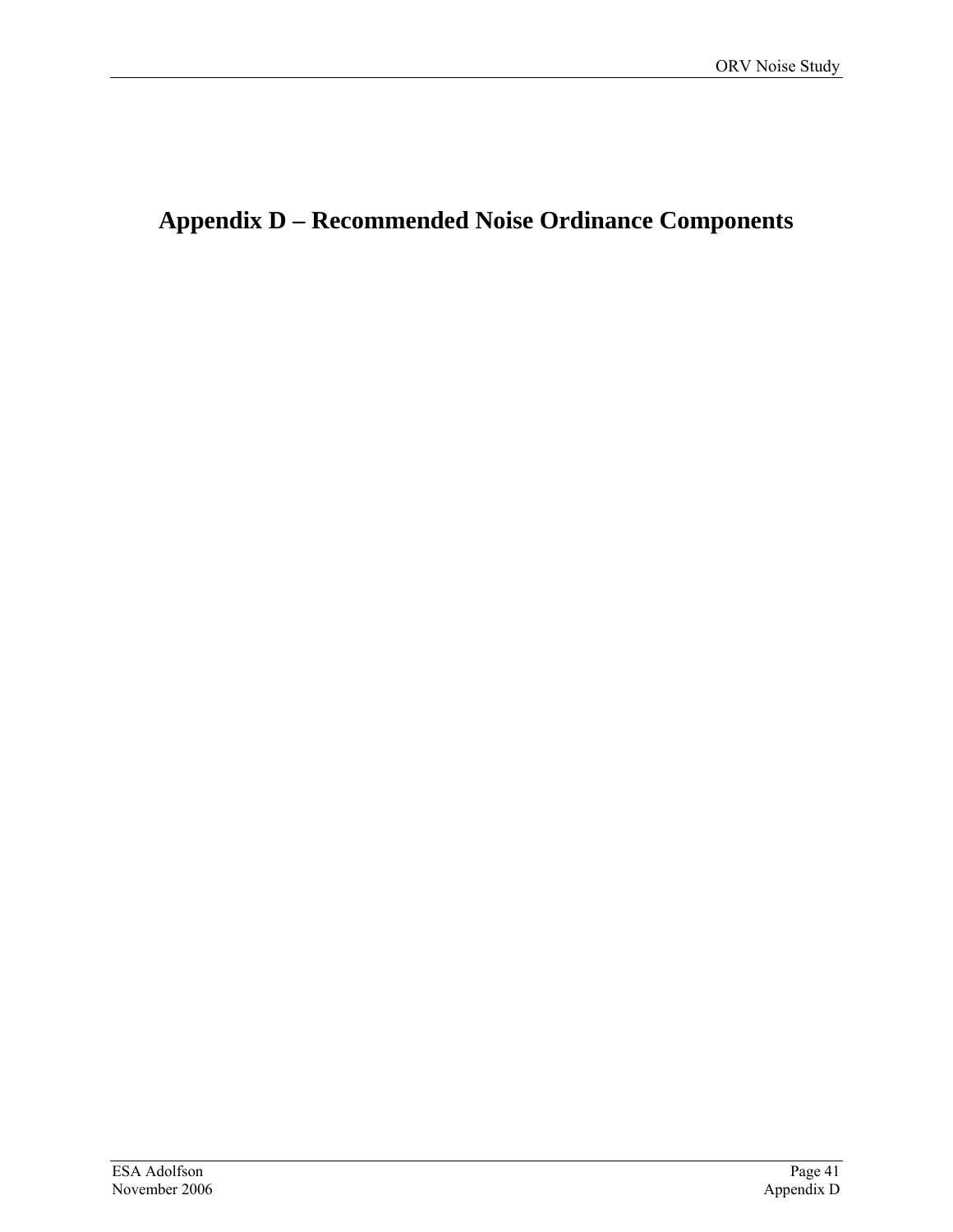# **Appendix D – Recommended Noise Ordinance Components**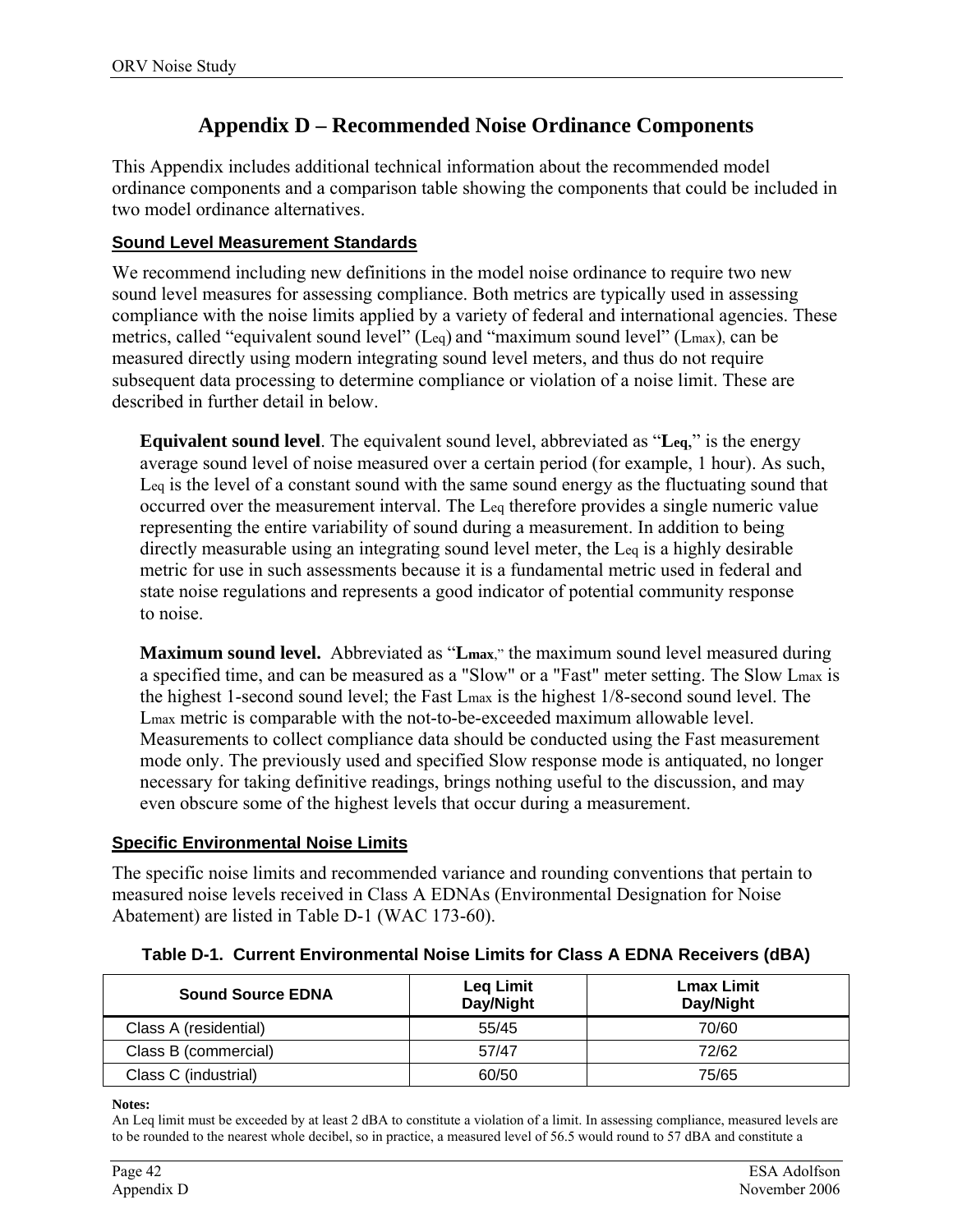## **Appendix D – Recommended Noise Ordinance Components**

This Appendix includes additional technical information about the recommended model ordinance components and a comparison table showing the components that could be included in two model ordinance alternatives.

#### **Sound Level Measurement Standards**

We recommend including new definitions in the model noise ordinance to require two new sound level measures for assessing compliance. Both metrics are typically used in assessing compliance with the noise limits applied by a variety of federal and international agencies. These metrics, called "equivalent sound level" (Leq) and "maximum sound level" (Lmax), can be measured directly using modern integrating sound level meters, and thus do not require subsequent data processing to determine compliance or violation of a noise limit. These are described in further detail in below.

**Equivalent sound level**. The equivalent sound level, abbreviated as "**Leq**," is the energy average sound level of noise measured over a certain period (for example, 1 hour). As such, Leq is the level of a constant sound with the same sound energy as the fluctuating sound that occurred over the measurement interval. The Leq therefore provides a single numeric value representing the entire variability of sound during a measurement. In addition to being directly measurable using an integrating sound level meter, the Leq is a highly desirable metric for use in such assessments because it is a fundamental metric used in federal and state noise regulations and represents a good indicator of potential community response to noise.

**Maximum sound level.** Abbreviated as "**Lmax**," the maximum sound level measured during a specified time, and can be measured as a "Slow" or a "Fast" meter setting. The Slow Lmax is the highest 1-second sound level; the Fast Lmax is the highest 1/8-second sound level. The Lmax metric is comparable with the not-to-be-exceeded maximum allowable level. Measurements to collect compliance data should be conducted using the Fast measurement mode only. The previously used and specified Slow response mode is antiquated, no longer necessary for taking definitive readings, brings nothing useful to the discussion, and may even obscure some of the highest levels that occur during a measurement.

#### **Specific Environmental Noise Limits**

The specific noise limits and recommended variance and rounding conventions that pertain to measured noise levels received in Class A EDNAs (Environmental Designation for Noise Abatement) are listed in Table D-1 (WAC 173-60).

|  | Table D-1. Current Environmental Noise Limits for Class A EDNA Receivers (dBA) |  |  |
|--|--------------------------------------------------------------------------------|--|--|
|--|--------------------------------------------------------------------------------|--|--|

| <b>Sound Source EDNA</b> | <b>Leg Limit</b><br>Day/Night | <b>Lmax Limit</b><br>Day/Night |
|--------------------------|-------------------------------|--------------------------------|
| Class A (residential)    | 55/45                         | 70/60                          |
| Class B (commercial)     | 57/47                         | 72/62                          |
| Class C (industrial)     | 60/50                         | 75/65                          |

**Notes:** 

An Leq limit must be exceeded by at least 2 dBA to constitute a violation of a limit. In assessing compliance, measured levels are to be rounded to the nearest whole decibel, so in practice, a measured level of 56.5 would round to 57 dBA and constitute a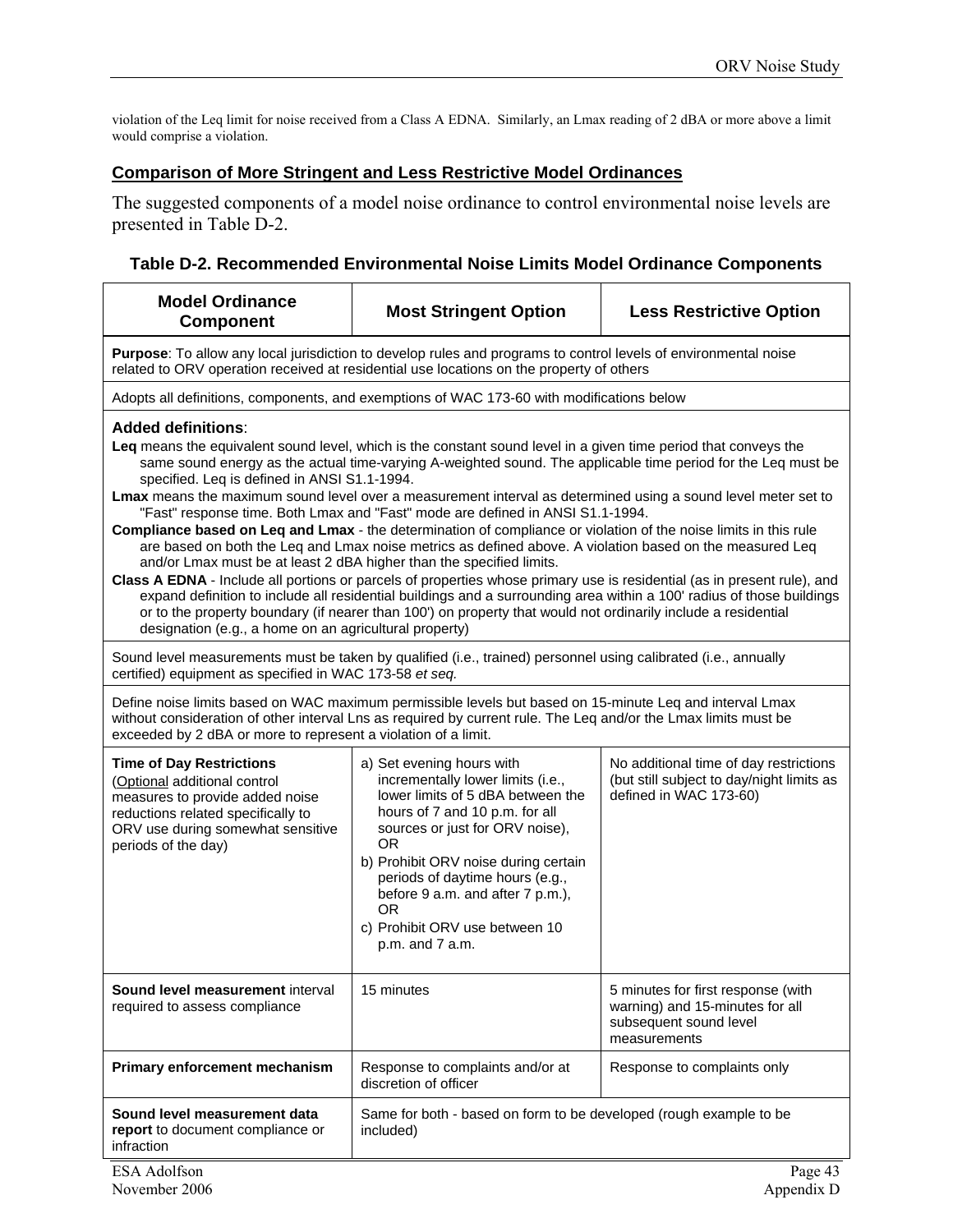violation of the Leq limit for noise received from a Class A EDNA. Similarly, an Lmax reading of 2 dBA or more above a limit would comprise a violation.

#### **Comparison of More Stringent and Less Restrictive Model Ordinances**

The suggested components of a model noise ordinance to control environmental noise levels are presented in Table D-2.

#### **Table D-2. Recommended Environmental Noise Limits Model Ordinance Components**

| <b>Model Ordinance</b><br><b>Component</b>                                                                                                                                                                                                                                                                                                                                                                                                                                                                                                                                                                                                                                                                                                                                                                                                                                                                                                                                                                                                                                                                                                                                                                                                                     | <b>Most Stringent Option</b>                                                                                                                                                                                                                                                                                                                                                                                                                                                            | <b>Less Restrictive Option</b> |  |  |
|----------------------------------------------------------------------------------------------------------------------------------------------------------------------------------------------------------------------------------------------------------------------------------------------------------------------------------------------------------------------------------------------------------------------------------------------------------------------------------------------------------------------------------------------------------------------------------------------------------------------------------------------------------------------------------------------------------------------------------------------------------------------------------------------------------------------------------------------------------------------------------------------------------------------------------------------------------------------------------------------------------------------------------------------------------------------------------------------------------------------------------------------------------------------------------------------------------------------------------------------------------------|-----------------------------------------------------------------------------------------------------------------------------------------------------------------------------------------------------------------------------------------------------------------------------------------------------------------------------------------------------------------------------------------------------------------------------------------------------------------------------------------|--------------------------------|--|--|
| Purpose: To allow any local jurisdiction to develop rules and programs to control levels of environmental noise<br>related to ORV operation received at residential use locations on the property of others                                                                                                                                                                                                                                                                                                                                                                                                                                                                                                                                                                                                                                                                                                                                                                                                                                                                                                                                                                                                                                                    |                                                                                                                                                                                                                                                                                                                                                                                                                                                                                         |                                |  |  |
|                                                                                                                                                                                                                                                                                                                                                                                                                                                                                                                                                                                                                                                                                                                                                                                                                                                                                                                                                                                                                                                                                                                                                                                                                                                                | Adopts all definitions, components, and exemptions of WAC 173-60 with modifications below                                                                                                                                                                                                                                                                                                                                                                                               |                                |  |  |
| <b>Added definitions:</b><br>Leq means the equivalent sound level, which is the constant sound level in a given time period that conveys the<br>same sound energy as the actual time-varying A-weighted sound. The applicable time period for the Leq must be<br>specified. Leq is defined in ANSI S1.1-1994.<br><b>Lmax</b> means the maximum sound level over a measurement interval as determined using a sound level meter set to<br>"Fast" response time. Both Lmax and "Fast" mode are defined in ANSI S1.1-1994.<br>Compliance based on Leq and Lmax - the determination of compliance or violation of the noise limits in this rule<br>are based on both the Leq and Lmax noise metrics as defined above. A violation based on the measured Leq<br>and/or Lmax must be at least 2 dBA higher than the specified limits.<br>Class A EDNA - Include all portions or parcels of properties whose primary use is residential (as in present rule), and<br>expand definition to include all residential buildings and a surrounding area within a 100' radius of those buildings<br>or to the property boundary (if nearer than 100') on property that would not ordinarily include a residential<br>designation (e.g., a home on an agricultural property) |                                                                                                                                                                                                                                                                                                                                                                                                                                                                                         |                                |  |  |
| certified) equipment as specified in WAC 173-58 et seq.                                                                                                                                                                                                                                                                                                                                                                                                                                                                                                                                                                                                                                                                                                                                                                                                                                                                                                                                                                                                                                                                                                                                                                                                        | Sound level measurements must be taken by qualified (i.e., trained) personnel using calibrated (i.e., annually                                                                                                                                                                                                                                                                                                                                                                          |                                |  |  |
| Define noise limits based on WAC maximum permissible levels but based on 15-minute Leq and interval Lmax<br>without consideration of other interval Lns as required by current rule. The Leq and/or the Lmax limits must be<br>exceeded by 2 dBA or more to represent a violation of a limit.                                                                                                                                                                                                                                                                                                                                                                                                                                                                                                                                                                                                                                                                                                                                                                                                                                                                                                                                                                  |                                                                                                                                                                                                                                                                                                                                                                                                                                                                                         |                                |  |  |
| <b>Time of Day Restrictions</b><br>(Optional additional control<br>measures to provide added noise<br>reductions related specifically to<br>ORV use during somewhat sensitive<br>periods of the day)                                                                                                                                                                                                                                                                                                                                                                                                                                                                                                                                                                                                                                                                                                                                                                                                                                                                                                                                                                                                                                                           | a) Set evening hours with<br>No additional time of day restrictions<br>incrementally lower limits (i.e.,<br>(but still subject to day/night limits as<br>lower limits of 5 dBA between the<br>defined in WAC 173-60)<br>hours of 7 and 10 p.m. for all<br>sources or just for ORV noise),<br><b>OR</b><br>b) Prohibit ORV noise during certain<br>periods of daytime hours (e.g.,<br>before 9 a.m. and after 7 p.m.),<br><b>OR</b><br>c) Prohibit ORV use between 10<br>p.m. and 7 a.m. |                                |  |  |
| Sound level measurement interval<br>required to assess compliance                                                                                                                                                                                                                                                                                                                                                                                                                                                                                                                                                                                                                                                                                                                                                                                                                                                                                                                                                                                                                                                                                                                                                                                              | 15 minutes<br>5 minutes for first response (with<br>warning) and 15-minutes for all<br>subsequent sound level<br>measurements                                                                                                                                                                                                                                                                                                                                                           |                                |  |  |
| Primary enforcement mechanism                                                                                                                                                                                                                                                                                                                                                                                                                                                                                                                                                                                                                                                                                                                                                                                                                                                                                                                                                                                                                                                                                                                                                                                                                                  | Response to complaints and/or at<br>discretion of officer                                                                                                                                                                                                                                                                                                                                                                                                                               | Response to complaints only    |  |  |
| Sound level measurement data<br>report to document compliance or<br>infraction                                                                                                                                                                                                                                                                                                                                                                                                                                                                                                                                                                                                                                                                                                                                                                                                                                                                                                                                                                                                                                                                                                                                                                                 | Same for both - based on form to be developed (rough example to be<br>included)                                                                                                                                                                                                                                                                                                                                                                                                         |                                |  |  |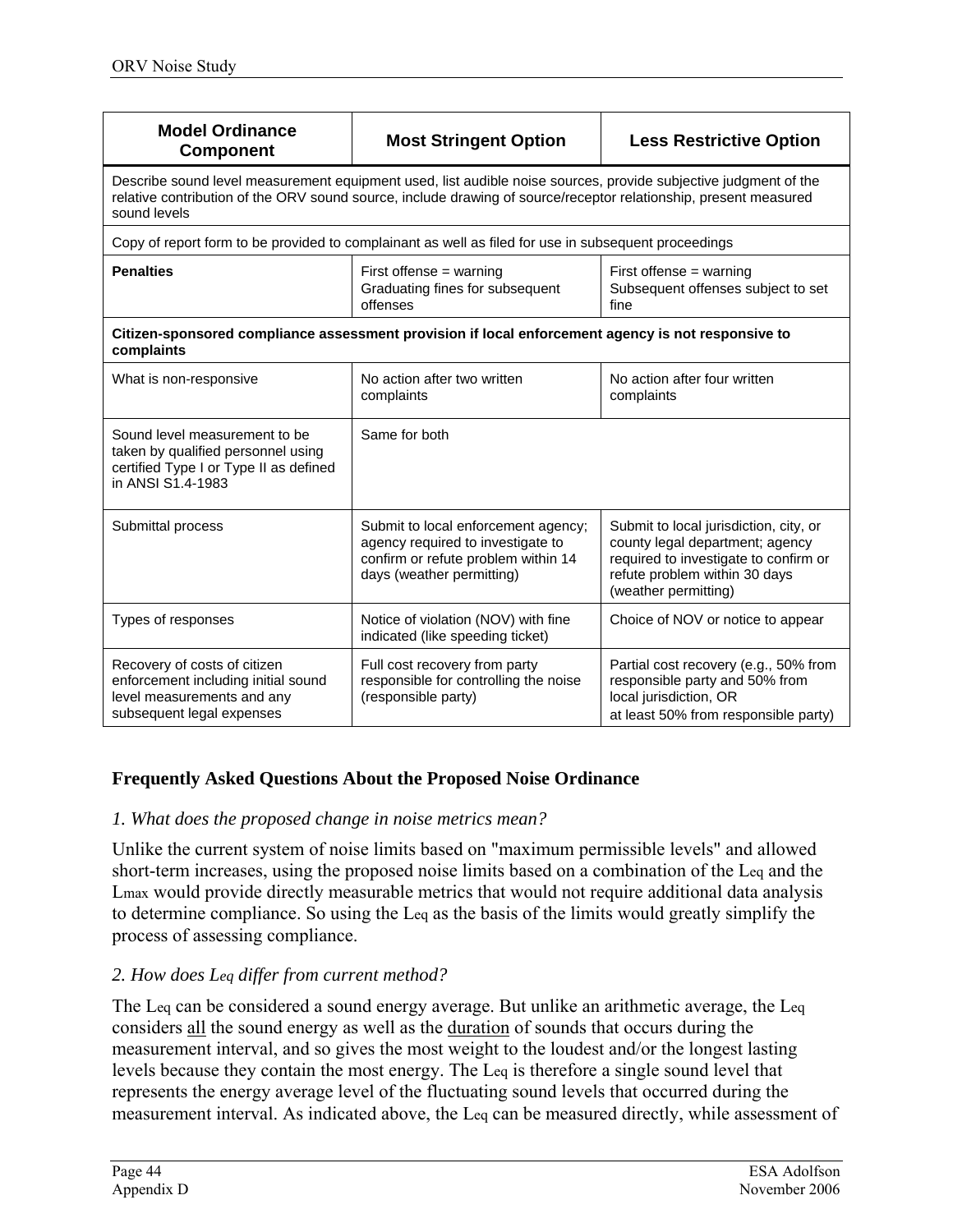| <b>Model Ordinance</b><br><b>Component</b>                                                                                                                                                                                                          | <b>Most Stringent Option</b>                                                                                                                 | <b>Less Restrictive Option</b>                                                                                                                                              |  |  |  |
|-----------------------------------------------------------------------------------------------------------------------------------------------------------------------------------------------------------------------------------------------------|----------------------------------------------------------------------------------------------------------------------------------------------|-----------------------------------------------------------------------------------------------------------------------------------------------------------------------------|--|--|--|
| Describe sound level measurement equipment used, list audible noise sources, provide subjective judgment of the<br>relative contribution of the ORV sound source, include drawing of source/receptor relationship, present measured<br>sound levels |                                                                                                                                              |                                                                                                                                                                             |  |  |  |
|                                                                                                                                                                                                                                                     | Copy of report form to be provided to complainant as well as filed for use in subsequent proceedings                                         |                                                                                                                                                                             |  |  |  |
| <b>Penalties</b>                                                                                                                                                                                                                                    | First offense $=$ warning<br>Graduating fines for subsequent<br>offenses                                                                     | First offense $=$ warning<br>Subsequent offenses subject to set<br>fine                                                                                                     |  |  |  |
| Citizen-sponsored compliance assessment provision if local enforcement agency is not responsive to<br>complaints                                                                                                                                    |                                                                                                                                              |                                                                                                                                                                             |  |  |  |
| What is non-responsive                                                                                                                                                                                                                              | No action after two written<br>complaints                                                                                                    | No action after four written<br>complaints                                                                                                                                  |  |  |  |
| Sound level measurement to be<br>taken by qualified personnel using<br>certified Type I or Type II as defined<br>in ANSI S1.4-1983                                                                                                                  | Same for both                                                                                                                                |                                                                                                                                                                             |  |  |  |
| Submittal process                                                                                                                                                                                                                                   | Submit to local enforcement agency;<br>agency required to investigate to<br>confirm or refute problem within 14<br>days (weather permitting) | Submit to local jurisdiction, city, or<br>county legal department; agency<br>required to investigate to confirm or<br>refute problem within 30 days<br>(weather permitting) |  |  |  |
| Types of responses                                                                                                                                                                                                                                  | Notice of violation (NOV) with fine<br>indicated (like speeding ticket)                                                                      | Choice of NOV or notice to appear                                                                                                                                           |  |  |  |
| Recovery of costs of citizen<br>enforcement including initial sound<br>level measurements and any<br>subsequent legal expenses                                                                                                                      | Full cost recovery from party<br>responsible for controlling the noise<br>(responsible party)                                                | Partial cost recovery (e.g., 50% from<br>responsible party and 50% from<br>local jurisdiction, OR<br>at least 50% from responsible party)                                   |  |  |  |

## **Frequently Asked Questions About the Proposed Noise Ordinance**

#### *1. What does the proposed change in noise metrics mean?*

Unlike the current system of noise limits based on "maximum permissible levels" and allowed short-term increases, using the proposed noise limits based on a combination of the Leq and the Lmax would provide directly measurable metrics that would not require additional data analysis to determine compliance. So using the Leq as the basis of the limits would greatly simplify the process of assessing compliance.

#### *2. How does Leq differ from current method?*

The Leq can be considered a sound energy average. But unlike an arithmetic average, the Leq considers all the sound energy as well as the duration of sounds that occurs during the measurement interval, and so gives the most weight to the loudest and/or the longest lasting levels because they contain the most energy. The Leq is therefore a single sound level that represents the energy average level of the fluctuating sound levels that occurred during the measurement interval. As indicated above, the Leq can be measured directly, while assessment of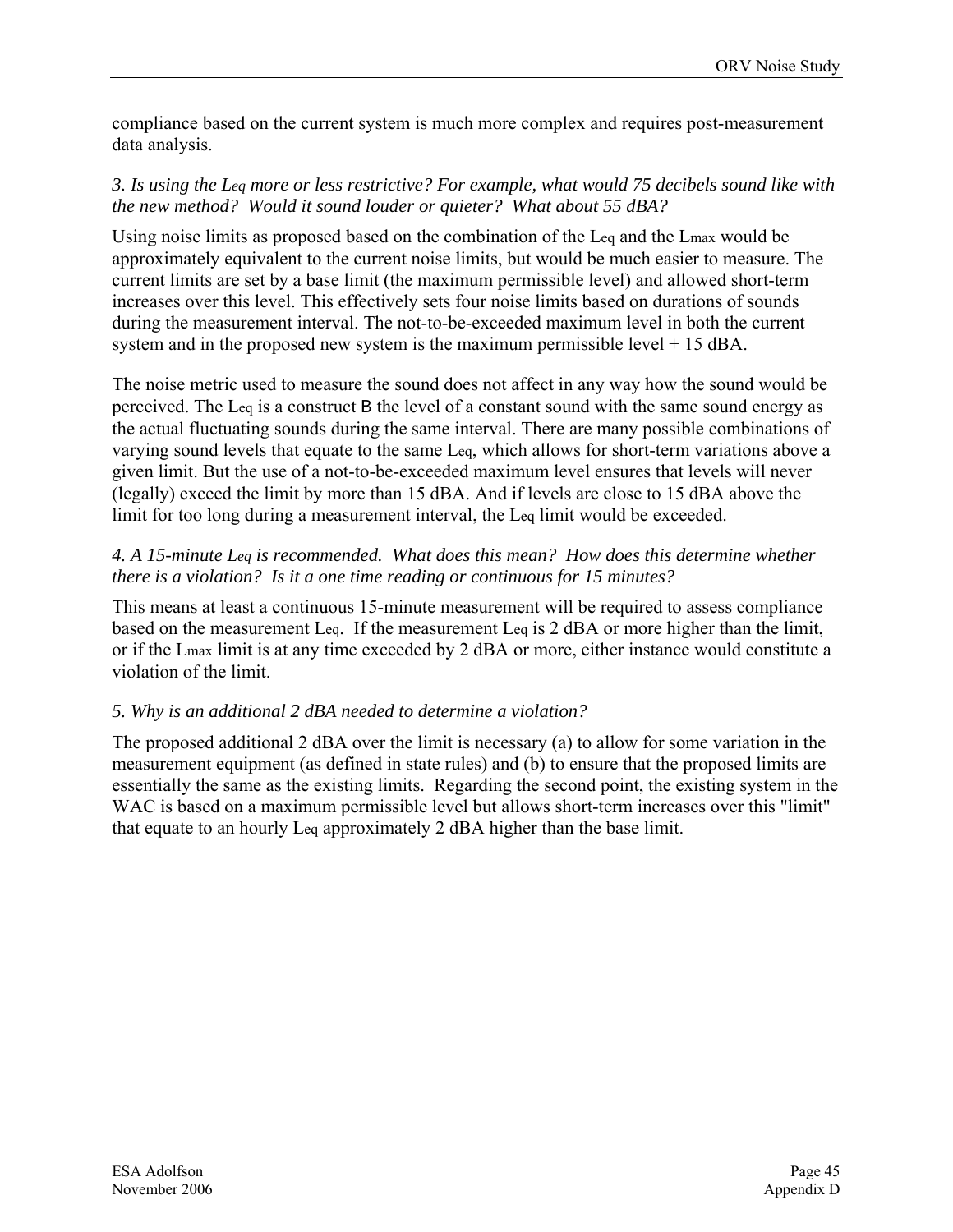compliance based on the current system is much more complex and requires post-measurement data analysis.

#### *3. Is using the Leq more or less restrictive? For example, what would 75 decibels sound like with the new method? Would it sound louder or quieter? What about 55 dBA?*

Using noise limits as proposed based on the combination of the Leq and the Lmax would be approximately equivalent to the current noise limits, but would be much easier to measure. The current limits are set by a base limit (the maximum permissible level) and allowed short-term increases over this level. This effectively sets four noise limits based on durations of sounds during the measurement interval. The not-to-be-exceeded maximum level in both the current system and in the proposed new system is the maximum permissible level  $+ 15$  dBA.

The noise metric used to measure the sound does not affect in any way how the sound would be perceived. The Leq is a construct B the level of a constant sound with the same sound energy as the actual fluctuating sounds during the same interval. There are many possible combinations of varying sound levels that equate to the same Leq, which allows for short-term variations above a given limit. But the use of a not-to-be-exceeded maximum level ensures that levels will never (legally) exceed the limit by more than 15 dBA. And if levels are close to 15 dBA above the limit for too long during a measurement interval, the Leq limit would be exceeded.

#### *4. A 15-minute Leq is recommended. What does this mean? How does this determine whether there is a violation? Is it a one time reading or continuous for 15 minutes?*

This means at least a continuous 15-minute measurement will be required to assess compliance based on the measurement Leq. If the measurement Leq is 2 dBA or more higher than the limit, or if the Lmax limit is at any time exceeded by 2 dBA or more, either instance would constitute a violation of the limit.

#### *5. Why is an additional 2 dBA needed to determine a violation?*

The proposed additional 2 dBA over the limit is necessary (a) to allow for some variation in the measurement equipment (as defined in state rules) and (b) to ensure that the proposed limits are essentially the same as the existing limits. Regarding the second point, the existing system in the WAC is based on a maximum permissible level but allows short-term increases over this "limit" that equate to an hourly Leq approximately 2 dBA higher than the base limit.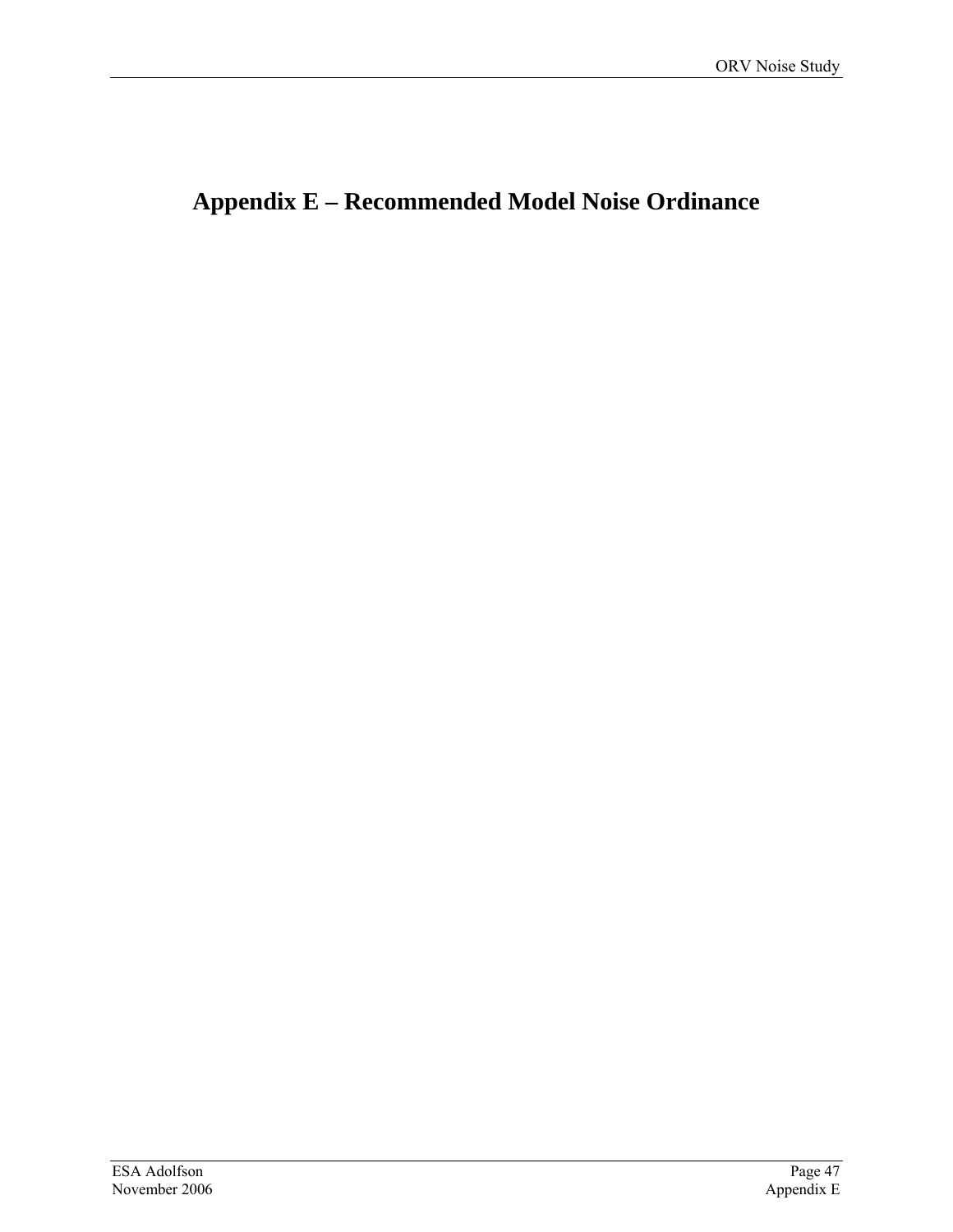# **Appendix E – Recommended Model Noise Ordinance**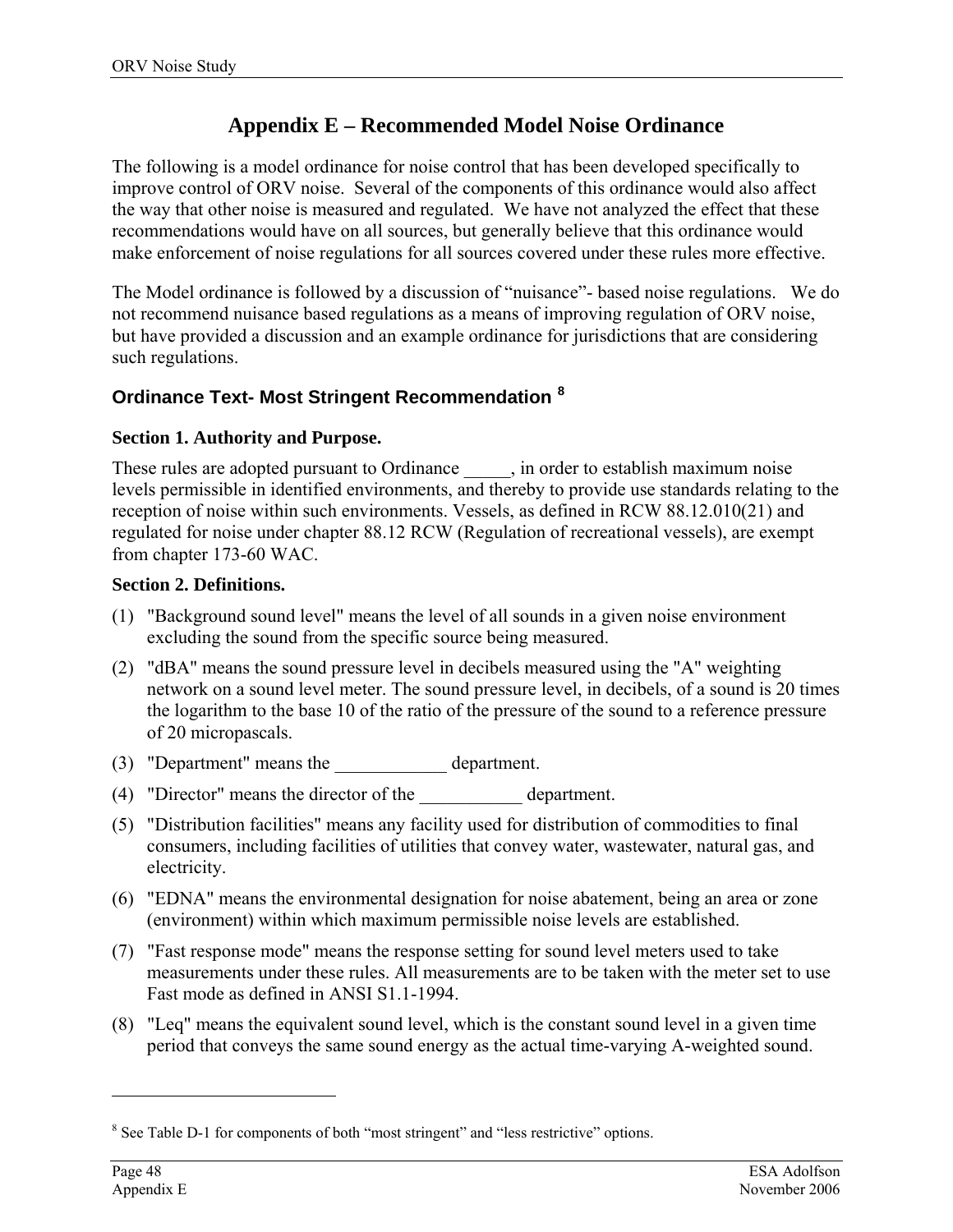# **Appendix E – Recommended Model Noise Ordinance**

The following is a model ordinance for noise control that has been developed specifically to improve control of ORV noise. Several of the components of this ordinance would also affect the way that other noise is measured and regulated. We have not analyzed the effect that these recommendations would have on all sources, but generally believe that this ordinance would make enforcement of noise regulations for all sources covered under these rules more effective.

The Model ordinance is followed by a discussion of "nuisance"- based noise regulations. We do not recommend nuisance based regulations as a means of improving regulation of ORV noise, but have provided a discussion and an example ordinance for jurisdictions that are considering such regulations.

## **Ordinance Text- Most Stringent Recommendation [8](#page-53-0)**

#### **Section 1. Authority and Purpose.**

These rules are adopted pursuant to Ordinance \_\_\_\_\_, in order to establish maximum noise levels permissible in identified environments, and thereby to provide use standards relating to the reception of noise within such environments. Vessels, as defined in RCW 88.12.010(21) and regulated for noise under chapter 88.12 RCW (Regulation of recreational vessels), are exempt from chapter 173-60 WAC.

#### **Section 2. Definitions.**

- (1) "Background sound level" means the level of all sounds in a given noise environment excluding the sound from the specific source being measured.
- (2) "dBA" means the sound pressure level in decibels measured using the "A" weighting network on a sound level meter. The sound pressure level, in decibels, of a sound is 20 times the logarithm to the base 10 of the ratio of the pressure of the sound to a reference pressure of 20 micropascals.
- (3) "Department" means the department.
- (4) "Director" means the director of the \_\_\_\_\_\_\_\_\_\_\_ department.
- (5) "Distribution facilities" means any facility used for distribution of commodities to final consumers, including facilities of utilities that convey water, wastewater, natural gas, and electricity.
- (6) "EDNA" means the environmental designation for noise abatement, being an area or zone (environment) within which maximum permissible noise levels are established.
- (7) "Fast response mode" means the response setting for sound level meters used to take measurements under these rules. All measurements are to be taken with the meter set to use Fast mode as defined in ANSI S1.1-1994.
- (8) "Leq" means the equivalent sound level, which is the constant sound level in a given time period that conveys the same sound energy as the actual time-varying A-weighted sound.

 $\overline{a}$ 

<span id="page-53-0"></span><sup>&</sup>lt;sup>8</sup> See Table D-1 for components of both "most stringent" and "less restrictive" options.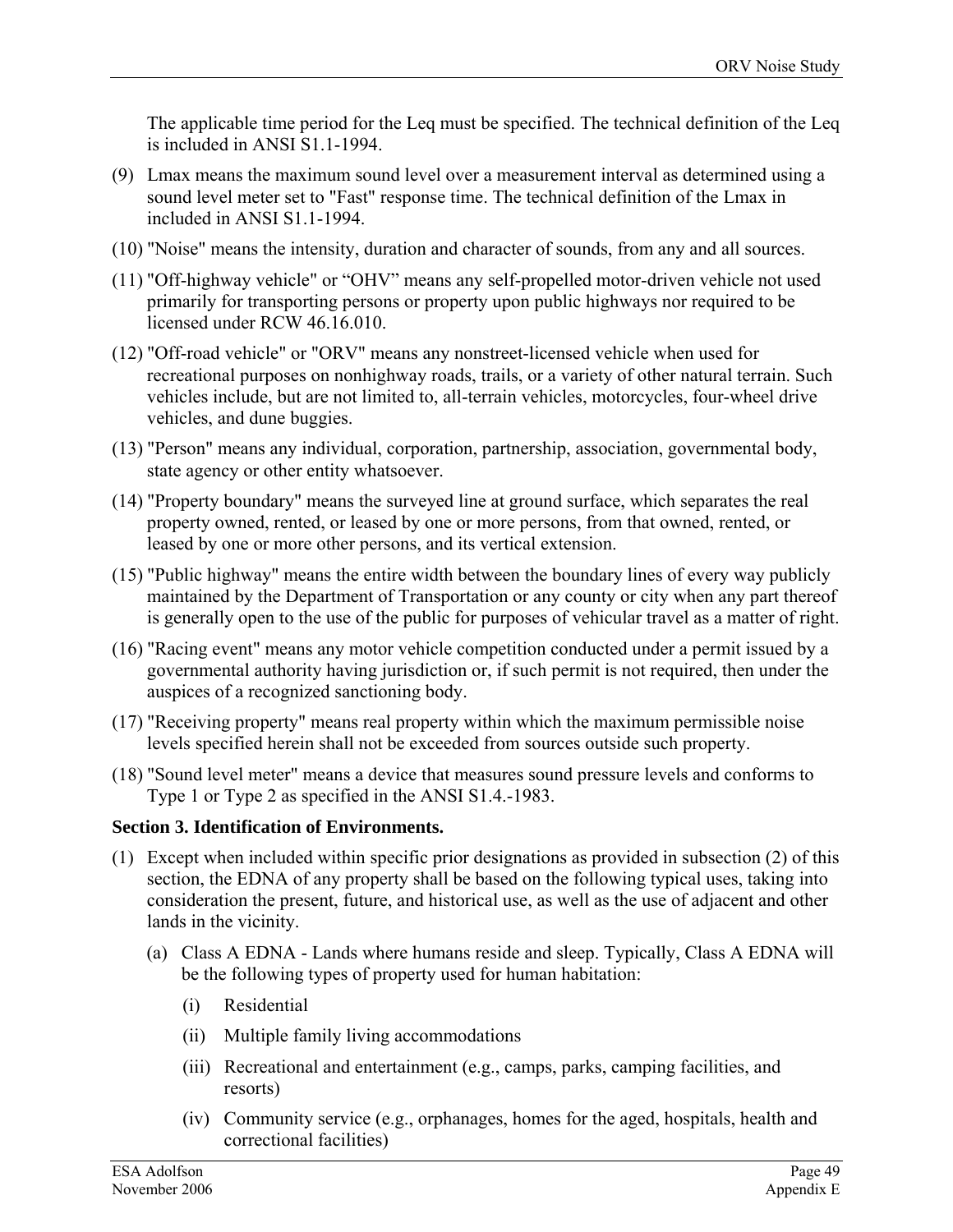The applicable time period for the Leq must be specified. The technical definition of the Leq is included in ANSI S1.1-1994.

- (9) Lmax means the maximum sound level over a measurement interval as determined using a sound level meter set to "Fast" response time. The technical definition of the Lmax in included in ANSI S1.1-1994.
- (10) "Noise" means the intensity, duration and character of sounds, from any and all sources.
- (11) "Off-highway vehicle" or "OHV" means any self-propelled motor-driven vehicle not used primarily for transporting persons or property upon public highways nor required to be licensed under RCW 46.16.010.
- (12) "Off-road vehicle" or "ORV" means any nonstreet-licensed vehicle when used for recreational purposes on nonhighway roads, trails, or a variety of other natural terrain. Such vehicles include, but are not limited to, all-terrain vehicles, motorcycles, four-wheel drive vehicles, and dune buggies.
- (13) "Person" means any individual, corporation, partnership, association, governmental body, state agency or other entity whatsoever.
- (14) "Property boundary" means the surveyed line at ground surface, which separates the real property owned, rented, or leased by one or more persons, from that owned, rented, or leased by one or more other persons, and its vertical extension.
- (15) "Public highway" means the entire width between the boundary lines of every way publicly maintained by the Department of Transportation or any county or city when any part thereof is generally open to the use of the public for purposes of vehicular travel as a matter of right.
- (16) "Racing event" means any motor vehicle competition conducted under a permit issued by a governmental authority having jurisdiction or, if such permit is not required, then under the auspices of a recognized sanctioning body.
- (17) "Receiving property" means real property within which the maximum permissible noise levels specified herein shall not be exceeded from sources outside such property.
- (18) "Sound level meter" means a device that measures sound pressure levels and conforms to Type 1 or Type 2 as specified in the ANSI S1.4.-1983.

#### **Section 3. Identification of Environments.**

- (1) Except when included within specific prior designations as provided in subsection (2) of this section, the EDNA of any property shall be based on the following typical uses, taking into consideration the present, future, and historical use, as well as the use of adjacent and other lands in the vicinity.
	- (a) Class A EDNA Lands where humans reside and sleep. Typically, Class A EDNA will be the following types of property used for human habitation:
		- (i) Residential
		- (ii) Multiple family living accommodations
		- (iii) Recreational and entertainment (e.g., camps, parks, camping facilities, and resorts)
		- (iv) Community service (e.g., orphanages, homes for the aged, hospitals, health and correctional facilities)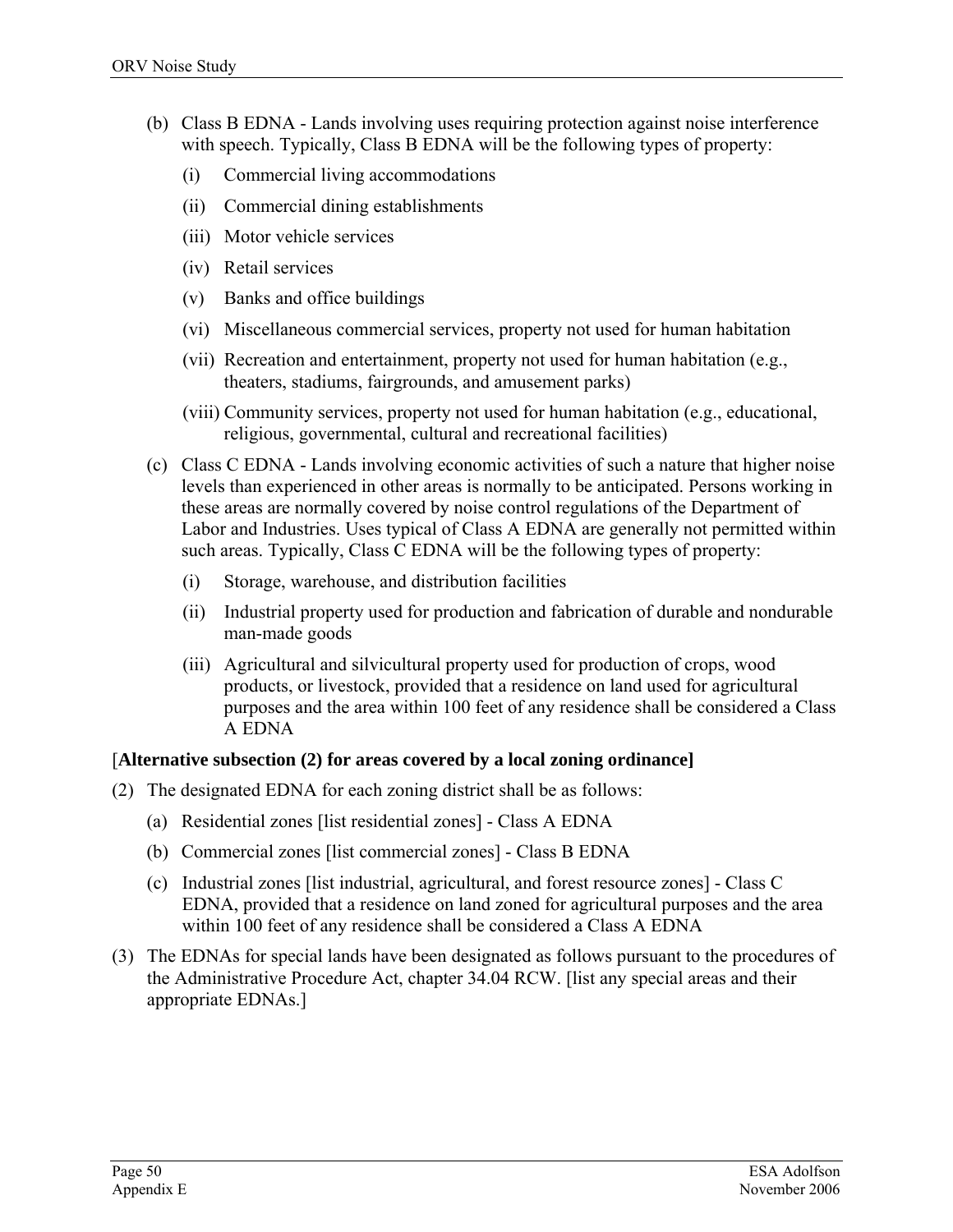- (b) Class B EDNA Lands involving uses requiring protection against noise interference with speech. Typically, Class B EDNA will be the following types of property:
	- (i) Commercial living accommodations
	- (ii) Commercial dining establishments
	- (iii) Motor vehicle services
	- (iv) Retail services
	- (v) Banks and office buildings
	- (vi) Miscellaneous commercial services, property not used for human habitation
	- (vii) Recreation and entertainment, property not used for human habitation (e.g., theaters, stadiums, fairgrounds, and amusement parks)
	- (viii) Community services, property not used for human habitation (e.g., educational, religious, governmental, cultural and recreational facilities)
- (c) Class C EDNA Lands involving economic activities of such a nature that higher noise levels than experienced in other areas is normally to be anticipated. Persons working in these areas are normally covered by noise control regulations of the Department of Labor and Industries. Uses typical of Class A EDNA are generally not permitted within such areas. Typically, Class C EDNA will be the following types of property:
	- (i) Storage, warehouse, and distribution facilities
	- (ii) Industrial property used for production and fabrication of durable and nondurable man-made goods
	- (iii) Agricultural and silvicultural property used for production of crops, wood products, or livestock, provided that a residence on land used for agricultural purposes and the area within 100 feet of any residence shall be considered a Class A EDNA

#### [**Alternative subsection (2) for areas covered by a local zoning ordinance]**

- (2) The designated EDNA for each zoning district shall be as follows:
	- (a) Residential zones [list residential zones] Class A EDNA
	- (b) Commercial zones [list commercial zones] Class B EDNA
	- (c) Industrial zones [list industrial, agricultural, and forest resource zones] Class C EDNA, provided that a residence on land zoned for agricultural purposes and the area within 100 feet of any residence shall be considered a Class A EDNA
- (3) The EDNAs for special lands have been designated as follows pursuant to the procedures of the Administrative Procedure Act, chapter 34.04 RCW. [list any special areas and their appropriate EDNAs.]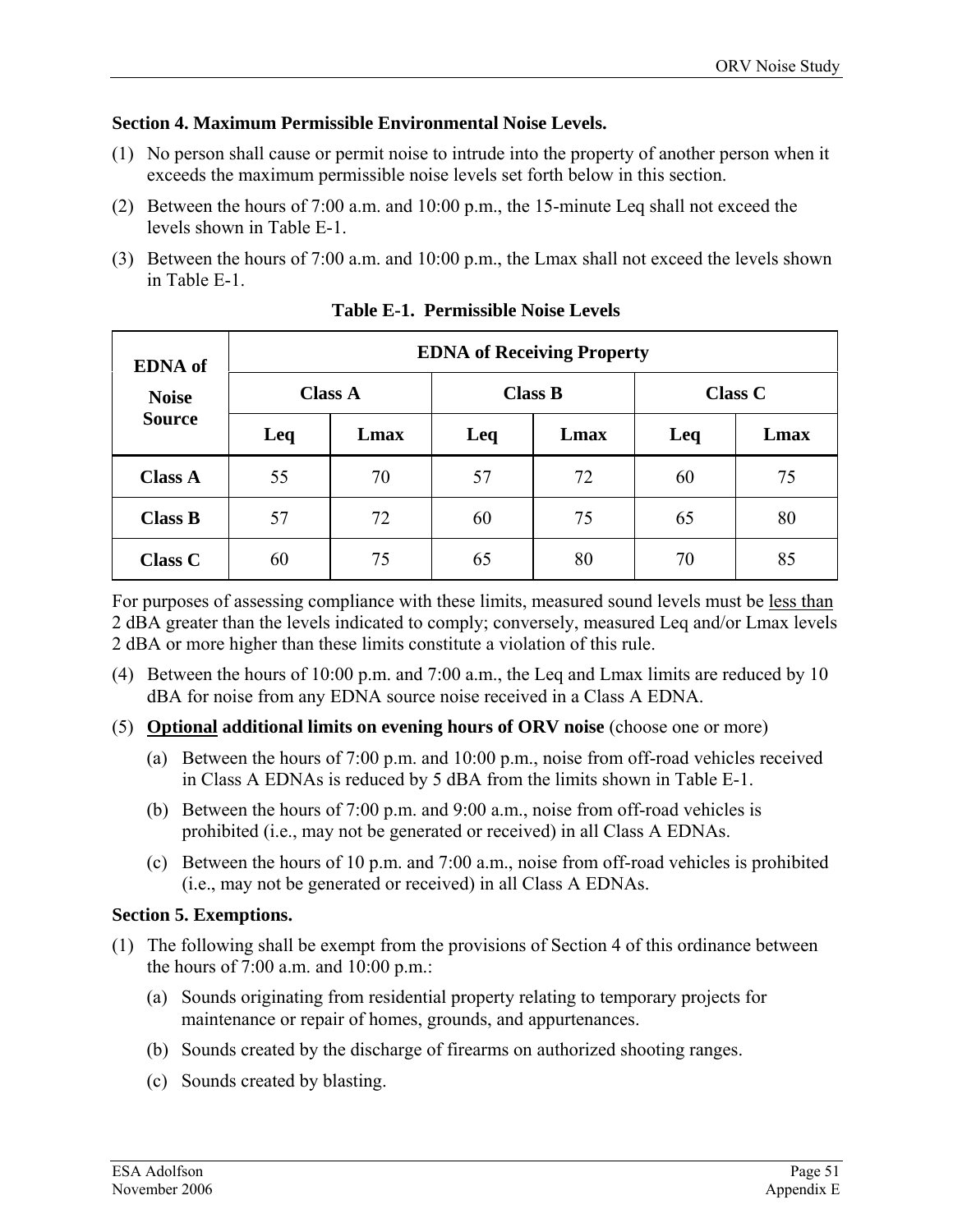#### **Section 4. Maximum Permissible Environmental Noise Levels.**

- (1) No person shall cause or permit noise to intrude into the property of another person when it exceeds the maximum permissible noise levels set forth below in this section.
- (2) Between the hours of 7:00 a.m. and 10:00 p.m., the 15-minute Leq shall not exceed the levels shown in Table E-1.
- (3) Between the hours of 7:00 a.m. and 10:00 p.m., the Lmax shall not exceed the levels shown in Table E-1.

| <b>EDNA</b> of | <b>EDNA</b> of Receiving Property |      |                |      |                |      |
|----------------|-----------------------------------|------|----------------|------|----------------|------|
| <b>Noise</b>   | <b>Class A</b>                    |      | <b>Class B</b> |      | <b>Class C</b> |      |
| <b>Source</b>  | Leq                               | Lmax | Leq            | Lmax | Leq            | Lmax |
| <b>Class A</b> | 55                                | 70   | 57             | 72   | 60             | 75   |
| <b>Class B</b> | 57                                | 72   | 60             | 75   | 65             | 80   |
| <b>Class C</b> | 60                                | 75   | 65             | 80   | 70             | 85   |

**Table E-1. Permissible Noise Levels** 

For purposes of assessing compliance with these limits, measured sound levels must be less than 2 dBA greater than the levels indicated to comply; conversely, measured Leq and/or Lmax levels 2 dBA or more higher than these limits constitute a violation of this rule.

- (4) Between the hours of 10:00 p.m. and 7:00 a.m., the Leq and Lmax limits are reduced by 10 dBA for noise from any EDNA source noise received in a Class A EDNA.
- (5) **Optional additional limits on evening hours of ORV noise** (choose one or more)
	- (a) Between the hours of 7:00 p.m. and 10:00 p.m., noise from off-road vehicles received in Class A EDNAs is reduced by 5 dBA from the limits shown in Table E-1.
	- (b) Between the hours of 7:00 p.m. and 9:00 a.m., noise from off-road vehicles is prohibited (i.e., may not be generated or received) in all Class A EDNAs.
	- (c) Between the hours of 10 p.m. and 7:00 a.m., noise from off-road vehicles is prohibited (i.e., may not be generated or received) in all Class A EDNAs.

## **Section 5. Exemptions.**

- (1) The following shall be exempt from the provisions of Section 4 of this ordinance between the hours of 7:00 a.m. and 10:00 p.m.:
	- (a) Sounds originating from residential property relating to temporary projects for maintenance or repair of homes, grounds, and appurtenances.
	- (b) Sounds created by the discharge of firearms on authorized shooting ranges.
	- (c) Sounds created by blasting.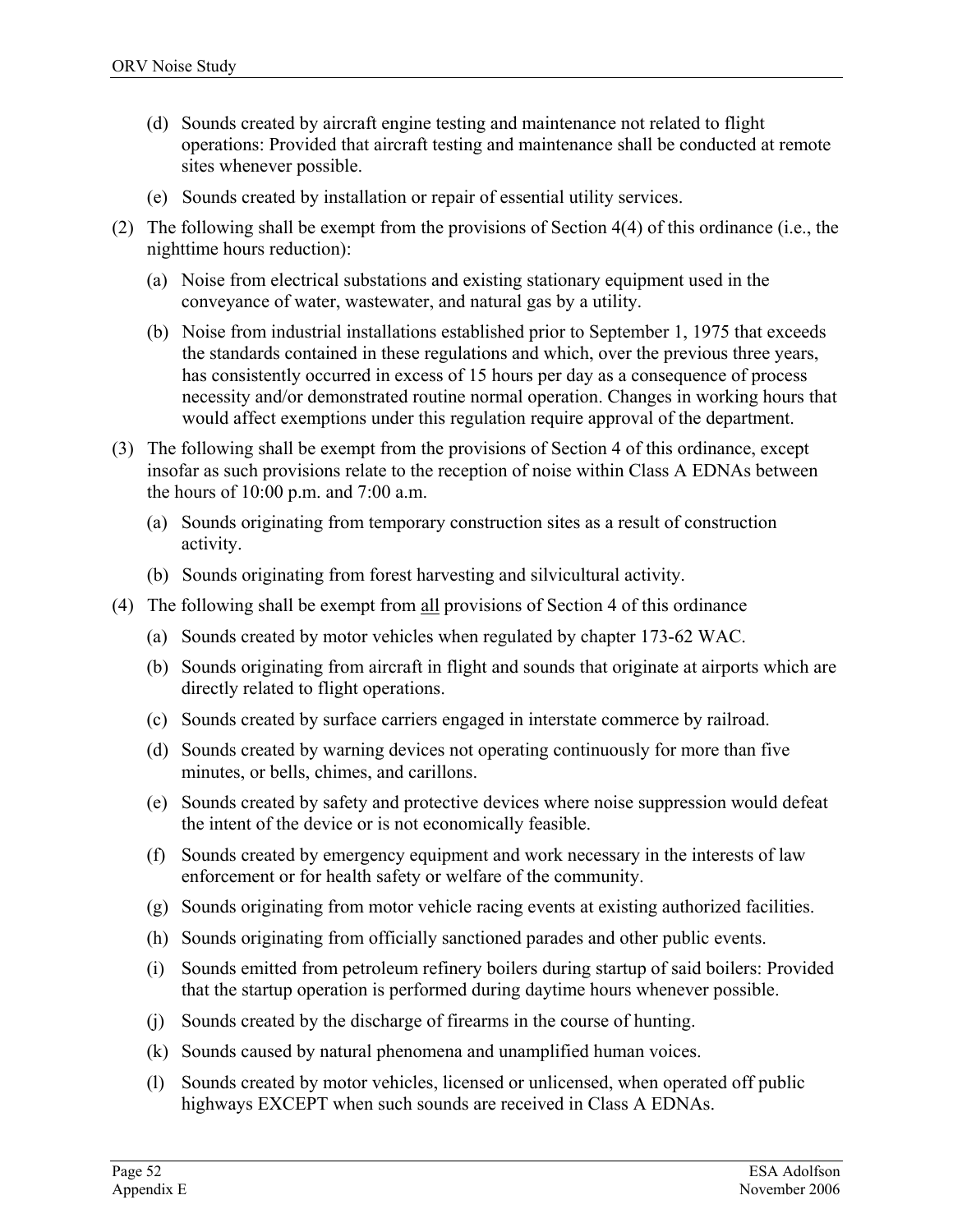- (d) Sounds created by aircraft engine testing and maintenance not related to flight operations: Provided that aircraft testing and maintenance shall be conducted at remote sites whenever possible.
- (e) Sounds created by installation or repair of essential utility services.
- (2) The following shall be exempt from the provisions of Section 4(4) of this ordinance (i.e., the nighttime hours reduction):
	- (a) Noise from electrical substations and existing stationary equipment used in the conveyance of water, wastewater, and natural gas by a utility.
	- (b) Noise from industrial installations established prior to September 1, 1975 that exceeds the standards contained in these regulations and which, over the previous three years, has consistently occurred in excess of 15 hours per day as a consequence of process necessity and/or demonstrated routine normal operation. Changes in working hours that would affect exemptions under this regulation require approval of the department.
- (3) The following shall be exempt from the provisions of Section 4 of this ordinance, except insofar as such provisions relate to the reception of noise within Class A EDNAs between the hours of 10:00 p.m. and 7:00 a.m.
	- (a) Sounds originating from temporary construction sites as a result of construction activity.
	- (b) Sounds originating from forest harvesting and silvicultural activity.
- (4) The following shall be exempt from all provisions of Section 4 of this ordinance
	- (a) Sounds created by motor vehicles when regulated by chapter 173-62 WAC.
	- (b) Sounds originating from aircraft in flight and sounds that originate at airports which are directly related to flight operations.
	- (c) Sounds created by surface carriers engaged in interstate commerce by railroad.
	- (d) Sounds created by warning devices not operating continuously for more than five minutes, or bells, chimes, and carillons.
	- (e) Sounds created by safety and protective devices where noise suppression would defeat the intent of the device or is not economically feasible.
	- (f) Sounds created by emergency equipment and work necessary in the interests of law enforcement or for health safety or welfare of the community.
	- (g) Sounds originating from motor vehicle racing events at existing authorized facilities.
	- (h) Sounds originating from officially sanctioned parades and other public events.
	- (i) Sounds emitted from petroleum refinery boilers during startup of said boilers: Provided that the startup operation is performed during daytime hours whenever possible.
	- (j) Sounds created by the discharge of firearms in the course of hunting.
	- (k) Sounds caused by natural phenomena and unamplified human voices.
	- (l) Sounds created by motor vehicles, licensed or unlicensed, when operated off public highways EXCEPT when such sounds are received in Class A EDNAs.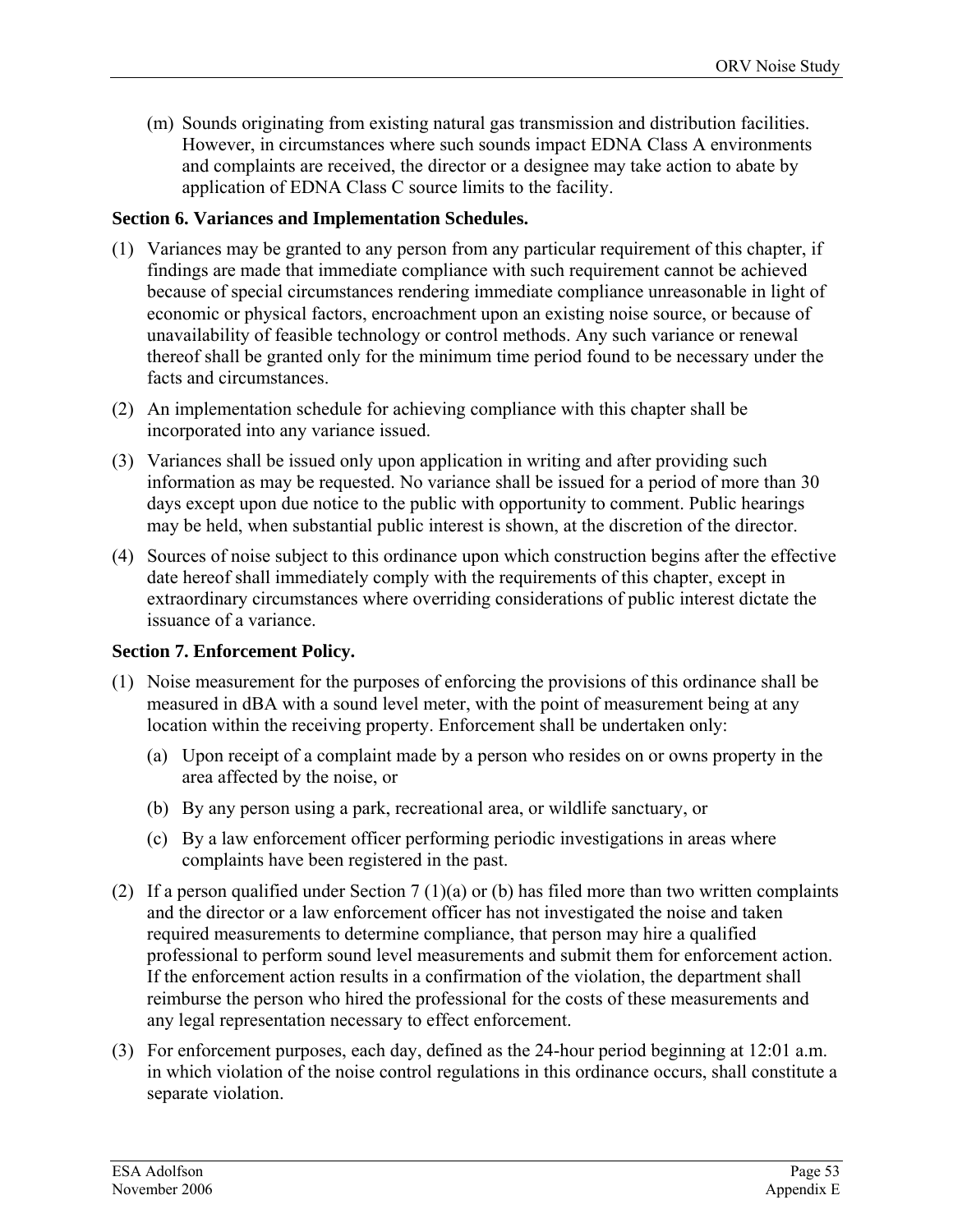(m) Sounds originating from existing natural gas transmission and distribution facilities. However, in circumstances where such sounds impact EDNA Class A environments and complaints are received, the director or a designee may take action to abate by application of EDNA Class C source limits to the facility.

#### **Section 6. Variances and Implementation Schedules.**

- (1) Variances may be granted to any person from any particular requirement of this chapter, if findings are made that immediate compliance with such requirement cannot be achieved because of special circumstances rendering immediate compliance unreasonable in light of economic or physical factors, encroachment upon an existing noise source, or because of unavailability of feasible technology or control methods. Any such variance or renewal thereof shall be granted only for the minimum time period found to be necessary under the facts and circumstances.
- (2) An implementation schedule for achieving compliance with this chapter shall be incorporated into any variance issued.
- (3) Variances shall be issued only upon application in writing and after providing such information as may be requested. No variance shall be issued for a period of more than 30 days except upon due notice to the public with opportunity to comment. Public hearings may be held, when substantial public interest is shown, at the discretion of the director.
- (4) Sources of noise subject to this ordinance upon which construction begins after the effective date hereof shall immediately comply with the requirements of this chapter, except in extraordinary circumstances where overriding considerations of public interest dictate the issuance of a variance.

#### **Section 7. Enforcement Policy.**

- (1) Noise measurement for the purposes of enforcing the provisions of this ordinance shall be measured in dBA with a sound level meter, with the point of measurement being at any location within the receiving property. Enforcement shall be undertaken only:
	- (a) Upon receipt of a complaint made by a person who resides on or owns property in the area affected by the noise, or
	- (b) By any person using a park, recreational area, or wildlife sanctuary, or
	- (c) By a law enforcement officer performing periodic investigations in areas where complaints have been registered in the past.
- (2) If a person qualified under Section 7 (1)(a) or (b) has filed more than two written complaints and the director or a law enforcement officer has not investigated the noise and taken required measurements to determine compliance, that person may hire a qualified professional to perform sound level measurements and submit them for enforcement action. If the enforcement action results in a confirmation of the violation, the department shall reimburse the person who hired the professional for the costs of these measurements and any legal representation necessary to effect enforcement.
- (3) For enforcement purposes, each day, defined as the 24-hour period beginning at 12:01 a.m. in which violation of the noise control regulations in this ordinance occurs, shall constitute a separate violation.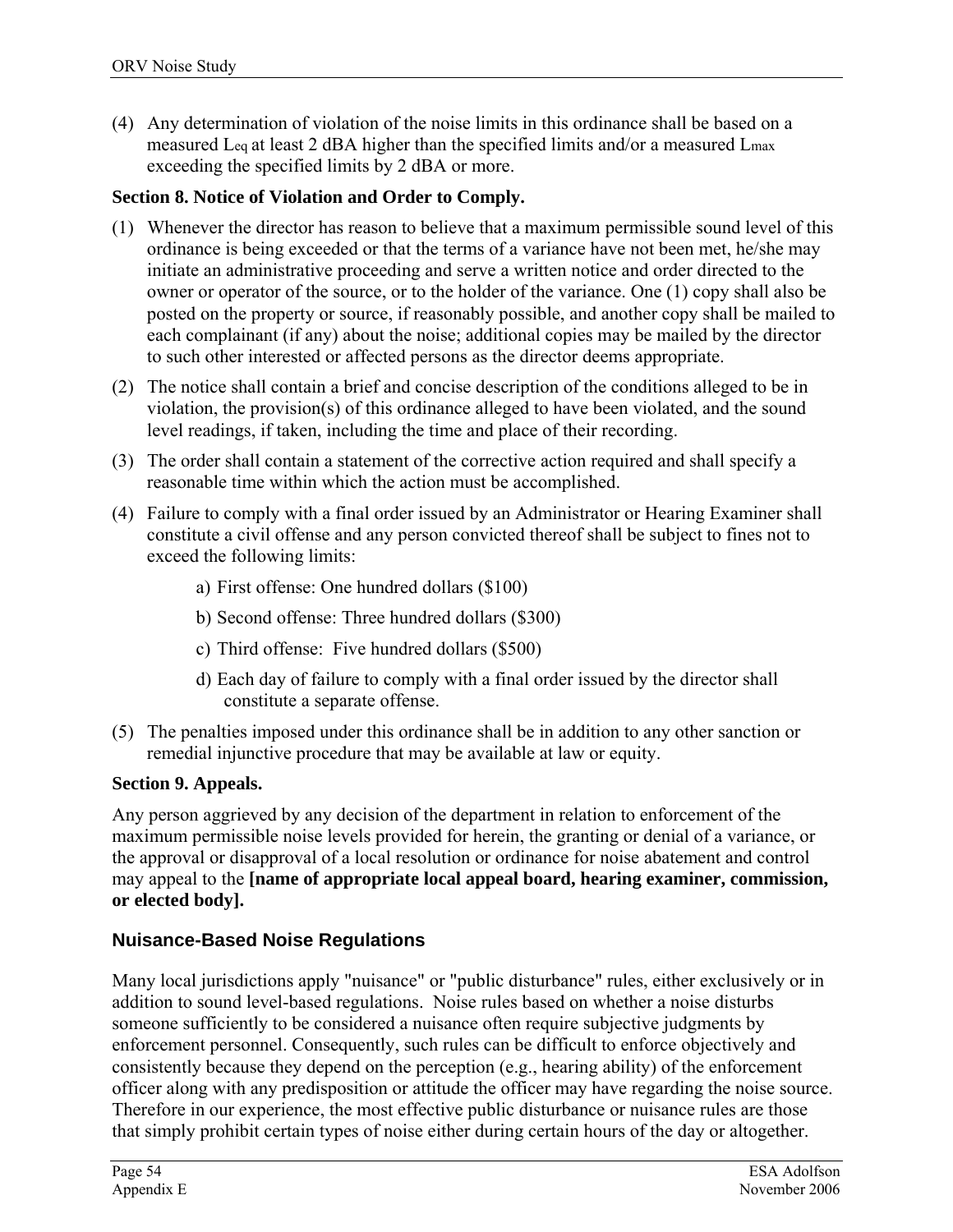(4) Any determination of violation of the noise limits in this ordinance shall be based on a measured Leq at least 2 dBA higher than the specified limits and/or a measured Lmax exceeding the specified limits by 2 dBA or more.

#### **Section 8. Notice of Violation and Order to Comply.**

- (1) Whenever the director has reason to believe that a maximum permissible sound level of this ordinance is being exceeded or that the terms of a variance have not been met, he/she may initiate an administrative proceeding and serve a written notice and order directed to the owner or operator of the source, or to the holder of the variance. One (1) copy shall also be posted on the property or source, if reasonably possible, and another copy shall be mailed to each complainant (if any) about the noise; additional copies may be mailed by the director to such other interested or affected persons as the director deems appropriate.
- (2) The notice shall contain a brief and concise description of the conditions alleged to be in violation, the provision(s) of this ordinance alleged to have been violated, and the sound level readings, if taken, including the time and place of their recording.
- (3) The order shall contain a statement of the corrective action required and shall specify a reasonable time within which the action must be accomplished.
- (4) Failure to comply with a final order issued by an Administrator or Hearing Examiner shall constitute a civil offense and any person convicted thereof shall be subject to fines not to exceed the following limits:
	- a) First offense: One hundred dollars (\$100)
	- b) Second offense: Three hundred dollars (\$300)
	- c) Third offense: Five hundred dollars (\$500)
	- d) Each day of failure to comply with a final order issued by the director shall constitute a separate offense.
- (5) The penalties imposed under this ordinance shall be in addition to any other sanction or remedial injunctive procedure that may be available at law or equity.

#### **Section 9. Appeals.**

Any person aggrieved by any decision of the department in relation to enforcement of the maximum permissible noise levels provided for herein, the granting or denial of a variance, or the approval or disapproval of a local resolution or ordinance for noise abatement and control may appeal to the **[name of appropriate local appeal board, hearing examiner, commission, or elected body].** 

## **Nuisance-Based Noise Regulations**

Many local jurisdictions apply "nuisance" or "public disturbance" rules, either exclusively or in addition to sound level-based regulations. Noise rules based on whether a noise disturbs someone sufficiently to be considered a nuisance often require subjective judgments by enforcement personnel. Consequently, such rules can be difficult to enforce objectively and consistently because they depend on the perception (e.g., hearing ability) of the enforcement officer along with any predisposition or attitude the officer may have regarding the noise source. Therefore in our experience, the most effective public disturbance or nuisance rules are those that simply prohibit certain types of noise either during certain hours of the day or altogether.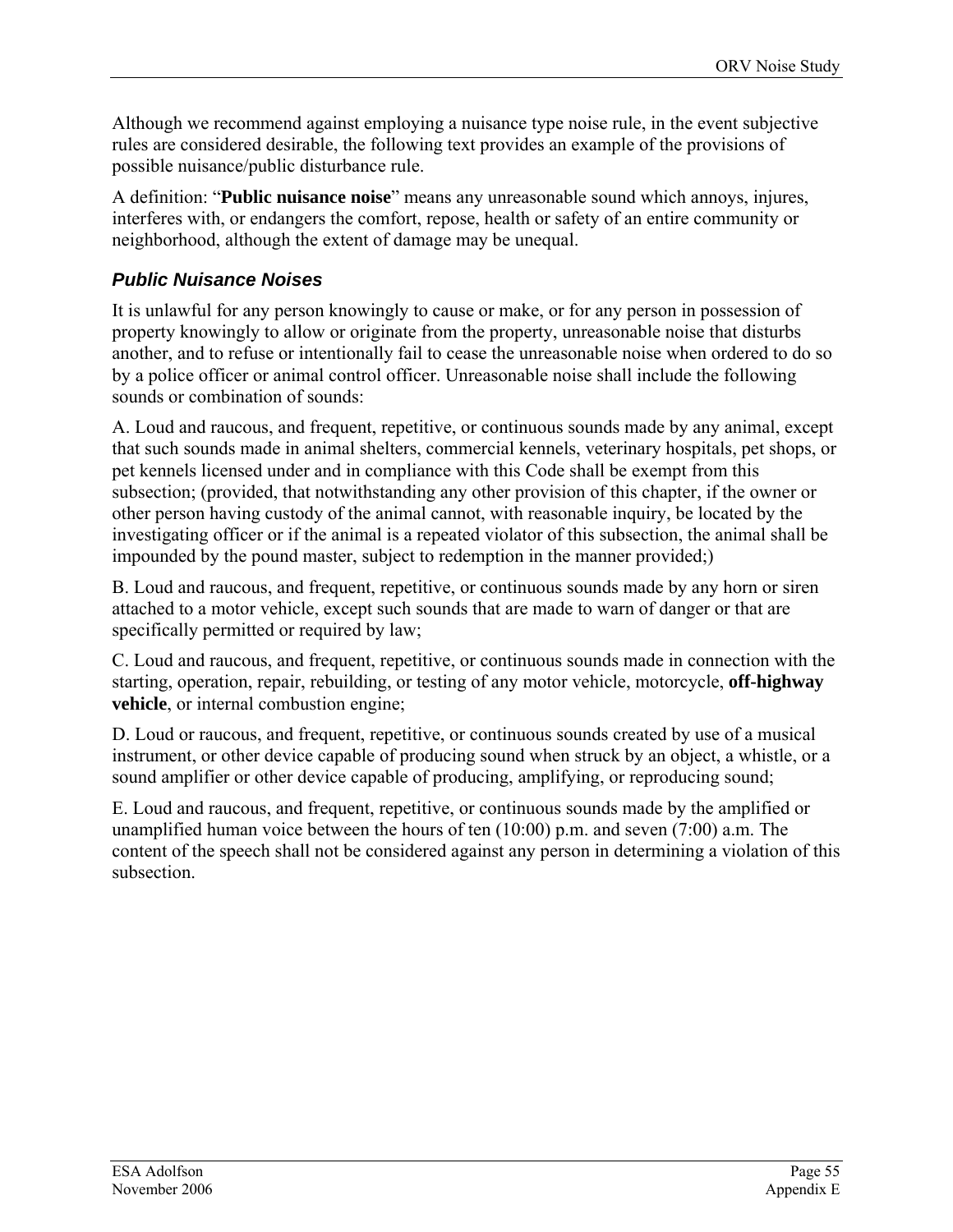Although we recommend against employing a nuisance type noise rule, in the event subjective rules are considered desirable, the following text provides an example of the provisions of possible nuisance/public disturbance rule.

A definition: "**Public nuisance noise**" means any unreasonable sound which annoys, injures, interferes with, or endangers the comfort, repose, health or safety of an entire community or neighborhood, although the extent of damage may be unequal.

## *Public Nuisance Noises*

It is unlawful for any person knowingly to cause or make, or for any person in possession of property knowingly to allow or originate from the property, unreasonable noise that disturbs another, and to refuse or intentionally fail to cease the unreasonable noise when ordered to do so by a police officer or animal control officer. Unreasonable noise shall include the following sounds or combination of sounds.

A. Loud and raucous, and frequent, repetitive, or continuous sounds made by any animal, except that such sounds made in animal shelters, commercial kennels, veterinary hospitals, pet shops, or pet kennels licensed under and in compliance with this Code shall be exempt from this subsection; (provided, that notwithstanding any other provision of this chapter, if the owner or other person having custody of the animal cannot, with reasonable inquiry, be located by the investigating officer or if the animal is a repeated violator of this subsection, the animal shall be impounded by the pound master, subject to redemption in the manner provided;)

B. Loud and raucous, and frequent, repetitive, or continuous sounds made by any horn or siren attached to a motor vehicle, except such sounds that are made to warn of danger or that are specifically permitted or required by law;

C. Loud and raucous, and frequent, repetitive, or continuous sounds made in connection with the starting, operation, repair, rebuilding, or testing of any motor vehicle, motorcycle, **off-highway vehicle**, or internal combustion engine;

D. Loud or raucous, and frequent, repetitive, or continuous sounds created by use of a musical instrument, or other device capable of producing sound when struck by an object, a whistle, or a sound amplifier or other device capable of producing, amplifying, or reproducing sound;

E. Loud and raucous, and frequent, repetitive, or continuous sounds made by the amplified or unamplified human voice between the hours of ten (10:00) p.m. and seven (7:00) a.m. The content of the speech shall not be considered against any person in determining a violation of this subsection.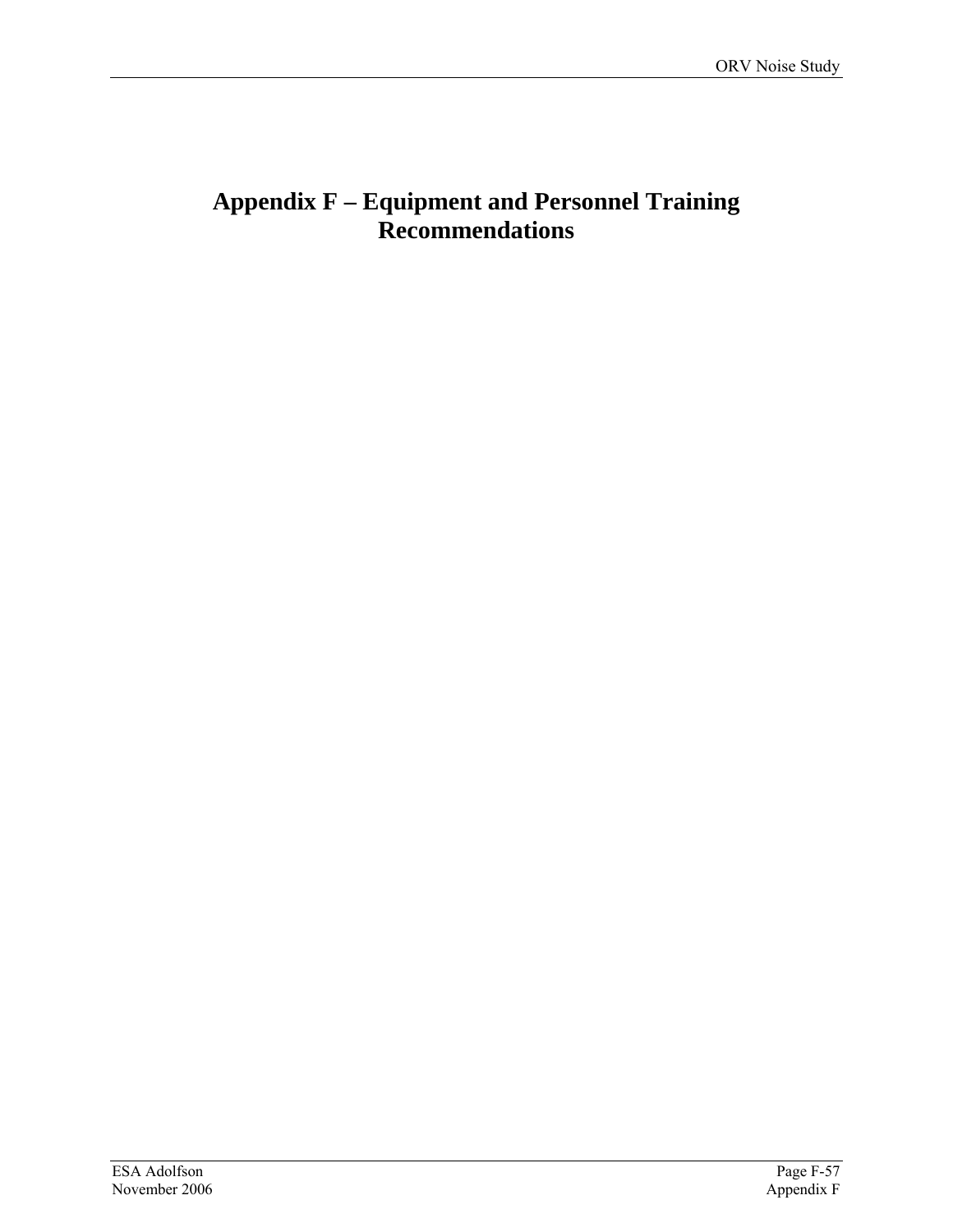# **Appendix F – Equipment and Personnel Training Recommendations**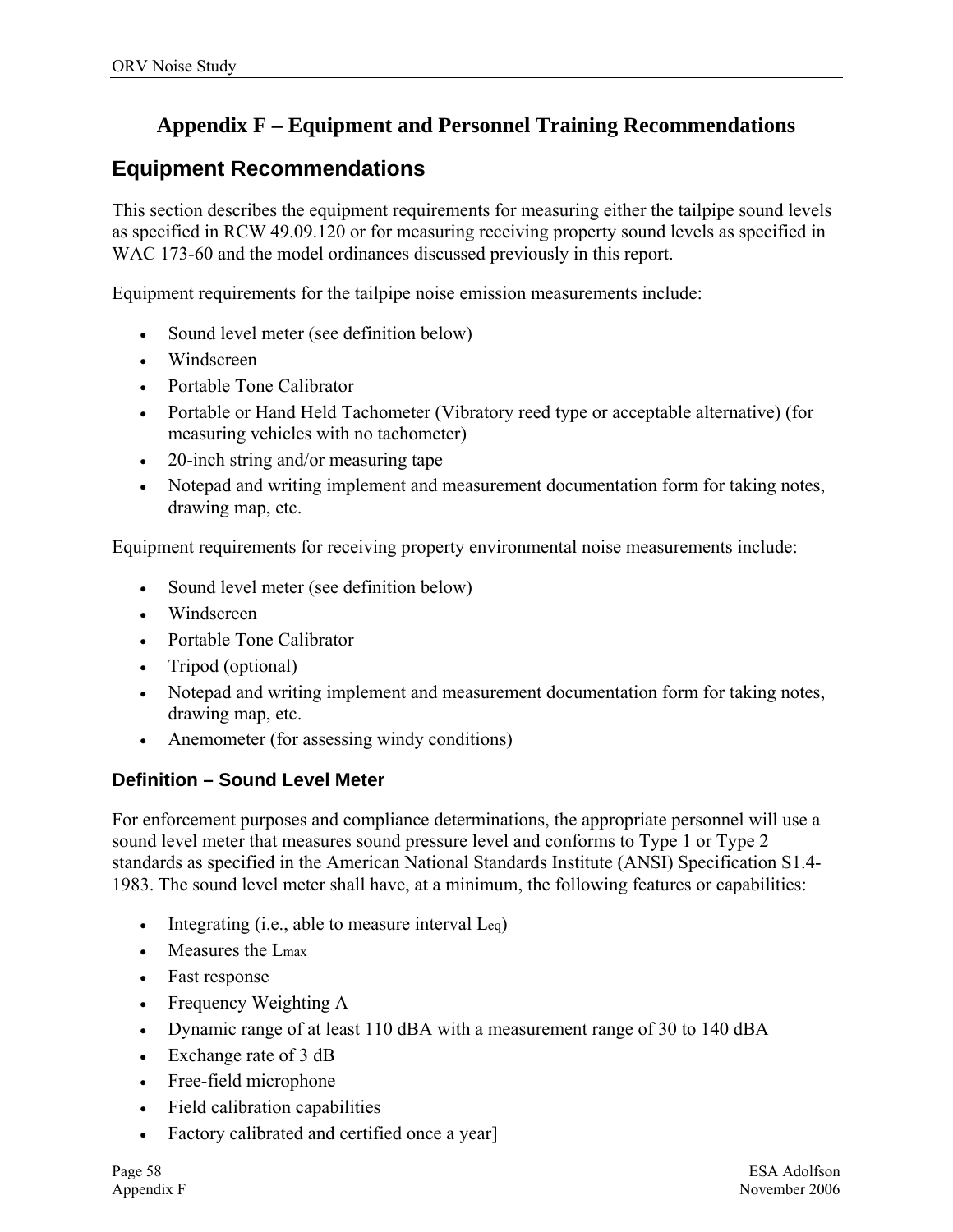# **Appendix F – Equipment and Personnel Training Recommendations**

# **Equipment Recommendations**

This section describes the equipment requirements for measuring either the tailpipe sound levels as specified in RCW 49.09.120 or for measuring receiving property sound levels as specified in WAC 173-60 and the model ordinances discussed previously in this report.

Equipment requirements for the tailpipe noise emission measurements include:

- Sound level meter (see definition below)
- Windscreen
- Portable Tone Calibrator
- Portable or Hand Held Tachometer (Vibratory reed type or acceptable alternative) (for measuring vehicles with no tachometer)
- 20-inch string and/or measuring tape
- Notepad and writing implement and measurement documentation form for taking notes, drawing map, etc.

Equipment requirements for receiving property environmental noise measurements include:

- Sound level meter (see definition below)
- Windscreen
- Portable Tone Calibrator
- Tripod (optional)
- Notepad and writing implement and measurement documentation form for taking notes, drawing map, etc.
- Anemometer (for assessing windy conditions)

## **Definition – Sound Level Meter**

For enforcement purposes and compliance determinations, the appropriate personnel will use a sound level meter that measures sound pressure level and conforms to Type 1 or Type 2 standards as specified in the American National Standards Institute (ANSI) Specification S1.4- 1983. The sound level meter shall have, at a minimum, the following features or capabilities:

- Integrating  $(i.e., able to measure interval  $Leq$ )$
- Measures the Lmax
- Fast response
- Frequency Weighting A
- Dynamic range of at least 110 dBA with a measurement range of 30 to 140 dBA
- Exchange rate of 3 dB
- Free-field microphone
- Field calibration capabilities
- Factory calibrated and certified once a year]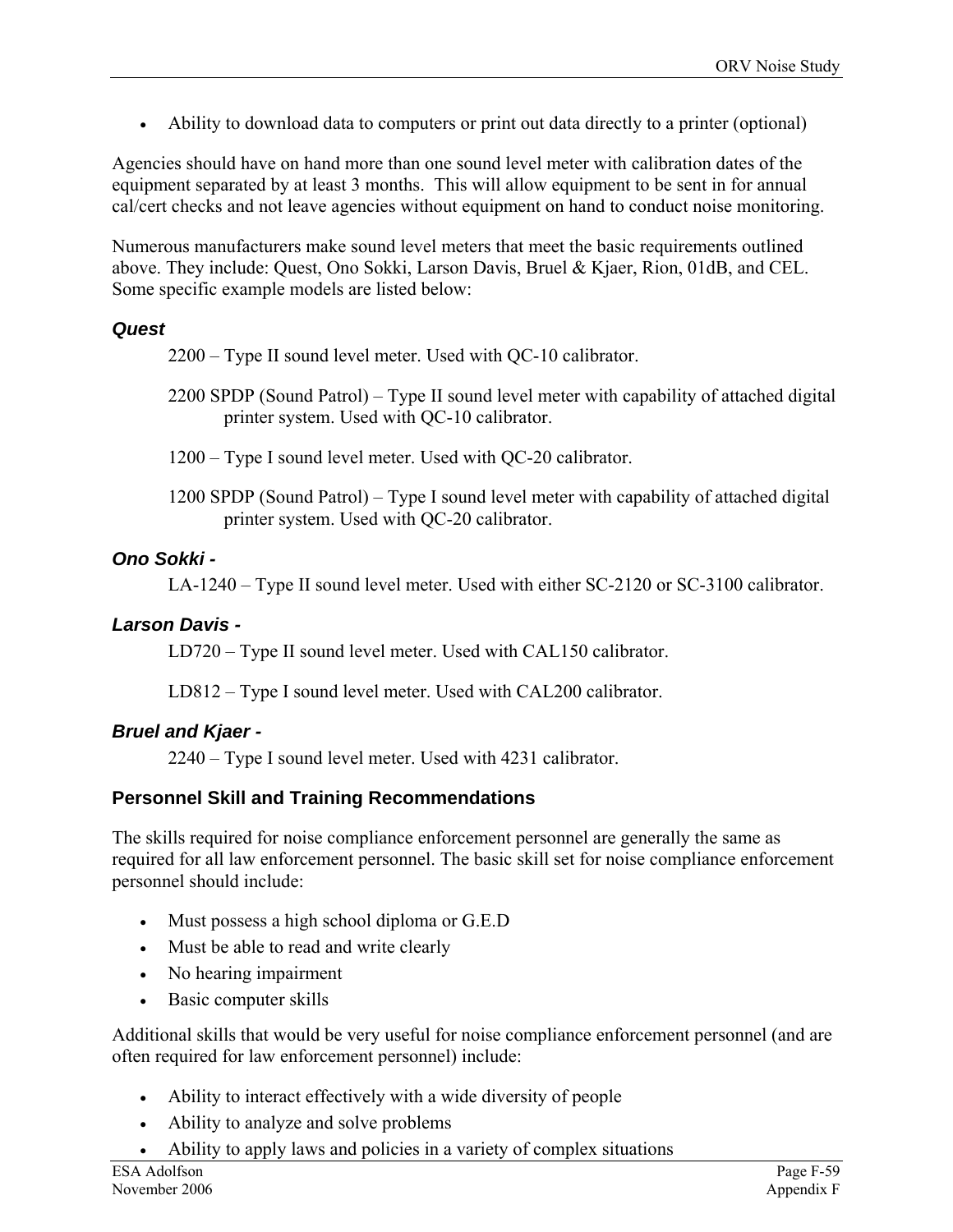• Ability to download data to computers or print out data directly to a printer (optional)

Agencies should have on hand more than one sound level meter with calibration dates of the equipment separated by at least 3 months. This will allow equipment to be sent in for annual cal/cert checks and not leave agencies without equipment on hand to conduct noise monitoring.

Numerous manufacturers make sound level meters that meet the basic requirements outlined above. They include: Quest, Ono Sokki, Larson Davis, Bruel & Kjaer, Rion, 01dB, and CEL. Some specific example models are listed below:

## *Quest*

2200 – Type II sound level meter. Used with QC-10 calibrator.

- 2200 SPDP (Sound Patrol) Type II sound level meter with capability of attached digital printer system. Used with QC-10 calibrator.
- 1200 Type I sound level meter. Used with QC-20 calibrator.
- 1200 SPDP (Sound Patrol) Type I sound level meter with capability of attached digital printer system. Used with QC-20 calibrator.

## *Ono Sokki -*

LA-1240 – Type II sound level meter. Used with either SC-2120 or SC-3100 calibrator.

## *Larson Davis -*

LD720 – Type II sound level meter. Used with CAL150 calibrator.

LD812 – Type I sound level meter. Used with CAL200 calibrator.

## *Bruel and Kjaer -*

2240 – Type I sound level meter. Used with 4231 calibrator.

## **Personnel Skill and Training Recommendations**

The skills required for noise compliance enforcement personnel are generally the same as required for all law enforcement personnel. The basic skill set for noise compliance enforcement personnel should include:

- Must possess a high school diploma or G.E.D
- Must be able to read and write clearly
- No hearing impairment
- Basic computer skills

Additional skills that would be very useful for noise compliance enforcement personnel (and are often required for law enforcement personnel) include:

- Ability to interact effectively with a wide diversity of people
- Ability to analyze and solve problems
- Ability to apply laws and policies in a variety of complex situations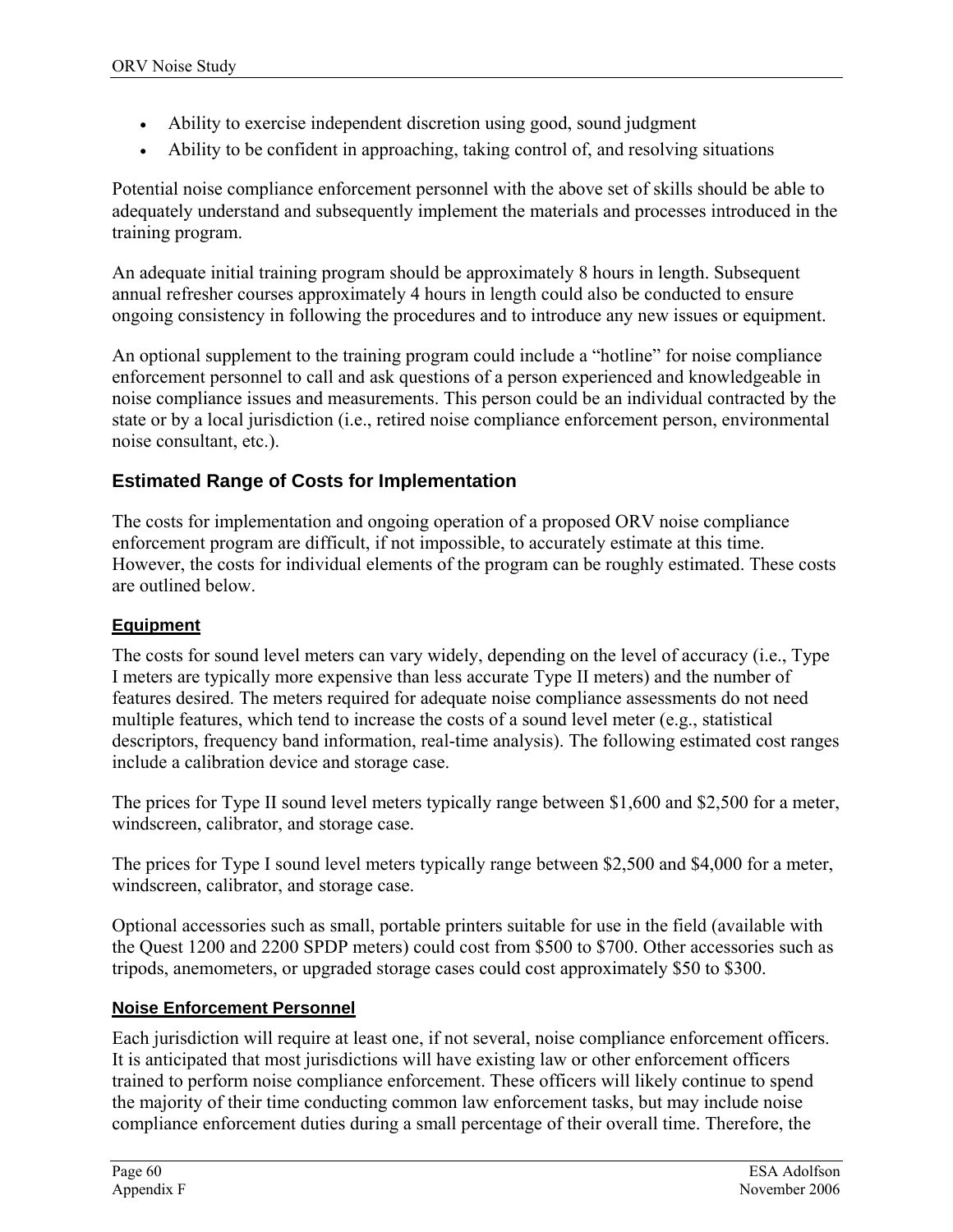- Ability to exercise independent discretion using good, sound judgment
- Ability to be confident in approaching, taking control of, and resolving situations

Potential noise compliance enforcement personnel with the above set of skills should be able to adequately understand and subsequently implement the materials and processes introduced in the training program.

An adequate initial training program should be approximately 8 hours in length. Subsequent annual refresher courses approximately 4 hours in length could also be conducted to ensure ongoing consistency in following the procedures and to introduce any new issues or equipment.

An optional supplement to the training program could include a "hotline" for noise compliance enforcement personnel to call and ask questions of a person experienced and knowledgeable in noise compliance issues and measurements. This person could be an individual contracted by the state or by a local jurisdiction (i.e., retired noise compliance enforcement person, environmental noise consultant, etc.).

## **Estimated Range of Costs for Implementation**

The costs for implementation and ongoing operation of a proposed ORV noise compliance enforcement program are difficult, if not impossible, to accurately estimate at this time. However, the costs for individual elements of the program can be roughly estimated. These costs are outlined below.

## **Equipment**

The costs for sound level meters can vary widely, depending on the level of accuracy (i.e., Type I meters are typically more expensive than less accurate Type II meters) and the number of features desired. The meters required for adequate noise compliance assessments do not need multiple features, which tend to increase the costs of a sound level meter (e.g., statistical descriptors, frequency band information, real-time analysis). The following estimated cost ranges include a calibration device and storage case.

The prices for Type II sound level meters typically range between \$1,600 and \$2,500 for a meter, windscreen, calibrator, and storage case.

The prices for Type I sound level meters typically range between \$2,500 and \$4,000 for a meter, windscreen, calibrator, and storage case.

Optional accessories such as small, portable printers suitable for use in the field (available with the Quest 1200 and 2200 SPDP meters) could cost from \$500 to \$700. Other accessories such as tripods, anemometers, or upgraded storage cases could cost approximately \$50 to \$300.

#### **Noise Enforcement Personnel**

Each jurisdiction will require at least one, if not several, noise compliance enforcement officers. It is anticipated that most jurisdictions will have existing law or other enforcement officers trained to perform noise compliance enforcement. These officers will likely continue to spend the majority of their time conducting common law enforcement tasks, but may include noise compliance enforcement duties during a small percentage of their overall time. Therefore, the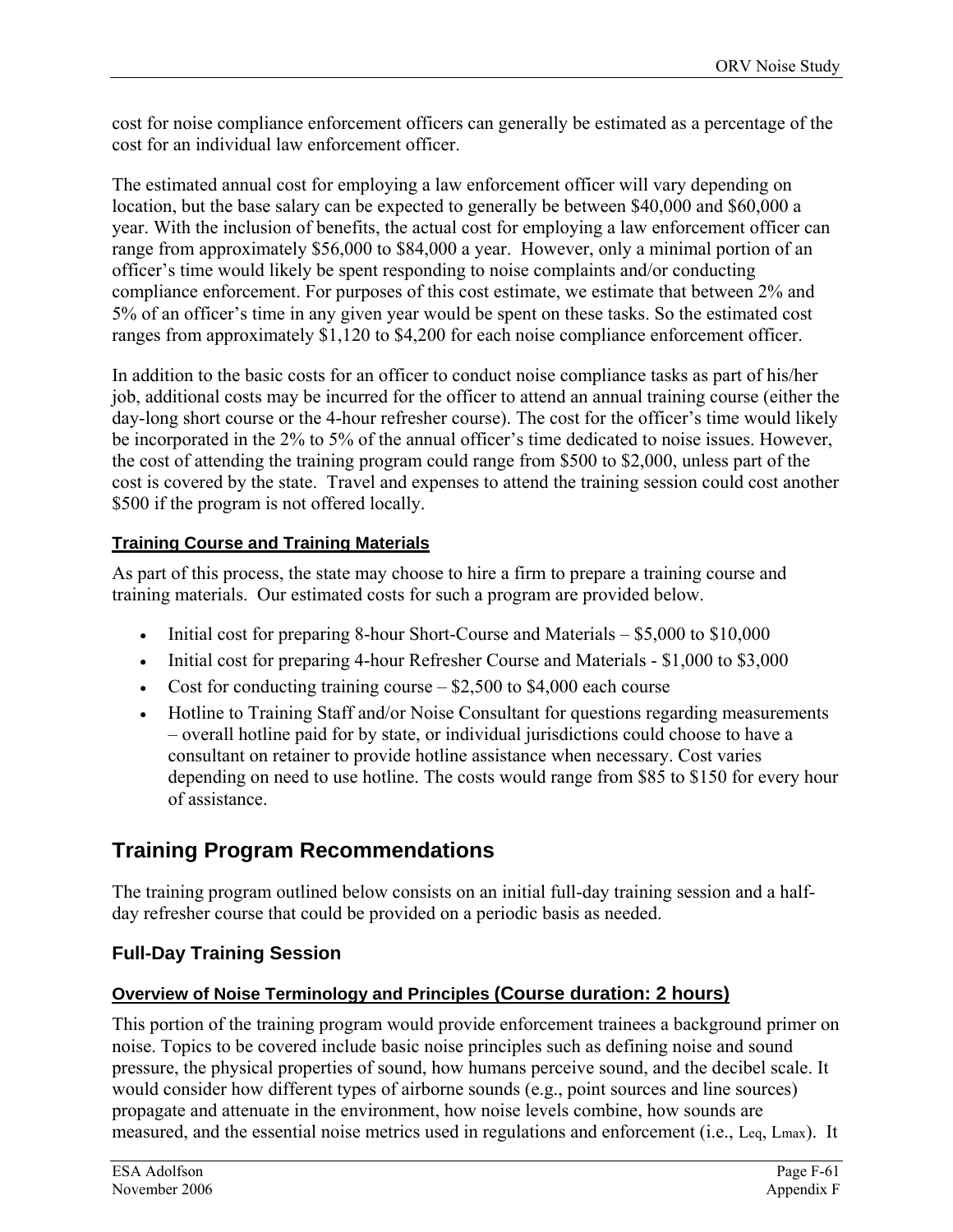cost for noise compliance enforcement officers can generally be estimated as a percentage of the cost for an individual law enforcement officer.

The estimated annual cost for employing a law enforcement officer will vary depending on location, but the base salary can be expected to generally be between \$40,000 and \$60,000 a year. With the inclusion of benefits, the actual cost for employing a law enforcement officer can range from approximately \$56,000 to \$84,000 a year. However, only a minimal portion of an officer's time would likely be spent responding to noise complaints and/or conducting compliance enforcement. For purposes of this cost estimate, we estimate that between 2% and 5% of an officer's time in any given year would be spent on these tasks. So the estimated cost ranges from approximately \$1,120 to \$4,200 for each noise compliance enforcement officer.

In addition to the basic costs for an officer to conduct noise compliance tasks as part of his/her job, additional costs may be incurred for the officer to attend an annual training course (either the day-long short course or the 4-hour refresher course). The cost for the officer's time would likely be incorporated in the 2% to 5% of the annual officer's time dedicated to noise issues. However, the cost of attending the training program could range from \$500 to \$2,000, unless part of the cost is covered by the state. Travel and expenses to attend the training session could cost another \$500 if the program is not offered locally.

## **Training Course and Training Materials**

As part of this process, the state may choose to hire a firm to prepare a training course and training materials. Our estimated costs for such a program are provided below.

- Initial cost for preparing 8-hour Short-Course and Materials \$5,000 to \$10,000
- Initial cost for preparing 4-hour Refresher Course and Materials \$1,000 to \$3,000
- Cost for conducting training course  $-$  \$2,500 to \$4,000 each course
- Hotline to Training Staff and/or Noise Consultant for questions regarding measurements – overall hotline paid for by state, or individual jurisdictions could choose to have a consultant on retainer to provide hotline assistance when necessary. Cost varies depending on need to use hotline. The costs would range from \$85 to \$150 for every hour of assistance.

# **Training Program Recommendations**

The training program outlined below consists on an initial full-day training session and a halfday refresher course that could be provided on a periodic basis as needed.

# **Full-Day Training Session**

## **Overview of Noise Terminology and Principles (Course duration: 2 hours)**

This portion of the training program would provide enforcement trainees a background primer on noise. Topics to be covered include basic noise principles such as defining noise and sound pressure, the physical properties of sound, how humans perceive sound, and the decibel scale. It would consider how different types of airborne sounds (e.g., point sources and line sources) propagate and attenuate in the environment, how noise levels combine, how sounds are measured, and the essential noise metrics used in regulations and enforcement (i.e., Leq, Lmax). It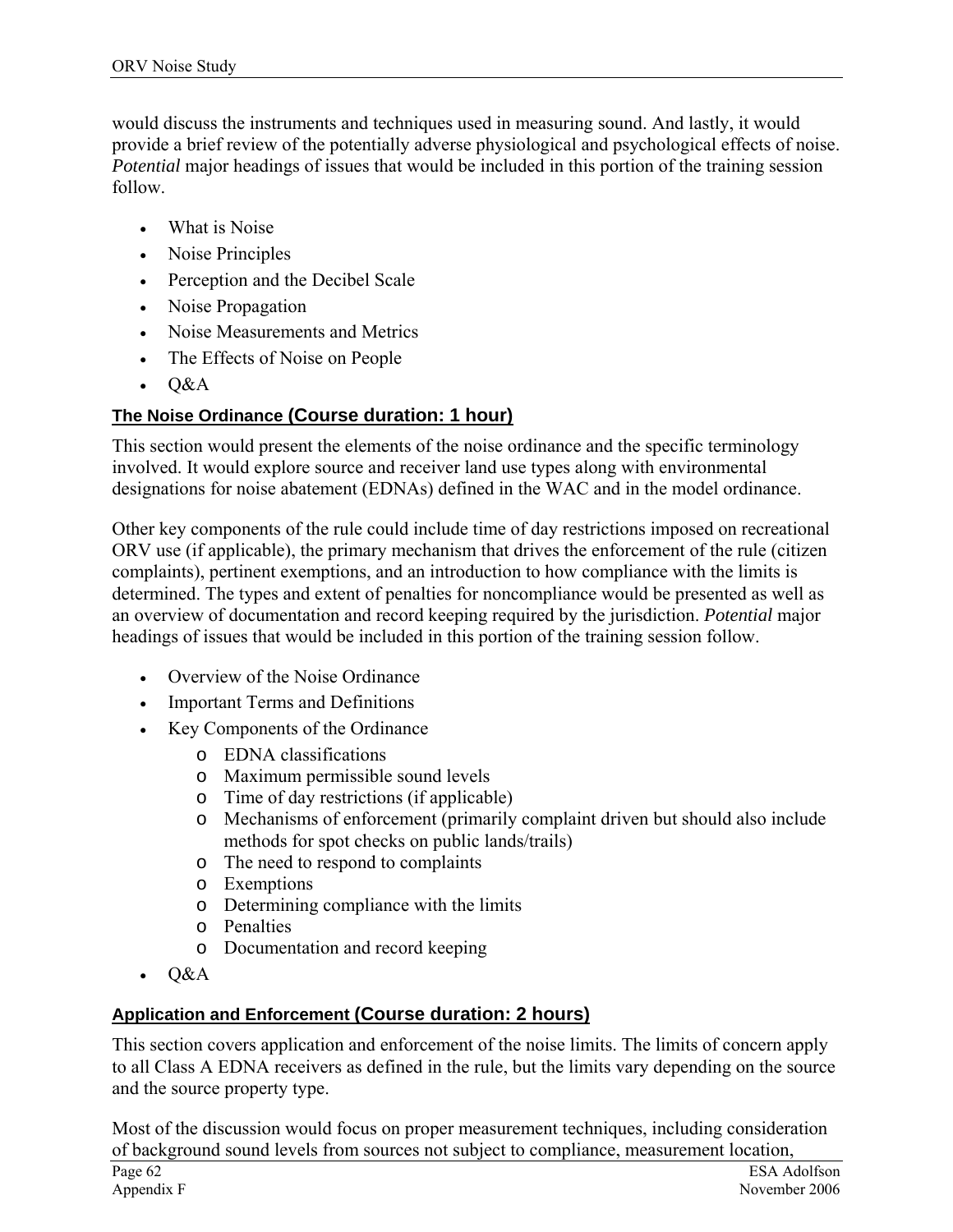would discuss the instruments and techniques used in measuring sound. And lastly, it would provide a brief review of the potentially adverse physiological and psychological effects of noise. *Potential* major headings of issues that would be included in this portion of the training session follow.

- What is Noise
- Noise Principles
- Perception and the Decibel Scale
- Noise Propagation
- Noise Measurements and Metrics
- The Effects of Noise on People
- Q&A

## **The Noise Ordinance (Course duration: 1 hour)**

This section would present the elements of the noise ordinance and the specific terminology involved. It would explore source and receiver land use types along with environmental designations for noise abatement (EDNAs) defined in the WAC and in the model ordinance.

Other key components of the rule could include time of day restrictions imposed on recreational ORV use (if applicable), the primary mechanism that drives the enforcement of the rule (citizen complaints), pertinent exemptions, and an introduction to how compliance with the limits is determined. The types and extent of penalties for noncompliance would be presented as well as an overview of documentation and record keeping required by the jurisdiction. *Potential* major headings of issues that would be included in this portion of the training session follow.

- Overview of the Noise Ordinance
- Important Terms and Definitions
- Key Components of the Ordinance
	- o EDNA classifications
	- o Maximum permissible sound levels
	- o Time of day restrictions (if applicable)
	- o Mechanisms of enforcement (primarily complaint driven but should also include methods for spot checks on public lands/trails)
	- o The need to respond to complaints
	- o Exemptions
	- o Determining compliance with the limits
	- o Penalties
	- o Documentation and record keeping
- Q&A

#### **Application and Enforcement (Course duration: 2 hours)**

This section covers application and enforcement of the noise limits. The limits of concern apply to all Class A EDNA receivers as defined in the rule, but the limits vary depending on the source and the source property type.

Most of the discussion would focus on proper measurement techniques, including consideration of background sound levels from sources not subject to compliance, measurement location,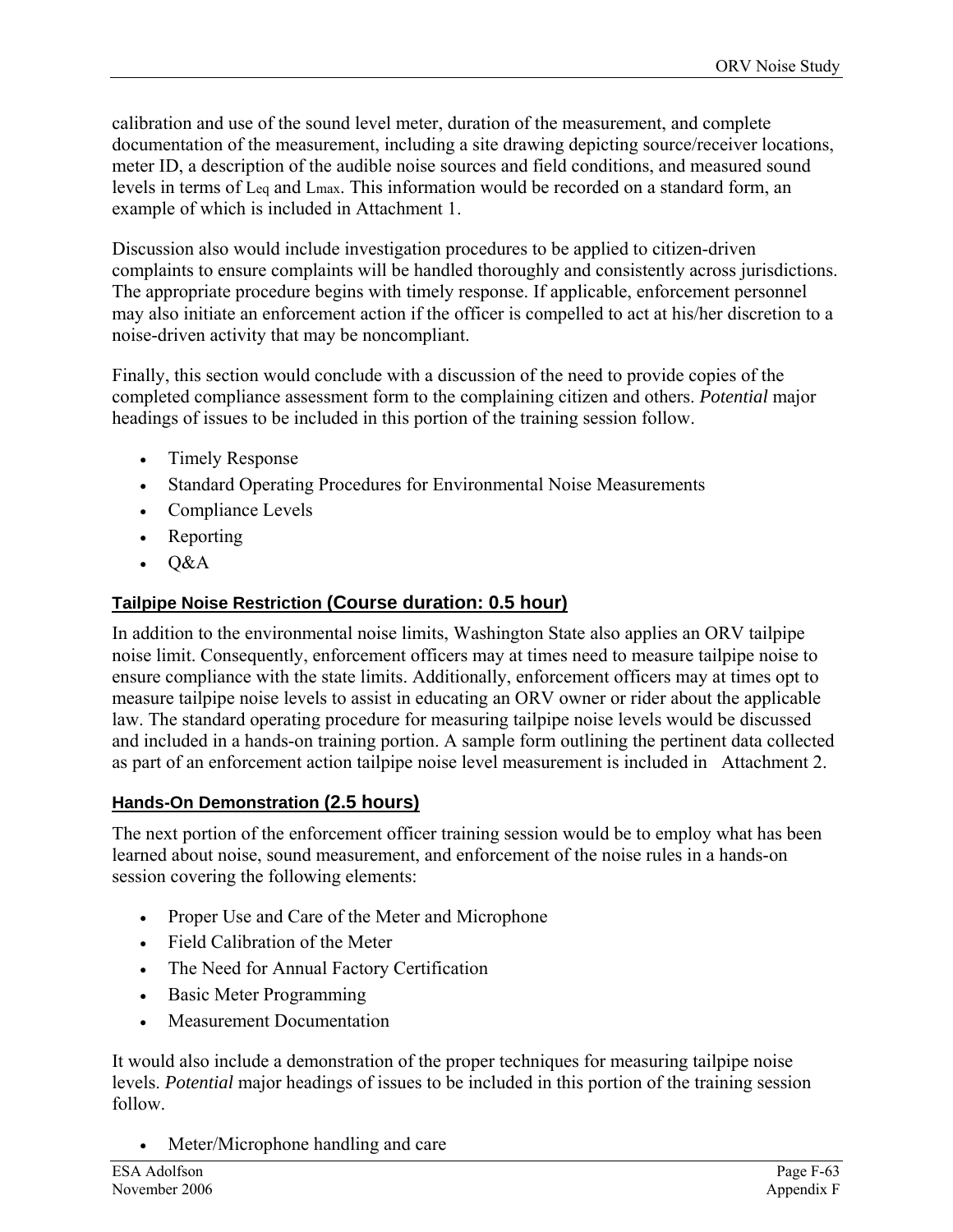calibration and use of the sound level meter, duration of the measurement, and complete documentation of the measurement, including a site drawing depicting source/receiver locations, meter ID, a description of the audible noise sources and field conditions, and measured sound levels in terms of Leq and Lmax. This information would be recorded on a standard form, an example of which is included in Attachment 1.

Discussion also would include investigation procedures to be applied to citizen-driven complaints to ensure complaints will be handled thoroughly and consistently across jurisdictions. The appropriate procedure begins with timely response. If applicable, enforcement personnel may also initiate an enforcement action if the officer is compelled to act at his/her discretion to a noise-driven activity that may be noncompliant.

Finally, this section would conclude with a discussion of the need to provide copies of the completed compliance assessment form to the complaining citizen and others. *Potential* major headings of issues to be included in this portion of the training session follow.

- Timely Response
- Standard Operating Procedures for Environmental Noise Measurements
- Compliance Levels
- Reporting
- Q&A

## **Tailpipe Noise Restriction (Course duration: 0.5 hour)**

In addition to the environmental noise limits, Washington State also applies an ORV tailpipe noise limit. Consequently, enforcement officers may at times need to measure tailpipe noise to ensure compliance with the state limits. Additionally, enforcement officers may at times opt to measure tailpipe noise levels to assist in educating an ORV owner or rider about the applicable law. The standard operating procedure for measuring tailpipe noise levels would be discussed and included in a hands-on training portion. A sample form outlining the pertinent data collected as part of an enforcement action tailpipe noise level measurement is included in Attachment 2.

## **Hands-On Demonstration (2.5 hours)**

The next portion of the enforcement officer training session would be to employ what has been learned about noise, sound measurement, and enforcement of the noise rules in a hands-on session covering the following elements:

- Proper Use and Care of the Meter and Microphone
- Field Calibration of the Meter
- The Need for Annual Factory Certification
- Basic Meter Programming
- Measurement Documentation

It would also include a demonstration of the proper techniques for measuring tailpipe noise levels. *Potential* major headings of issues to be included in this portion of the training session follow.

• Meter/Microphone handling and care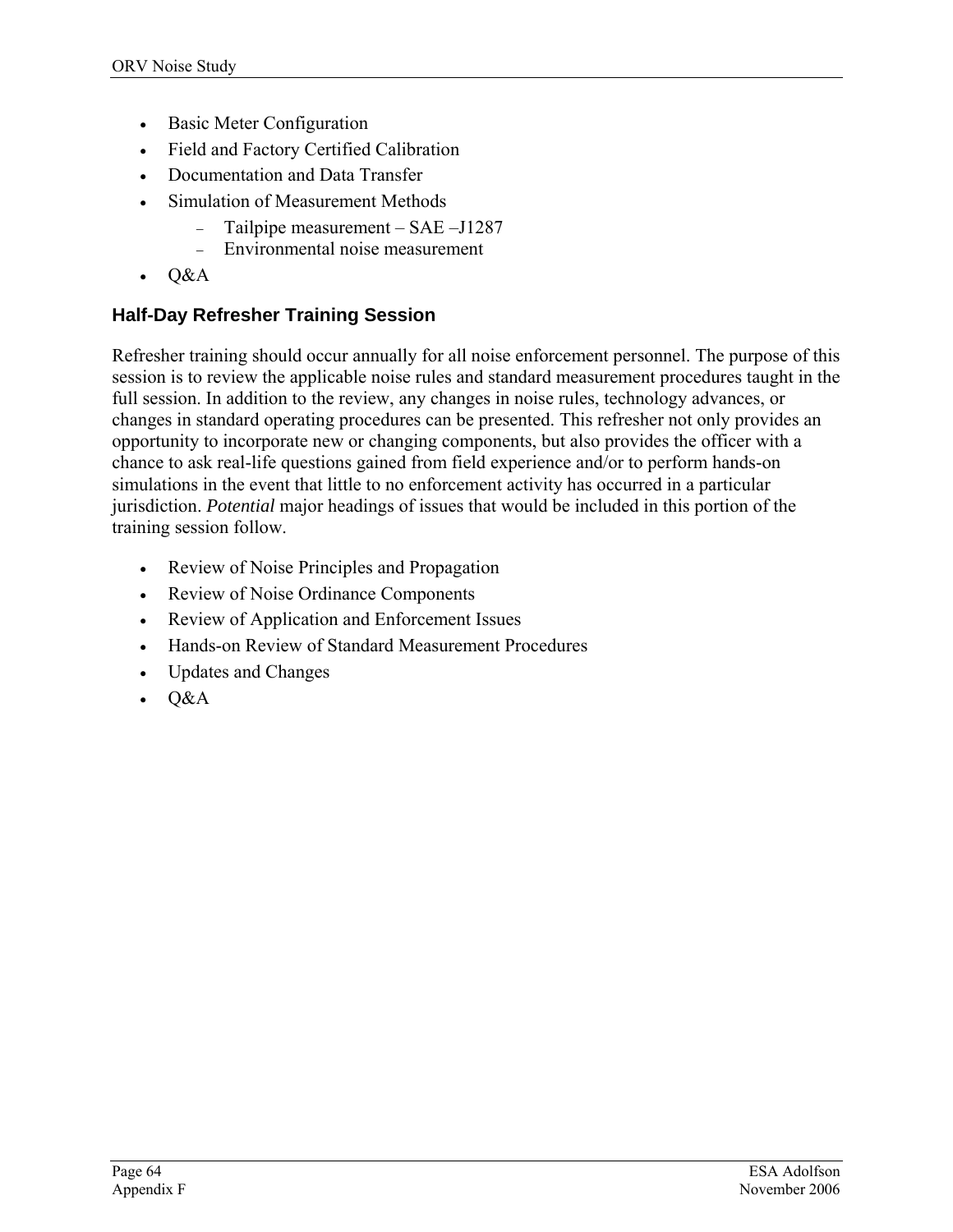- Basic Meter Configuration
- Field and Factory Certified Calibration
- Documentation and Data Transfer
- Simulation of Measurement Methods
	- − Tailpipe measurement SAE –J1287
	- − Environmental noise measurement
- Q&A

## **Half-Day Refresher Training Session**

Refresher training should occur annually for all noise enforcement personnel. The purpose of this session is to review the applicable noise rules and standard measurement procedures taught in the full session. In addition to the review, any changes in noise rules, technology advances, or changes in standard operating procedures can be presented. This refresher not only provides an opportunity to incorporate new or changing components, but also provides the officer with a chance to ask real-life questions gained from field experience and/or to perform hands-on simulations in the event that little to no enforcement activity has occurred in a particular jurisdiction. *Potential* major headings of issues that would be included in this portion of the training session follow.

- Review of Noise Principles and Propagation
- Review of Noise Ordinance Components
- Review of Application and Enforcement Issues
- Hands-on Review of Standard Measurement Procedures
- Updates and Changes
- Q&A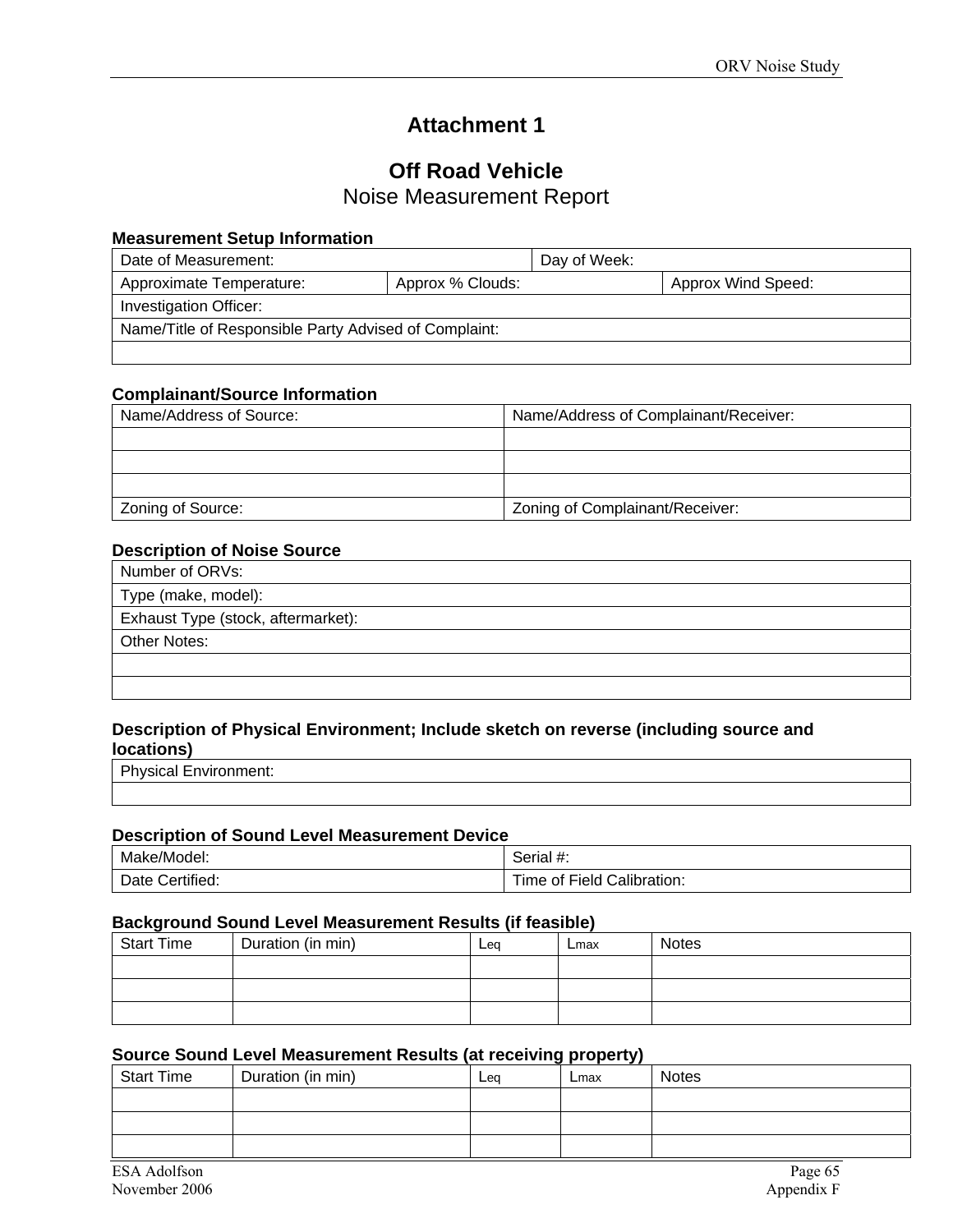# **Attachment 1**

# **Off Road Vehicle**

Noise Measurement Report

#### **Measurement Setup Information**

| Date of Measurement:                                  |                  | Day of Week: |                    |
|-------------------------------------------------------|------------------|--------------|--------------------|
| Approximate Temperature:                              | Approx % Clouds: |              | Approx Wind Speed: |
| Investigation Officer:                                |                  |              |                    |
| Name/Title of Responsible Party Advised of Complaint: |                  |              |                    |
|                                                       |                  |              |                    |

#### **Complainant/Source Information**

| Name/Address of Source: | Name/Address of Complainant/Receiver: |
|-------------------------|---------------------------------------|
|                         |                                       |
|                         |                                       |
|                         |                                       |
| Zoning of Source:       | Zoning of Complainant/Receiver:       |

#### **Description of Noise Source**

| Number of ORVs:                    |
|------------------------------------|
| Type (make, model):                |
| Exhaust Type (stock, aftermarket): |
| <b>Other Notes:</b>                |
|                                    |
|                                    |

#### **Description of Physical Environment; Include sketch on reverse (including source and locations)**

Physical Environment:

#### **Description of Sound Level Measurement Device**

| Make/Model:        | Serial #:                  |  |  |  |
|--------------------|----------------------------|--|--|--|
| Certified:<br>Date | Time of Field Calibration: |  |  |  |

#### **Background Sound Level Measurement Results (if feasible)**

| <b>Start Time</b> | Duration (in min) | Leg | Lmax | <b>Notes</b> |
|-------------------|-------------------|-----|------|--------------|
|                   |                   |     |      |              |
|                   |                   |     |      |              |
|                   |                   |     |      |              |

#### **Source Sound Level Measurement Results (at receiving property)**

| <b>Start Time</b> | Duration (in min) | Leg | - -<br>- - -<br>Lmax | <b>Notes</b> |
|-------------------|-------------------|-----|----------------------|--------------|
|                   |                   |     |                      |              |
|                   |                   |     |                      |              |
|                   |                   |     |                      |              |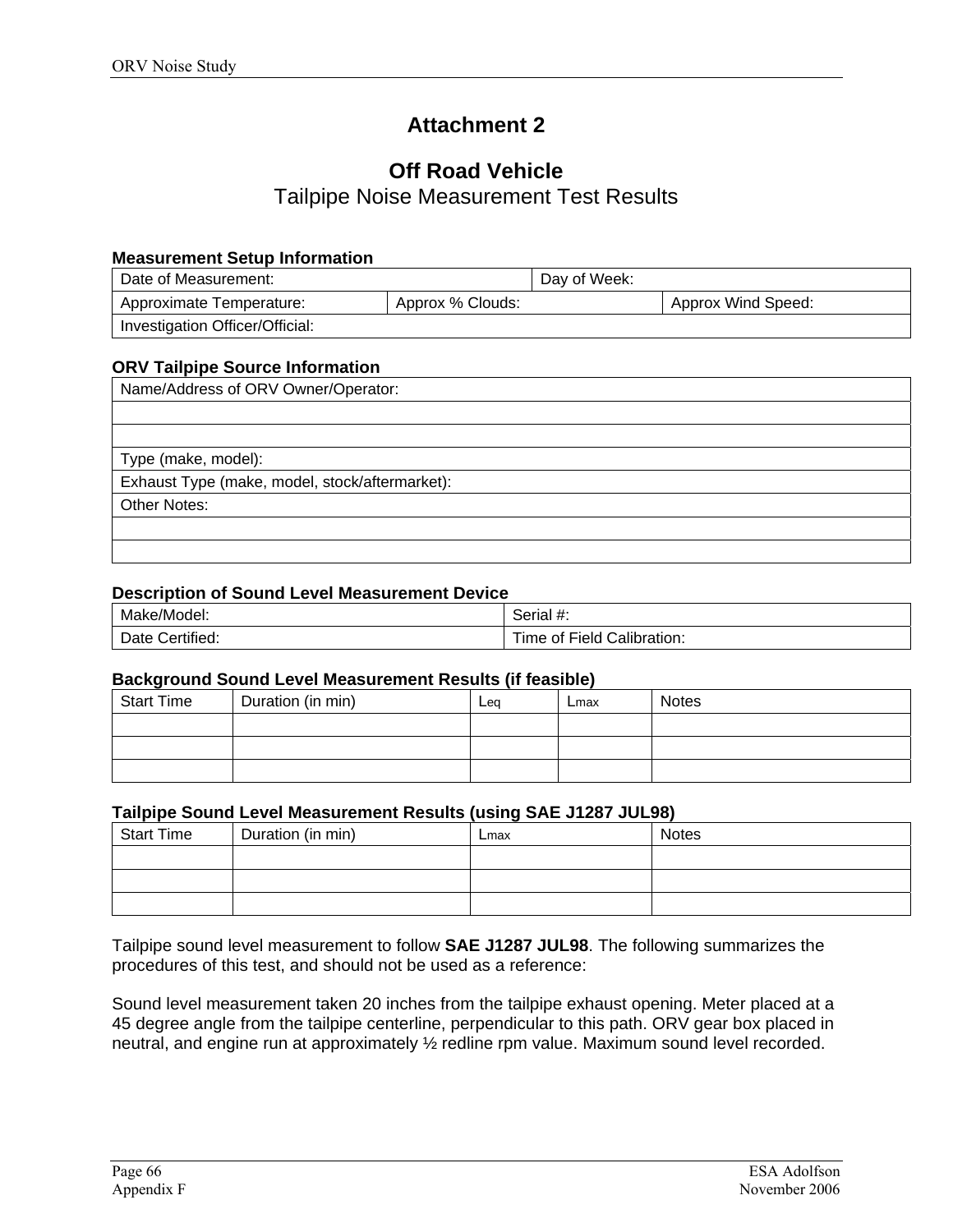# **Attachment 2**

# **Off Road Vehicle**

Tailpipe Noise Measurement Test Results

#### **Measurement Setup Information**

| Date of Measurement:            |                  | Day of Week: |                    |
|---------------------------------|------------------|--------------|--------------------|
| Approximate Temperature:        | Approx % Clouds: |              | Approx Wind Speed: |
| Investigation Officer/Official: |                  |              |                    |

#### **ORV Tailpipe Source Information**

| Name/Address of ORV Owner/Operator:            |
|------------------------------------------------|
|                                                |
|                                                |
| Type (make, model):                            |
| Exhaust Type (make, model, stock/aftermarket): |
| Other Notes:                                   |
|                                                |
|                                                |

#### **Description of Sound Level Measurement Device**

| Make/Model:        | -44<br>Serial #:                     |
|--------------------|--------------------------------------|
| Date<br>Certified: | Calibration:<br>Field<br>l ime<br>οt |

#### **Background Sound Level Measurement Results (if feasible)**

| <b>Start Time</b> | Duration (in min) | Leg | Lmax | <b>Notes</b> |
|-------------------|-------------------|-----|------|--------------|
|                   |                   |     |      |              |
|                   |                   |     |      |              |
|                   |                   |     |      |              |

#### **Tailpipe Sound Level Measurement Results (using SAE J1287 JUL98)**

| .                 |                   | .    |              |
|-------------------|-------------------|------|--------------|
| <b>Start Time</b> | Duration (in min) | Lmax | <b>Notes</b> |
|                   |                   |      |              |
|                   |                   |      |              |
|                   |                   |      |              |

Tailpipe sound level measurement to follow **SAE J1287 JUL98**. The following summarizes the procedures of this test, and should not be used as a reference:

Sound level measurement taken 20 inches from the tailpipe exhaust opening. Meter placed at a 45 degree angle from the tailpipe centerline, perpendicular to this path. ORV gear box placed in neutral, and engine run at approximately ½ redline rpm value. Maximum sound level recorded.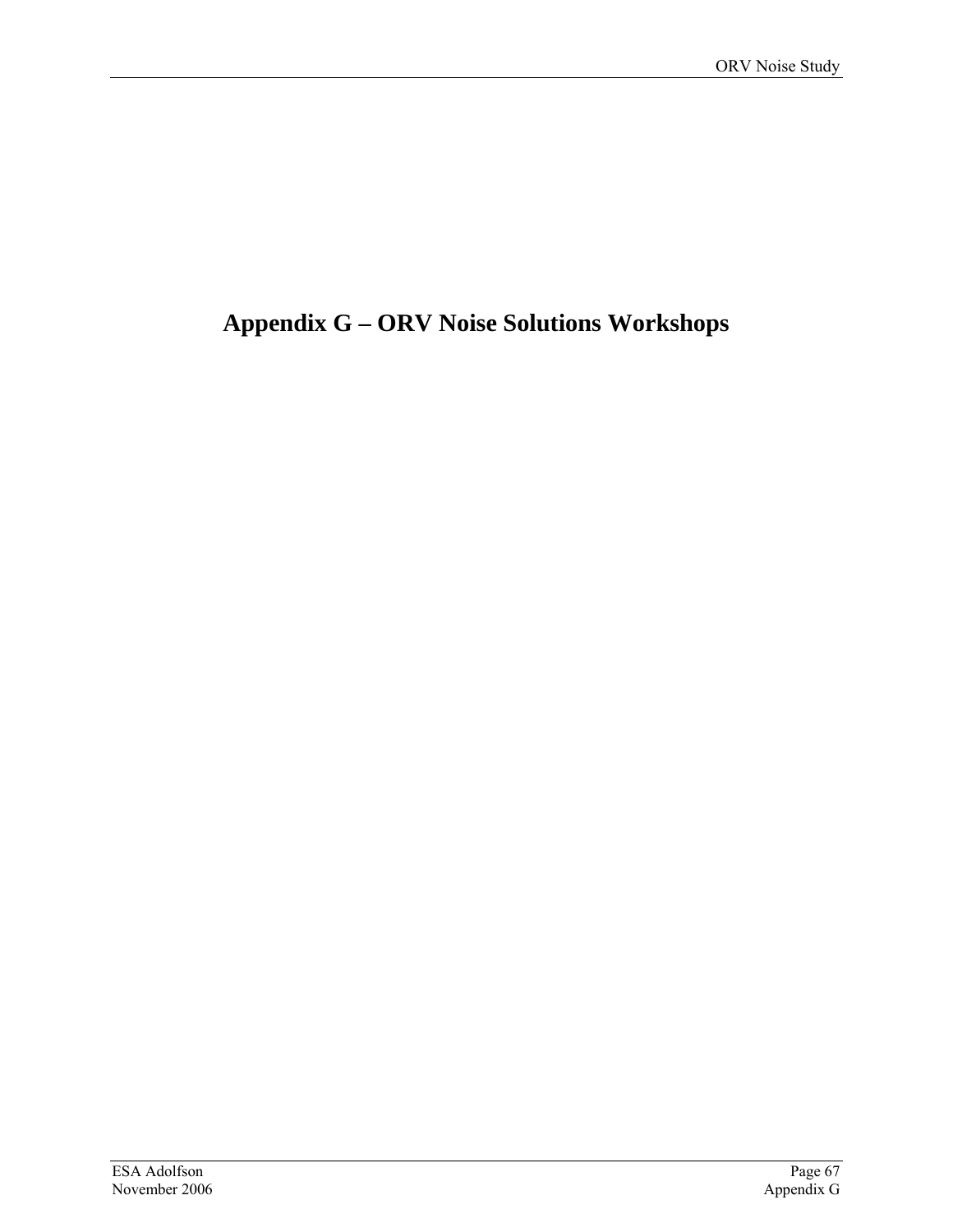# **Appendix G – ORV Noise Solutions Workshops**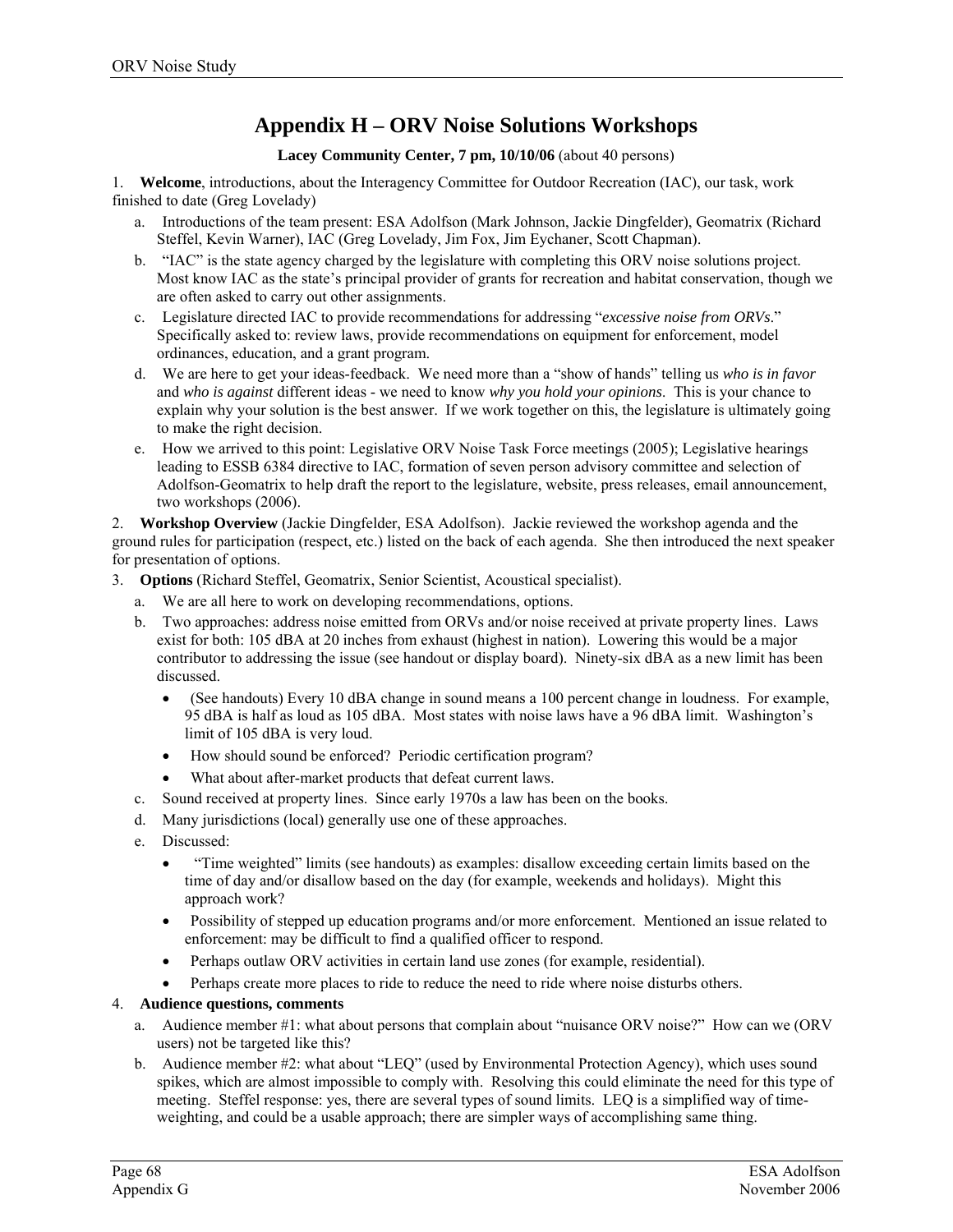### **Appendix H – ORV Noise Solutions Workshops**

#### **Lacey Community Center, 7 pm, 10/10/06** (about 40 persons)

1. **Welcome**, introductions, about the Interagency Committee for Outdoor Recreation (IAC), our task, work finished to date (Greg Lovelady)

- a. Introductions of the team present: ESA Adolfson (Mark Johnson, Jackie Dingfelder), Geomatrix (Richard Steffel, Kevin Warner), IAC (Greg Lovelady, Jim Fox, Jim Eychaner, Scott Chapman).
- b. "IAC" is the state agency charged by the legislature with completing this ORV noise solutions project. Most know IAC as the state's principal provider of grants for recreation and habitat conservation, though we are often asked to carry out other assignments.
- c. Legislature directed IAC to provide recommendations for addressing "*excessive noise from ORVs*." Specifically asked to: review laws, provide recommendations on equipment for enforcement, model ordinances, education, and a grant program.
- d. We are here to get your ideas-feedback. We need more than a "show of hands" telling us *who is in favor* and *who is against* different ideas - we need to know *why you hold your opinions*. This is your chance to explain why your solution is the best answer. If we work together on this, the legislature is ultimately going to make the right decision.
- e. How we arrived to this point: Legislative ORV Noise Task Force meetings (2005); Legislative hearings leading to ESSB 6384 directive to IAC, formation of seven person advisory committee and selection of Adolfson-Geomatrix to help draft the report to the legislature, website, press releases, email announcement, two workshops (2006).

2. **Workshop Overview** (Jackie Dingfelder, ESA Adolfson). Jackie reviewed the workshop agenda and the ground rules for participation (respect, etc.) listed on the back of each agenda. She then introduced the next speaker for presentation of options.

- 3. **Options** (Richard Steffel, Geomatrix, Senior Scientist, Acoustical specialist).
	- a. We are all here to work on developing recommendations, options.
	- b. Two approaches: address noise emitted from ORVs and/or noise received at private property lines. Laws exist for both: 105 dBA at 20 inches from exhaust (highest in nation). Lowering this would be a major contributor to addressing the issue (see handout or display board). Ninety-six dBA as a new limit has been discussed.
		- (See handouts) Every 10 dBA change in sound means a 100 percent change in loudness. For example, 95 dBA is half as loud as 105 dBA. Most states with noise laws have a 96 dBA limit. Washington's limit of 105 dBA is very loud.
		- How should sound be enforced? Periodic certification program?
		- What about after-market products that defeat current laws.
	- c. Sound received at property lines. Since early 1970s a law has been on the books.
	- d. Many jurisdictions (local) generally use one of these approaches.
	- e. Discussed:
		- "Time weighted" limits (see handouts) as examples: disallow exceeding certain limits based on the time of day and/or disallow based on the day (for example, weekends and holidays). Might this approach work?
		- Possibility of stepped up education programs and/or more enforcement. Mentioned an issue related to enforcement: may be difficult to find a qualified officer to respond.
		- Perhaps outlaw ORV activities in certain land use zones (for example, residential).
		- Perhaps create more places to ride to reduce the need to ride where noise disturbs others.

#### 4. **Audience questions, comments**

- a. Audience member #1: what about persons that complain about "nuisance ORV noise?" How can we (ORV users) not be targeted like this?
- b. Audience member #2: what about "LEQ" (used by Environmental Protection Agency), which uses sound spikes, which are almost impossible to comply with. Resolving this could eliminate the need for this type of meeting. Steffel response: yes, there are several types of sound limits. LEQ is a simplified way of timeweighting, and could be a usable approach; there are simpler ways of accomplishing same thing.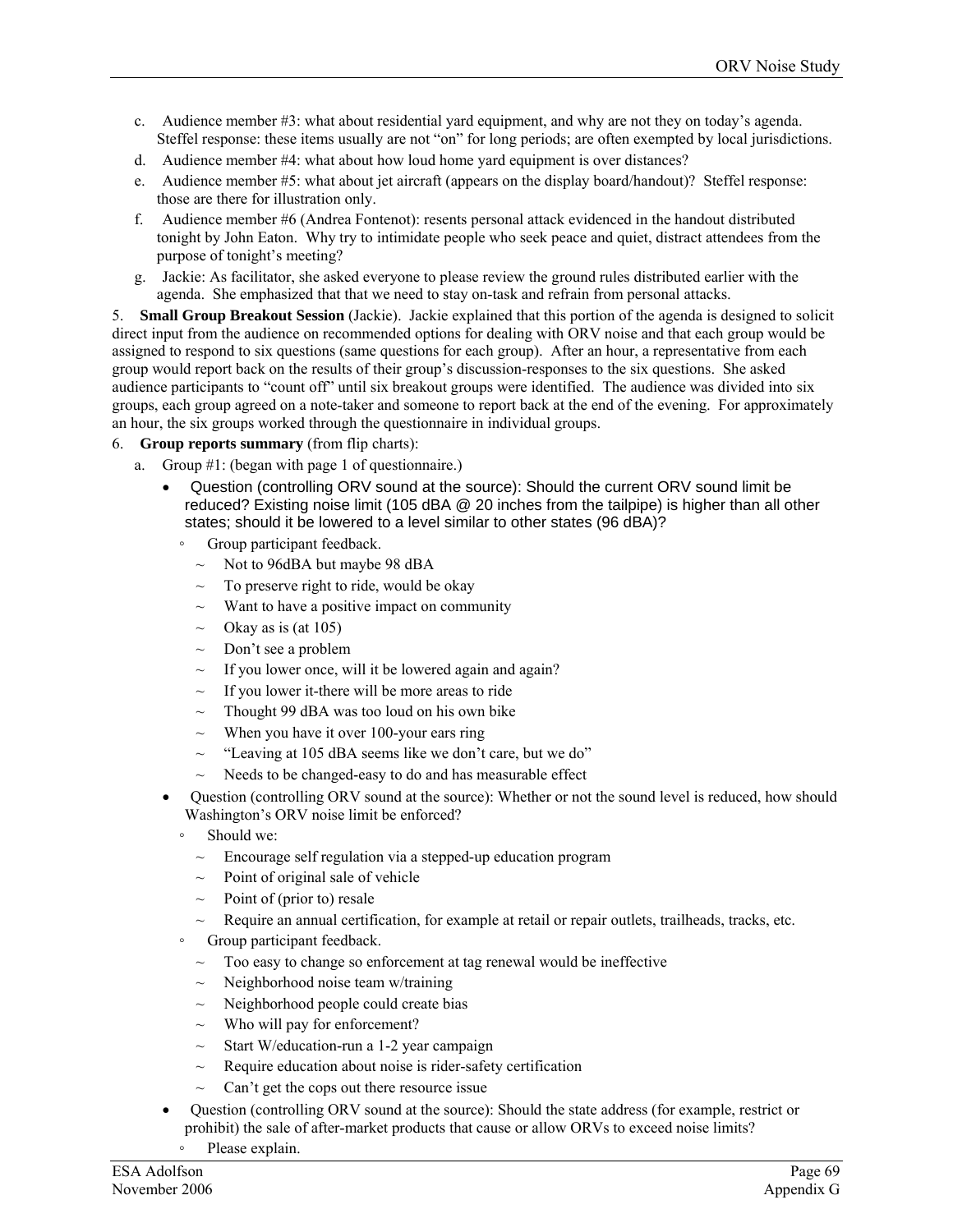- c. Audience member #3: what about residential yard equipment, and why are not they on today's agenda. Steffel response: these items usually are not "on" for long periods; are often exempted by local jurisdictions.
- d. Audience member #4: what about how loud home yard equipment is over distances?
- e. Audience member #5: what about jet aircraft (appears on the display board/handout)? Steffel response: those are there for illustration only.
- f. Audience member #6 (Andrea Fontenot): resents personal attack evidenced in the handout distributed tonight by John Eaton. Why try to intimidate people who seek peace and quiet, distract attendees from the purpose of tonight's meeting?
- g. Jackie: As facilitator, she asked everyone to please review the ground rules distributed earlier with the agenda. She emphasized that that we need to stay on-task and refrain from personal attacks.

5. **Small Group Breakout Session** (Jackie). Jackie explained that this portion of the agenda is designed to solicit direct input from the audience on recommended options for dealing with ORV noise and that each group would be assigned to respond to six questions (same questions for each group). After an hour, a representative from each group would report back on the results of their group's discussion-responses to the six questions. She asked audience participants to "count off" until six breakout groups were identified. The audience was divided into six groups, each group agreed on a note-taker and someone to report back at the end of the evening. For approximately an hour, the six groups worked through the questionnaire in individual groups.

#### 6. **Group reports summary** (from flip charts):

- a. Group #1: (began with page 1 of questionnaire.)
	- Question (controlling ORV sound at the source): Should the current ORV sound limit be reduced? Existing noise limit (105 dBA @ 20 inches from the tailpipe) is higher than all other states; should it be lowered to a level similar to other states (96 dBA)?
		- Group participant feedback.
			- $\sim$  Not to 96dBA but maybe 98 dBA
			- $\sim$  To preserve right to ride, would be okay
			- Want to have a positive impact on community
			- $\sim$  Okay as is (at 105)
			- $\sim$  Don't see a problem
			- If you lower once, will it be lowered again and again?
			- $\sim$  If you lower it-there will be more areas to ride
			- $\sim$  Thought 99 dBA was too loud on his own bike
			- $\sim$  When you have it over 100-your ears ring
			- ~ "Leaving at 105 dBA seems like we don't care, but we do"
			- $\sim$  Needs to be changed-easy to do and has measurable effect
	- Question (controlling ORV sound at the source): Whether or not the sound level is reduced, how should Washington's ORV noise limit be enforced?
		- Should we:
		- Encourage self regulation via a stepped-up education program
		- $\sim$  Point of original sale of vehicle
		- Point of (prior to) resale
		- Require an annual certification, for example at retail or repair outlets, trailheads, tracks, etc.
		- Group participant feedback.
			- $\sim$  Too easy to change so enforcement at tag renewal would be ineffective
			- Neighborhood noise team w/training
			- $\sim$  Neighborhood people could create bias
			- $\sim$  Who will pay for enforcement?
			- $\sim$  Start W/education-run a 1-2 year campaign
			- Require education about noise is rider-safety certification
			- $\sim$  Can't get the cops out there resource issue
	- Question (controlling ORV sound at the source): Should the state address (for example, restrict or prohibit) the sale of after-market products that cause or allow ORVs to exceed noise limits?
		- Please explain.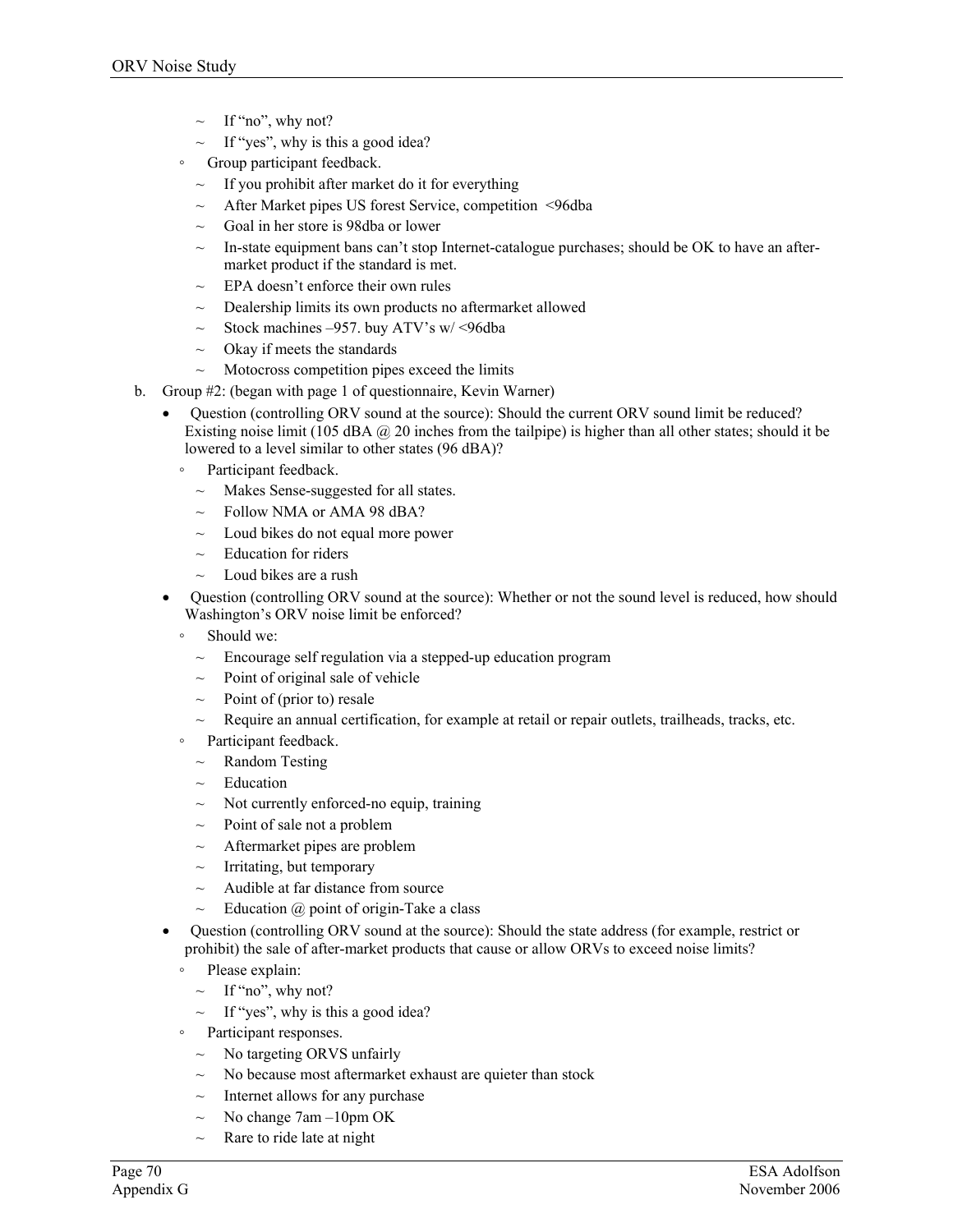- If "no", why not?
- If "yes", why is this a good idea?
- Group participant feedback.
	- $\sim$  If you prohibit after market do it for everything
	- After Market pipes US forest Service, competition <96dba
	- ~ Goal in her store is 98dba or lower
	- $\sim$  In-state equipment bans can't stop Internet-catalogue purchases; should be OK to have an aftermarket product if the standard is met.
	- $\sim$  EPA doesn't enforce their own rules
	- Dealership limits its own products no aftermarket allowed
	- ~ Stock machines –957. buy ATV's w/ <96dba
	- $\sim$  Okay if meets the standards
	- $\sim$  Motocross competition pipes exceed the limits
- b. Group #2: (began with page 1 of questionnaire, Kevin Warner)
	- Question (controlling ORV sound at the source): Should the current ORV sound limit be reduced? Existing noise limit (105 dBA  $\omega$  20 inches from the tailpipe) is higher than all other states; should it be lowered to a level similar to other states (96 dBA)?
		- Participant feedback.
			- $\sim$  Makes Sense-suggested for all states.
			- $\sim$  Follow NMA or AMA 98 dBA?
			- $\sim$  Loud bikes do not equal more power
			- $\sim$  Education for riders
			- Loud bikes are a rush
	- Question (controlling ORV sound at the source): Whether or not the sound level is reduced, how should Washington's ORV noise limit be enforced?
		- Should we:
		- $\sim$  Encourage self regulation via a stepped-up education program
		- Point of original sale of vehicle
		- Point of (prior to) resale
		- $\sim$  Require an annual certification, for example at retail or repair outlets, trailheads, tracks, etc.
		- Participant feedback.
		- $\sim$  Random Testing
		- $\sim$  Education
		- $\sim$  Not currently enforced-no equip, training
		- $\sim$  Point of sale not a problem
		- $\sim$  Aftermarket pipes are problem
		- $\sim$  Irritating, but temporary
		- $\sim$  Audible at far distance from source
		- $\sim$  Education @ point of origin-Take a class
	- Question (controlling ORV sound at the source): Should the state address (for example, restrict or prohibit) the sale of after-market products that cause or allow ORVs to exceed noise limits?
		- Please explain:
		- $\sim$  If "no", why not?
		- $\sim$  If "yes", why is this a good idea?
		- Participant responses.
			- $\sim$  No targeting ORVS unfairly
			- $\sim$  No because most aftermarket exhaust are quieter than stock
			- Internet allows for any purchase
			- $\sim$  No change 7am –10pm OK
			- $\sim$  Rare to ride late at night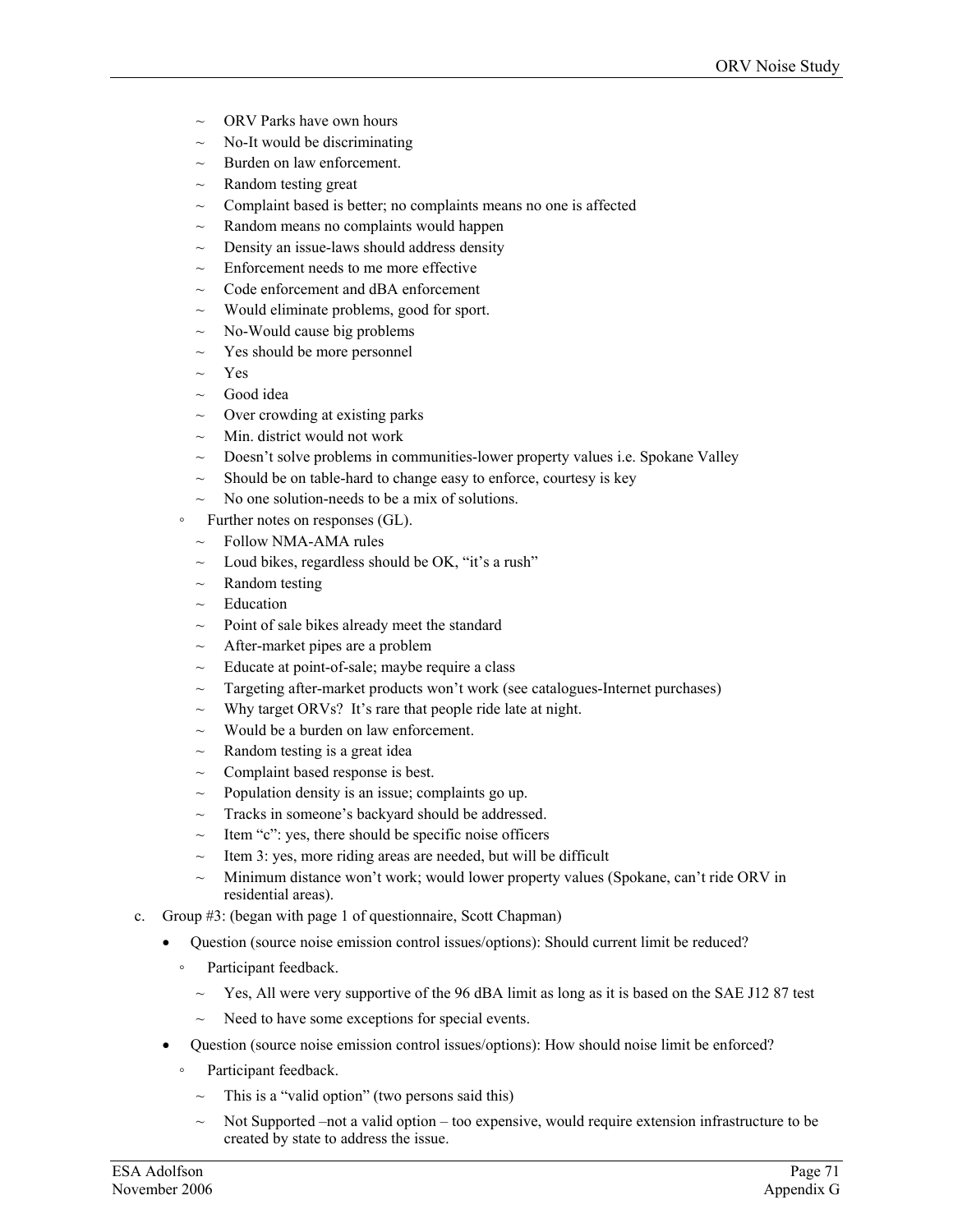- ORV Parks have own hours
- $\sim$  No-It would be discriminating
- $\sim$  Burden on law enforcement.
- $\sim$  Random testing great
- Complaint based is better; no complaints means no one is affected
- Random means no complaints would happen
- $\sim$  Density an issue-laws should address density
- $\sim$  Enforcement needs to me more effective
- $\sim$  Code enforcement and dBA enforcement
- ~ Would eliminate problems, good for sport.
- $\sim$  No-Would cause big problems
- $\sim$  Yes should be more personnel
- $\sim$  Yes
- Good idea
- $\sim$  Over crowding at existing parks
- $\sim$  Min. district would not work
- $\sim$  Doesn't solve problems in communities-lower property values i.e. Spokane Valley
- $\sim$  Should be on table-hard to change easy to enforce, courtesy is key
- $\sim$  No one solution-needs to be a mix of solutions.
- Further notes on responses (GL).
	- $\sim$  Follow NMA-AMA rules
	- $\sim$  Loud bikes, regardless should be OK, "it's a rush"
	- Random testing
	- $\sim$  Education
	- $\sim$  Point of sale bikes already meet the standard
	- $\sim$  After-market pipes are a problem
	- $\sim$  Educate at point-of-sale; maybe require a class
	- $\sim$  Targeting after-market products won't work (see catalogues-Internet purchases)
	- $\sim$  Why target ORVs? It's rare that people ride late at night.
	- $\sim$  Would be a burden on law enforcement.
	- $\sim$  Random testing is a great idea
	- Complaint based response is best.
	- $\sim$  Population density is an issue; complaints go up.
	- $\sim$  Tracks in someone's backyard should be addressed.
	- $\sim$  Item "c": yes, there should be specific noise officers
	- $\sim$  Item 3: yes, more riding areas are needed, but will be difficult
	- $\sim$  Minimum distance won't work; would lower property values (Spokane, can't ride ORV in residential areas).
- c. Group #3: (began with page 1 of questionnaire, Scott Chapman)
	- Question (source noise emission control issues/options): Should current limit be reduced?
		- Participant feedback.
			- $\sim$  Yes, All were very supportive of the 96 dBA limit as long as it is based on the SAE J12 87 test
			- Need to have some exceptions for special events.
	- Question (source noise emission control issues/options): How should noise limit be enforced?
		- Participant feedback.
			- $\sim$  This is a "valid option" (two persons said this)
			- Not Supported –not a valid option too expensive, would require extension infrastructure to be created by state to address the issue.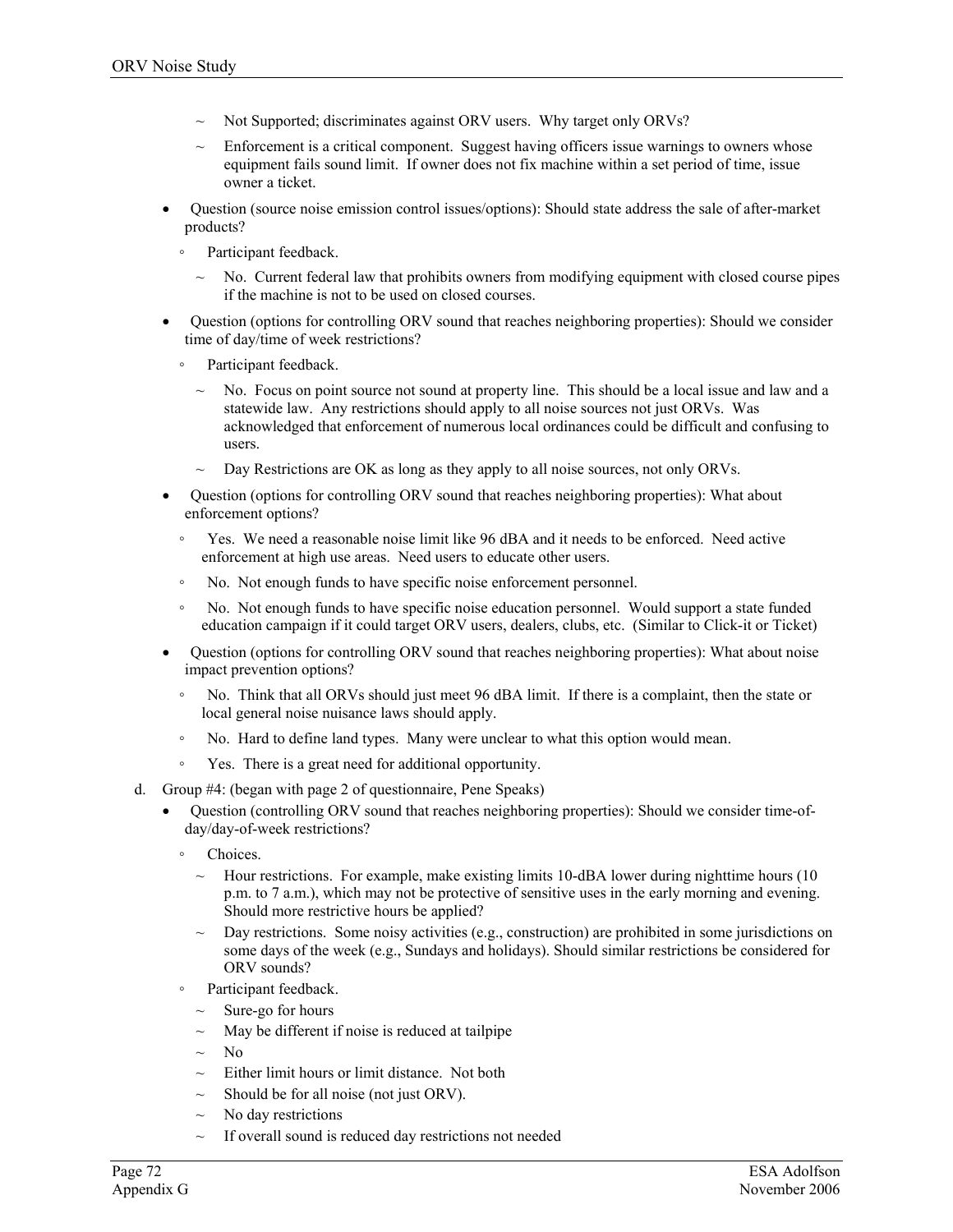- Not Supported; discriminates against ORV users. Why target only ORVs?
- Enforcement is a critical component. Suggest having officers issue warnings to owners whose equipment fails sound limit. If owner does not fix machine within a set period of time, issue owner a ticket.
- Question (source noise emission control issues/options): Should state address the sale of after-market products?
	- Participant feedback.
		- ~ No. Current federal law that prohibits owners from modifying equipment with closed course pipes if the machine is not to be used on closed courses.
- Question (options for controlling ORV sound that reaches neighboring properties): Should we consider time of day/time of week restrictions?
	- Participant feedback.
		- ~ No. Focus on point source not sound at property line. This should be a local issue and law and a statewide law. Any restrictions should apply to all noise sources not just ORVs. Was acknowledged that enforcement of numerous local ordinances could be difficult and confusing to users.
		- $\sim$  Day Restrictions are OK as long as they apply to all noise sources, not only ORVs.
- Question (options for controlling ORV sound that reaches neighboring properties): What about enforcement options?
	- Yes. We need a reasonable noise limit like 96 dBA and it needs to be enforced. Need active enforcement at high use areas. Need users to educate other users.
	- No. Not enough funds to have specific noise enforcement personnel.
	- No. Not enough funds to have specific noise education personnel. Would support a state funded education campaign if it could target ORV users, dealers, clubs, etc. (Similar to Click-it or Ticket)
- Question (options for controlling ORV sound that reaches neighboring properties): What about noise impact prevention options?
	- No. Think that all ORVs should just meet 96 dBA limit. If there is a complaint, then the state or local general noise nuisance laws should apply.
	- No. Hard to define land types. Many were unclear to what this option would mean.
	- Yes. There is a great need for additional opportunity.
- d. Group #4: (began with page 2 of questionnaire, Pene Speaks)
	- Question (controlling ORV sound that reaches neighboring properties): Should we consider time-ofday/day-of-week restrictions?
		- Choices.
			- $\sim$  Hour restrictions. For example, make existing limits 10-dBA lower during nighttime hours (10) p.m. to 7 a.m.), which may not be protective of sensitive uses in the early morning and evening. Should more restrictive hours be applied?
			- $\sim$  Day restrictions. Some noisy activities (e.g., construction) are prohibited in some jurisdictions on some days of the week (e.g., Sundays and holidays). Should similar restrictions be considered for ORV sounds?
		- Participant feedback.
			- Sure-go for hours
			- May be different if noise is reduced at tailpipe
			- $\sim$  No
			- $\sim$  Either limit hours or limit distance. Not both
			- $\sim$  Should be for all noise (not just ORV).
			- No day restrictions
			- $\sim$  If overall sound is reduced day restrictions not needed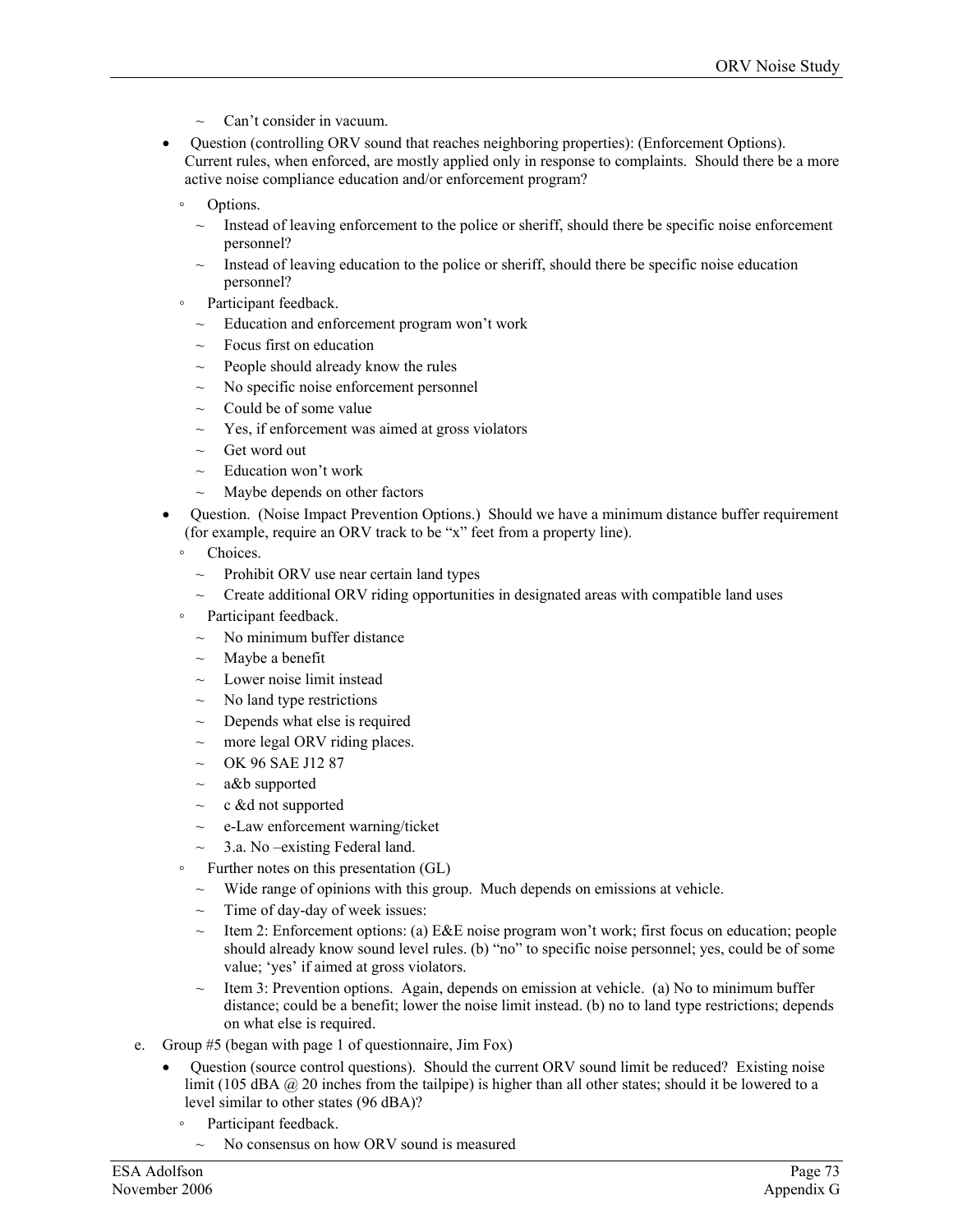- Can't consider in vacuum.
- Question (controlling ORV sound that reaches neighboring properties): (Enforcement Options). Current rules, when enforced, are mostly applied only in response to complaints. Should there be a more active noise compliance education and/or enforcement program?
	- Options.
		- $\sim$  Instead of leaving enforcement to the police or sheriff, should there be specific noise enforcement personnel?
		- $\sim$  Instead of leaving education to the police or sheriff, should there be specific noise education personnel?
	- Participant feedback.
	- $\sim$  Education and enforcement program won't work
	- Focus first on education
	- $\sim$  People should already know the rules
	- $\sim$  No specific noise enforcement personnel
	- $\sim$  Could be of some value
	- $\sim$  Yes, if enforcement was aimed at gross violators
	- $\sim$  Get word out
	- $\sim$  Education won't work
	- Maybe depends on other factors
- Question. (Noise Impact Prevention Options.) Should we have a minimum distance buffer requirement (for example, require an ORV track to be "x" feet from a property line).
	- Choices.
	- $\sim$  Prohibit ORV use near certain land types
	- ~ Create additional ORV riding opportunities in designated areas with compatible land uses
	- Participant feedback.
		- $\sim$  No minimum buffer distance
		- $\sim$  Maybe a benefit
		- $\sim$  Lower noise limit instead
		- $\sim$  No land type restrictions
		- Depends what else is required
		- $\sim$  more legal ORV riding places.
		- $~\sim~$  OK 96 SAE J12 87
		- $\sim$  a&b supported
		- ~ c &d not supported
		- $\sim$  e-Law enforcement warning/ticket
		- $\sim$  3.a. No –existing Federal land.
		- Further notes on this presentation (GL)
		- $\sim$  Wide range of opinions with this group. Much depends on emissions at vehicle.
		- $\sim$  Time of day-day of week issues:
		- $\sim$  Item 2: Enforcement options: (a) E&E noise program won't work; first focus on education; people should already know sound level rules. (b) "no" to specific noise personnel; yes, could be of some value; 'yes' if aimed at gross violators.
		- $\sim$  Item 3: Prevention options. Again, depends on emission at vehicle. (a) No to minimum buffer distance; could be a benefit; lower the noise limit instead. (b) no to land type restrictions; depends on what else is required.
- e. Group #5 (began with page 1 of questionnaire, Jim Fox)
	- Question (source control questions). Should the current ORV sound limit be reduced? Existing noise limit (105 dBA @ 20 inches from the tailpipe) is higher than all other states; should it be lowered to a level similar to other states (96 dBA)?
		- Participant feedback.
		- $\sim$  No consensus on how ORV sound is measured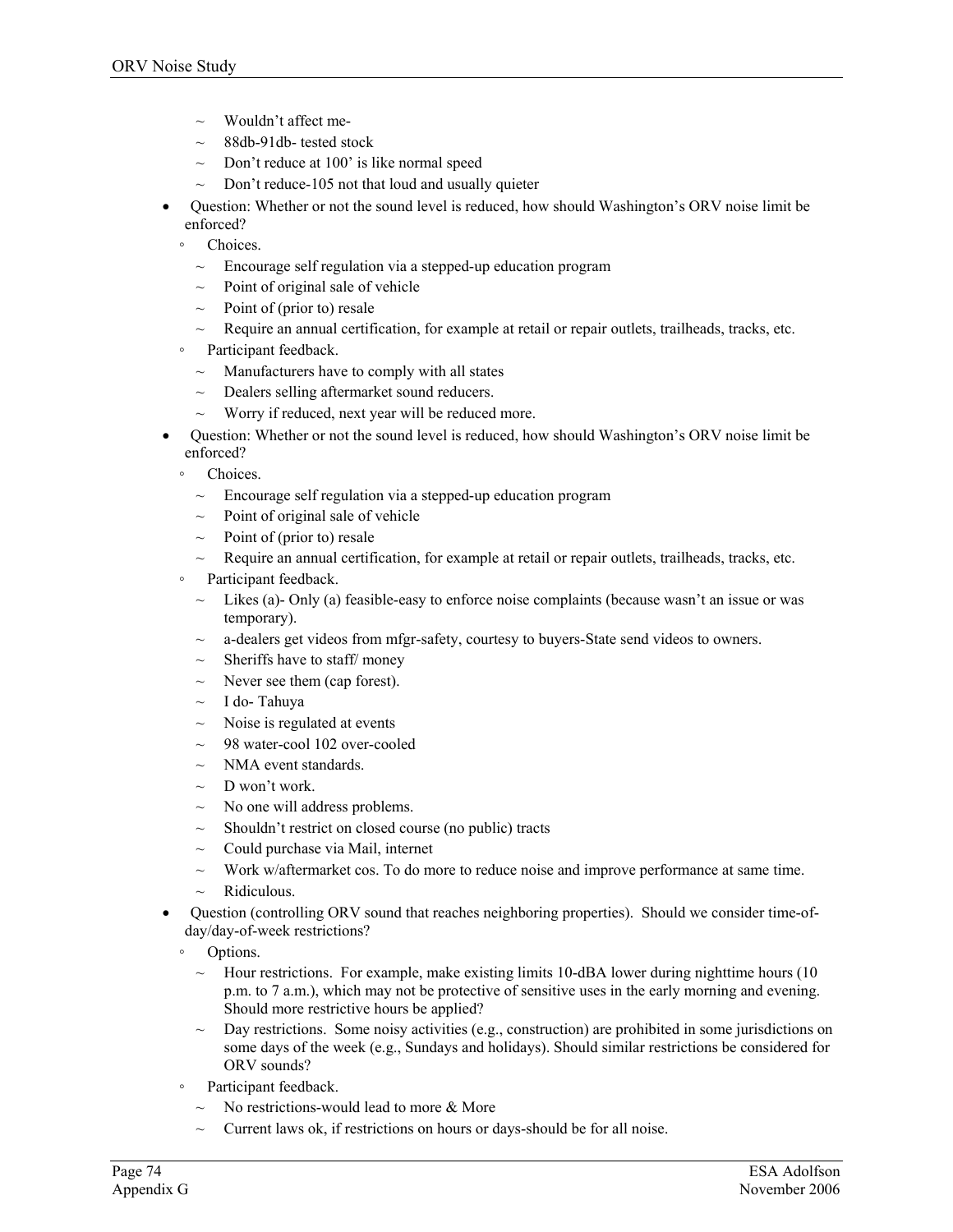- ~ Wouldn't affect me-
- $\sim$  88db-91db- tested stock
- $\sim$  Don't reduce at 100' is like normal speed
- $\sim$  Don't reduce-105 not that loud and usually quieter
- Question: Whether or not the sound level is reduced, how should Washington's ORV noise limit be enforced?
	- Choices.
	- $\sim$  Encourage self regulation via a stepped-up education program
	- Point of original sale of vehicle
	- $\sim$  Point of (prior to) resale
	- $\sim$  Require an annual certification, for example at retail or repair outlets, trailheads, tracks, etc.
	- Participant feedback.
	- $\sim$  Manufacturers have to comply with all states
	- $\sim$  Dealers selling aftermarket sound reducers.
	- $\sim$  Worry if reduced, next year will be reduced more.
- Question: Whether or not the sound level is reduced, how should Washington's ORV noise limit be enforced?
	- Choices.
		- $\sim$  Encourage self regulation via a stepped-up education program
		- $\sim$  Point of original sale of vehicle
		- $\sim$  Point of (prior to) resale
		- $\sim$  Require an annual certification, for example at retail or repair outlets, trailheads, tracks, etc.
	- Participant feedback.
		- $\sim$  Likes (a)- Only (a) feasible-easy to enforce noise complaints (because wasn't an issue or was temporary).
		- $\sim$  a-dealers get videos from mfgr-safety, courtesy to buyers-State send videos to owners.
		- $\sim$  Sheriffs have to staff/money
		- $\sim$  Never see them (cap forest).
		- ~ I do- Tahuya
		- Noise is regulated at events
		- $\sim$  98 water-cool 102 over-cooled
		- NMA event standards.
		- $\sim$  D won't work.
		- $\sim$  No one will address problems.
		- $\sim$  Shouldn't restrict on closed course (no public) tracts
		- $\sim$  Could purchase via Mail, internet
		- ~ Work w/aftermarket cos. To do more to reduce noise and improve performance at same time.
		- Ridiculous.
- Question (controlling ORV sound that reaches neighboring properties). Should we consider time-ofday/day-of-week restrictions?
	- Options.
		- $\sim$  Hour restrictions. For example, make existing limits 10-dBA lower during nighttime hours (10) p.m. to 7 a.m.), which may not be protective of sensitive uses in the early morning and evening. Should more restrictive hours be applied?
		- Day restrictions. Some noisy activities (e.g., construction) are prohibited in some jurisdictions on some days of the week (e.g., Sundays and holidays). Should similar restrictions be considered for ORV sounds?
	- Participant feedback.
		- $\sim$  No restrictions-would lead to more & More
		- Current laws ok, if restrictions on hours or days-should be for all noise.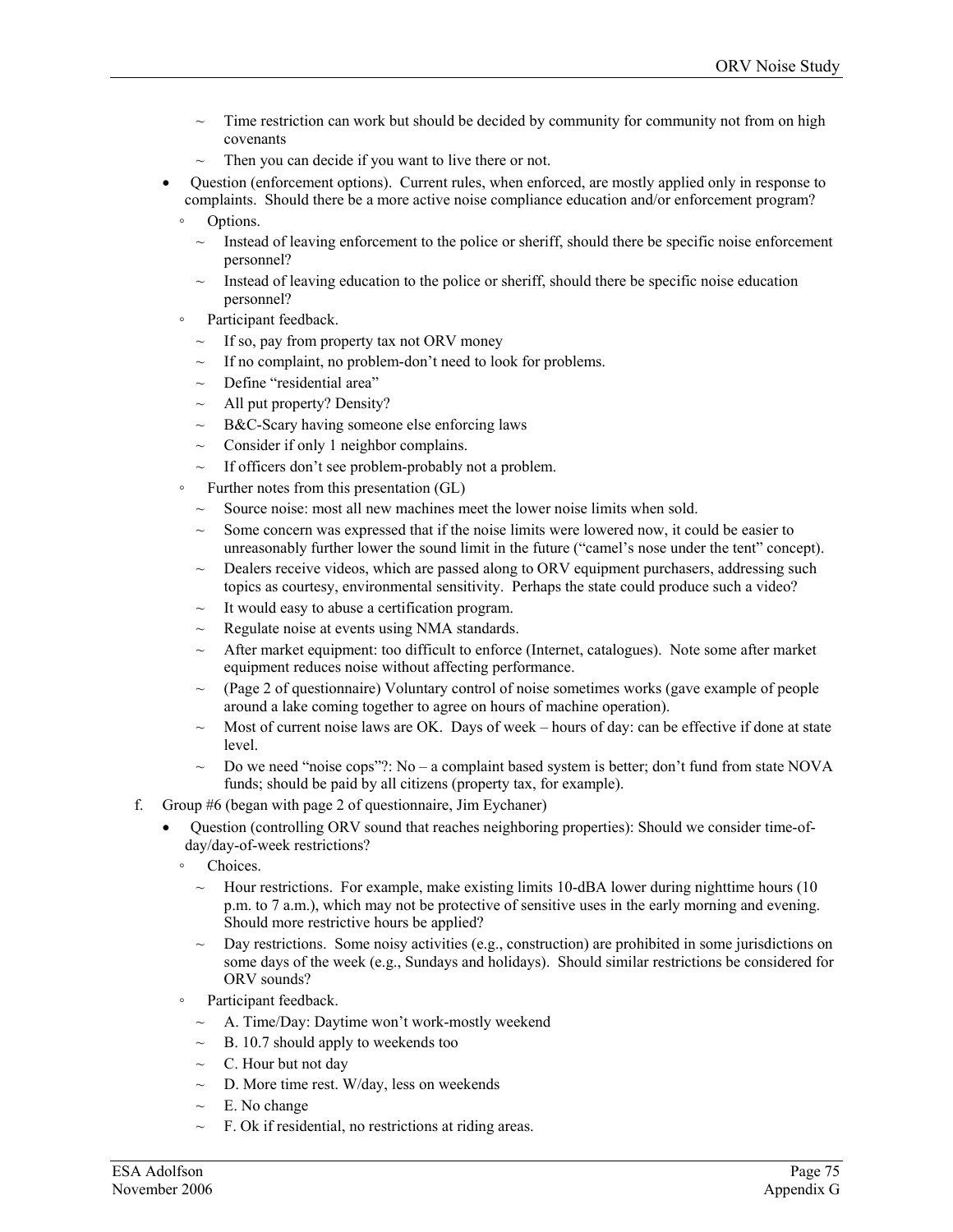- Time restriction can work but should be decided by community for community not from on high covenants
- Then you can decide if you want to live there or not.
- Question (enforcement options). Current rules, when enforced, are mostly applied only in response to complaints. Should there be a more active noise compliance education and/or enforcement program?
	- Options.
	- Instead of leaving enforcement to the police or sheriff, should there be specific noise enforcement personnel?
	- Instead of leaving education to the police or sheriff, should there be specific noise education personnel?
	- Participant feedback.
		- $\sim$  If so, pay from property tax not ORV money
		- If no complaint, no problem-don't need to look for problems.
		- $\sim$  Define "residential area"
		- $\sim$  All put property? Density?
		- $\sim$  B&C-Scary having someone else enforcing laws
		- $\sim$  Consider if only 1 neighbor complains.
		- $\sim$  If officers don't see problem-probably not a problem.
	- Further notes from this presentation (GL)
		- $\sim$  Source noise: most all new machines meet the lower noise limits when sold.
		- $\sim$  Some concern was expressed that if the noise limits were lowered now, it could be easier to unreasonably further lower the sound limit in the future ("camel's nose under the tent" concept).
		- $\sim$  Dealers receive videos, which are passed along to ORV equipment purchasers, addressing such topics as courtesy, environmental sensitivity. Perhaps the state could produce such a video?
		- It would easy to abuse a certification program.
		- $\sim$  Regulate noise at events using NMA standards.
		- $\sim$  After market equipment: too difficult to enforce (Internet, catalogues). Note some after market equipment reduces noise without affecting performance.
		- $\sim$  (Page 2 of questionnaire) Voluntary control of noise sometimes works (gave example of people around a lake coming together to agree on hours of machine operation).
		- $\sim$  Most of current noise laws are OK. Days of week hours of day: can be effective if done at state level.
		- $\sim$  Do we need "noise cops"?: No a complaint based system is better; don't fund from state NOVA funds; should be paid by all citizens (property tax, for example).
- f. Group #6 (began with page 2 of questionnaire, Jim Eychaner)
	- Question (controlling ORV sound that reaches neighboring properties): Should we consider time-ofday/day-of-week restrictions?
		- Choices.
			- ~ Hour restrictions. For example, make existing limits 10-dBA lower during nighttime hours (10 p.m. to 7 a.m.), which may not be protective of sensitive uses in the early morning and evening. Should more restrictive hours be applied?
			- $\sim$  Day restrictions. Some noisy activities (e.g., construction) are prohibited in some jurisdictions on some days of the week (e.g., Sundays and holidays). Should similar restrictions be considered for ORV sounds?
		- Participant feedback.
			- A. Time/Day: Daytime won't work-mostly weekend
			- B. 10.7 should apply to weekends too
			- ~ C. Hour but not day
			- $\sim$  D. More time rest. W/day, less on weekends
			- $\sim$  E. No change
			- $\sim$  F. Ok if residential, no restrictions at riding areas.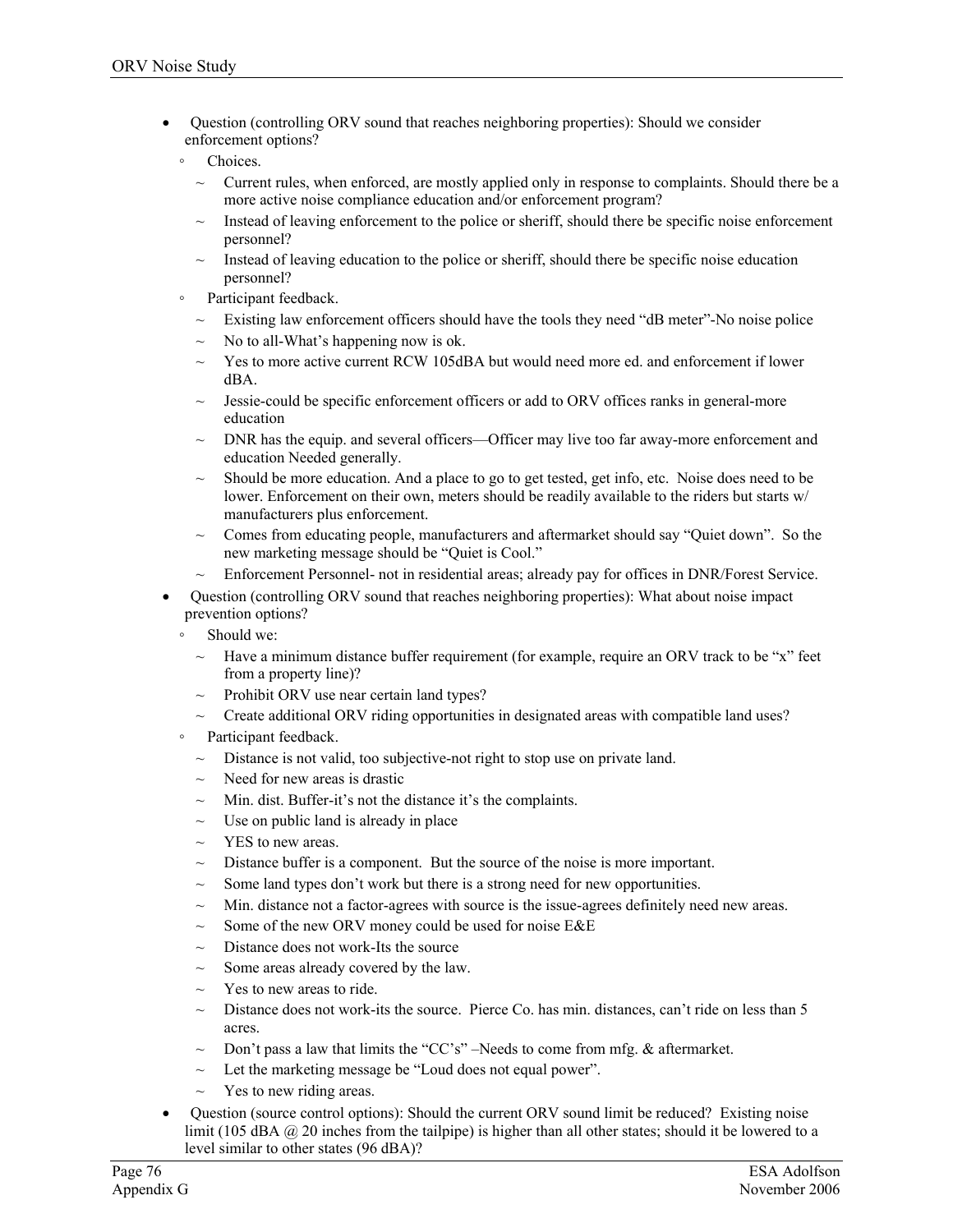- Question (controlling ORV sound that reaches neighboring properties): Should we consider enforcement options?
	- Choices.
		- Current rules, when enforced, are mostly applied only in response to complaints. Should there be a more active noise compliance education and/or enforcement program?
		- Instead of leaving enforcement to the police or sheriff, should there be specific noise enforcement personnel?
		- $\sim$  Instead of leaving education to the police or sheriff, should there be specific noise education personnel?
	- Participant feedback.
		- $\sim$  Existing law enforcement officers should have the tools they need "dB meter"-No noise police
		- No to all-What's happening now is ok.
		- Yes to more active current RCW 105dBA but would need more ed. and enforcement if lower dBA.
		- $\sim$  Jessie-could be specific enforcement officers or add to ORV offices ranks in general-more education
		- $\sim$  DNR has the equip. and several officers—Officer may live too far away-more enforcement and education Needed generally.
		- $\sim$  Should be more education. And a place to go to get tested, get info, etc. Noise does need to be lower. Enforcement on their own, meters should be readily available to the riders but starts w/ manufacturers plus enforcement.
		- $\sim$  Comes from educating people, manufacturers and aftermarket should say "Quiet down". So the new marketing message should be "Quiet is Cool."
		- Enforcement Personnel- not in residential areas; already pay for offices in DNR/Forest Service.
- Question (controlling ORV sound that reaches neighboring properties): What about noise impact prevention options?
	- Should we:
	- Have a minimum distance buffer requirement (for example, require an ORV track to be "x" feet from a property line)?
	- $\sim$  Prohibit ORV use near certain land types?
	- $\sim$  Create additional ORV riding opportunities in designated areas with compatible land uses?
	- Participant feedback.
		- $\sim$  Distance is not valid, too subjective-not right to stop use on private land.
		- $\sim$  Need for new areas is drastic
		- $\sim$  Min. dist. Buffer-it's not the distance it's the complaints.
		- Use on public land is already in place
		- $\sim$  YES to new areas.
		- $\sim$  Distance buffer is a component. But the source of the noise is more important.
		- $\sim$  Some land types don't work but there is a strong need for new opportunities.
		- $\sim$  Min. distance not a factor-agrees with source is the issue-agrees definitely need new areas.
		- $\sim$  Some of the new ORV money could be used for noise E&E
		- $\sim$  Distance does not work-Its the source
		- Some areas already covered by the law.
		- Yes to new areas to ride.
		- $\sim$  Distance does not work-its the source. Pierce Co. has min. distances, can't ride on less than 5 acres.
		- $\sim$  Don't pass a law that limits the "CC's" –Needs to come from mfg. & aftermarket.
		- $\sim$  Let the marketing message be "Loud does not equal power".
		- $\sim$  Yes to new riding areas.
- Question (source control options): Should the current ORV sound limit be reduced? Existing noise limit (105 dBA @ 20 inches from the tailpipe) is higher than all other states; should it be lowered to a level similar to other states (96 dBA)?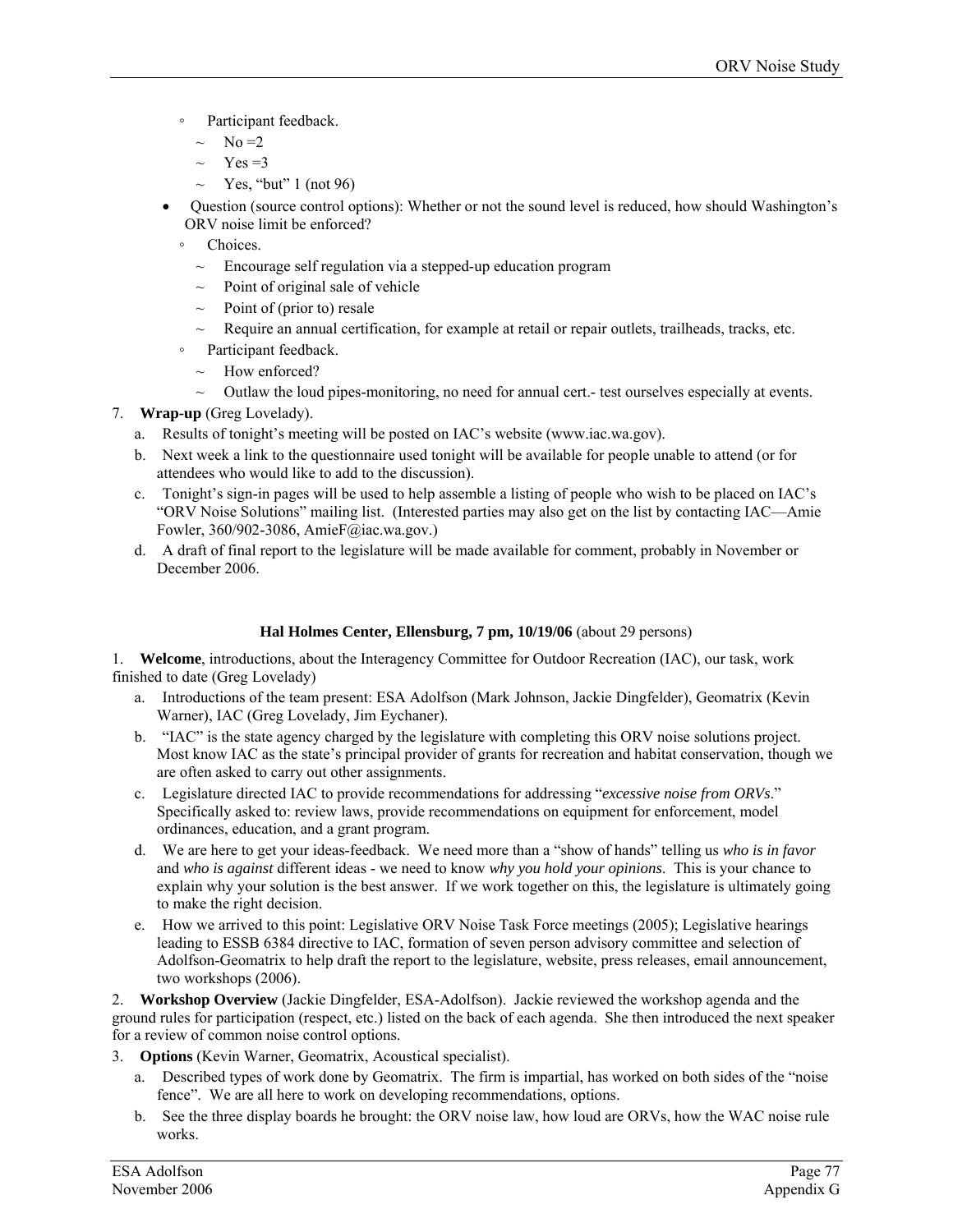- Participant feedback.
	- $\sim$  No = 2
	- $Yes = 3$
	- $\sim$  Yes, "but" 1 (not 96)
- Question (source control options): Whether or not the sound level is reduced, how should Washington's ORV noise limit be enforced?
	- Choices.
		- $\sim$  Encourage self regulation via a stepped-up education program
		- Point of original sale of vehicle
		- $\sim$  Point of (prior to) resale
		- $\sim$  Require an annual certification, for example at retail or repair outlets, trailheads, tracks, etc.
	- Participant feedback.
	- $\sim$  How enforced?
	- ~ Outlaw the loud pipes-monitoring, no need for annual cert.- test ourselves especially at events.
- 7. **Wrap-up** (Greg Lovelady).
	- a. Results of tonight's meeting will be posted on IAC's website (www.iac.wa.gov).
	- b. Next week a link to the questionnaire used tonight will be available for people unable to attend (or for attendees who would like to add to the discussion).
	- c. Tonight's sign-in pages will be used to help assemble a listing of people who wish to be placed on IAC's "ORV Noise Solutions" mailing list. (Interested parties may also get on the list by contacting IAC—Amie Fowler, 360/902-3086, AmieF@iac.wa.gov.)
	- d. A draft of final report to the legislature will be made available for comment, probably in November or December 2006.

#### **Hal Holmes Center, Ellensburg, 7 pm, 10/19/06** (about 29 persons)

1. **Welcome**, introductions, about the Interagency Committee for Outdoor Recreation (IAC), our task, work finished to date (Greg Lovelady)

- a. Introductions of the team present: ESA Adolfson (Mark Johnson, Jackie Dingfelder), Geomatrix (Kevin Warner), IAC (Greg Lovelady, Jim Eychaner).
- b. "IAC" is the state agency charged by the legislature with completing this ORV noise solutions project. Most know IAC as the state's principal provider of grants for recreation and habitat conservation, though we are often asked to carry out other assignments.
- c. Legislature directed IAC to provide recommendations for addressing "*excessive noise from ORVs*." Specifically asked to: review laws, provide recommendations on equipment for enforcement, model ordinances, education, and a grant program.
- d. We are here to get your ideas-feedback. We need more than a "show of hands" telling us *who is in favor* and *who is against* different ideas - we need to know *why you hold your opinions*. This is your chance to explain why your solution is the best answer. If we work together on this, the legislature is ultimately going to make the right decision.
- e. How we arrived to this point: Legislative ORV Noise Task Force meetings (2005); Legislative hearings leading to ESSB 6384 directive to IAC, formation of seven person advisory committee and selection of Adolfson-Geomatrix to help draft the report to the legislature, website, press releases, email announcement, two workshops (2006).

2. **Workshop Overview** (Jackie Dingfelder, ESA-Adolfson). Jackie reviewed the workshop agenda and the ground rules for participation (respect, etc.) listed on the back of each agenda. She then introduced the next speaker for a review of common noise control options.

- 3. **Options** (Kevin Warner, Geomatrix, Acoustical specialist).
	- a. Described types of work done by Geomatrix. The firm is impartial, has worked on both sides of the "noise fence". We are all here to work on developing recommendations, options.
	- b. See the three display boards he brought: the ORV noise law, how loud are ORVs, how the WAC noise rule works.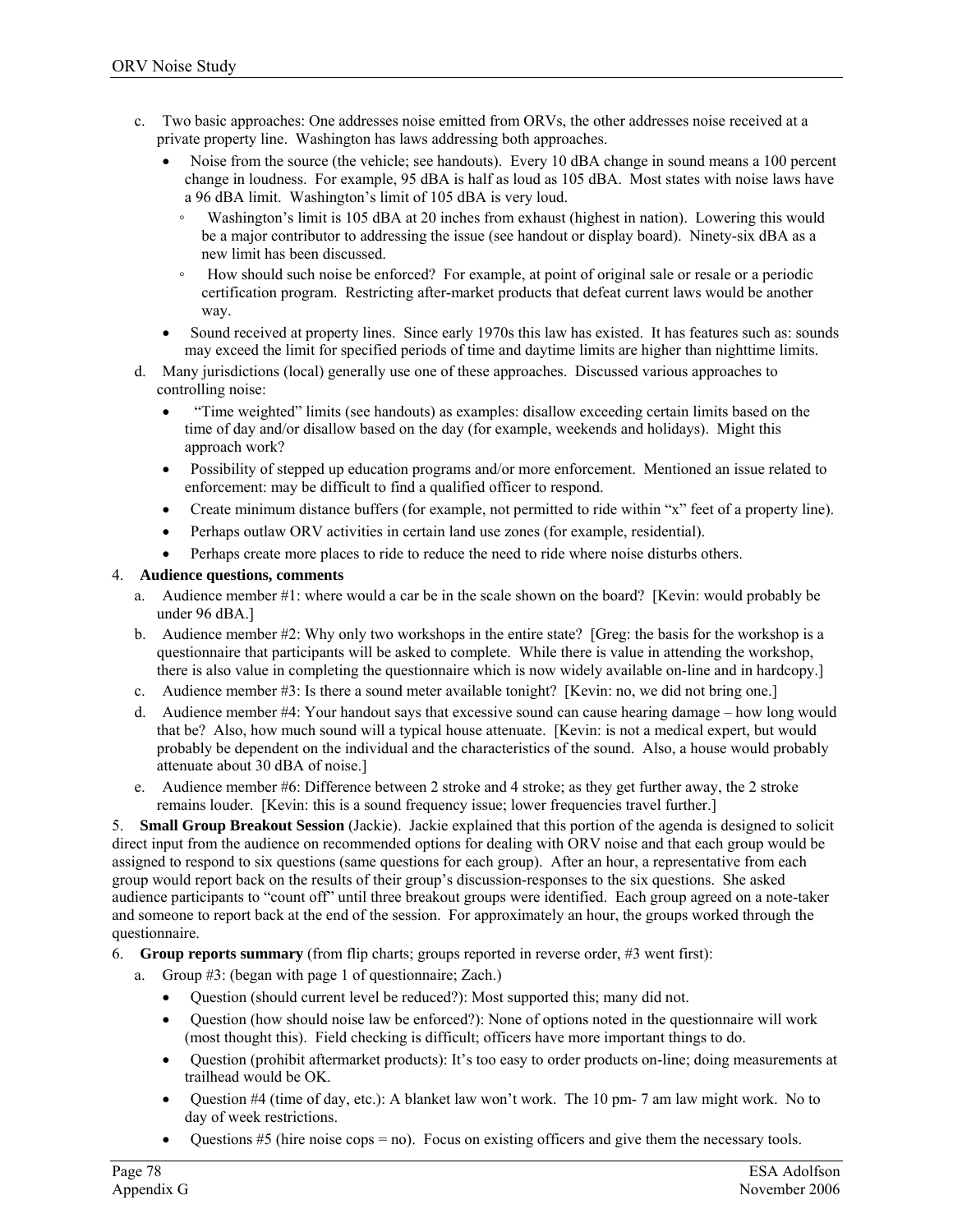- c. Two basic approaches: One addresses noise emitted from ORVs, the other addresses noise received at a private property line. Washington has laws addressing both approaches.
	- Noise from the source (the vehicle; see handouts). Every 10 dBA change in sound means a 100 percent change in loudness. For example, 95 dBA is half as loud as 105 dBA. Most states with noise laws have a 96 dBA limit. Washington's limit of 105 dBA is very loud.
		- Washington's limit is 105 dBA at 20 inches from exhaust (highest in nation). Lowering this would be a major contributor to addressing the issue (see handout or display board). Ninety-six dBA as a new limit has been discussed.
		- How should such noise be enforced? For example, at point of original sale or resale or a periodic certification program. Restricting after-market products that defeat current laws would be another way.
	- Sound received at property lines. Since early 1970s this law has existed. It has features such as: sounds may exceed the limit for specified periods of time and daytime limits are higher than nighttime limits.
- d. Many jurisdictions (local) generally use one of these approaches. Discussed various approaches to controlling noise:
	- "Time weighted" limits (see handouts) as examples: disallow exceeding certain limits based on the time of day and/or disallow based on the day (for example, weekends and holidays). Might this approach work?
	- Possibility of stepped up education programs and/or more enforcement. Mentioned an issue related to enforcement: may be difficult to find a qualified officer to respond.
	- Create minimum distance buffers (for example, not permitted to ride within "x" feet of a property line).
	- Perhaps outlaw ORV activities in certain land use zones (for example, residential).
	- Perhaps create more places to ride to reduce the need to ride where noise disturbs others.

#### 4. **Audience questions, comments**

- a. Audience member #1: where would a car be in the scale shown on the board? [Kevin: would probably be under 96 dBA.]
- b. Audience member #2: Why only two workshops in the entire state? [Greg: the basis for the workshop is a questionnaire that participants will be asked to complete. While there is value in attending the workshop, there is also value in completing the questionnaire which is now widely available on-line and in hardcopy.]
- c. Audience member #3: Is there a sound meter available tonight? [Kevin: no, we did not bring one.]
- d. Audience member #4: Your handout says that excessive sound can cause hearing damage how long would that be? Also, how much sound will a typical house attenuate. [Kevin: is not a medical expert, but would probably be dependent on the individual and the characteristics of the sound. Also, a house would probably attenuate about 30 dBA of noise.]
- e. Audience member #6: Difference between 2 stroke and 4 stroke; as they get further away, the 2 stroke remains louder. [Kevin: this is a sound frequency issue; lower frequencies travel further.]

5. **Small Group Breakout Session** (Jackie). Jackie explained that this portion of the agenda is designed to solicit direct input from the audience on recommended options for dealing with ORV noise and that each group would be assigned to respond to six questions (same questions for each group). After an hour, a representative from each group would report back on the results of their group's discussion-responses to the six questions. She asked audience participants to "count off" until three breakout groups were identified. Each group agreed on a note-taker and someone to report back at the end of the session. For approximately an hour, the groups worked through the questionnaire.

6. **Group reports summary** (from flip charts; groups reported in reverse order, #3 went first):

- a. Group #3: (began with page 1 of questionnaire; Zach.)
	- Question (should current level be reduced?): Most supported this; many did not.
	- Question (how should noise law be enforced?): None of options noted in the questionnaire will work (most thought this). Field checking is difficult; officers have more important things to do.
	- Question (prohibit aftermarket products): It's too easy to order products on-line; doing measurements at trailhead would be OK.
	- Question #4 (time of day, etc.): A blanket law won't work. The 10 pm- 7 am law might work. No to day of week restrictions.
	- Questions  $#5$  (hire noise cops = no). Focus on existing officers and give them the necessary tools.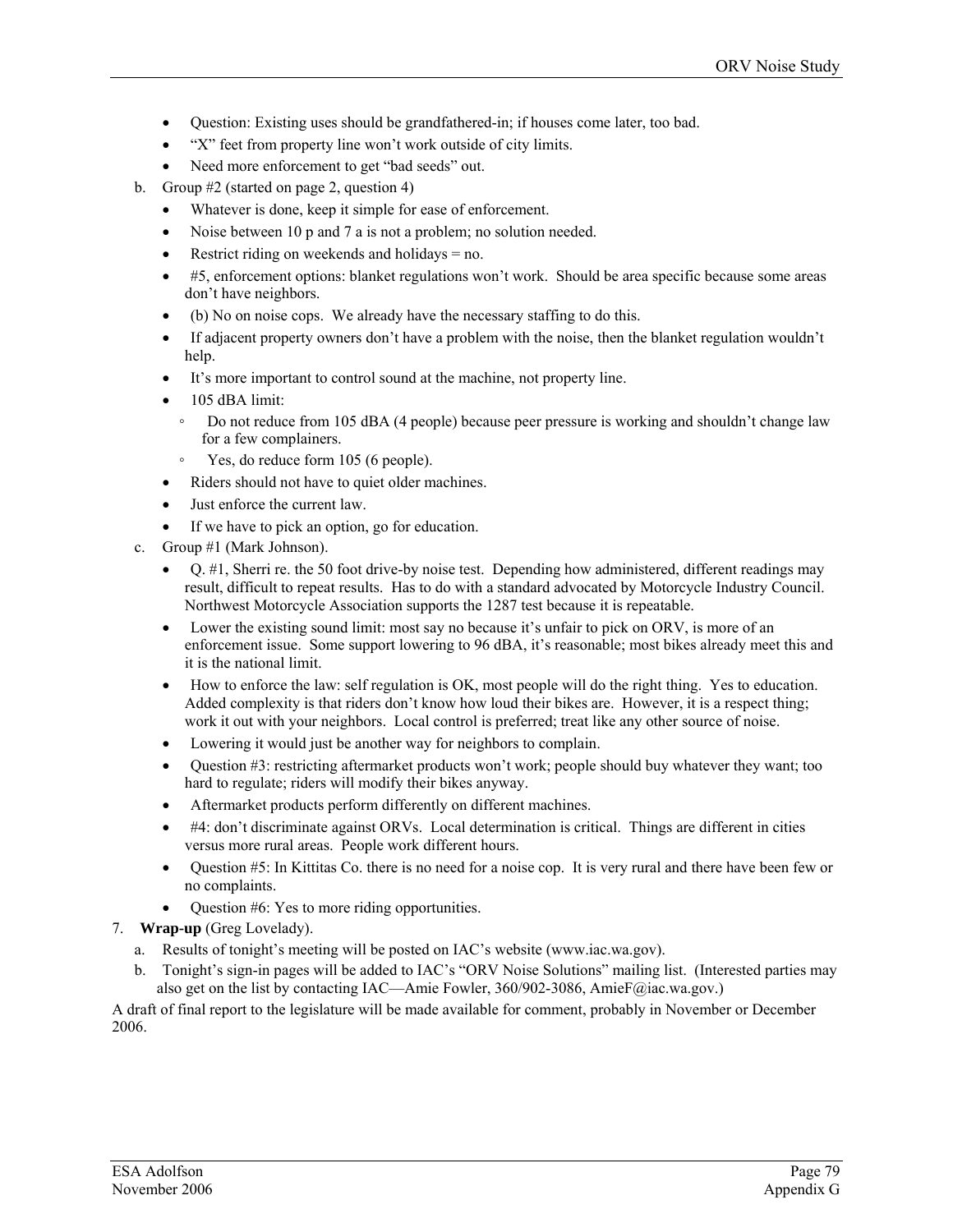- Question: Existing uses should be grandfathered-in; if houses come later, too bad.
- "X" feet from property line won't work outside of city limits.
- Need more enforcement to get "bad seeds" out.
- b. Group #2 (started on page 2, question 4)
	- Whatever is done, keep it simple for ease of enforcement.
	- Noise between 10 p and 7 a is not a problem; no solution needed.
	- Restrict riding on weekends and holidays  $= no$ .
	- #5, enforcement options: blanket regulations won't work. Should be area specific because some areas don't have neighbors.
	- (b) No on noise cops. We already have the necessary staffing to do this.
	- If adjacent property owners don't have a problem with the noise, then the blanket regulation wouldn't help.
	- It's more important to control sound at the machine, not property line.
	- 105 dBA limit:
		- Do not reduce from 105 dBA (4 people) because peer pressure is working and shouldn't change law for a few complainers.
		- Yes, do reduce form 105 (6 people).
	- Riders should not have to quiet older machines.
	- Just enforce the current law.
	- If we have to pick an option, go for education.
- c. Group #1 (Mark Johnson).
	- Q. #1, Sherri re. the 50 foot drive-by noise test. Depending how administered, different readings may result, difficult to repeat results. Has to do with a standard advocated by Motorcycle Industry Council. Northwest Motorcycle Association supports the 1287 test because it is repeatable.
	- Lower the existing sound limit: most say no because it's unfair to pick on ORV, is more of an enforcement issue. Some support lowering to 96 dBA, it's reasonable; most bikes already meet this and it is the national limit.
	- How to enforce the law: self regulation is OK, most people will do the right thing. Yes to education. Added complexity is that riders don't know how loud their bikes are. However, it is a respect thing; work it out with your neighbors. Local control is preferred; treat like any other source of noise.
	- Lowering it would just be another way for neighbors to complain.
	- Question #3: restricting aftermarket products won't work; people should buy whatever they want; too hard to regulate; riders will modify their bikes anyway.
	- Aftermarket products perform differently on different machines.
	- #4: don't discriminate against ORVs. Local determination is critical. Things are different in cities versus more rural areas. People work different hours.
	- Question #5: In Kittitas Co. there is no need for a noise cop. It is very rural and there have been few or no complaints.
	- Question #6: Yes to more riding opportunities.
- 7. **Wrap-up** (Greg Lovelady).
	- a. Results of tonight's meeting will be posted on IAC's website (www.iac.wa.gov).
	- b. Tonight's sign-in pages will be added to IAC's "ORV Noise Solutions" mailing list. (Interested parties may also get on the list by contacting IAC—Amie Fowler, 360/902-3086, AmieF@iac.wa.gov.)

A draft of final report to the legislature will be made available for comment, probably in November or December 2006.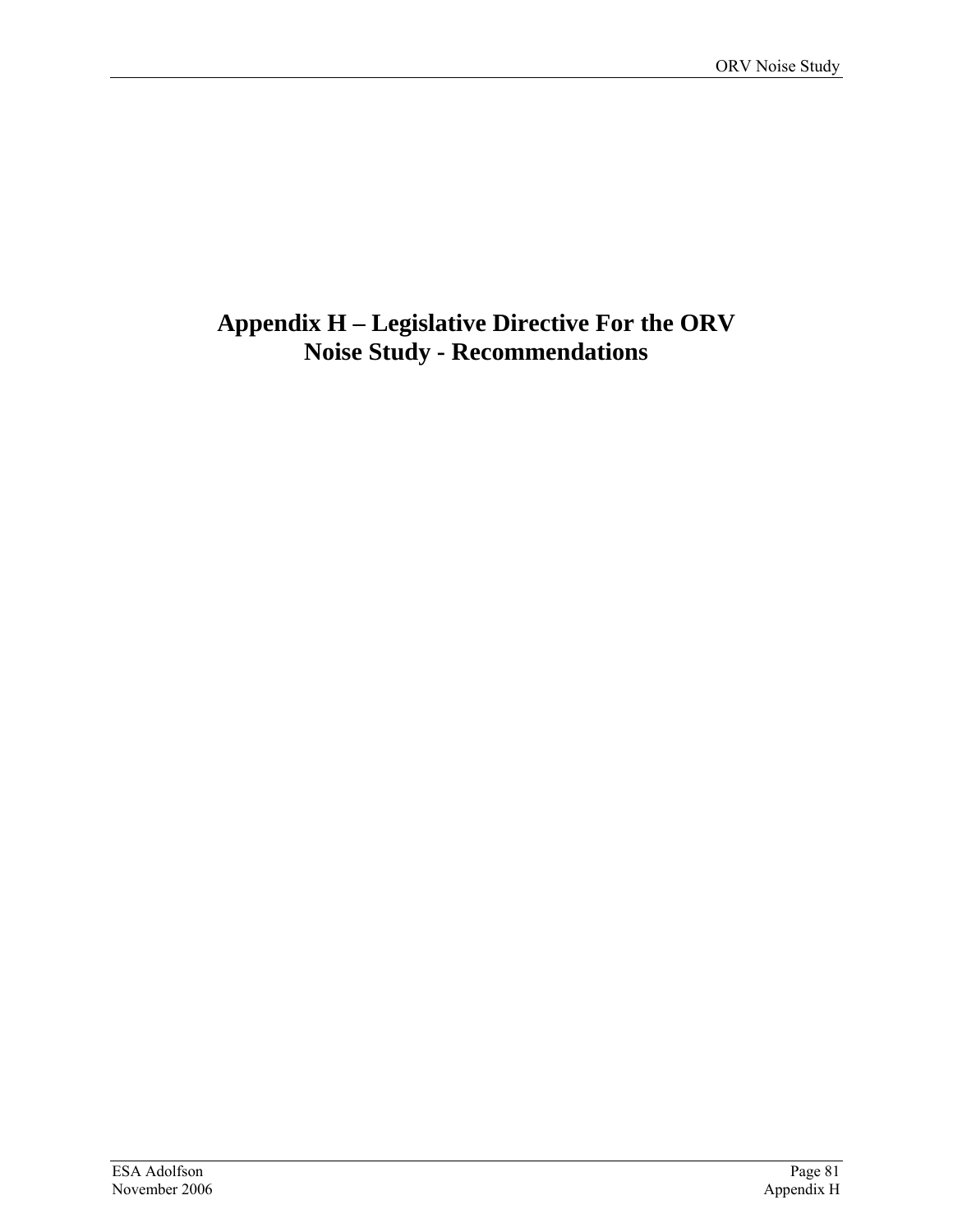## **Appendix H – Legislative Directive For the ORV Noise Study - Recommendations**